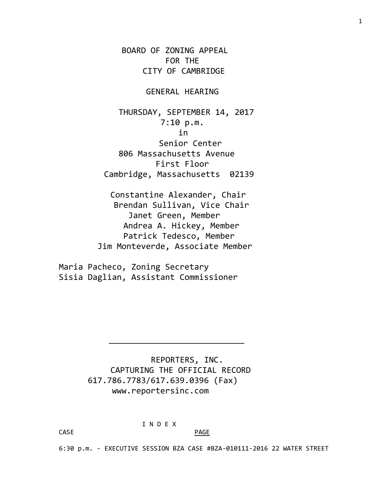BOARD OF ZONING APPEAL FOR THE CITY OF CAMBRIDGE

## GENERAL HEARING

 THURSDAY, SEPTEMBER 14, 2017 7:10 p.m. in Senior Center 806 Massachusetts Avenue First Floor Cambridge, Massachusetts 02139

 Constantine Alexander, Chair Brendan Sullivan, Vice Chair Janet Green, Member Andrea A. Hickey, Member Patrick Tedesco, Member Jim Monteverde, Associate Member

Maria Pacheco, Zoning Secretary Sisia Daglian, Assistant Commissioner

> REPORTERS, INC. CAPTURING THE OFFICIAL RECORD 617.786.7783/617.639.0396 (Fax) www.reportersinc.com

\_\_\_\_\_\_\_\_\_\_\_\_\_\_\_\_\_\_\_\_\_\_\_\_\_\_\_\_

I N D E X

CASE PAGE

6:30 p.m. - EXECUTIVE SESSION BZA CASE #BZA-010111-2016 22 WATER STREET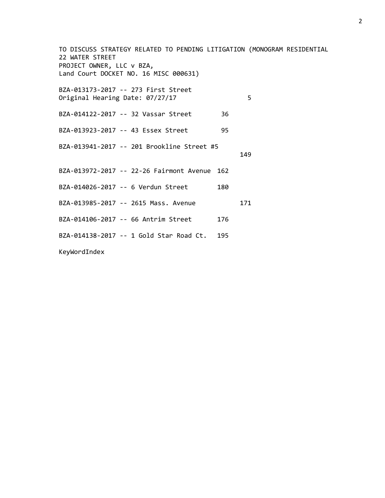TO DISCUSS STRATEGY RELATED TO PENDING LITIGATION (MONOGRAM RESIDENTIAL 22 WATER STREET PROJECT OWNER, LLC v BZA, Land Court DOCKET NO. 16 MISC 000631) BZA-013173-2017 -- 273 First Street Original Hearing Date: 07/27/17 5 BZA-014122-2017 -- 32 Vassar Street 36 BZA-013923-2017 -- 43 Essex Street 95 BZA-013941-2017 -- 201 Brookline Street #5 149 BZA-013972-2017 -- 22-26 Fairmont Avenue 162 BZA-014026-2017 -- 6 Verdun Street 180 BZA-013985-2017 -- 2615 Mass. Avenue 171 BZA-014106-2017 -- 66 Antrim Street 176 BZA-014138-2017 -- 1 Gold Star Road Ct. 195 KeyWordIndex

2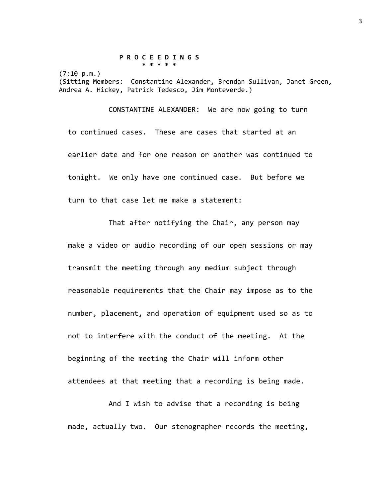## **P R O C E E D I N G S \* \* \* \* \***

 $(7:10 p.m.)$ 

(Sitting Members: Constantine Alexander, Brendan Sullivan, Janet Green, Andrea A. Hickey, Patrick Tedesco, Jim Monteverde.)

CONSTANTINE ALEXANDER: We are now going to turn to continued cases. These are cases that started at an earlier date and for one reason or another was continued to tonight. We only have one continued case. But before we turn to that case let me make a statement:

That after notifying the Chair, any person may make a video or audio recording of our open sessions or may transmit the meeting through any medium subject through reasonable requirements that the Chair may impose as to the number, placement, and operation of equipment used so as to not to interfere with the conduct of the meeting. At the beginning of the meeting the Chair will inform other attendees at that meeting that a recording is being made.

And I wish to advise that a recording is being made, actually two. Our stenographer records the meeting,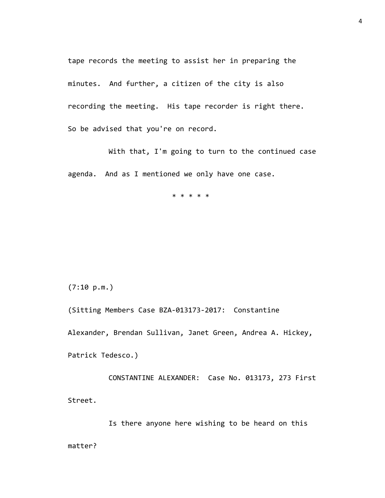tape records the meeting to assist her in preparing the minutes. And further, a citizen of the city is also recording the meeting. His tape recorder is right there. So be advised that you're on record.

With that, I'm going to turn to the continued case agenda. And as I mentioned we only have one case.

\* \* \* \* \*

(7:10 p.m.)

(Sitting Members Case BZA-013173-2017: Constantine

Alexander, Brendan Sullivan, Janet Green, Andrea A. Hickey,

Patrick Tedesco.)

CONSTANTINE ALEXANDER: Case No. 013173, 273 First Street.

Is there anyone here wishing to be heard on this matter?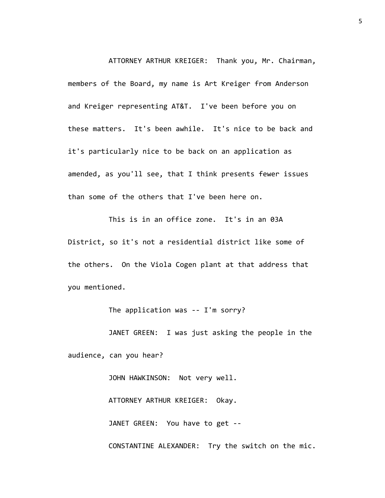ATTORNEY ARTHUR KREIGER: Thank you, Mr. Chairman, members of the Board, my name is Art Kreiger from Anderson and Kreiger representing AT&T. I've been before you on these matters. It's been awhile. It's nice to be back and it's particularly nice to be back on an application as amended, as you'll see, that I think presents fewer issues than some of the others that I've been here on.

This is in an office zone. It's in an 03A District, so it's not a residential district like some of the others. On the Viola Cogen plant at that address that you mentioned.

The application was -- I'm sorry?

JANET GREEN: I was just asking the people in the

audience, can you hear?

JOHN HAWKINSON: Not very well.

ATTORNEY ARTHUR KREIGER: Okay.

JANET GREEN: You have to get --

CONSTANTINE ALEXANDER: Try the switch on the mic.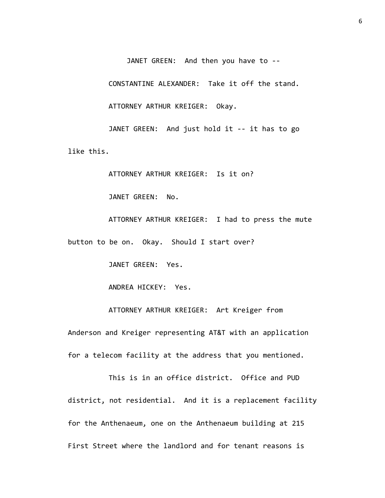JANET GREEN: And then you have to --

CONSTANTINE ALEXANDER: Take it off the stand.

ATTORNEY ARTHUR KREIGER: Okay.

JANET GREEN: And just hold it -- it has to go like this.

ATTORNEY ARTHUR KREIGER: Is it on?

JANET GREEN: No.

ATTORNEY ARTHUR KREIGER: I had to press the mute button to be on. Okay. Should I start over?

JANET GREEN: Yes.

ANDREA HICKEY: Yes.

ATTORNEY ARTHUR KREIGER: Art Kreiger from Anderson and Kreiger representing AT&T with an application for a telecom facility at the address that you mentioned.

This is in an office district. Office and PUD district, not residential. And it is a replacement facility for the Anthenaeum, one on the Anthenaeum building at 215 First Street where the landlord and for tenant reasons is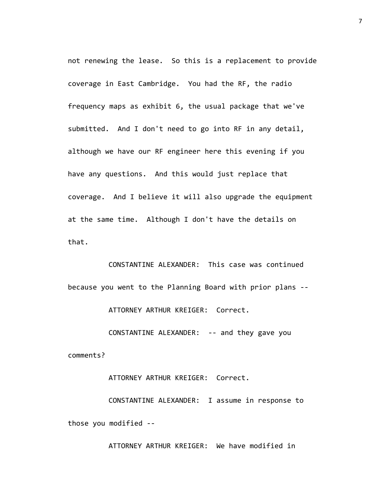not renewing the lease. So this is a replacement to provide coverage in East Cambridge. You had the RF, the radio frequency maps as exhibit 6, the usual package that we've submitted. And I don't need to go into RF in any detail, although we have our RF engineer here this evening if you have any questions. And this would just replace that coverage. And I believe it will also upgrade the equipment at the same time. Although I don't have the details on that.

CONSTANTINE ALEXANDER: This case was continued because you went to the Planning Board with prior plans --

ATTORNEY ARTHUR KREIGER: Correct.

CONSTANTINE ALEXANDER: -- and they gave you

comments?

ATTORNEY ARTHUR KREIGER: Correct.

CONSTANTINE ALEXANDER: I assume in response to those you modified --

ATTORNEY ARTHUR KREIGER: We have modified in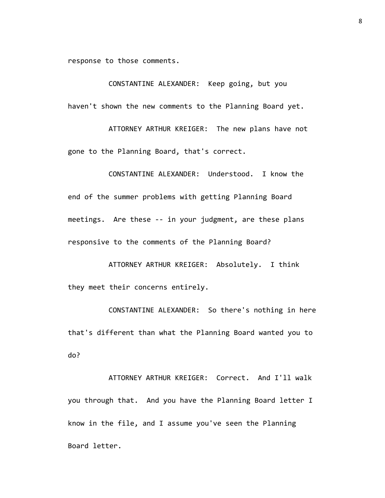response to those comments.

CONSTANTINE ALEXANDER: Keep going, but you haven't shown the new comments to the Planning Board yet.

ATTORNEY ARTHUR KREIGER: The new plans have not gone to the Planning Board, that's correct.

CONSTANTINE ALEXANDER: Understood. I know the end of the summer problems with getting Planning Board meetings. Are these -- in your judgment, are these plans responsive to the comments of the Planning Board?

ATTORNEY ARTHUR KREIGER: Absolutely. I think they meet their concerns entirely.

CONSTANTINE ALEXANDER: So there's nothing in here that's different than what the Planning Board wanted you to do?

ATTORNEY ARTHUR KREIGER: Correct. And I'll walk you through that. And you have the Planning Board letter I know in the file, and I assume you've seen the Planning Board letter.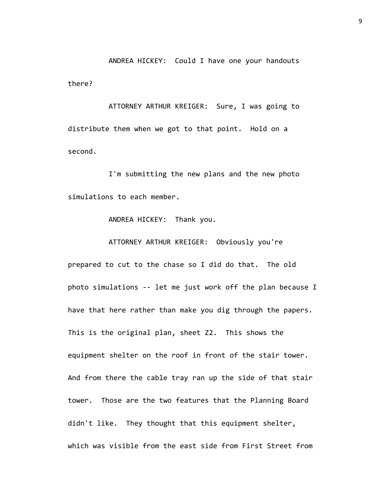ANDREA HICKEY: Could I have one your handouts there?

ATTORNEY ARTHUR KREIGER: Sure, I was going to distribute them when we got to that point. Hold on a second.

I'm submitting the new plans and the new photo simulations to each member.

ANDREA HICKEY: Thank you.

ATTORNEY ARTHUR KREIGER: Obviously you're

prepared to cut to the chase so I did do that. The old photo simulations -- let me just work off the plan because I have that here rather than make you dig through the papers. This is the original plan, sheet Z2. This shows the equipment shelter on the roof in front of the stair tower. And from there the cable tray ran up the side of that stair tower. Those are the two features that the Planning Board didn't like. They thought that this equipment shelter, which was visible from the east side from First Street from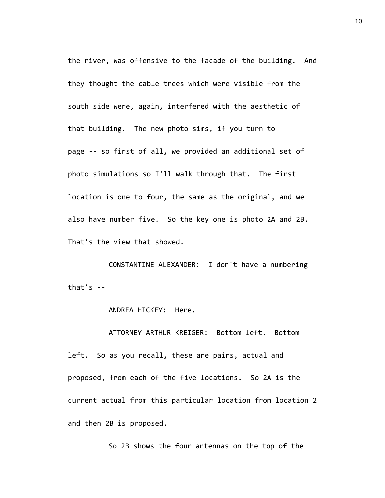the river, was offensive to the facade of the building. And they thought the cable trees which were visible from the south side were, again, interfered with the aesthetic of that building. The new photo sims, if you turn to page -- so first of all, we provided an additional set of photo simulations so I'll walk through that. The first location is one to four, the same as the original, and we also have number five. So the key one is photo 2A and 2B. That's the view that showed.

CONSTANTINE ALEXANDER: I don't have a numbering that's  $-$ 

ANDREA HICKEY: Here.

ATTORNEY ARTHUR KREIGER: Bottom left. Bottom

left. So as you recall, these are pairs, actual and proposed, from each of the five locations. So 2A is the current actual from this particular location from location 2 and then 2B is proposed.

So 2B shows the four antennas on the top of the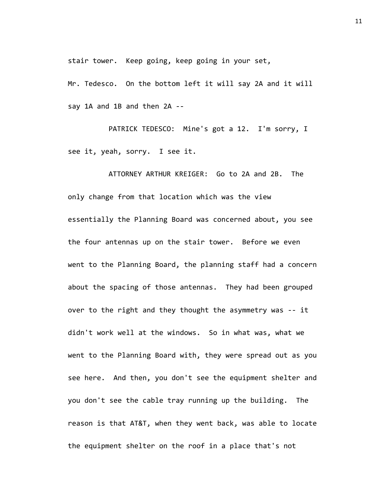stair tower. Keep going, keep going in your set,

Mr. Tedesco. On the bottom left it will say 2A and it will say 1A and 1B and then 2A --

PATRICK TEDESCO: Mine's got a 12. I'm sorry, I see it, yeah, sorry. I see it.

ATTORNEY ARTHUR KREIGER: Go to 2A and 2B. The only change from that location which was the view essentially the Planning Board was concerned about, you see the four antennas up on the stair tower. Before we even went to the Planning Board, the planning staff had a concern about the spacing of those antennas. They had been grouped over to the right and they thought the asymmetry was -- it didn't work well at the windows. So in what was, what we went to the Planning Board with, they were spread out as you see here. And then, you don't see the equipment shelter and you don't see the cable tray running up the building. The reason is that AT&T, when they went back, was able to locate the equipment shelter on the roof in a place that's not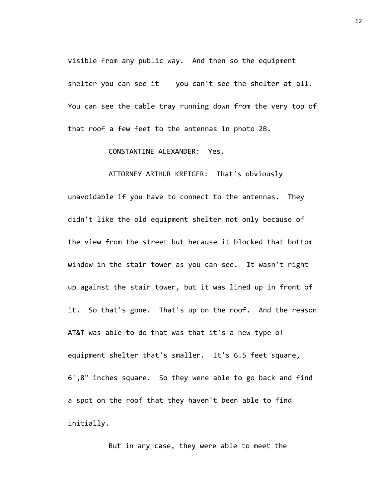visible from any public way. And then so the equipment shelter you can see it -- you can't see the shelter at all. You can see the cable tray running down from the very top of that roof a few feet to the antennas in photo 2B.

CONSTANTINE ALEXANDER: Yes.

ATTORNEY ARTHUR KREIGER: That's obviously unavoidable if you have to connect to the antennas. They didn't like the old equipment shelter not only because of the view from the street but because it blocked that bottom window in the stair tower as you can see. It wasn't right up against the stair tower, but it was lined up in front of it. So that's gone. That's up on the roof. And the reason AT&T was able to do that was that it's a new type of equipment shelter that's smaller. It's 6.5 feet square, 6',8" inches square. So they were able to go back and find a spot on the roof that they haven't been able to find initially.

But in any case, they were able to meet the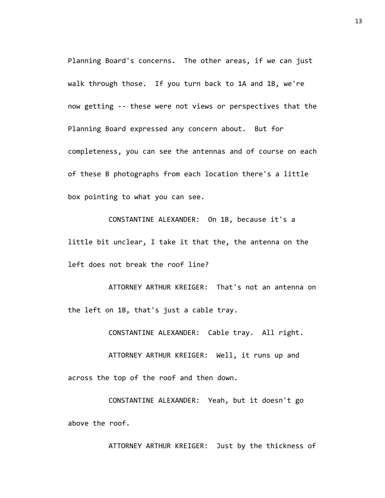Planning Board's concerns. The other areas, if we can just walk through those. If you turn back to 1A and 1B, we're now getting -- these were not views or perspectives that the Planning Board expressed any concern about. But for completeness, you can see the antennas and of course on each of these B photographs from each location there's a little box pointing to what you can see.

CONSTANTINE ALEXANDER: On 1B, because it's a little bit unclear, I take it that the, the antenna on the left does not break the roof line?

ATTORNEY ARTHUR KREIGER: That's not an antenna on the left on 1B, that's just a cable tray.

CONSTANTINE ALEXANDER: Cable tray. All right.

ATTORNEY ARTHUR KREIGER: Well, it runs up and across the top of the roof and then down.

CONSTANTINE ALEXANDER: Yeah, but it doesn't go above the roof.

ATTORNEY ARTHUR KREIGER: Just by the thickness of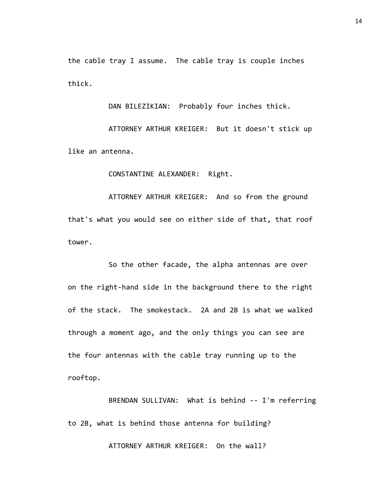the cable tray I assume. The cable tray is couple inches thick.

DAN BILEZIKIAN: Probably four inches thick.

ATTORNEY ARTHUR KREIGER: But it doesn't stick up like an antenna.

CONSTANTINE ALEXANDER: Right.

ATTORNEY ARTHUR KREIGER: And so from the ground that's what you would see on either side of that, that roof tower.

So the other facade, the alpha antennas are over on the right-hand side in the background there to the right of the stack. The smokestack. 2A and 2B is what we walked through a moment ago, and the only things you can see are the four antennas with the cable tray running up to the rooftop.

BRENDAN SULLIVAN: What is behind -- I'm referring to 2B, what is behind those antenna for building?

ATTORNEY ARTHUR KREIGER: On the wall?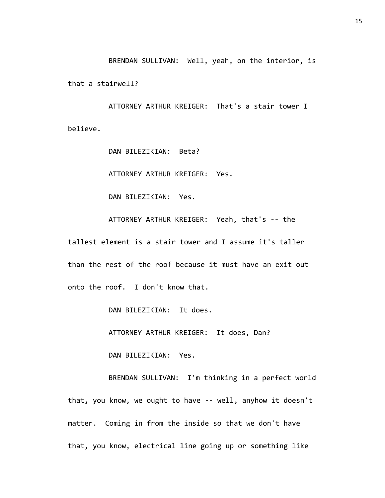BRENDAN SULLIVAN: Well, yeah, on the interior, is that a stairwell?

ATTORNEY ARTHUR KREIGER: That's a stair tower I believe.

DAN BILEZIKIAN: Beta?

ATTORNEY ARTHUR KREIGER: Yes.

DAN BILEZIKIAN: Yes.

ATTORNEY ARTHUR KREIGER: Yeah, that's -- the tallest element is a stair tower and I assume it's taller than the rest of the roof because it must have an exit out onto the roof. I don't know that.

DAN BILEZIKIAN: It does.

ATTORNEY ARTHUR KREIGER: It does, Dan?

DAN BILEZIKIAN: Yes.

BRENDAN SULLIVAN: I'm thinking in a perfect world that, you know, we ought to have -- well, anyhow it doesn't matter. Coming in from the inside so that we don't have that, you know, electrical line going up or something like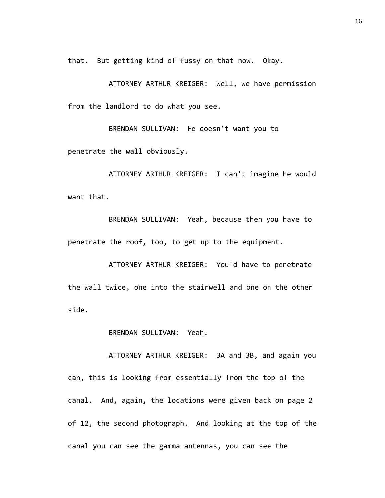that. But getting kind of fussy on that now. Okay.

ATTORNEY ARTHUR KREIGER: Well, we have permission from the landlord to do what you see.

BRENDAN SULLIVAN: He doesn't want you to penetrate the wall obviously.

ATTORNEY ARTHUR KREIGER: I can't imagine he would want that.

BRENDAN SULLIVAN: Yeah, because then you have to penetrate the roof, too, to get up to the equipment.

ATTORNEY ARTHUR KREIGER: You'd have to penetrate the wall twice, one into the stairwell and one on the other side.

BRENDAN SULLIVAN: Yeah.

ATTORNEY ARTHUR KREIGER: 3A and 3B, and again you can, this is looking from essentially from the top of the canal. And, again, the locations were given back on page 2 of 12, the second photograph. And looking at the top of the canal you can see the gamma antennas, you can see the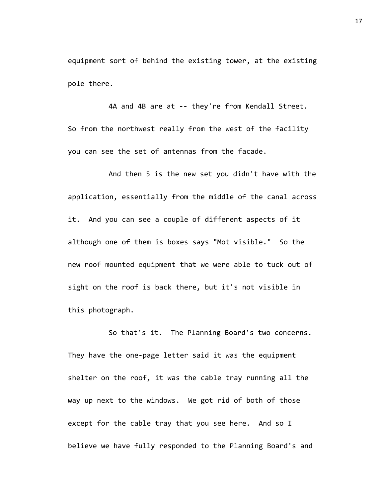equipment sort of behind the existing tower, at the existing pole there.

4A and 4B are at -- they're from Kendall Street. So from the northwest really from the west of the facility you can see the set of antennas from the facade.

And then 5 is the new set you didn't have with the application, essentially from the middle of the canal across it. And you can see a couple of different aspects of it although one of them is boxes says "Mot visible." So the new roof mounted equipment that we were able to tuck out of sight on the roof is back there, but it's not visible in this photograph.

So that's it. The Planning Board's two concerns. They have the one-page letter said it was the equipment shelter on the roof, it was the cable tray running all the way up next to the windows. We got rid of both of those except for the cable tray that you see here. And so I believe we have fully responded to the Planning Board's and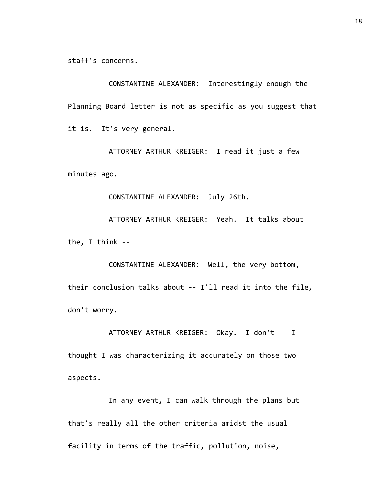staff's concerns.

CONSTANTINE ALEXANDER: Interestingly enough the Planning Board letter is not as specific as you suggest that it is. It's very general.

ATTORNEY ARTHUR KREIGER: I read it just a few minutes ago.

CONSTANTINE ALEXANDER: July 26th.

ATTORNEY ARTHUR KREIGER: Yeah. It talks about the, I think --

CONSTANTINE ALEXANDER: Well, the very bottom, their conclusion talks about -- I'll read it into the file, don't worry.

ATTORNEY ARTHUR KREIGER: Okay. I don't -- I thought I was characterizing it accurately on those two aspects.

In any event, I can walk through the plans but that's really all the other criteria amidst the usual facility in terms of the traffic, pollution, noise,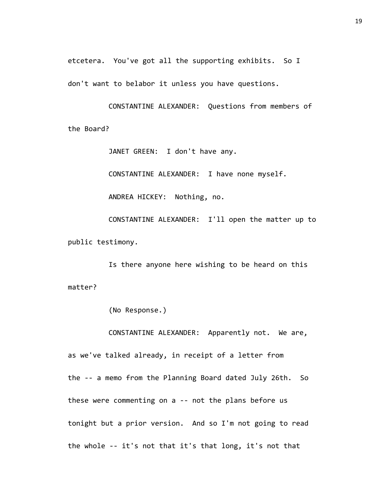etcetera. You've got all the supporting exhibits. So I don't want to belabor it unless you have questions.

CONSTANTINE ALEXANDER: Questions from members of the Board?

JANET GREEN: I don't have any.

CONSTANTINE ALEXANDER: I have none myself.

ANDREA HICKEY: Nothing, no.

CONSTANTINE ALEXANDER: I'll open the matter up to public testimony.

Is there anyone here wishing to be heard on this matter?

(No Response.)

CONSTANTINE ALEXANDER: Apparently not. We are, as we've talked already, in receipt of a letter from the -- a memo from the Planning Board dated July 26th. So these were commenting on a -- not the plans before us tonight but a prior version. And so I'm not going to read the whole -- it's not that it's that long, it's not that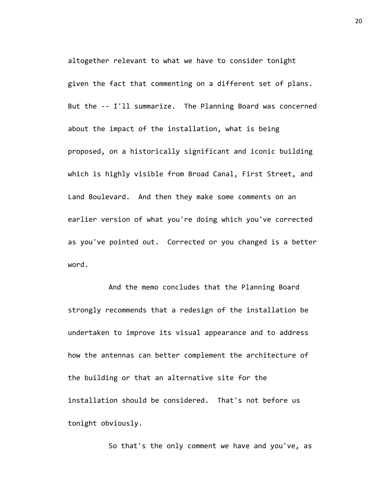altogether relevant to what we have to consider tonight given the fact that commenting on a different set of plans. But the -- I'll summarize. The Planning Board was concerned about the impact of the installation, what is being proposed, on a historically significant and iconic building which is highly visible from Broad Canal, First Street, and Land Boulevard. And then they make some comments on an earlier version of what you're doing which you've corrected as you've pointed out. Corrected or you changed is a better word.

And the memo concludes that the Planning Board strongly recommends that a redesign of the installation be undertaken to improve its visual appearance and to address how the antennas can better complement the architecture of the building or that an alternative site for the installation should be considered. That's not before us tonight obviously.

So that's the only comment we have and you've, as

20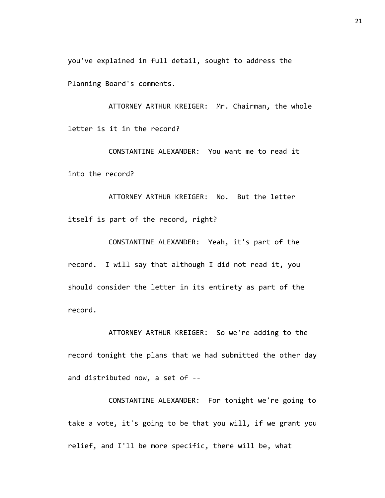you've explained in full detail, sought to address the Planning Board's comments.

ATTORNEY ARTHUR KREIGER: Mr. Chairman, the whole letter is it in the record?

CONSTANTINE ALEXANDER: You want me to read it into the record?

ATTORNEY ARTHUR KREIGER: No. But the letter itself is part of the record, right?

CONSTANTINE ALEXANDER: Yeah, it's part of the record. I will say that although I did not read it, you should consider the letter in its entirety as part of the record.

ATTORNEY ARTHUR KREIGER: So we're adding to the record tonight the plans that we had submitted the other day and distributed now, a set of --

CONSTANTINE ALEXANDER: For tonight we're going to take a vote, it's going to be that you will, if we grant you relief, and I'll be more specific, there will be, what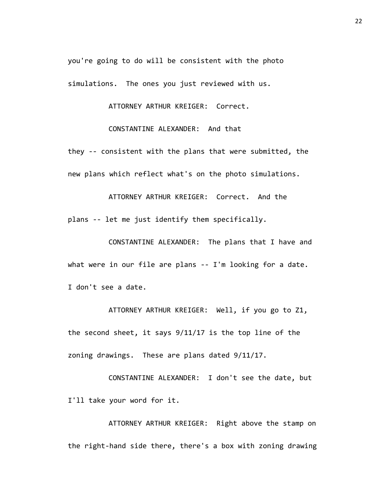you're going to do will be consistent with the photo simulations. The ones you just reviewed with us.

ATTORNEY ARTHUR KREIGER: Correct.

CONSTANTINE ALEXANDER: And that

they -- consistent with the plans that were submitted, the new plans which reflect what's on the photo simulations.

ATTORNEY ARTHUR KREIGER: Correct. And the plans -- let me just identify them specifically.

CONSTANTINE ALEXANDER: The plans that I have and what were in our file are plans -- I'm looking for a date. I don't see a date.

ATTORNEY ARTHUR KREIGER: Well, if you go to Z1, the second sheet, it says 9/11/17 is the top line of the zoning drawings. These are plans dated 9/11/17.

CONSTANTINE ALEXANDER: I don't see the date, but I'll take your word for it.

ATTORNEY ARTHUR KREIGER: Right above the stamp on the right-hand side there, there's a box with zoning drawing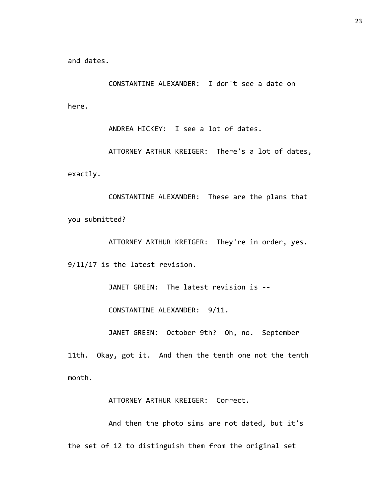and dates.

CONSTANTINE ALEXANDER: I don't see a date on here.

ANDREA HICKEY: I see a lot of dates.

ATTORNEY ARTHUR KREIGER: There's a lot of dates, exactly.

CONSTANTINE ALEXANDER: These are the plans that you submitted?

ATTORNEY ARTHUR KREIGER: They're in order, yes. 9/11/17 is the latest revision.

JANET GREEN: The latest revision is --

CONSTANTINE ALEXANDER: 9/11.

JANET GREEN: October 9th? Oh, no. September

11th. Okay, got it. And then the tenth one not the tenth month.

ATTORNEY ARTHUR KREIGER: Correct.

And then the photo sims are not dated, but it's the set of 12 to distinguish them from the original set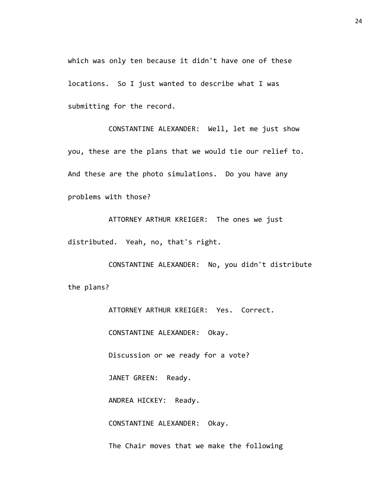which was only ten because it didn't have one of these locations. So I just wanted to describe what I was submitting for the record.

CONSTANTINE ALEXANDER: Well, let me just show you, these are the plans that we would tie our relief to. And these are the photo simulations. Do you have any problems with those?

ATTORNEY ARTHUR KREIGER: The ones we just distributed. Yeah, no, that's right.

CONSTANTINE ALEXANDER: No, you didn't distribute the plans?

> ATTORNEY ARTHUR KREIGER: Yes. Correct. CONSTANTINE ALEXANDER: Okay. Discussion or we ready for a vote? JANET GREEN: Ready. ANDREA HICKEY: Ready. CONSTANTINE ALEXANDER: Okay. The Chair moves that we make the following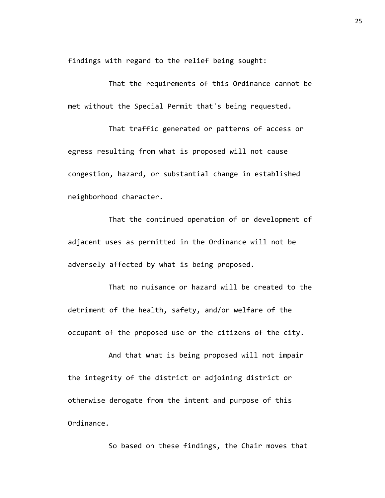findings with regard to the relief being sought:

That the requirements of this Ordinance cannot be met without the Special Permit that's being requested.

That traffic generated or patterns of access or egress resulting from what is proposed will not cause congestion, hazard, or substantial change in established neighborhood character.

That the continued operation of or development of adjacent uses as permitted in the Ordinance will not be adversely affected by what is being proposed.

That no nuisance or hazard will be created to the detriment of the health, safety, and/or welfare of the occupant of the proposed use or the citizens of the city.

And that what is being proposed will not impair the integrity of the district or adjoining district or otherwise derogate from the intent and purpose of this Ordinance.

So based on these findings, the Chair moves that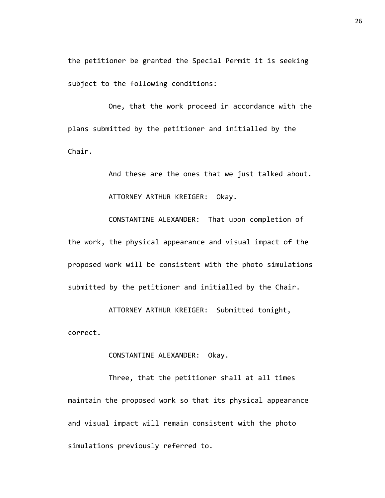the petitioner be granted the Special Permit it is seeking subject to the following conditions:

One, that the work proceed in accordance with the plans submitted by the petitioner and initialled by the Chair.

> And these are the ones that we just talked about. ATTORNEY ARTHUR KREIGER: Okay.

CONSTANTINE ALEXANDER: That upon completion of the work, the physical appearance and visual impact of the proposed work will be consistent with the photo simulations submitted by the petitioner and initialled by the Chair.

ATTORNEY ARTHUR KREIGER: Submitted tonight, correct.

## CONSTANTINE ALEXANDER: Okay.

Three, that the petitioner shall at all times maintain the proposed work so that its physical appearance and visual impact will remain consistent with the photo simulations previously referred to.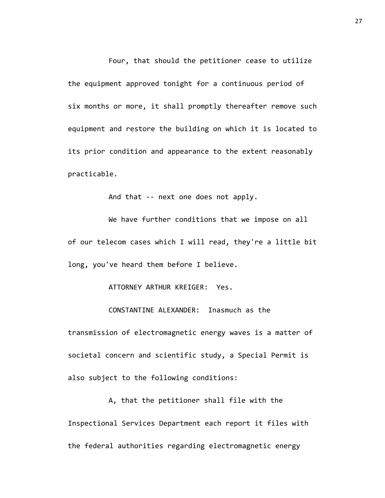Four, that should the petitioner cease to utilize the equipment approved tonight for a continuous period of six months or more, it shall promptly thereafter remove such equipment and restore the building on which it is located to its prior condition and appearance to the extent reasonably practicable.

And that -- next one does not apply.

We have further conditions that we impose on all of our telecom cases which I will read, they're a little bit long, you've heard them before I believe.

ATTORNEY ARTHUR KREIGER: Yes.

CONSTANTINE ALEXANDER: Inasmuch as the

transmission of electromagnetic energy waves is a matter of societal concern and scientific study, a Special Permit is also subject to the following conditions:

A, that the petitioner shall file with the Inspectional Services Department each report it files with the federal authorities regarding electromagnetic energy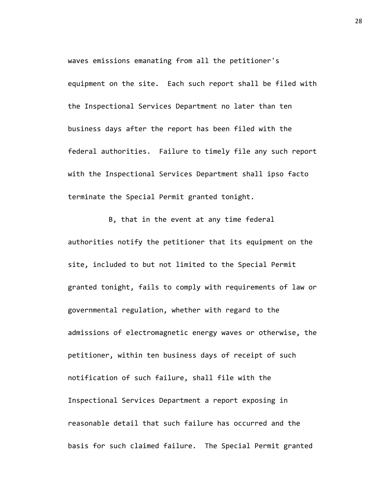waves emissions emanating from all the petitioner's equipment on the site. Each such report shall be filed with the Inspectional Services Department no later than ten business days after the report has been filed with the federal authorities. Failure to timely file any such report with the Inspectional Services Department shall ipso facto terminate the Special Permit granted tonight.

B, that in the event at any time federal authorities notify the petitioner that its equipment on the site, included to but not limited to the Special Permit granted tonight, fails to comply with requirements of law or governmental regulation, whether with regard to the admissions of electromagnetic energy waves or otherwise, the petitioner, within ten business days of receipt of such notification of such failure, shall file with the Inspectional Services Department a report exposing in reasonable detail that such failure has occurred and the basis for such claimed failure. The Special Permit granted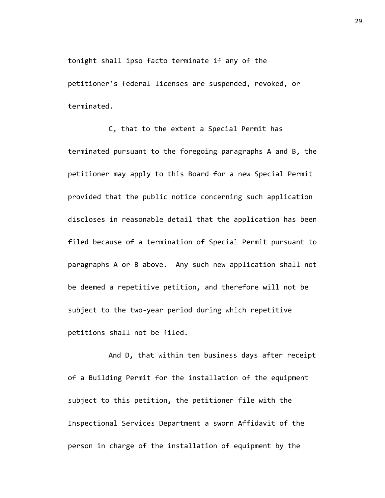tonight shall ipso facto terminate if any of the petitioner's federal licenses are suspended, revoked, or terminated.

C, that to the extent a Special Permit has terminated pursuant to the foregoing paragraphs A and B, the petitioner may apply to this Board for a new Special Permit provided that the public notice concerning such application discloses in reasonable detail that the application has been filed because of a termination of Special Permit pursuant to paragraphs A or B above. Any such new application shall not be deemed a repetitive petition, and therefore will not be subject to the two-year period during which repetitive petitions shall not be filed.

And D, that within ten business days after receipt of a Building Permit for the installation of the equipment subject to this petition, the petitioner file with the Inspectional Services Department a sworn Affidavit of the person in charge of the installation of equipment by the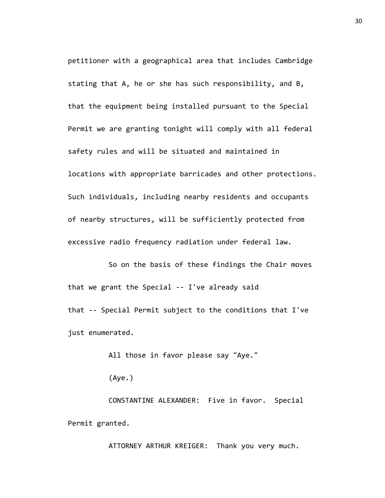petitioner with a geographical area that includes Cambridge stating that A, he or she has such responsibility, and B, that the equipment being installed pursuant to the Special Permit we are granting tonight will comply with all federal safety rules and will be situated and maintained in locations with appropriate barricades and other protections. Such individuals, including nearby residents and occupants of nearby structures, will be sufficiently protected from excessive radio frequency radiation under federal law.

So on the basis of these findings the Chair moves that we grant the Special -- I've already said that -- Special Permit subject to the conditions that I've just enumerated.

All those in favor please say "Aye."

(Aye.)

CONSTANTINE ALEXANDER: Five in favor. Special Permit granted.

ATTORNEY ARTHUR KREIGER: Thank you very much.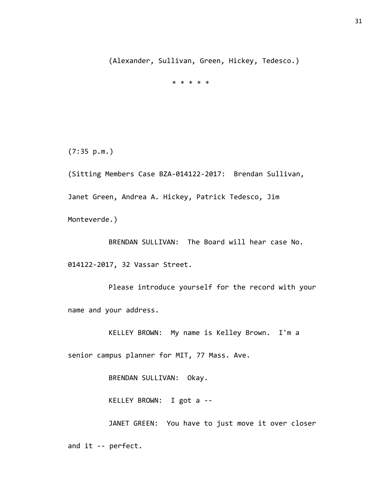(Alexander, Sullivan, Green, Hickey, Tedesco.)

\* \* \* \* \*

(7:35 p.m.)

(Sitting Members Case BZA-014122-2017: Brendan Sullivan, Janet Green, Andrea A. Hickey, Patrick Tedesco, Jim Monteverde.)

BRENDAN SULLIVAN: The Board will hear case No. 014122-2017, 32 Vassar Street.

Please introduce yourself for the record with your name and your address.

KELLEY BROWN: My name is Kelley Brown. I'm a

senior campus planner for MIT, 77 Mass. Ave.

BRENDAN SULLIVAN: Okay.

KELLEY BROWN: I got a --

JANET GREEN: You have to just move it over closer and it -- perfect.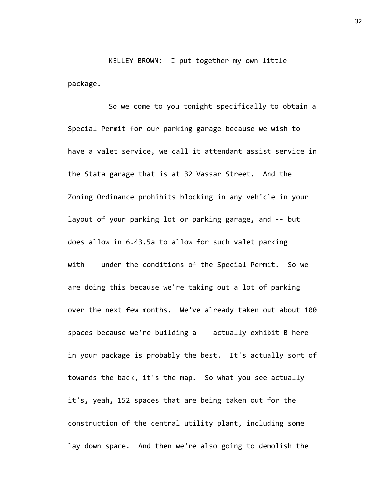KELLEY BROWN: I put together my own little package.

So we come to you tonight specifically to obtain a Special Permit for our parking garage because we wish to have a valet service, we call it attendant assist service in the Stata garage that is at 32 Vassar Street. And the Zoning Ordinance prohibits blocking in any vehicle in your layout of your parking lot or parking garage, and -- but does allow in 6.43.5a to allow for such valet parking with -- under the conditions of the Special Permit. So we are doing this because we're taking out a lot of parking over the next few months. We've already taken out about 100 spaces because we're building a -- actually exhibit B here in your package is probably the best. It's actually sort of towards the back, it's the map. So what you see actually it's, yeah, 152 spaces that are being taken out for the construction of the central utility plant, including some lay down space. And then we're also going to demolish the

32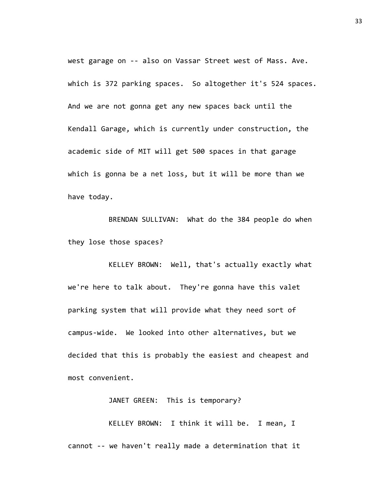west garage on -- also on Vassar Street west of Mass. Ave. which is 372 parking spaces. So altogether it's 524 spaces. And we are not gonna get any new spaces back until the Kendall Garage, which is currently under construction, the academic side of MIT will get 500 spaces in that garage which is gonna be a net loss, but it will be more than we have today.

BRENDAN SULLIVAN: What do the 384 people do when they lose those spaces?

KELLEY BROWN: Well, that's actually exactly what we're here to talk about. They're gonna have this valet parking system that will provide what they need sort of campus-wide. We looked into other alternatives, but we decided that this is probably the easiest and cheapest and most convenient.

JANET GREEN: This is temporary?

KELLEY BROWN: I think it will be. I mean, I cannot -- we haven't really made a determination that it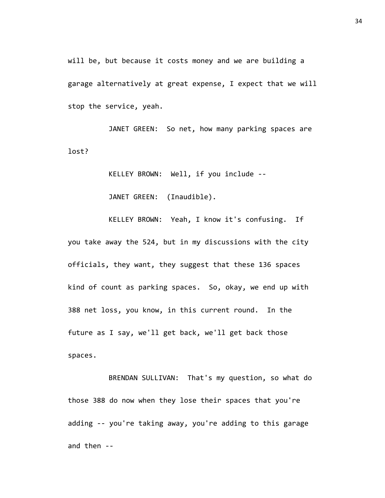will be, but because it costs money and we are building a garage alternatively at great expense, I expect that we will stop the service, yeah.

JANET GREEN: So net, how many parking spaces are lost?

KELLEY BROWN: Well, if you include --

JANET GREEN: (Inaudible).

KELLEY BROWN: Yeah, I know it's confusing. If you take away the 524, but in my discussions with the city officials, they want, they suggest that these 136 spaces kind of count as parking spaces. So, okay, we end up with 388 net loss, you know, in this current round. In the future as I say, we'll get back, we'll get back those spaces.

BRENDAN SULLIVAN: That's my question, so what do those 388 do now when they lose their spaces that you're adding -- you're taking away, you're adding to this garage and then --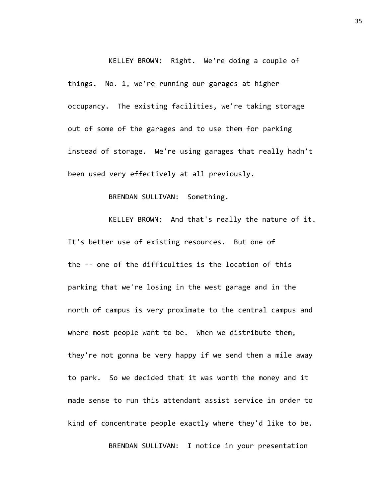KELLEY BROWN: Right. We're doing a couple of things. No. 1, we're running our garages at higher occupancy. The existing facilities, we're taking storage out of some of the garages and to use them for parking instead of storage. We're using garages that really hadn't been used very effectively at all previously.

## BRENDAN SULLIVAN: Something.

KELLEY BROWN: And that's really the nature of it. It's better use of existing resources. But one of the -- one of the difficulties is the location of this parking that we're losing in the west garage and in the north of campus is very proximate to the central campus and where most people want to be. When we distribute them, they're not gonna be very happy if we send them a mile away to park. So we decided that it was worth the money and it made sense to run this attendant assist service in order to kind of concentrate people exactly where they'd like to be.

BRENDAN SULLIVAN: I notice in your presentation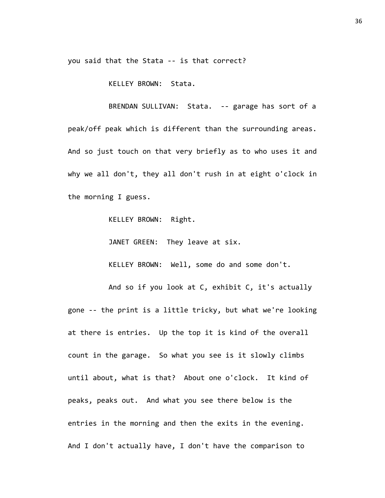you said that the Stata -- is that correct?

KELLEY BROWN: Stata.

BRENDAN SULLIVAN: Stata. -- garage has sort of a peak/off peak which is different than the surrounding areas. And so just touch on that very briefly as to who uses it and why we all don't, they all don't rush in at eight o'clock in the morning I guess.

KELLEY BROWN: Right.

JANET GREEN: They leave at six.

KELLEY BROWN: Well, some do and some don't.

And so if you look at C, exhibit C, it's actually gone -- the print is a little tricky, but what we're looking at there is entries. Up the top it is kind of the overall count in the garage. So what you see is it slowly climbs until about, what is that? About one o'clock. It kind of peaks, peaks out. And what you see there below is the entries in the morning and then the exits in the evening. And I don't actually have, I don't have the comparison to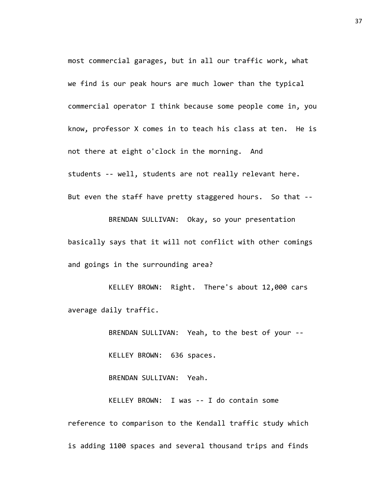most commercial garages, but in all our traffic work, what we find is our peak hours are much lower than the typical commercial operator I think because some people come in, you know, professor X comes in to teach his class at ten. He is not there at eight o'clock in the morning. And students -- well, students are not really relevant here. But even the staff have pretty staggered hours. So that --

BRENDAN SULLIVAN: Okay, so your presentation basically says that it will not conflict with other comings and goings in the surrounding area?

KELLEY BROWN: Right. There's about 12,000 cars average daily traffic.

BRENDAN SULLIVAN: Yeah, to the best of your --

KELLEY BROWN: 636 spaces.

BRENDAN SULLIVAN: Yeah.

KELLEY BROWN: I was -- I do contain some reference to comparison to the Kendall traffic study which is adding 1100 spaces and several thousand trips and finds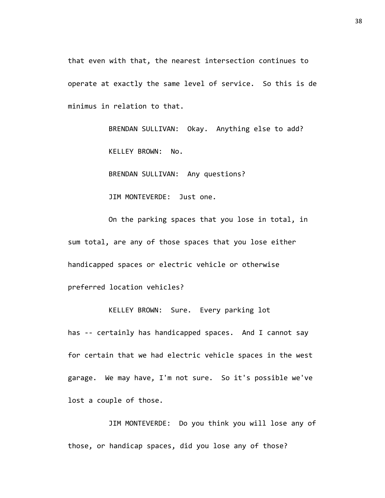that even with that, the nearest intersection continues to operate at exactly the same level of service. So this is de minimus in relation to that.

> BRENDAN SULLIVAN: Okay. Anything else to add? KELLEY BROWN: No.

BRENDAN SULLIVAN: Any questions?

JIM MONTEVERDE: Just one.

On the parking spaces that you lose in total, in sum total, are any of those spaces that you lose either handicapped spaces or electric vehicle or otherwise preferred location vehicles?

KELLEY BROWN: Sure. Every parking lot has -- certainly has handicapped spaces. And I cannot say for certain that we had electric vehicle spaces in the west garage. We may have, I'm not sure. So it's possible we've lost a couple of those.

JIM MONTEVERDE: Do you think you will lose any of those, or handicap spaces, did you lose any of those?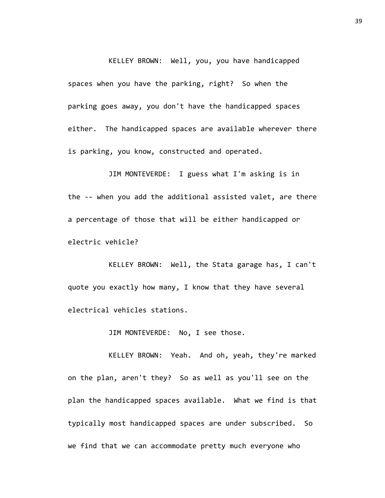KELLEY BROWN: Well, you, you have handicapped spaces when you have the parking, right? So when the parking goes away, you don't have the handicapped spaces either. The handicapped spaces are available wherever there is parking, you know, constructed and operated.

JIM MONTEVERDE: I guess what I'm asking is in the -- when you add the additional assisted valet, are there a percentage of those that will be either handicapped or electric vehicle?

KELLEY BROWN: Well, the Stata garage has, I can't quote you exactly how many, I know that they have several electrical vehicles stations.

JIM MONTEVERDE: No, I see those.

KELLEY BROWN: Yeah. And oh, yeah, they're marked on the plan, aren't they? So as well as you'll see on the plan the handicapped spaces available. What we find is that typically most handicapped spaces are under subscribed. So we find that we can accommodate pretty much everyone who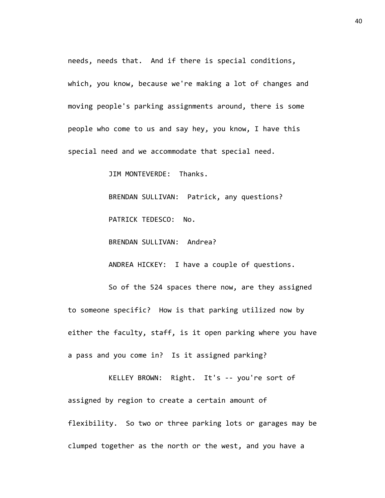needs, needs that. And if there is special conditions, which, you know, because we're making a lot of changes and moving people's parking assignments around, there is some people who come to us and say hey, you know, I have this special need and we accommodate that special need.

JIM MONTEVERDE: Thanks.

BRENDAN SULLIVAN: Patrick, any questions? PATRICK TEDESCO: No.

BRENDAN SULLIVAN: Andrea?

ANDREA HICKEY: I have a couple of questions.

So of the 524 spaces there now, are they assigned to someone specific? How is that parking utilized now by either the faculty, staff, is it open parking where you have a pass and you come in? Is it assigned parking?

KELLEY BROWN: Right. It's -- you're sort of assigned by region to create a certain amount of flexibility. So two or three parking lots or garages may be clumped together as the north or the west, and you have a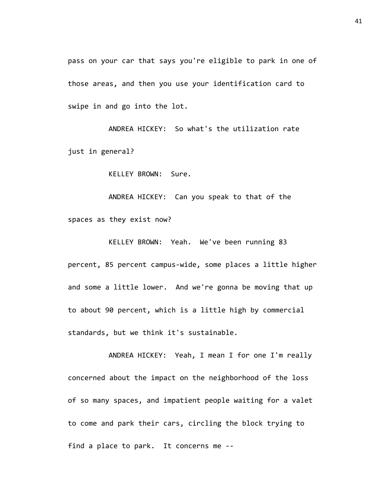pass on your car that says you're eligible to park in one of those areas, and then you use your identification card to swipe in and go into the lot.

ANDREA HICKEY: So what's the utilization rate just in general?

KELLEY BROWN: Sure.

ANDREA HICKEY: Can you speak to that of the spaces as they exist now?

KELLEY BROWN: Yeah. We've been running 83 percent, 85 percent campus-wide, some places a little higher and some a little lower. And we're gonna be moving that up to about 90 percent, which is a little high by commercial standards, but we think it's sustainable.

ANDREA HICKEY: Yeah, I mean I for one I'm really concerned about the impact on the neighborhood of the loss of so many spaces, and impatient people waiting for a valet to come and park their cars, circling the block trying to find a place to park. It concerns me --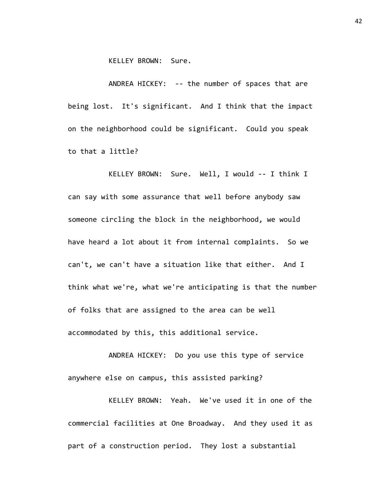KELLEY BROWN: Sure.

ANDREA HICKEY: -- the number of spaces that are being lost. It's significant. And I think that the impact on the neighborhood could be significant. Could you speak to that a little?

KELLEY BROWN: Sure. Well, I would -- I think I can say with some assurance that well before anybody saw someone circling the block in the neighborhood, we would have heard a lot about it from internal complaints. So we can't, we can't have a situation like that either. And I think what we're, what we're anticipating is that the number of folks that are assigned to the area can be well accommodated by this, this additional service.

ANDREA HICKEY: Do you use this type of service anywhere else on campus, this assisted parking?

KELLEY BROWN: Yeah. We've used it in one of the commercial facilities at One Broadway. And they used it as part of a construction period. They lost a substantial

42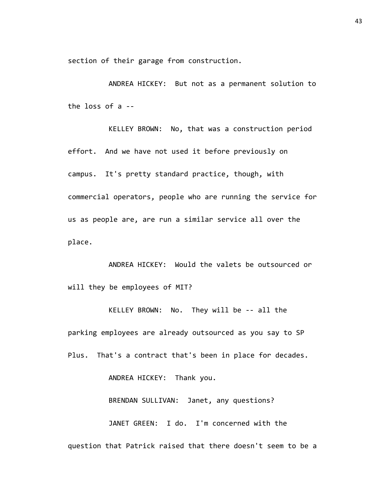section of their garage from construction.

ANDREA HICKEY: But not as a permanent solution to the loss of a --

KELLEY BROWN: No, that was a construction period effort. And we have not used it before previously on campus. It's pretty standard practice, though, with commercial operators, people who are running the service for us as people are, are run a similar service all over the place.

ANDREA HICKEY: Would the valets be outsourced or will they be employees of MIT?

KELLEY BROWN: No. They will be -- all the parking employees are already outsourced as you say to SP Plus. That's a contract that's been in place for decades.

ANDREA HICKEY: Thank you.

BRENDAN SULLIVAN: Janet, any questions?

JANET GREEN: I do. I'm concerned with the question that Patrick raised that there doesn't seem to be a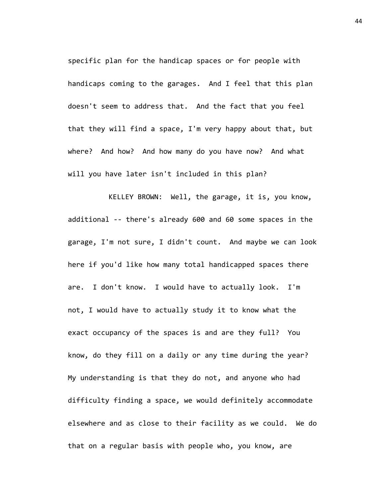specific plan for the handicap spaces or for people with handicaps coming to the garages. And I feel that this plan doesn't seem to address that. And the fact that you feel that they will find a space, I'm very happy about that, but where? And how? And how many do you have now? And what will you have later isn't included in this plan?

KELLEY BROWN: Well, the garage, it is, you know, additional -- there's already 600 and 60 some spaces in the garage, I'm not sure, I didn't count. And maybe we can look here if you'd like how many total handicapped spaces there are. I don't know. I would have to actually look. I'm not, I would have to actually study it to know what the exact occupancy of the spaces is and are they full? You know, do they fill on a daily or any time during the year? My understanding is that they do not, and anyone who had difficulty finding a space, we would definitely accommodate elsewhere and as close to their facility as we could. We do that on a regular basis with people who, you know, are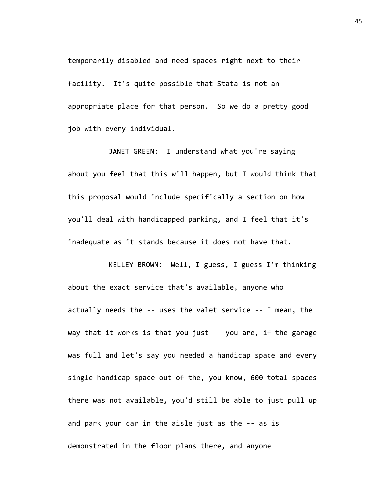temporarily disabled and need spaces right next to their facility. It's quite possible that Stata is not an appropriate place for that person. So we do a pretty good job with every individual.

JANET GREEN: I understand what you're saying about you feel that this will happen, but I would think that this proposal would include specifically a section on how you'll deal with handicapped parking, and I feel that it's inadequate as it stands because it does not have that.

KELLEY BROWN: Well, I guess, I guess I'm thinking about the exact service that's available, anyone who actually needs the -- uses the valet service -- I mean, the way that it works is that you just -- you are, if the garage was full and let's say you needed a handicap space and every single handicap space out of the, you know, 600 total spaces there was not available, you'd still be able to just pull up and park your car in the aisle just as the -- as is demonstrated in the floor plans there, and anyone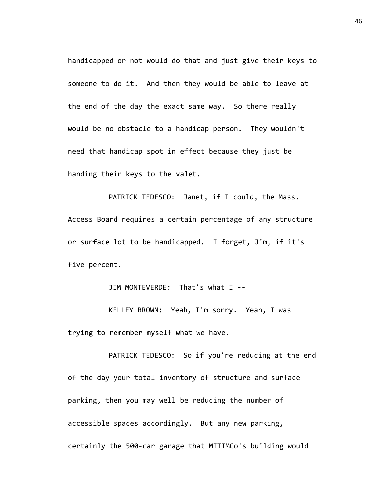handicapped or not would do that and just give their keys to someone to do it. And then they would be able to leave at the end of the day the exact same way. So there really would be no obstacle to a handicap person. They wouldn't need that handicap spot in effect because they just be handing their keys to the valet.

PATRICK TEDESCO: Janet, if I could, the Mass. Access Board requires a certain percentage of any structure or surface lot to be handicapped. I forget, Jim, if it's five percent.

JIM MONTEVERDE: That's what I --

KELLEY BROWN: Yeah, I'm sorry. Yeah, I was trying to remember myself what we have.

PATRICK TEDESCO: So if you're reducing at the end of the day your total inventory of structure and surface parking, then you may well be reducing the number of accessible spaces accordingly. But any new parking, certainly the 500-car garage that MITIMCo's building would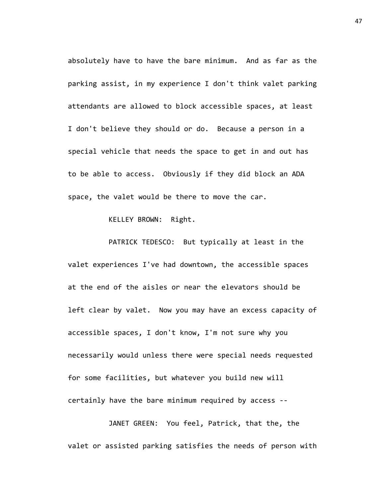absolutely have to have the bare minimum. And as far as the parking assist, in my experience I don't think valet parking attendants are allowed to block accessible spaces, at least I don't believe they should or do. Because a person in a special vehicle that needs the space to get in and out has to be able to access. Obviously if they did block an ADA space, the valet would be there to move the car.

KELLEY BROWN: Right.

PATRICK TEDESCO: But typically at least in the valet experiences I've had downtown, the accessible spaces at the end of the aisles or near the elevators should be left clear by valet. Now you may have an excess capacity of accessible spaces, I don't know, I'm not sure why you necessarily would unless there were special needs requested for some facilities, but whatever you build new will certainly have the bare minimum required by access --

JANET GREEN: You feel, Patrick, that the, the valet or assisted parking satisfies the needs of person with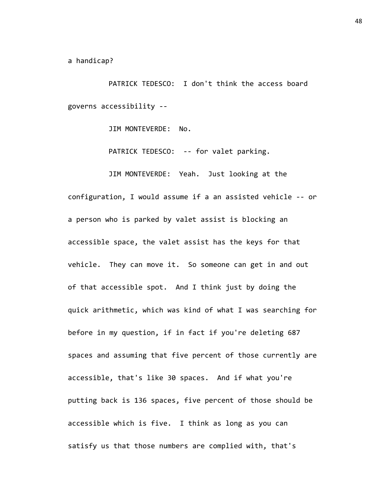a handicap?

PATRICK TEDESCO: I don't think the access board governs accessibility --

JIM MONTEVERDE: No.

PATRICK TEDESCO: -- for valet parking.

JIM MONTEVERDE: Yeah. Just looking at the configuration, I would assume if a an assisted vehicle -- or a person who is parked by valet assist is blocking an accessible space, the valet assist has the keys for that vehicle. They can move it. So someone can get in and out of that accessible spot. And I think just by doing the quick arithmetic, which was kind of what I was searching for before in my question, if in fact if you're deleting 687 spaces and assuming that five percent of those currently are accessible, that's like 30 spaces. And if what you're putting back is 136 spaces, five percent of those should be accessible which is five. I think as long as you can satisfy us that those numbers are complied with, that's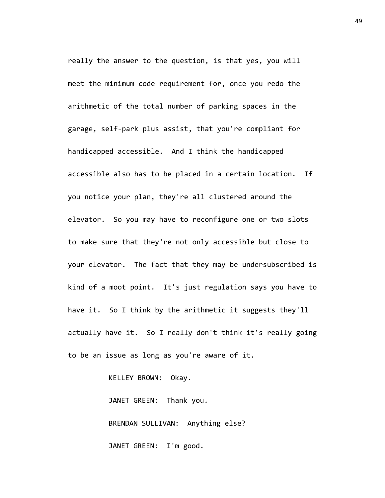really the answer to the question, is that yes, you will meet the minimum code requirement for, once you redo the arithmetic of the total number of parking spaces in the garage, self-park plus assist, that you're compliant for handicapped accessible. And I think the handicapped accessible also has to be placed in a certain location. If you notice your plan, they're all clustered around the elevator. So you may have to reconfigure one or two slots to make sure that they're not only accessible but close to your elevator. The fact that they may be undersubscribed is kind of a moot point. It's just regulation says you have to have it. So I think by the arithmetic it suggests they'll actually have it. So I really don't think it's really going to be an issue as long as you're aware of it.

KELLEY BROWN: Okay.

JANET GREEN: Thank you. BRENDAN SULLIVAN: Anything else? JANET GREEN: I'm good.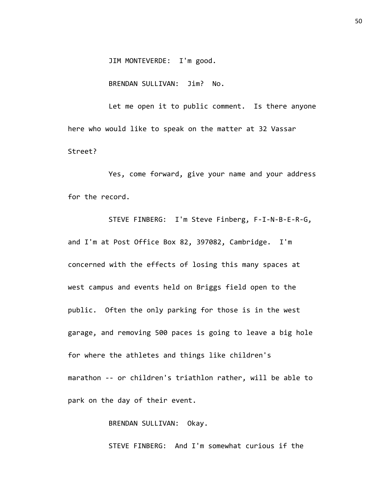JIM MONTEVERDE: I'm good.

BRENDAN SULLIVAN: Jim? No.

Let me open it to public comment. Is there anyone here who would like to speak on the matter at 32 Vassar Street?

Yes, come forward, give your name and your address for the record.

STEVE FINBERG: I'm Steve Finberg, F-I-N-B-E-R-G, and I'm at Post Office Box 82, 397082, Cambridge. I'm concerned with the effects of losing this many spaces at west campus and events held on Briggs field open to the public. Often the only parking for those is in the west garage, and removing 500 paces is going to leave a big hole for where the athletes and things like children's marathon -- or children's triathlon rather, will be able to park on the day of their event.

BRENDAN SULLIVAN: Okay.

STEVE FINBERG: And I'm somewhat curious if the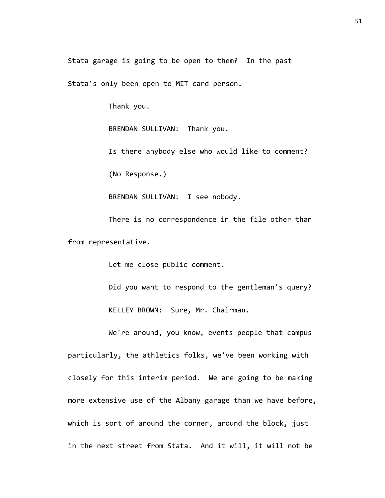Stata garage is going to be open to them? In the past

Stata's only been open to MIT card person.

Thank you.

BRENDAN SULLIVAN: Thank you.

Is there anybody else who would like to comment? (No Response.)

BRENDAN SULLIVAN: I see nobody.

There is no correspondence in the file other than from representative.

Let me close public comment.

Did you want to respond to the gentleman's query? KELLEY BROWN: Sure, Mr. Chairman.

We're around, you know, events people that campus particularly, the athletics folks, we've been working with closely for this interim period. We are going to be making more extensive use of the Albany garage than we have before, which is sort of around the corner, around the block, just in the next street from Stata. And it will, it will not be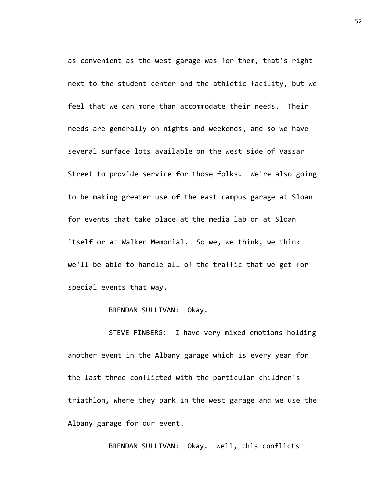as convenient as the west garage was for them, that's right next to the student center and the athletic facility, but we feel that we can more than accommodate their needs. Their needs are generally on nights and weekends, and so we have several surface lots available on the west side of Vassar Street to provide service for those folks. We're also going to be making greater use of the east campus garage at Sloan for events that take place at the media lab or at Sloan itself or at Walker Memorial. So we, we think, we think we'll be able to handle all of the traffic that we get for special events that way.

BRENDAN SULLIVAN: Okay.

STEVE FINBERG: I have very mixed emotions holding another event in the Albany garage which is every year for the last three conflicted with the particular children's triathlon, where they park in the west garage and we use the Albany garage for our event.

BRENDAN SULLIVAN: Okay. Well, this conflicts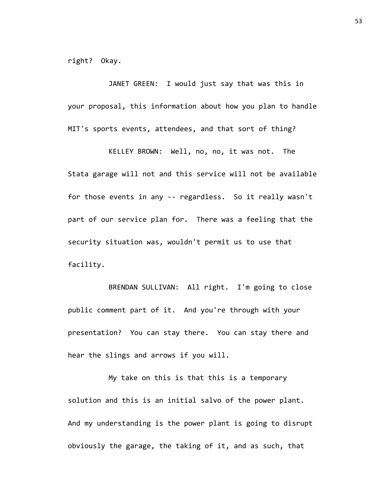right? Okay.

JANET GREEN: I would just say that was this in your proposal, this information about how you plan to handle MIT's sports events, attendees, and that sort of thing?

KELLEY BROWN: Well, no, no, it was not. The Stata garage will not and this service will not be available for those events in any -- regardless. So it really wasn't part of our service plan for. There was a feeling that the security situation was, wouldn't permit us to use that facility.

BRENDAN SULLIVAN: All right. I'm going to close public comment part of it. And you're through with your presentation? You can stay there. You can stay there and hear the slings and arrows if you will.

My take on this is that this is a temporary solution and this is an initial salvo of the power plant. And my understanding is the power plant is going to disrupt obviously the garage, the taking of it, and as such, that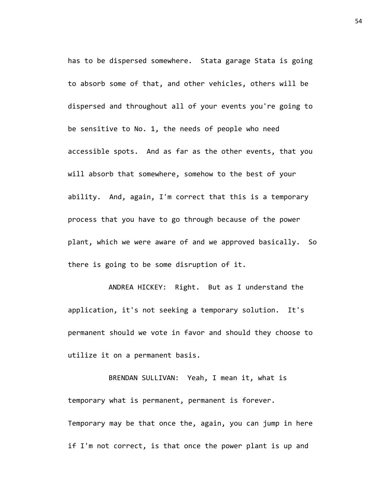has to be dispersed somewhere. Stata garage Stata is going to absorb some of that, and other vehicles, others will be dispersed and throughout all of your events you're going to be sensitive to No. 1, the needs of people who need accessible spots. And as far as the other events, that you will absorb that somewhere, somehow to the best of your ability. And, again, I'm correct that this is a temporary process that you have to go through because of the power plant, which we were aware of and we approved basically. So there is going to be some disruption of it.

ANDREA HICKEY: Right. But as I understand the application, it's not seeking a temporary solution. It's permanent should we vote in favor and should they choose to utilize it on a permanent basis.

BRENDAN SULLIVAN: Yeah, I mean it, what is temporary what is permanent, permanent is forever. Temporary may be that once the, again, you can jump in here if I'm not correct, is that once the power plant is up and

54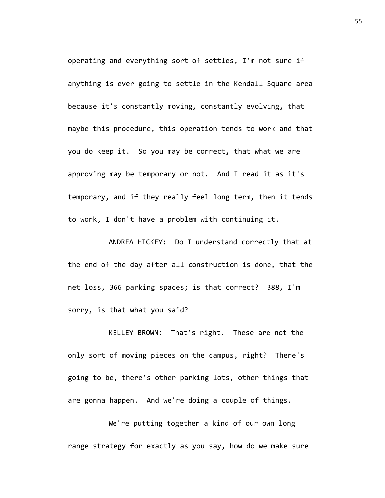operating and everything sort of settles, I'm not sure if anything is ever going to settle in the Kendall Square area because it's constantly moving, constantly evolving, that maybe this procedure, this operation tends to work and that you do keep it. So you may be correct, that what we are approving may be temporary or not. And I read it as it's temporary, and if they really feel long term, then it tends to work, I don't have a problem with continuing it.

ANDREA HICKEY: Do I understand correctly that at the end of the day after all construction is done, that the net loss, 366 parking spaces; is that correct? 388, I'm sorry, is that what you said?

KELLEY BROWN: That's right. These are not the only sort of moving pieces on the campus, right? There's going to be, there's other parking lots, other things that are gonna happen. And we're doing a couple of things.

We're putting together a kind of our own long range strategy for exactly as you say, how do we make sure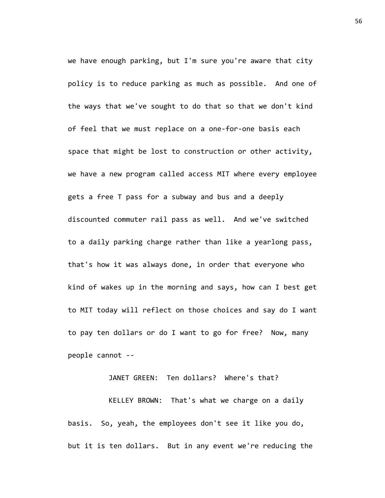we have enough parking, but I'm sure you're aware that city policy is to reduce parking as much as possible. And one of the ways that we've sought to do that so that we don't kind of feel that we must replace on a one-for-one basis each space that might be lost to construction or other activity, we have a new program called access MIT where every employee gets a free T pass for a subway and bus and a deeply discounted commuter rail pass as well. And we've switched to a daily parking charge rather than like a yearlong pass, that's how it was always done, in order that everyone who kind of wakes up in the morning and says, how can I best get to MIT today will reflect on those choices and say do I want to pay ten dollars or do I want to go for free? Now, many people cannot --

JANET GREEN: Ten dollars? Where's that?

KELLEY BROWN: That's what we charge on a daily basis. So, yeah, the employees don't see it like you do, but it is ten dollars. But in any event we're reducing the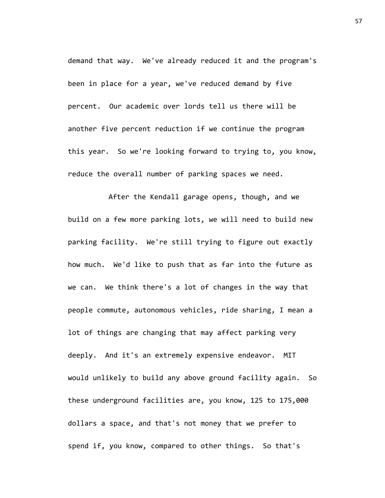demand that way. We've already reduced it and the program's been in place for a year, we've reduced demand by five percent. Our academic over lords tell us there will be another five percent reduction if we continue the program this year. So we're looking forward to trying to, you know, reduce the overall number of parking spaces we need.

After the Kendall garage opens, though, and we build on a few more parking lots, we will need to build new parking facility. We're still trying to figure out exactly how much. We'd like to push that as far into the future as we can. We think there's a lot of changes in the way that people commute, autonomous vehicles, ride sharing, I mean a lot of things are changing that may affect parking very deeply. And it's an extremely expensive endeavor. MIT would unlikely to build any above ground facility again. So these underground facilities are, you know, 125 to 175,000 dollars a space, and that's not money that we prefer to spend if, you know, compared to other things. So that's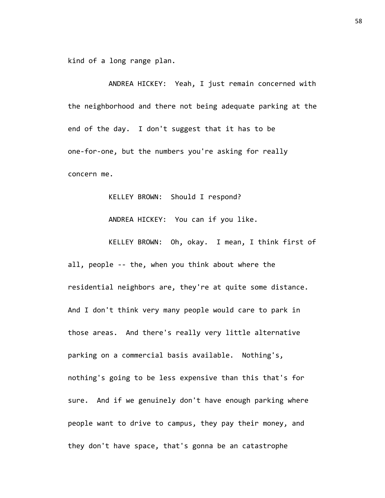kind of a long range plan.

ANDREA HICKEY: Yeah, I just remain concerned with the neighborhood and there not being adequate parking at the end of the day. I don't suggest that it has to be one-for-one, but the numbers you're asking for really concern me.

KELLEY BROWN: Should I respond?

ANDREA HICKEY: You can if you like.

KELLEY BROWN: Oh, okay. I mean, I think first of all, people -- the, when you think about where the residential neighbors are, they're at quite some distance. And I don't think very many people would care to park in those areas. And there's really very little alternative parking on a commercial basis available. Nothing's, nothing's going to be less expensive than this that's for sure. And if we genuinely don't have enough parking where people want to drive to campus, they pay their money, and they don't have space, that's gonna be an catastrophe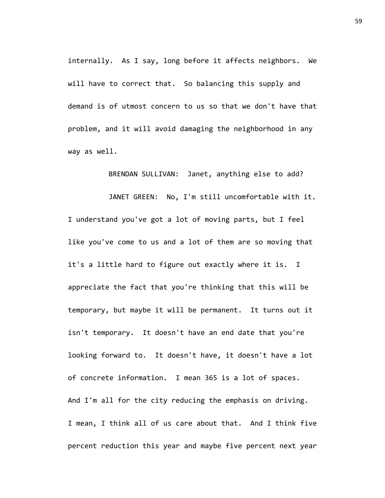internally. As I say, long before it affects neighbors. We will have to correct that. So balancing this supply and demand is of utmost concern to us so that we don't have that problem, and it will avoid damaging the neighborhood in any way as well.

BRENDAN SULLIVAN: Janet, anything else to add?

JANET GREEN: No, I'm still uncomfortable with it. I understand you've got a lot of moving parts, but I feel like you've come to us and a lot of them are so moving that it's a little hard to figure out exactly where it is. I appreciate the fact that you're thinking that this will be temporary, but maybe it will be permanent. It turns out it isn't temporary. It doesn't have an end date that you're looking forward to. It doesn't have, it doesn't have a lot of concrete information. I mean 365 is a lot of spaces. And I'm all for the city reducing the emphasis on driving. I mean, I think all of us care about that. And I think five percent reduction this year and maybe five percent next year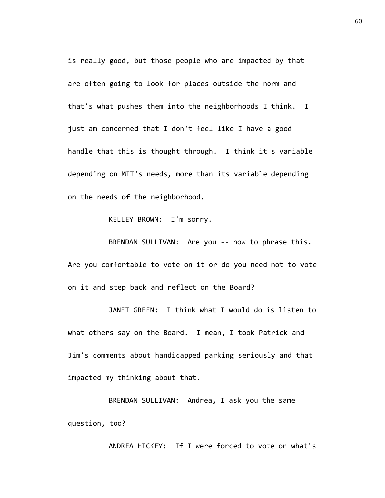is really good, but those people who are impacted by that are often going to look for places outside the norm and that's what pushes them into the neighborhoods I think. I just am concerned that I don't feel like I have a good handle that this is thought through. I think it's variable depending on MIT's needs, more than its variable depending on the needs of the neighborhood.

KELLEY BROWN: I'm sorry.

BRENDAN SULLIVAN: Are you -- how to phrase this. Are you comfortable to vote on it or do you need not to vote on it and step back and reflect on the Board?

JANET GREEN: I think what I would do is listen to what others say on the Board. I mean, I took Patrick and Jim's comments about handicapped parking seriously and that impacted my thinking about that.

BRENDAN SULLIVAN: Andrea, I ask you the same question, too?

ANDREA HICKEY: If I were forced to vote on what's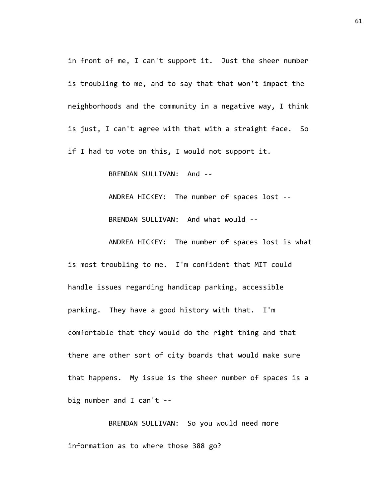in front of me, I can't support it. Just the sheer number is troubling to me, and to say that that won't impact the neighborhoods and the community in a negative way, I think is just, I can't agree with that with a straight face. So if I had to vote on this, I would not support it.

BRENDAN SULLIVAN: And --

ANDREA HICKEY: The number of spaces lost --

BRENDAN SULLIVAN: And what would --

ANDREA HICKEY: The number of spaces lost is what is most troubling to me. I'm confident that MIT could handle issues regarding handicap parking, accessible parking. They have a good history with that. I'm comfortable that they would do the right thing and that there are other sort of city boards that would make sure that happens. My issue is the sheer number of spaces is a big number and I can't --

BRENDAN SULLIVAN: So you would need more information as to where those 388 go?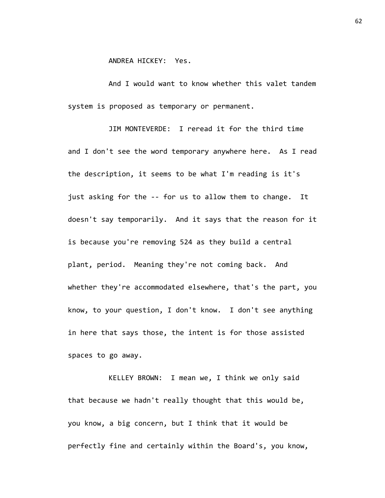ANDREA HICKEY: Yes.

And I would want to know whether this valet tandem system is proposed as temporary or permanent.

JIM MONTEVERDE: I reread it for the third time and I don't see the word temporary anywhere here. As I read the description, it seems to be what I'm reading is it's just asking for the -- for us to allow them to change. It doesn't say temporarily. And it says that the reason for it is because you're removing 524 as they build a central plant, period. Meaning they're not coming back. And whether they're accommodated elsewhere, that's the part, you know, to your question, I don't know. I don't see anything in here that says those, the intent is for those assisted spaces to go away.

KELLEY BROWN: I mean we, I think we only said that because we hadn't really thought that this would be, you know, a big concern, but I think that it would be perfectly fine and certainly within the Board's, you know,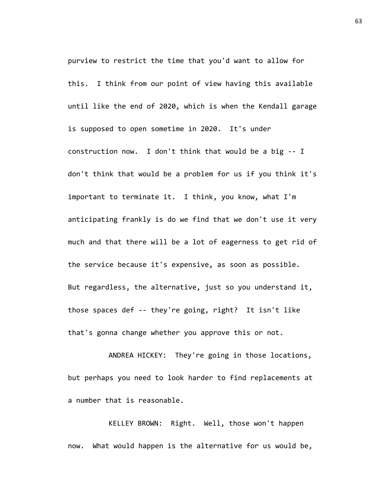purview to restrict the time that you'd want to allow for this. I think from our point of view having this available until like the end of 2020, which is when the Kendall garage is supposed to open sometime in 2020. It's under construction now. I don't think that would be a big -- I don't think that would be a problem for us if you think it's important to terminate it. I think, you know, what I'm anticipating frankly is do we find that we don't use it very much and that there will be a lot of eagerness to get rid of the service because it's expensive, as soon as possible. But regardless, the alternative, just so you understand it, those spaces def -- they're going, right? It isn't like that's gonna change whether you approve this or not.

ANDREA HICKEY: They're going in those locations, but perhaps you need to look harder to find replacements at a number that is reasonable.

KELLEY BROWN: Right. Well, those won't happen now. What would happen is the alternative for us would be, 63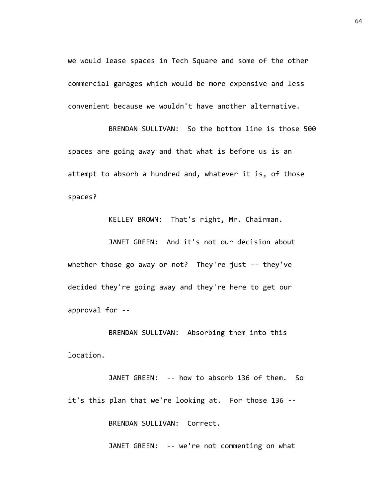we would lease spaces in Tech Square and some of the other commercial garages which would be more expensive and less convenient because we wouldn't have another alternative.

BRENDAN SULLIVAN: So the bottom line is those 500 spaces are going away and that what is before us is an attempt to absorb a hundred and, whatever it is, of those spaces?

KELLEY BROWN: That's right, Mr. Chairman.

JANET GREEN: And it's not our decision about whether those go away or not? They're just -- they've decided they're going away and they're here to get our approval for --

BRENDAN SULLIVAN: Absorbing them into this location.

JANET GREEN: -- how to absorb 136 of them. So it's this plan that we're looking at. For those 136 -- BRENDAN SULLIVAN: Correct.

JANET GREEN: -- we're not commenting on what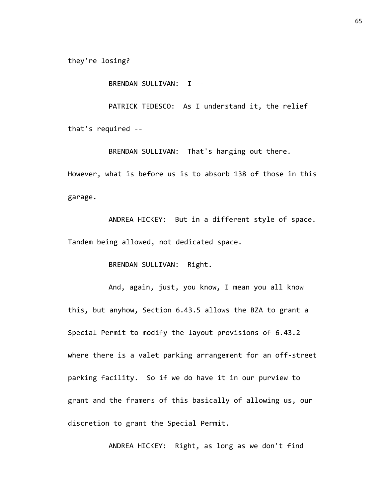they're losing?

BRENDAN SULLIVAN: I --

PATRICK TEDESCO: As I understand it, the relief that's required --

BRENDAN SULLIVAN: That's hanging out there. However, what is before us is to absorb 138 of those in this garage.

ANDREA HICKEY: But in a different style of space. Tandem being allowed, not dedicated space.

BRENDAN SULLIVAN: Right.

And, again, just, you know, I mean you all know this, but anyhow, Section 6.43.5 allows the BZA to grant a Special Permit to modify the layout provisions of 6.43.2 where there is a valet parking arrangement for an off-street parking facility. So if we do have it in our purview to grant and the framers of this basically of allowing us, our discretion to grant the Special Permit.

ANDREA HICKEY: Right, as long as we don't find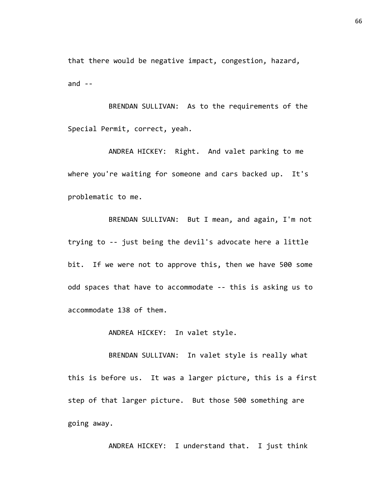that there would be negative impact, congestion, hazard, and  $--$ 

BRENDAN SULLIVAN: As to the requirements of the Special Permit, correct, yeah.

ANDREA HICKEY: Right. And valet parking to me where you're waiting for someone and cars backed up. It's problematic to me.

BRENDAN SULLIVAN: But I mean, and again, I'm not trying to -- just being the devil's advocate here a little bit. If we were not to approve this, then we have 500 some odd spaces that have to accommodate -- this is asking us to accommodate 138 of them.

ANDREA HICKEY: In valet style.

BRENDAN SULLIVAN: In valet style is really what this is before us. It was a larger picture, this is a first step of that larger picture. But those 500 something are going away.

ANDREA HICKEY: I understand that. I just think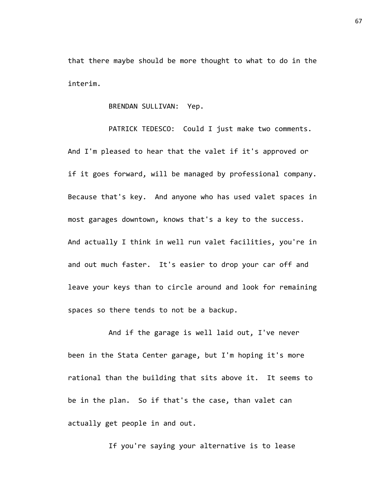that there maybe should be more thought to what to do in the interim.

BRENDAN SULLIVAN: Yep.

PATRICK TEDESCO: Could I just make two comments. And I'm pleased to hear that the valet if it's approved or if it goes forward, will be managed by professional company. Because that's key. And anyone who has used valet spaces in most garages downtown, knows that's a key to the success. And actually I think in well run valet facilities, you're in and out much faster. It's easier to drop your car off and leave your keys than to circle around and look for remaining spaces so there tends to not be a backup.

And if the garage is well laid out, I've never been in the Stata Center garage, but I'm hoping it's more rational than the building that sits above it. It seems to be in the plan. So if that's the case, than valet can actually get people in and out.

If you're saying your alternative is to lease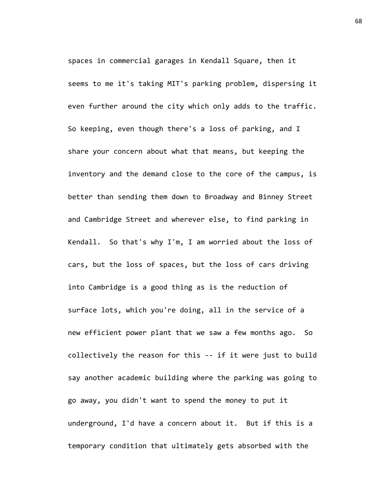spaces in commercial garages in Kendall Square, then it seems to me it's taking MIT's parking problem, dispersing it even further around the city which only adds to the traffic. So keeping, even though there's a loss of parking, and I share your concern about what that means, but keeping the inventory and the demand close to the core of the campus, is better than sending them down to Broadway and Binney Street and Cambridge Street and wherever else, to find parking in Kendall. So that's why I'm, I am worried about the loss of cars, but the loss of spaces, but the loss of cars driving into Cambridge is a good thing as is the reduction of surface lots, which you're doing, all in the service of a new efficient power plant that we saw a few months ago. So collectively the reason for this -- if it were just to build say another academic building where the parking was going to go away, you didn't want to spend the money to put it underground, I'd have a concern about it. But if this is a temporary condition that ultimately gets absorbed with the

68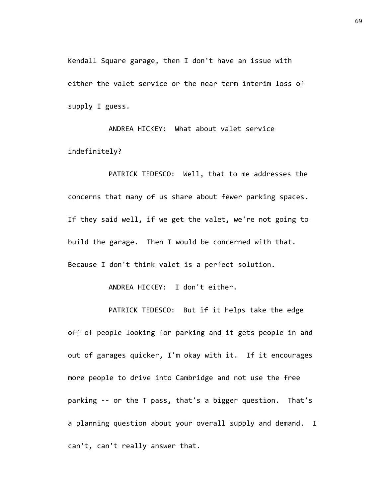Kendall Square garage, then I don't have an issue with either the valet service or the near term interim loss of supply I guess.

ANDREA HICKEY: What about valet service indefinitely?

PATRICK TEDESCO: Well, that to me addresses the concerns that many of us share about fewer parking spaces. If they said well, if we get the valet, we're not going to build the garage. Then I would be concerned with that. Because I don't think valet is a perfect solution.

ANDREA HICKEY: I don't either.

PATRICK TEDESCO: But if it helps take the edge off of people looking for parking and it gets people in and out of garages quicker, I'm okay with it. If it encourages more people to drive into Cambridge and not use the free parking -- or the T pass, that's a bigger question. That's a planning question about your overall supply and demand. I can't, can't really answer that.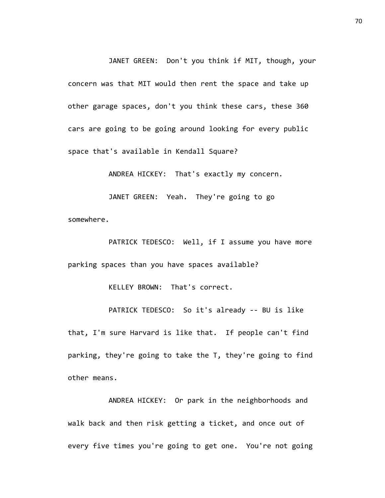JANET GREEN: Don't you think if MIT, though, your concern was that MIT would then rent the space and take up other garage spaces, don't you think these cars, these 360 cars are going to be going around looking for every public space that's available in Kendall Square?

ANDREA HICKEY: That's exactly my concern.

JANET GREEN: Yeah. They're going to go somewhere.

PATRICK TEDESCO: Well, if I assume you have more parking spaces than you have spaces available?

KELLEY BROWN: That's correct.

PATRICK TEDESCO: So it's already -- BU is like that, I'm sure Harvard is like that. If people can't find parking, they're going to take the T, they're going to find other means.

ANDREA HICKEY: Or park in the neighborhoods and walk back and then risk getting a ticket, and once out of every five times you're going to get one. You're not going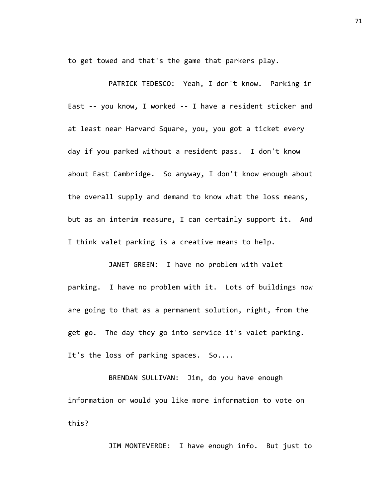to get towed and that's the game that parkers play.

PATRICK TEDESCO: Yeah, I don't know. Parking in East -- you know, I worked -- I have a resident sticker and at least near Harvard Square, you, you got a ticket every day if you parked without a resident pass. I don't know about East Cambridge. So anyway, I don't know enough about the overall supply and demand to know what the loss means, but as an interim measure, I can certainly support it. And I think valet parking is a creative means to help.

JANET GREEN: I have no problem with valet parking. I have no problem with it. Lots of buildings now are going to that as a permanent solution, right, from the get-go. The day they go into service it's valet parking. It's the loss of parking spaces. So....

BRENDAN SULLIVAN: Jim, do you have enough information or would you like more information to vote on this?

JIM MONTEVERDE: I have enough info. But just to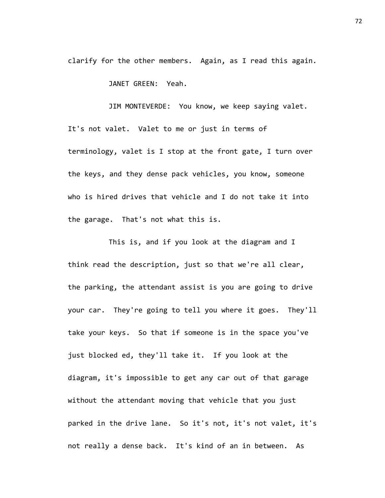clarify for the other members. Again, as I read this again.

JANET GREEN: Yeah.

JIM MONTEVERDE: You know, we keep saying valet. It's not valet. Valet to me or just in terms of terminology, valet is I stop at the front gate, I turn over the keys, and they dense pack vehicles, you know, someone who is hired drives that vehicle and I do not take it into the garage. That's not what this is.

This is, and if you look at the diagram and I think read the description, just so that we're all clear, the parking, the attendant assist is you are going to drive your car. They're going to tell you where it goes. They'll take your keys. So that if someone is in the space you've just blocked ed, they'll take it. If you look at the diagram, it's impossible to get any car out of that garage without the attendant moving that vehicle that you just parked in the drive lane. So it's not, it's not valet, it's not really a dense back. It's kind of an in between. As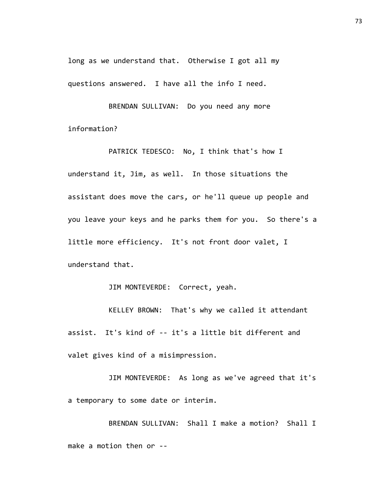long as we understand that. Otherwise I got all my questions answered. I have all the info I need.

BRENDAN SULLIVAN: Do you need any more information?

PATRICK TEDESCO: No, I think that's how I understand it, Jim, as well. In those situations the assistant does move the cars, or he'll queue up people and you leave your keys and he parks them for you. So there's a little more efficiency. It's not front door valet, I understand that.

JIM MONTEVERDE: Correct, yeah.

KELLEY BROWN: That's why we called it attendant assist. It's kind of -- it's a little bit different and valet gives kind of a misimpression.

JIM MONTEVERDE: As long as we've agreed that it's a temporary to some date or interim.

BRENDAN SULLIVAN: Shall I make a motion? Shall I make a motion then or --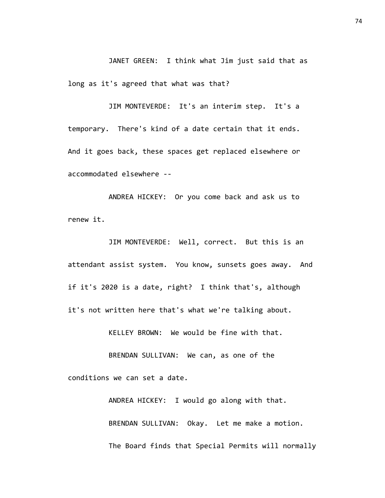JANET GREEN: I think what Jim just said that as long as it's agreed that what was that?

JIM MONTEVERDE: It's an interim step. It's a temporary. There's kind of a date certain that it ends. And it goes back, these spaces get replaced elsewhere or accommodated elsewhere --

ANDREA HICKEY: Or you come back and ask us to renew it.

JIM MONTEVERDE: Well, correct. But this is an attendant assist system. You know, sunsets goes away. And if it's 2020 is a date, right? I think that's, although it's not written here that's what we're talking about.

KELLEY BROWN: We would be fine with that.

BRENDAN SULLIVAN: We can, as one of the conditions we can set a date.

> ANDREA HICKEY: I would go along with that. BRENDAN SULLIVAN: Okay. Let me make a motion. The Board finds that Special Permits will normally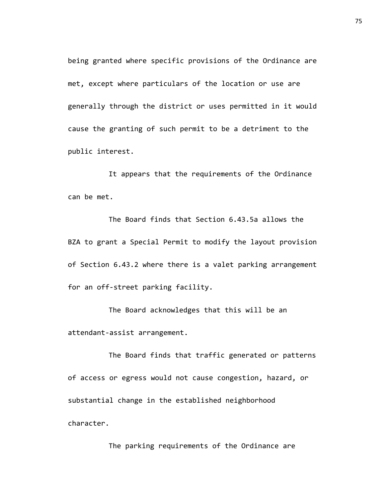being granted where specific provisions of the Ordinance are met, except where particulars of the location or use are generally through the district or uses permitted in it would cause the granting of such permit to be a detriment to the public interest.

It appears that the requirements of the Ordinance can be met.

The Board finds that Section 6.43.5a allows the BZA to grant a Special Permit to modify the layout provision of Section 6.43.2 where there is a valet parking arrangement for an off-street parking facility.

The Board acknowledges that this will be an attendant-assist arrangement.

The Board finds that traffic generated or patterns of access or egress would not cause congestion, hazard, or substantial change in the established neighborhood character.

The parking requirements of the Ordinance are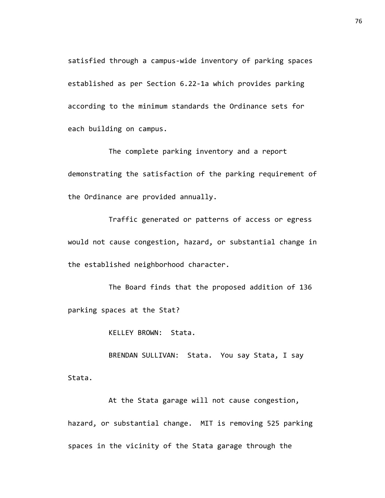satisfied through a campus-wide inventory of parking spaces established as per Section 6.22-1a which provides parking according to the minimum standards the Ordinance sets for each building on campus.

The complete parking inventory and a report demonstrating the satisfaction of the parking requirement of the Ordinance are provided annually.

Traffic generated or patterns of access or egress would not cause congestion, hazard, or substantial change in the established neighborhood character.

The Board finds that the proposed addition of 136 parking spaces at the Stat?

KELLEY BROWN: Stata.

BRENDAN SULLIVAN: Stata. You say Stata, I say Stata.

At the Stata garage will not cause congestion, hazard, or substantial change. MIT is removing 525 parking spaces in the vicinity of the Stata garage through the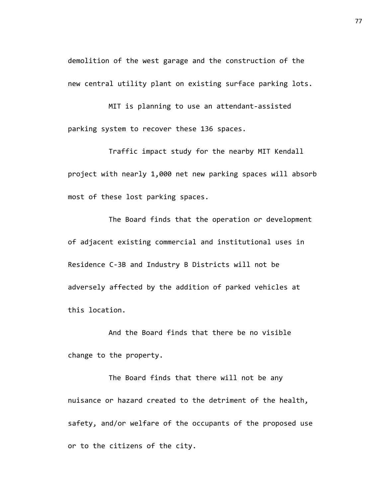demolition of the west garage and the construction of the new central utility plant on existing surface parking lots.

MIT is planning to use an attendant-assisted parking system to recover these 136 spaces.

Traffic impact study for the nearby MIT Kendall project with nearly 1,000 net new parking spaces will absorb most of these lost parking spaces.

The Board finds that the operation or development of adjacent existing commercial and institutional uses in Residence C-3B and Industry B Districts will not be adversely affected by the addition of parked vehicles at this location.

And the Board finds that there be no visible change to the property.

The Board finds that there will not be any nuisance or hazard created to the detriment of the health, safety, and/or welfare of the occupants of the proposed use or to the citizens of the city.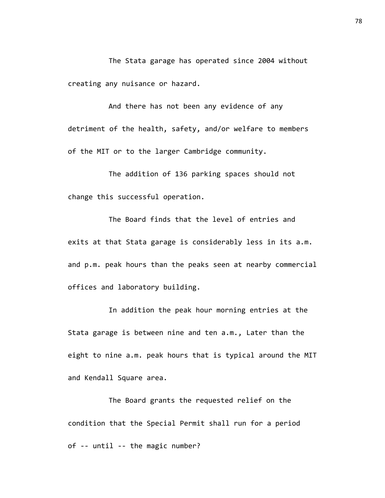The Stata garage has operated since 2004 without creating any nuisance or hazard.

And there has not been any evidence of any detriment of the health, safety, and/or welfare to members of the MIT or to the larger Cambridge community.

The addition of 136 parking spaces should not change this successful operation.

The Board finds that the level of entries and exits at that Stata garage is considerably less in its a.m. and p.m. peak hours than the peaks seen at nearby commercial offices and laboratory building.

In addition the peak hour morning entries at the Stata garage is between nine and ten a.m., Later than the eight to nine a.m. peak hours that is typical around the MIT and Kendall Square area.

The Board grants the requested relief on the condition that the Special Permit shall run for a period of -- until -- the magic number?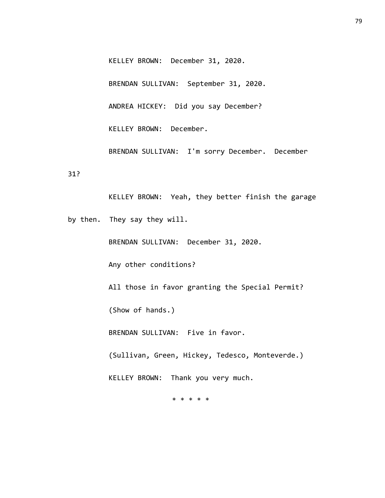KELLEY BROWN: December 31, 2020.

BRENDAN SULLIVAN: September 31, 2020.

ANDREA HICKEY: Did you say December?

KELLEY BROWN: December.

BRENDAN SULLIVAN: I'm sorry December. December

31?

KELLEY BROWN: Yeah, they better finish the garage by then. They say they will. BRENDAN SULLIVAN: December 31, 2020. Any other conditions? All those in favor granting the Special Permit? (Show of hands.) BRENDAN SULLIVAN: Five in favor. (Sullivan, Green, Hickey, Tedesco, Monteverde.) KELLEY BROWN: Thank you very much.

\* \* \* \* \*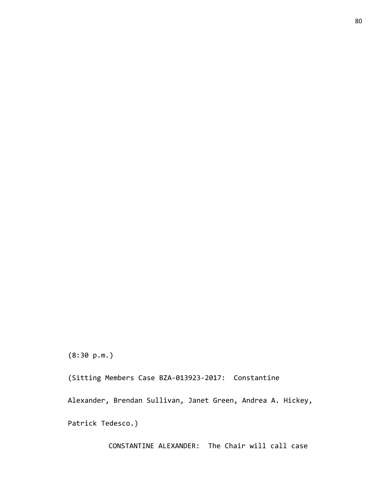CONSTANTINE ALEXANDER: The Chair will call case

Patrick Tedesco.)

(8:30 p.m.)

(Sitting Members Case BZA-013923-2017: Constantine

Alexander, Brendan Sullivan, Janet Green, Andrea A. Hickey,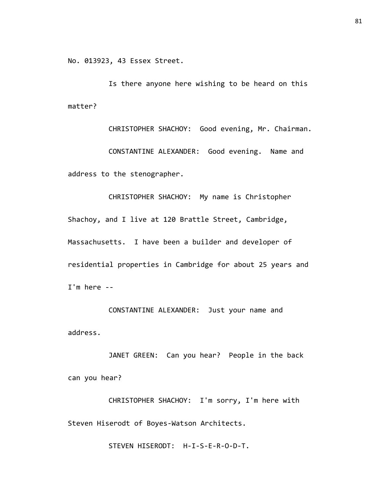No. 013923, 43 Essex Street.

Is there anyone here wishing to be heard on this matter?

CHRISTOPHER SHACHOY: Good evening, Mr. Chairman. CONSTANTINE ALEXANDER: Good evening. Name and address to the stenographer.

CHRISTOPHER SHACHOY: My name is Christopher Shachoy, and I live at 120 Brattle Street, Cambridge, Massachusetts. I have been a builder and developer of residential properties in Cambridge for about 25 years and I'm here --

CONSTANTINE ALEXANDER: Just your name and address.

JANET GREEN: Can you hear? People in the back can you hear?

CHRISTOPHER SHACHOY: I'm sorry, I'm here with Steven Hiserodt of Boyes-Watson Architects.

STEVEN HISERODT: H-I-S-E-R-O-D-T.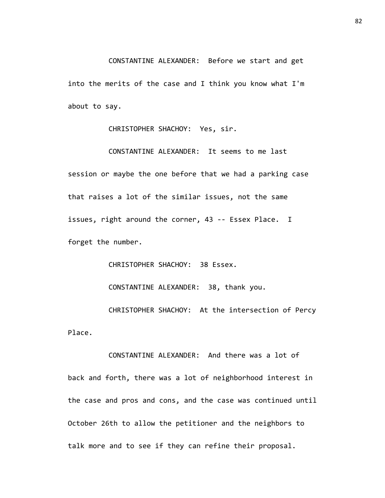CONSTANTINE ALEXANDER: Before we start and get into the merits of the case and I think you know what I'm about to say.

CHRISTOPHER SHACHOY: Yes, sir.

CONSTANTINE ALEXANDER: It seems to me last session or maybe the one before that we had a parking case that raises a lot of the similar issues, not the same issues, right around the corner, 43 -- Essex Place. I forget the number.

CHRISTOPHER SHACHOY: 38 Essex.

CONSTANTINE ALEXANDER: 38, thank you.

CHRISTOPHER SHACHOY: At the intersection of Percy Place.

CONSTANTINE ALEXANDER: And there was a lot of back and forth, there was a lot of neighborhood interest in the case and pros and cons, and the case was continued until October 26th to allow the petitioner and the neighbors to talk more and to see if they can refine their proposal.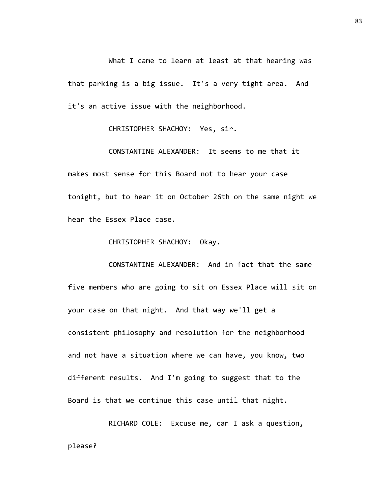What I came to learn at least at that hearing was that parking is a big issue. It's a very tight area. And it's an active issue with the neighborhood.

CHRISTOPHER SHACHOY: Yes, sir.

CONSTANTINE ALEXANDER: It seems to me that it makes most sense for this Board not to hear your case tonight, but to hear it on October 26th on the same night we hear the Essex Place case.

CHRISTOPHER SHACHOY: Okay.

CONSTANTINE ALEXANDER: And in fact that the same five members who are going to sit on Essex Place will sit on your case on that night. And that way we'll get a consistent philosophy and resolution for the neighborhood and not have a situation where we can have, you know, two different results. And I'm going to suggest that to the Board is that we continue this case until that night.

RICHARD COLE: Excuse me, can I ask a question, please?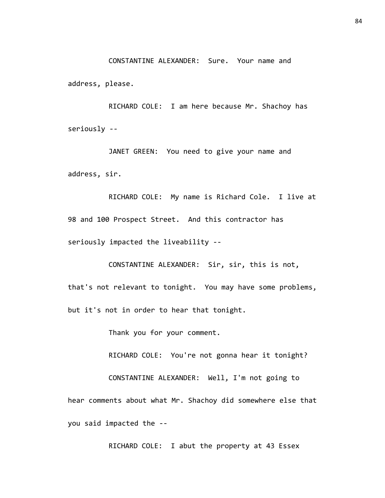CONSTANTINE ALEXANDER: Sure. Your name and

address, please.

RICHARD COLE: I am here because Mr. Shachoy has seriously --

JANET GREEN: You need to give your name and address, sir.

RICHARD COLE: My name is Richard Cole. I live at 98 and 100 Prospect Street. And this contractor has seriously impacted the liveability --

CONSTANTINE ALEXANDER: Sir, sir, this is not, that's not relevant to tonight. You may have some problems, but it's not in order to hear that tonight.

Thank you for your comment.

RICHARD COLE: You're not gonna hear it tonight?

CONSTANTINE ALEXANDER: Well, I'm not going to

hear comments about what Mr. Shachoy did somewhere else that you said impacted the --

RICHARD COLE: I abut the property at 43 Essex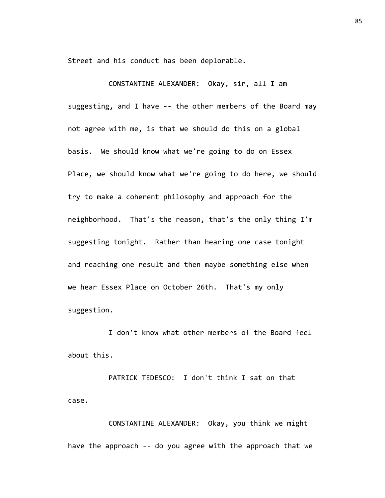Street and his conduct has been deplorable.

CONSTANTINE ALEXANDER: Okay, sir, all I am suggesting, and I have -- the other members of the Board may not agree with me, is that we should do this on a global basis. We should know what we're going to do on Essex Place, we should know what we're going to do here, we should try to make a coherent philosophy and approach for the neighborhood. That's the reason, that's the only thing I'm suggesting tonight. Rather than hearing one case tonight and reaching one result and then maybe something else when we hear Essex Place on October 26th. That's my only suggestion.

I don't know what other members of the Board feel about this.

PATRICK TEDESCO: I don't think I sat on that case.

CONSTANTINE ALEXANDER: Okay, you think we might have the approach -- do you agree with the approach that we 85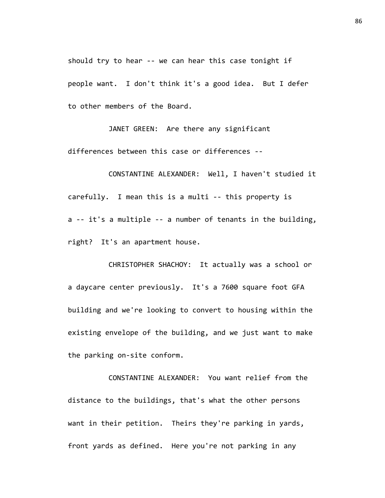should try to hear -- we can hear this case tonight if people want. I don't think it's a good idea. But I defer to other members of the Board.

JANET GREEN: Are there any significant differences between this case or differences --

CONSTANTINE ALEXANDER: Well, I haven't studied it carefully. I mean this is a multi -- this property is a -- it's a multiple -- a number of tenants in the building, right? It's an apartment house.

CHRISTOPHER SHACHOY: It actually was a school or a daycare center previously. It's a 7600 square foot GFA building and we're looking to convert to housing within the existing envelope of the building, and we just want to make the parking on-site conform.

CONSTANTINE ALEXANDER: You want relief from the distance to the buildings, that's what the other persons want in their petition. Theirs they're parking in yards, front yards as defined. Here you're not parking in any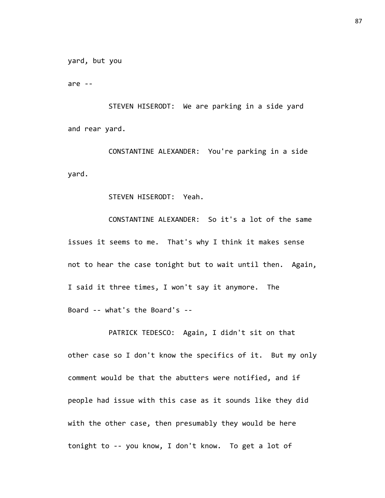yard, but you

are --

STEVEN HISERODT: We are parking in a side yard and rear yard.

CONSTANTINE ALEXANDER: You're parking in a side yard.

STEVEN HISERODT: Yeah.

CONSTANTINE ALEXANDER: So it's a lot of the same issues it seems to me. That's why I think it makes sense not to hear the case tonight but to wait until then. Again, I said it three times, I won't say it anymore. The Board -- what's the Board's --

PATRICK TEDESCO: Again, I didn't sit on that other case so I don't know the specifics of it. But my only comment would be that the abutters were notified, and if people had issue with this case as it sounds like they did with the other case, then presumably they would be here tonight to -- you know, I don't know. To get a lot of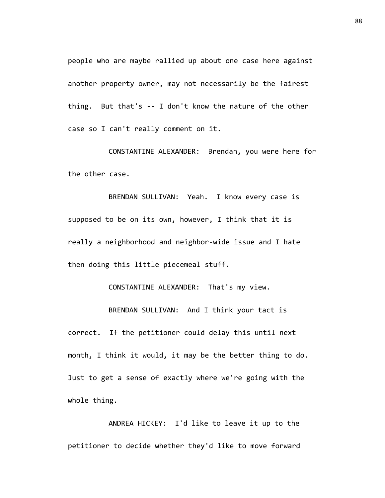people who are maybe rallied up about one case here against another property owner, may not necessarily be the fairest thing. But that's -- I don't know the nature of the other case so I can't really comment on it.

CONSTANTINE ALEXANDER: Brendan, you were here for the other case.

BRENDAN SULLIVAN: Yeah. I know every case is supposed to be on its own, however, I think that it is really a neighborhood and neighbor-wide issue and I hate then doing this little piecemeal stuff.

CONSTANTINE ALEXANDER: That's my view.

BRENDAN SULLIVAN: And I think your tact is correct. If the petitioner could delay this until next month, I think it would, it may be the better thing to do. Just to get a sense of exactly where we're going with the whole thing.

ANDREA HICKEY: I'd like to leave it up to the petitioner to decide whether they'd like to move forward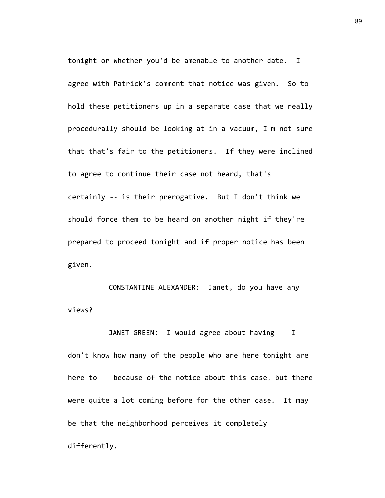tonight or whether you'd be amenable to another date. I agree with Patrick's comment that notice was given. So to hold these petitioners up in a separate case that we really procedurally should be looking at in a vacuum, I'm not sure that that's fair to the petitioners. If they were inclined to agree to continue their case not heard, that's certainly -- is their prerogative. But I don't think we should force them to be heard on another night if they're prepared to proceed tonight and if proper notice has been given.

CONSTANTINE ALEXANDER: Janet, do you have any views?

JANET GREEN: I would agree about having -- I don't know how many of the people who are here tonight are here to -- because of the notice about this case, but there were quite a lot coming before for the other case. It may be that the neighborhood perceives it completely differently.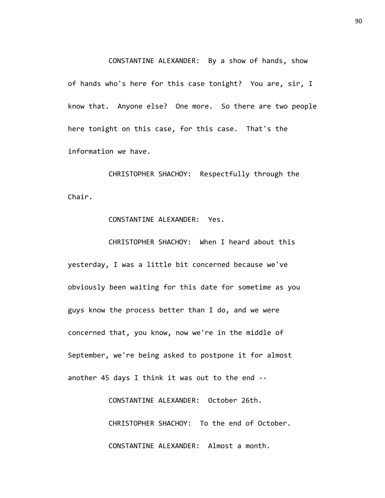CONSTANTINE ALEXANDER: By a show of hands, show

of hands who's here for this case tonight? You are, sir, I know that. Anyone else? One more. So there are two people here tonight on this case, for this case. That's the information we have.

CHRISTOPHER SHACHOY: Respectfully through the Chair.

CONSTANTINE ALEXANDER: Yes.

CHRISTOPHER SHACHOY: When I heard about this yesterday, I was a little bit concerned because we've obviously been waiting for this date for sometime as you guys know the process better than I do, and we were concerned that, you know, now we're in the middle of September, we're being asked to postpone it for almost another 45 days I think it was out to the end --

> CONSTANTINE ALEXANDER: October 26th. CHRISTOPHER SHACHOY: To the end of October. CONSTANTINE ALEXANDER: Almost a month.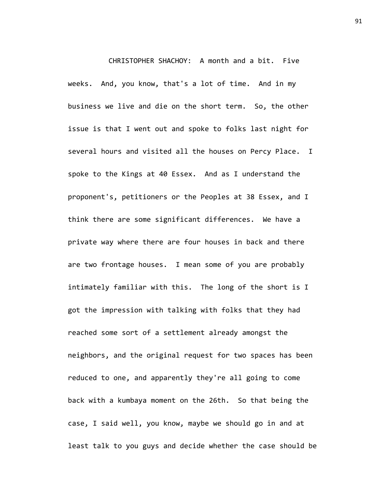CHRISTOPHER SHACHOY: A month and a bit. Five weeks. And, you know, that's a lot of time. And in my business we live and die on the short term. So, the other issue is that I went out and spoke to folks last night for several hours and visited all the houses on Percy Place. I spoke to the Kings at 40 Essex. And as I understand the proponent's, petitioners or the Peoples at 38 Essex, and I think there are some significant differences. We have a private way where there are four houses in back and there are two frontage houses. I mean some of you are probably intimately familiar with this. The long of the short is I got the impression with talking with folks that they had reached some sort of a settlement already amongst the neighbors, and the original request for two spaces has been reduced to one, and apparently they're all going to come back with a kumbaya moment on the 26th. So that being the case, I said well, you know, maybe we should go in and at least talk to you guys and decide whether the case should be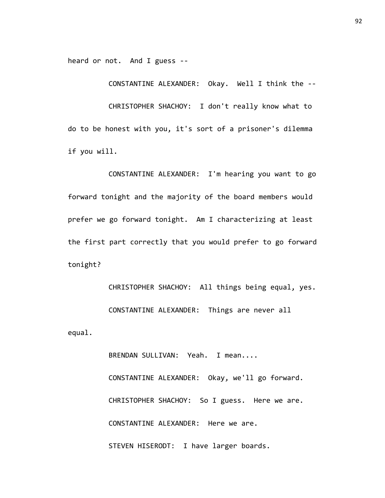heard or not. And I guess --

CONSTANTINE ALEXANDER: Okay. Well I think the --

CHRISTOPHER SHACHOY: I don't really know what to do to be honest with you, it's sort of a prisoner's dilemma if you will.

CONSTANTINE ALEXANDER: I'm hearing you want to go forward tonight and the majority of the board members would prefer we go forward tonight. Am I characterizing at least the first part correctly that you would prefer to go forward tonight?

CHRISTOPHER SHACHOY: All things being equal, yes. CONSTANTINE ALEXANDER: Things are never all equal.

> BRENDAN SULLIVAN: Yeah. I mean.... CONSTANTINE ALEXANDER: Okay, we'll go forward. CHRISTOPHER SHACHOY: So I guess. Here we are. CONSTANTINE ALEXANDER: Here we are. STEVEN HISERODT: I have larger boards.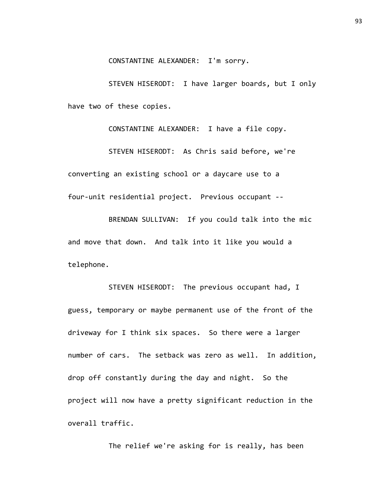STEVEN HISERODT: I have larger boards, but I only have two of these copies.

CONSTANTINE ALEXANDER: I have a file copy. STEVEN HISERODT: As Chris said before, we're converting an existing school or a daycare use to a four-unit residential project. Previous occupant --

BRENDAN SULLIVAN: If you could talk into the mic and move that down. And talk into it like you would a telephone.

STEVEN HISERODT: The previous occupant had, I guess, temporary or maybe permanent use of the front of the driveway for I think six spaces. So there were a larger number of cars. The setback was zero as well. In addition, drop off constantly during the day and night. So the project will now have a pretty significant reduction in the overall traffic.

The relief we're asking for is really, has been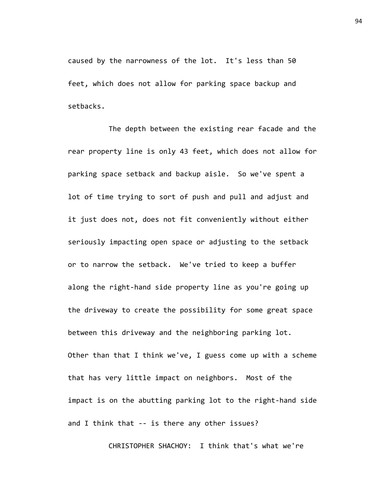caused by the narrowness of the lot. It's less than 50 feet, which does not allow for parking space backup and setbacks.

The depth between the existing rear facade and the rear property line is only 43 feet, which does not allow for parking space setback and backup aisle. So we've spent a lot of time trying to sort of push and pull and adjust and it just does not, does not fit conveniently without either seriously impacting open space or adjusting to the setback or to narrow the setback. We've tried to keep a buffer along the right-hand side property line as you're going up the driveway to create the possibility for some great space between this driveway and the neighboring parking lot. Other than that I think we've, I guess come up with a scheme that has very little impact on neighbors. Most of the impact is on the abutting parking lot to the right-hand side and I think that -- is there any other issues?

CHRISTOPHER SHACHOY: I think that's what we're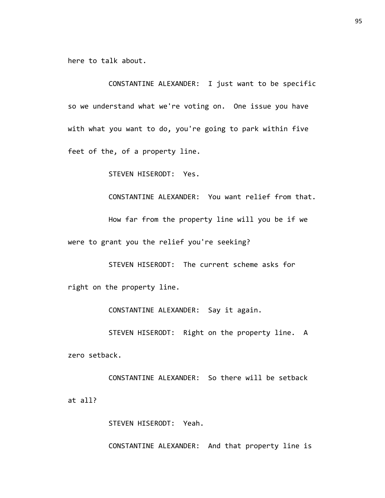here to talk about.

CONSTANTINE ALEXANDER: I just want to be specific so we understand what we're voting on. One issue you have with what you want to do, you're going to park within five feet of the, of a property line.

STEVEN HISERODT: Yes.

CONSTANTINE ALEXANDER: You want relief from that.

How far from the property line will you be if we were to grant you the relief you're seeking?

STEVEN HISERODT: The current scheme asks for right on the property line.

CONSTANTINE ALEXANDER: Say it again.

STEVEN HISERODT: Right on the property line. A zero setback.

CONSTANTINE ALEXANDER: So there will be setback at all?

STEVEN HISERODT: Yeah.

CONSTANTINE ALEXANDER: And that property line is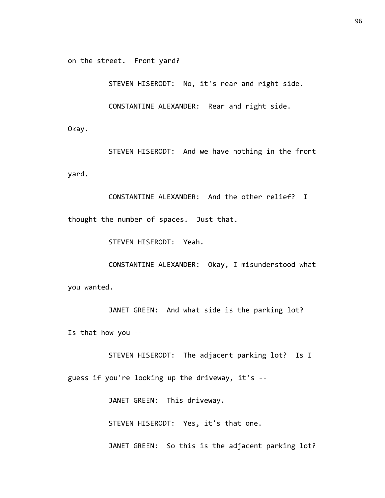on the street. Front yard?

STEVEN HISERODT: No, it's rear and right side.

CONSTANTINE ALEXANDER: Rear and right side.

Okay.

STEVEN HISERODT: And we have nothing in the front yard.

CONSTANTINE ALEXANDER: And the other relief? I thought the number of spaces. Just that.

STEVEN HISERODT: Yeah.

CONSTANTINE ALEXANDER: Okay, I misunderstood what you wanted.

JANET GREEN: And what side is the parking lot? Is that how you --

STEVEN HISERODT: The adjacent parking lot? Is I guess if you're looking up the driveway, it's --

JANET GREEN: This driveway.

STEVEN HISERODT: Yes, it's that one.

JANET GREEN: So this is the adjacent parking lot?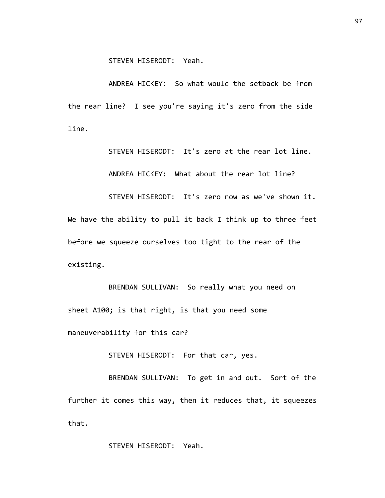STEVEN HISERODT: Yeah.

ANDREA HICKEY: So what would the setback be from the rear line? I see you're saying it's zero from the side line.

> STEVEN HISERODT: It's zero at the rear lot line. ANDREA HICKEY: What about the rear lot line?

STEVEN HISERODT: It's zero now as we've shown it. We have the ability to pull it back I think up to three feet before we squeeze ourselves too tight to the rear of the existing.

BRENDAN SULLIVAN: So really what you need on sheet A100; is that right, is that you need some maneuverability for this car?

STEVEN HISERODT: For that car, yes.

BRENDAN SULLIVAN: To get in and out. Sort of the further it comes this way, then it reduces that, it squeezes that.

STEVEN HISERODT: Yeah.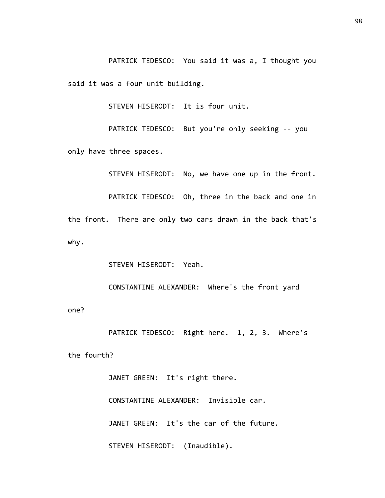PATRICK TEDESCO: You said it was a, I thought you said it was a four unit building.

STEVEN HISERODT: It is four unit.

PATRICK TEDESCO: But you're only seeking -- you only have three spaces.

STEVEN HISERODT: No, we have one up in the front.

PATRICK TEDESCO: Oh, three in the back and one in the front. There are only two cars drawn in the back that's why.

STEVEN HISERODT: Yeah.

CONSTANTINE ALEXANDER: Where's the front yard

one?

PATRICK TEDESCO: Right here. 1, 2, 3. Where's the fourth?

> JANET GREEN: It's right there. CONSTANTINE ALEXANDER: Invisible car. JANET GREEN: It's the car of the future. STEVEN HISERODT: (Inaudible).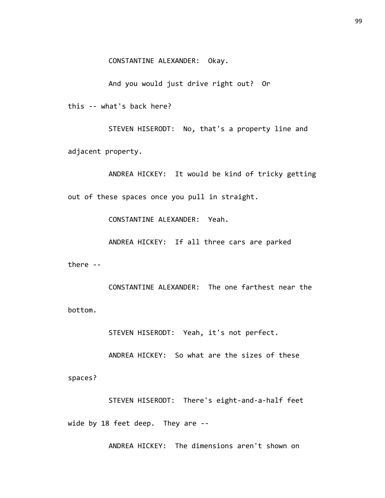CONSTANTINE ALEXANDER: Okay.

And you would just drive right out? Or

this -- what's back here?

STEVEN HISERODT: No, that's a property line and adjacent property.

ANDREA HICKEY: It would be kind of tricky getting out of these spaces once you pull in straight.

CONSTANTINE ALEXANDER: Yeah.

ANDREA HICKEY: If all three cars are parked

there --

CONSTANTINE ALEXANDER: The one farthest near the bottom.

STEVEN HISERODT: Yeah, it's not perfect.

ANDREA HICKEY: So what are the sizes of these

spaces?

STEVEN HISERODT: There's eight-and-a-half feet wide by 18 feet deep. They are --

ANDREA HICKEY: The dimensions aren't shown on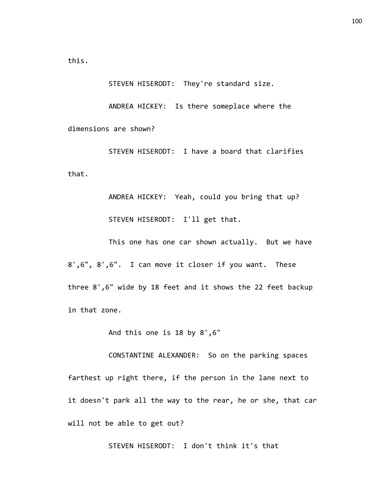this.

STEVEN HISERODT: They're standard size.

ANDREA HICKEY: Is there someplace where the dimensions are shown?

STEVEN HISERODT: I have a board that clarifies that.

> ANDREA HICKEY: Yeah, could you bring that up? STEVEN HISERODT: I'll get that.

This one has one car shown actually. But we have 8',6", 8',6". I can move it closer if you want. These three 8',6" wide by 18 feet and it shows the 22 feet backup in that zone.

And this one is 18 by 8',6"

CONSTANTINE ALEXANDER: So on the parking spaces farthest up right there, if the person in the lane next to it doesn't park all the way to the rear, he or she, that car will not be able to get out?

STEVEN HISERODT: I don't think it's that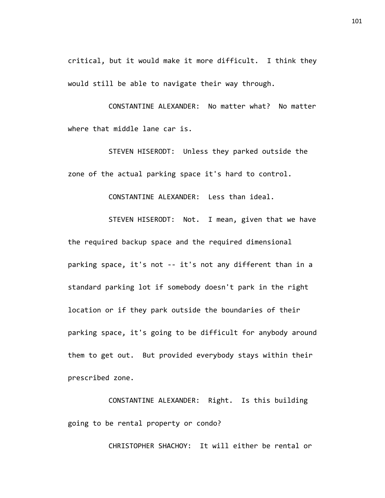critical, but it would make it more difficult. I think they would still be able to navigate their way through.

CONSTANTINE ALEXANDER: No matter what? No matter where that middle lane car is.

STEVEN HISERODT: Unless they parked outside the zone of the actual parking space it's hard to control.

CONSTANTINE ALEXANDER: Less than ideal.

STEVEN HISERODT: Not. I mean, given that we have the required backup space and the required dimensional parking space, it's not -- it's not any different than in a standard parking lot if somebody doesn't park in the right location or if they park outside the boundaries of their parking space, it's going to be difficult for anybody around them to get out. But provided everybody stays within their prescribed zone.

CONSTANTINE ALEXANDER: Right. Is this building going to be rental property or condo?

CHRISTOPHER SHACHOY: It will either be rental or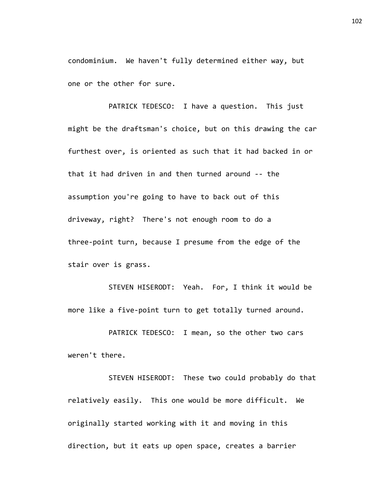condominium. We haven't fully determined either way, but one or the other for sure.

PATRICK TEDESCO: I have a question. This just might be the draftsman's choice, but on this drawing the car furthest over, is oriented as such that it had backed in or that it had driven in and then turned around -- the assumption you're going to have to back out of this driveway, right? There's not enough room to do a three-point turn, because I presume from the edge of the stair over is grass.

STEVEN HISERODT: Yeah. For, I think it would be more like a five-point turn to get totally turned around.

PATRICK TEDESCO: I mean, so the other two cars weren't there.

STEVEN HISERODT: These two could probably do that relatively easily. This one would be more difficult. We originally started working with it and moving in this direction, but it eats up open space, creates a barrier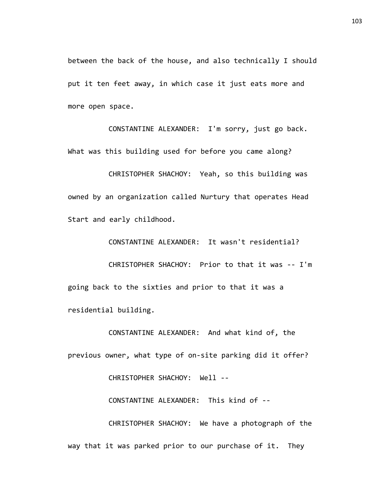between the back of the house, and also technically I should put it ten feet away, in which case it just eats more and more open space.

CONSTANTINE ALEXANDER: I'm sorry, just go back. What was this building used for before you came along?

CHRISTOPHER SHACHOY: Yeah, so this building was owned by an organization called Nurtury that operates Head Start and early childhood.

CONSTANTINE ALEXANDER: It wasn't residential? CHRISTOPHER SHACHOY: Prior to that it was -- I'm going back to the sixties and prior to that it was a

residential building.

CONSTANTINE ALEXANDER: And what kind of, the previous owner, what type of on-site parking did it offer?

CHRISTOPHER SHACHOY: Well --

CONSTANTINE ALEXANDER: This kind of --

CHRISTOPHER SHACHOY: We have a photograph of the way that it was parked prior to our purchase of it. They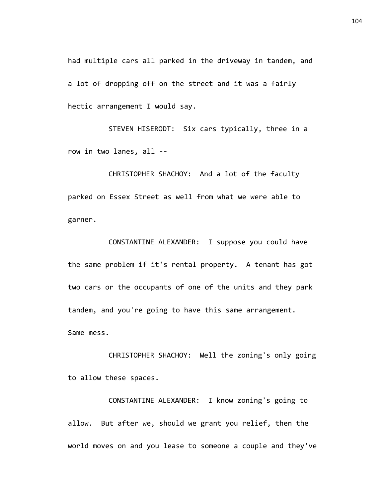had multiple cars all parked in the driveway in tandem, and a lot of dropping off on the street and it was a fairly hectic arrangement I would say.

STEVEN HISERODT: Six cars typically, three in a row in two lanes, all --

CHRISTOPHER SHACHOY: And a lot of the faculty parked on Essex Street as well from what we were able to garner.

CONSTANTINE ALEXANDER: I suppose you could have the same problem if it's rental property. A tenant has got two cars or the occupants of one of the units and they park tandem, and you're going to have this same arrangement. Same mess.

CHRISTOPHER SHACHOY: Well the zoning's only going to allow these spaces.

CONSTANTINE ALEXANDER: I know zoning's going to allow. But after we, should we grant you relief, then the world moves on and you lease to someone a couple and they've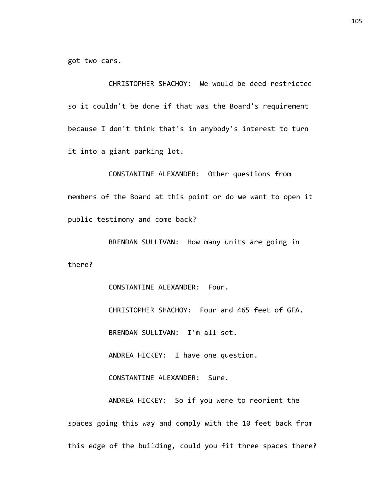got two cars.

CHRISTOPHER SHACHOY: We would be deed restricted so it couldn't be done if that was the Board's requirement because I don't think that's in anybody's interest to turn it into a giant parking lot.

CONSTANTINE ALEXANDER: Other questions from members of the Board at this point or do we want to open it public testimony and come back?

BRENDAN SULLIVAN: How many units are going in there?

> CONSTANTINE ALEXANDER: Four. CHRISTOPHER SHACHOY: Four and 465 feet of GFA. BRENDAN SULLIVAN: I'm all set. ANDREA HICKEY: I have one question.

CONSTANTINE ALEXANDER: Sure.

ANDREA HICKEY: So if you were to reorient the spaces going this way and comply with the 10 feet back from this edge of the building, could you fit three spaces there?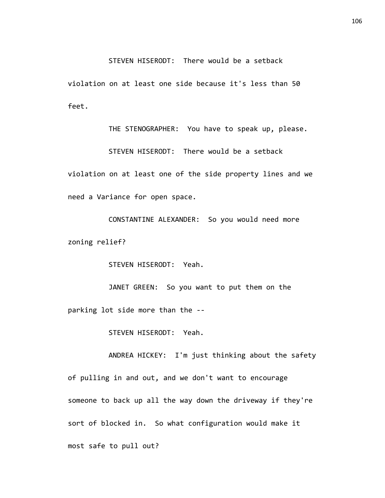## STEVEN HISERODT: There would be a setback

violation on at least one side because it's less than 50 feet.

THE STENOGRAPHER: You have to speak up, please. STEVEN HISERODT: There would be a setback violation on at least one of the side property lines and we need a Variance for open space.

CONSTANTINE ALEXANDER: So you would need more zoning relief?

STEVEN HISERODT: Yeah.

JANET GREEN: So you want to put them on the parking lot side more than the --

STEVEN HISERODT: Yeah.

ANDREA HICKEY: I'm just thinking about the safety of pulling in and out, and we don't want to encourage someone to back up all the way down the driveway if they're sort of blocked in. So what configuration would make it most safe to pull out?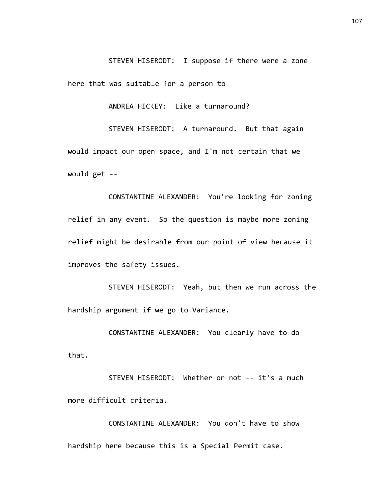STEVEN HISERODT: I suppose if there were a zone here that was suitable for a person to --

ANDREA HICKEY: Like a turnaround?

STEVEN HISERODT: A turnaround. But that again would impact our open space, and I'm not certain that we would get --

CONSTANTINE ALEXANDER: You're looking for zoning relief in any event. So the question is maybe more zoning relief might be desirable from our point of view because it improves the safety issues.

STEVEN HISERODT: Yeah, but then we run across the hardship argument if we go to Variance.

CONSTANTINE ALEXANDER: You clearly have to do that.

STEVEN HISERODT: Whether or not -- it's a much more difficult criteria.

CONSTANTINE ALEXANDER: You don't have to show hardship here because this is a Special Permit case.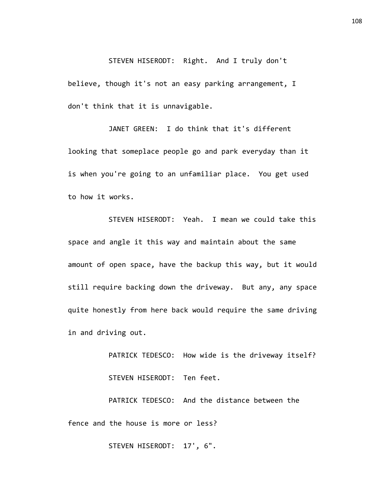STEVEN HISERODT: Right. And I truly don't believe, though it's not an easy parking arrangement, I don't think that it is unnavigable.

JANET GREEN: I do think that it's different looking that someplace people go and park everyday than it is when you're going to an unfamiliar place. You get used to how it works.

STEVEN HISERODT: Yeah. I mean we could take this space and angle it this way and maintain about the same amount of open space, have the backup this way, but it would still require backing down the driveway. But any, any space quite honestly from here back would require the same driving in and driving out.

> PATRICK TEDESCO: How wide is the driveway itself? STEVEN HISERODT: Ten feet.

PATRICK TEDESCO: And the distance between the fence and the house is more or less?

STEVEN HISERODT: 17', 6".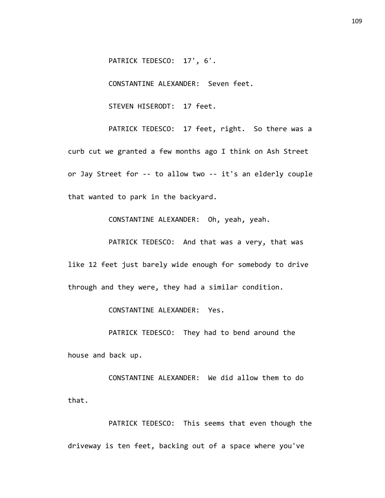PATRICK TEDESCO: 17', 6'.

CONSTANTINE ALEXANDER: Seven feet.

STEVEN HISERODT: 17 feet.

PATRICK TEDESCO: 17 feet, right. So there was a curb cut we granted a few months ago I think on Ash Street or Jay Street for -- to allow two -- it's an elderly couple that wanted to park in the backyard.

CONSTANTINE ALEXANDER: Oh, yeah, yeah.

PATRICK TEDESCO: And that was a very, that was like 12 feet just barely wide enough for somebody to drive through and they were, they had a similar condition.

CONSTANTINE ALEXANDER: Yes.

PATRICK TEDESCO: They had to bend around the house and back up.

CONSTANTINE ALEXANDER: We did allow them to do that.

PATRICK TEDESCO: This seems that even though the driveway is ten feet, backing out of a space where you've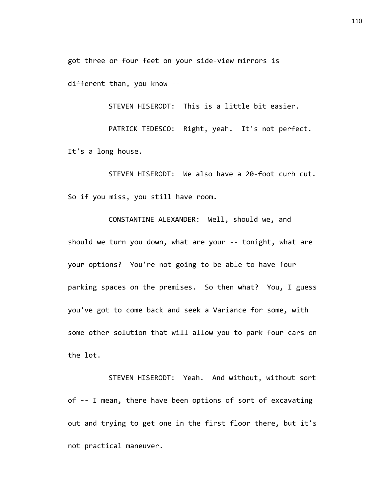got three or four feet on your side-view mirrors is

different than, you know --

STEVEN HISERODT: This is a little bit easier.

PATRICK TEDESCO: Right, yeah. It's not perfect. It's a long house.

STEVEN HISERODT: We also have a 20-foot curb cut. So if you miss, you still have room.

CONSTANTINE ALEXANDER: Well, should we, and should we turn you down, what are your -- tonight, what are your options? You're not going to be able to have four parking spaces on the premises. So then what? You, I guess you've got to come back and seek a Variance for some, with some other solution that will allow you to park four cars on the lot.

STEVEN HISERODT: Yeah. And without, without sort of -- I mean, there have been options of sort of excavating out and trying to get one in the first floor there, but it's not practical maneuver.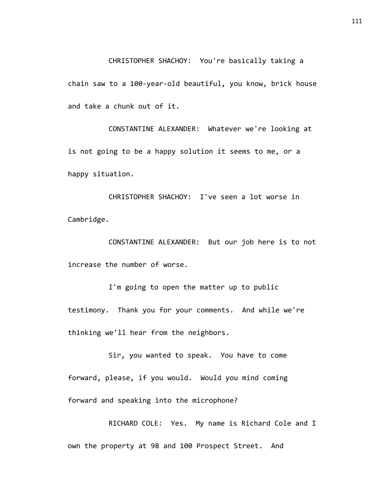CHRISTOPHER SHACHOY: You're basically taking a chain saw to a 100-year-old beautiful, you know, brick house and take a chunk out of it.

CONSTANTINE ALEXANDER: Whatever we're looking at is not going to be a happy solution it seems to me, or a happy situation.

CHRISTOPHER SHACHOY: I've seen a lot worse in Cambridge.

CONSTANTINE ALEXANDER: But our job here is to not increase the number of worse.

I'm going to open the matter up to public testimony. Thank you for your comments. And while we're thinking we'll hear from the neighbors.

Sir, you wanted to speak. You have to come forward, please, if you would. Would you mind coming forward and speaking into the microphone?

RICHARD COLE: Yes. My name is Richard Cole and I own the property at 98 and 100 Prospect Street. And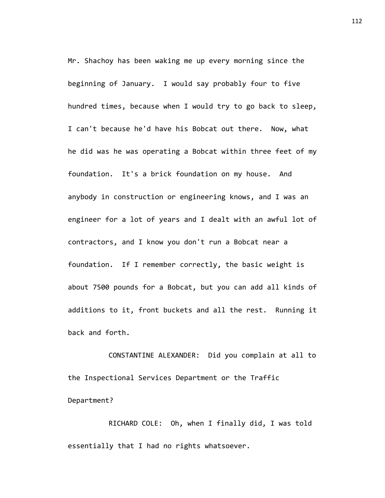Mr. Shachoy has been waking me up every morning since the beginning of January. I would say probably four to five hundred times, because when I would try to go back to sleep, I can't because he'd have his Bobcat out there. Now, what he did was he was operating a Bobcat within three feet of my foundation. It's a brick foundation on my house. And anybody in construction or engineering knows, and I was an engineer for a lot of years and I dealt with an awful lot of contractors, and I know you don't run a Bobcat near a foundation. If I remember correctly, the basic weight is about 7500 pounds for a Bobcat, but you can add all kinds of additions to it, front buckets and all the rest. Running it back and forth.

CONSTANTINE ALEXANDER: Did you complain at all to the Inspectional Services Department or the Traffic Department?

RICHARD COLE: Oh, when I finally did, I was told essentially that I had no rights whatsoever.

112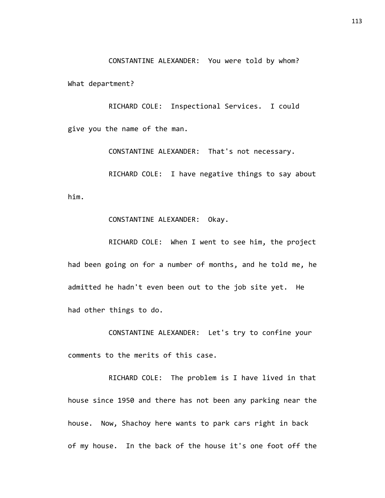CONSTANTINE ALEXANDER: You were told by whom?

What department?

RICHARD COLE: Inspectional Services. I could give you the name of the man.

CONSTANTINE ALEXANDER: That's not necessary.

RICHARD COLE: I have negative things to say about him.

## CONSTANTINE ALEXANDER: Okay.

RICHARD COLE: When I went to see him, the project had been going on for a number of months, and he told me, he admitted he hadn't even been out to the job site yet. He had other things to do.

CONSTANTINE ALEXANDER: Let's try to confine your comments to the merits of this case.

RICHARD COLE: The problem is I have lived in that house since 1950 and there has not been any parking near the house. Now, Shachoy here wants to park cars right in back of my house. In the back of the house it's one foot off the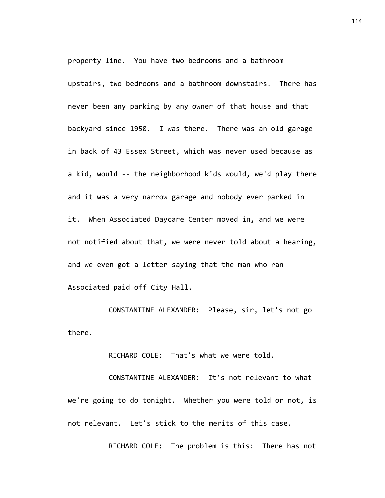property line. You have two bedrooms and a bathroom upstairs, two bedrooms and a bathroom downstairs. There has never been any parking by any owner of that house and that backyard since 1950. I was there. There was an old garage in back of 43 Essex Street, which was never used because as a kid, would -- the neighborhood kids would, we'd play there and it was a very narrow garage and nobody ever parked in it. When Associated Daycare Center moved in, and we were not notified about that, we were never told about a hearing, and we even got a letter saying that the man who ran Associated paid off City Hall.

CONSTANTINE ALEXANDER: Please, sir, let's not go there.

RICHARD COLE: That's what we were told.

CONSTANTINE ALEXANDER: It's not relevant to what we're going to do tonight. Whether you were told or not, is not relevant. Let's stick to the merits of this case.

RICHARD COLE: The problem is this: There has not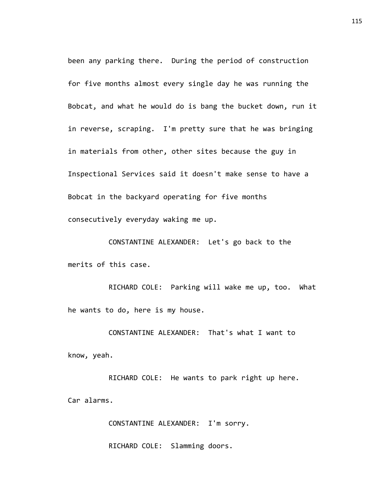been any parking there. During the period of construction for five months almost every single day he was running the Bobcat, and what he would do is bang the bucket down, run it in reverse, scraping. I'm pretty sure that he was bringing in materials from other, other sites because the guy in Inspectional Services said it doesn't make sense to have a Bobcat in the backyard operating for five months consecutively everyday waking me up.

CONSTANTINE ALEXANDER: Let's go back to the merits of this case.

RICHARD COLE: Parking will wake me up, too. What he wants to do, here is my house.

CONSTANTINE ALEXANDER: That's what I want to know, yeah.

RICHARD COLE: He wants to park right up here. Car alarms.

CONSTANTINE ALEXANDER: I'm sorry.

RICHARD COLE: Slamming doors.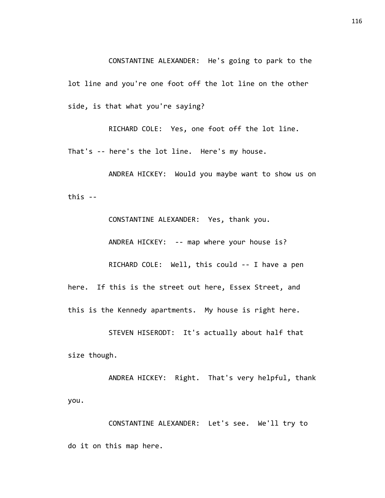CONSTANTINE ALEXANDER: He's going to park to the lot line and you're one foot off the lot line on the other side, is that what you're saying?

RICHARD COLE: Yes, one foot off the lot line.

That's -- here's the lot line. Here's my house.

ANDREA HICKEY: Would you maybe want to show us on this --

CONSTANTINE ALEXANDER: Yes, thank you. ANDREA HICKEY: -- map where your house is? RICHARD COLE: Well, this could -- I have a pen here. If this is the street out here, Essex Street, and this is the Kennedy apartments. My house is right here.

STEVEN HISERODT: It's actually about half that size though.

ANDREA HICKEY: Right. That's very helpful, thank you.

CONSTANTINE ALEXANDER: Let's see. We'll try to do it on this map here.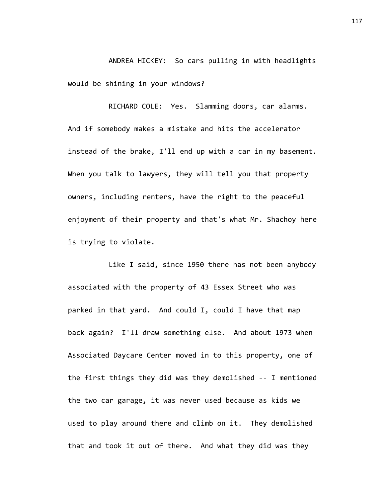ANDREA HICKEY: So cars pulling in with headlights would be shining in your windows?

RICHARD COLE: Yes. Slamming doors, car alarms. And if somebody makes a mistake and hits the accelerator instead of the brake, I'll end up with a car in my basement. When you talk to lawyers, they will tell you that property owners, including renters, have the right to the peaceful enjoyment of their property and that's what Mr. Shachoy here is trying to violate.

Like I said, since 1950 there has not been anybody associated with the property of 43 Essex Street who was parked in that yard. And could I, could I have that map back again? I'll draw something else. And about 1973 when Associated Daycare Center moved in to this property, one of the first things they did was they demolished -- I mentioned the two car garage, it was never used because as kids we used to play around there and climb on it. They demolished that and took it out of there. And what they did was they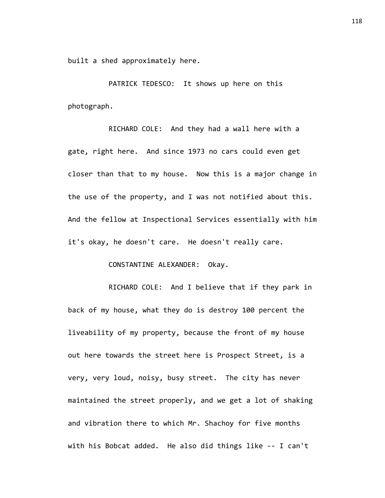built a shed approximately here.

PATRICK TEDESCO: It shows up here on this photograph.

RICHARD COLE: And they had a wall here with a gate, right here. And since 1973 no cars could even get closer than that to my house. Now this is a major change in the use of the property, and I was not notified about this. And the fellow at Inspectional Services essentially with him it's okay, he doesn't care. He doesn't really care.

## CONSTANTINE ALEXANDER: Okay.

RICHARD COLE: And I believe that if they park in back of my house, what they do is destroy 100 percent the liveability of my property, because the front of my house out here towards the street here is Prospect Street, is a very, very loud, noisy, busy street. The city has never maintained the street properly, and we get a lot of shaking and vibration there to which Mr. Shachoy for five months with his Bobcat added. He also did things like -- I can't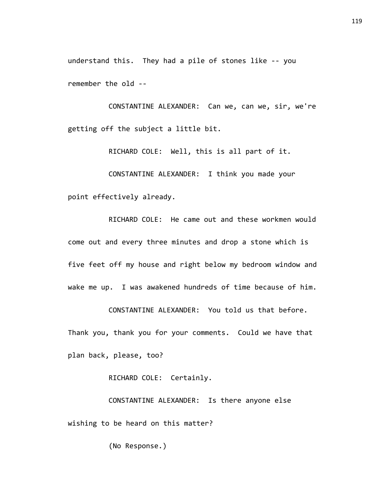understand this. They had a pile of stones like -- you remember the old --

CONSTANTINE ALEXANDER: Can we, can we, sir, we're getting off the subject a little bit.

RICHARD COLE: Well, this is all part of it. CONSTANTINE ALEXANDER: I think you made your point effectively already.

RICHARD COLE: He came out and these workmen would come out and every three minutes and drop a stone which is five feet off my house and right below my bedroom window and wake me up. I was awakened hundreds of time because of him.

CONSTANTINE ALEXANDER: You told us that before. Thank you, thank you for your comments. Could we have that plan back, please, too?

RICHARD COLE: Certainly.

CONSTANTINE ALEXANDER: Is there anyone else wishing to be heard on this matter?

(No Response.)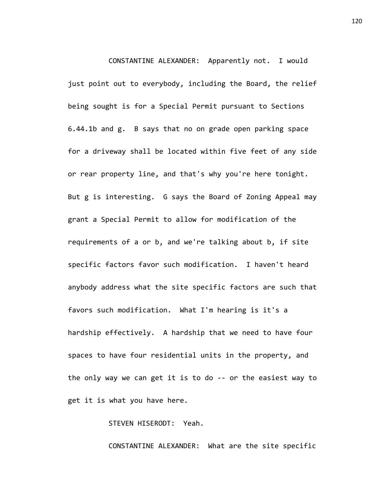CONSTANTINE ALEXANDER: Apparently not. I would just point out to everybody, including the Board, the relief being sought is for a Special Permit pursuant to Sections 6.44.1b and g. B says that no on grade open parking space for a driveway shall be located within five feet of any side or rear property line, and that's why you're here tonight. But g is interesting. G says the Board of Zoning Appeal may grant a Special Permit to allow for modification of the requirements of a or b, and we're talking about b, if site specific factors favor such modification. I haven't heard anybody address what the site specific factors are such that favors such modification. What I'm hearing is it's a hardship effectively. A hardship that we need to have four spaces to have four residential units in the property, and the only way we can get it is to do -- or the easiest way to get it is what you have here.

STEVEN HISERODT: Yeah.

CONSTANTINE ALEXANDER: What are the site specific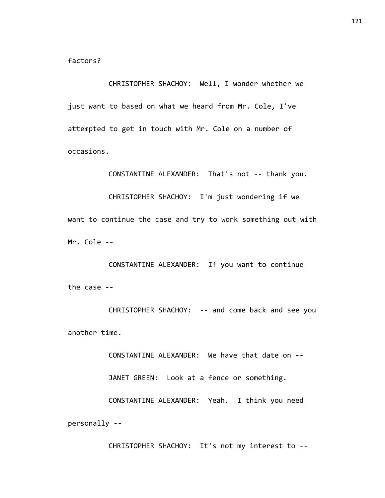factors?

CHRISTOPHER SHACHOY: Well, I wonder whether we just want to based on what we heard from Mr. Cole, I've attempted to get in touch with Mr. Cole on a number of occasions.

CONSTANTINE ALEXANDER: That's not -- thank you.

CHRISTOPHER SHACHOY: I'm just wondering if we want to continue the case and try to work something out with Mr. Cole --

CONSTANTINE ALEXANDER: If you want to continue the case --

CHRISTOPHER SHACHOY: -- and come back and see you another time.

CONSTANTINE ALEXANDER: We have that date on -- JANET GREEN: Look at a fence or something. CONSTANTINE ALEXANDER: Yeah. I think you need personally --

CHRISTOPHER SHACHOY: It's not my interest to --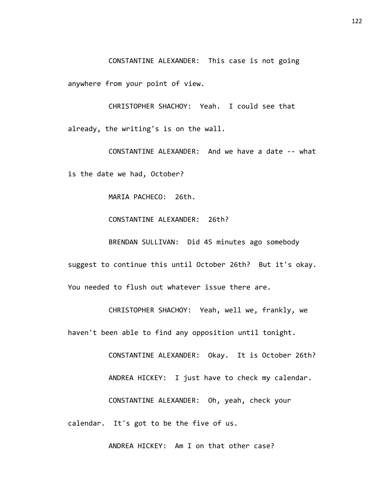CONSTANTINE ALEXANDER: This case is not going

anywhere from your point of view.

CHRISTOPHER SHACHOY: Yeah. I could see that already, the writing's is on the wall.

CONSTANTINE ALEXANDER: And we have a date -- what is the date we had, October?

MARIA PACHECO: 26th.

CONSTANTINE ALEXANDER: 26th?

BRENDAN SULLIVAN: Did 45 minutes ago somebody suggest to continue this until October 26th? But it's okay. You needed to flush out whatever issue there are.

CHRISTOPHER SHACHOY: Yeah, well we, frankly, we haven't been able to find any opposition until tonight.

CONSTANTINE ALEXANDER: Okay. It is October 26th? ANDREA HICKEY: I just have to check my calendar. CONSTANTINE ALEXANDER: Oh, yeah, check your calendar. It's got to be the five of us.

ANDREA HICKEY: Am I on that other case?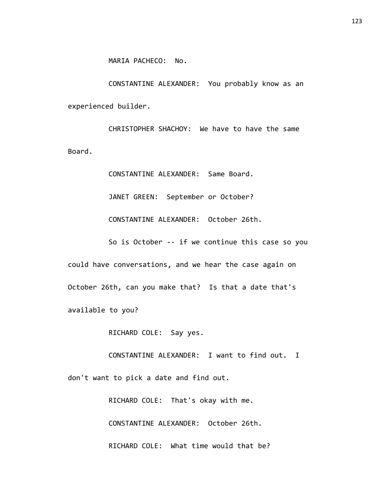CONSTANTINE ALEXANDER: You probably know as an experienced builder.

CHRISTOPHER SHACHOY: We have to have the same Board.

> CONSTANTINE ALEXANDER: Same Board. JANET GREEN: September or October? CONSTANTINE ALEXANDER: October 26th.

So is October -- if we continue this case so you could have conversations, and we hear the case again on October 26th, can you make that? Is that a date that's available to you?

RICHARD COLE: Say yes.

CONSTANTINE ALEXANDER: I want to find out. I don't want to pick a date and find out.

> RICHARD COLE: That's okay with me. CONSTANTINE ALEXANDER: October 26th. RICHARD COLE: What time would that be?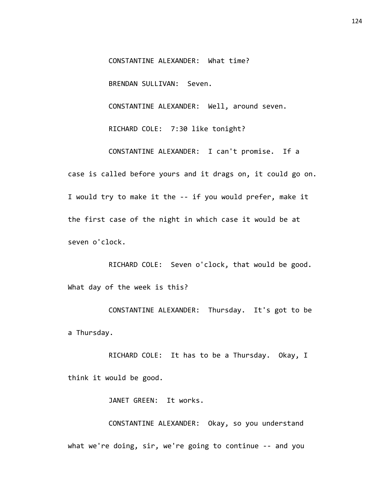CONSTANTINE ALEXANDER: What time?

BRENDAN SULLIVAN: Seven.

CONSTANTINE ALEXANDER: Well, around seven.

RICHARD COLE: 7:30 like tonight?

CONSTANTINE ALEXANDER: I can't promise. If a case is called before yours and it drags on, it could go on. I would try to make it the -- if you would prefer, make it the first case of the night in which case it would be at seven o'clock.

RICHARD COLE: Seven o'clock, that would be good. What day of the week is this?

CONSTANTINE ALEXANDER: Thursday. It's got to be a Thursday.

RICHARD COLE: It has to be a Thursday. Okay, I think it would be good.

JANET GREEN: It works.

CONSTANTINE ALEXANDER: Okay, so you understand what we're doing, sir, we're going to continue -- and you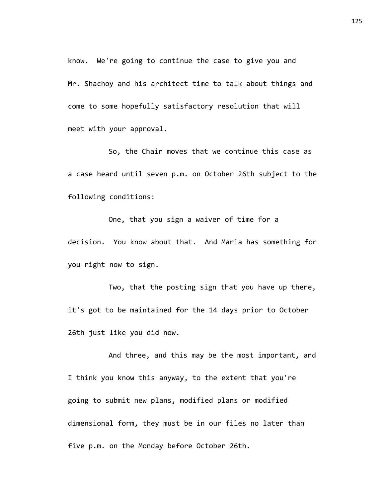know. We're going to continue the case to give you and Mr. Shachoy and his architect time to talk about things and come to some hopefully satisfactory resolution that will meet with your approval.

So, the Chair moves that we continue this case as a case heard until seven p.m. on October 26th subject to the following conditions:

One, that you sign a waiver of time for a decision. You know about that. And Maria has something for you right now to sign.

Two, that the posting sign that you have up there, it's got to be maintained for the 14 days prior to October 26th just like you did now.

And three, and this may be the most important, and I think you know this anyway, to the extent that you're going to submit new plans, modified plans or modified dimensional form, they must be in our files no later than five p.m. on the Monday before October 26th.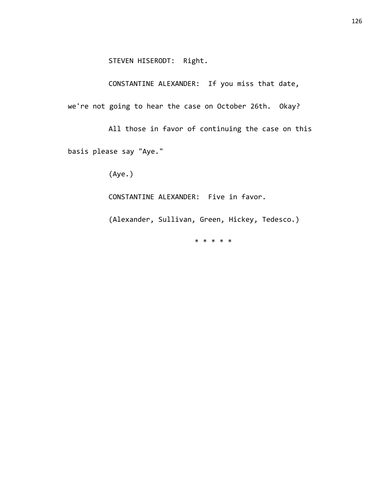CONSTANTINE ALEXANDER: If you miss that date, we're not going to hear the case on October 26th. Okay?

All those in favor of continuing the case on this basis please say "Aye."

(Aye.)

CONSTANTINE ALEXANDER: Five in favor.

(Alexander, Sullivan, Green, Hickey, Tedesco.)

\* \* \* \* \*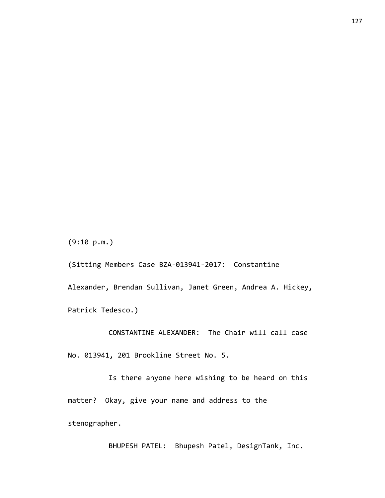(9:10 p.m.)

(Sitting Members Case BZA-013941-2017: Constantine Alexander, Brendan Sullivan, Janet Green, Andrea A. Hickey, Patrick Tedesco.)

CONSTANTINE ALEXANDER: The Chair will call case No. 013941, 201 Brookline Street No. 5.

Is there anyone here wishing to be heard on this matter? Okay, give your name and address to the stenographer.

BHUPESH PATEL: Bhupesh Patel, DesignTank, Inc.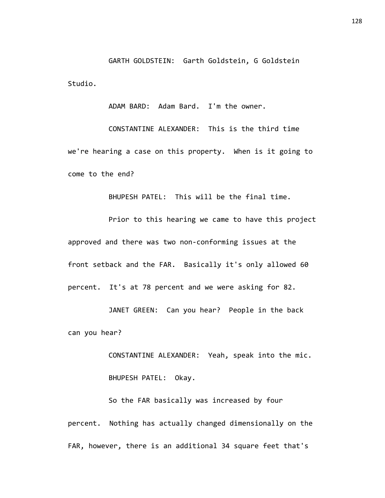GARTH GOLDSTEIN: Garth Goldstein, G Goldstein Studio.

ADAM BARD: Adam Bard. I'm the owner.

CONSTANTINE ALEXANDER: This is the third time we're hearing a case on this property. When is it going to come to the end?

BHUPESH PATEL: This will be the final time.

Prior to this hearing we came to have this project approved and there was two non-conforming issues at the front setback and the FAR. Basically it's only allowed 60 percent. It's at 78 percent and we were asking for 82.

JANET GREEN: Can you hear? People in the back can you hear?

> CONSTANTINE ALEXANDER: Yeah, speak into the mic. BHUPESH PATEL: Okay.

So the FAR basically was increased by four percent. Nothing has actually changed dimensionally on the FAR, however, there is an additional 34 square feet that's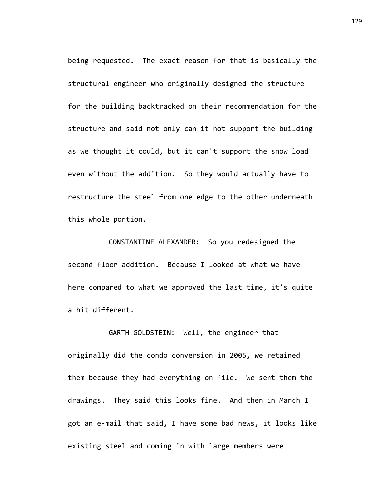being requested. The exact reason for that is basically the structural engineer who originally designed the structure for the building backtracked on their recommendation for the structure and said not only can it not support the building as we thought it could, but it can't support the snow load even without the addition. So they would actually have to restructure the steel from one edge to the other underneath this whole portion.

CONSTANTINE ALEXANDER: So you redesigned the second floor addition. Because I looked at what we have here compared to what we approved the last time, it's quite a bit different.

originally did the condo conversion in 2005, we retained them because they had everything on file. We sent them the drawings. They said this looks fine. And then in March I got an e-mail that said, I have some bad news, it looks like existing steel and coming in with large members were

GARTH GOLDSTEIN: Well, the engineer that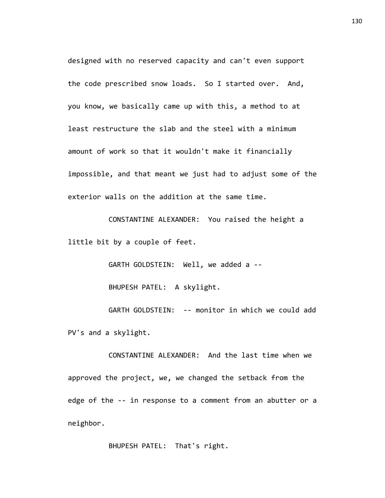designed with no reserved capacity and can't even support the code prescribed snow loads. So I started over. And, you know, we basically came up with this, a method to at least restructure the slab and the steel with a minimum amount of work so that it wouldn't make it financially impossible, and that meant we just had to adjust some of the exterior walls on the addition at the same time.

CONSTANTINE ALEXANDER: You raised the height a little bit by a couple of feet.

> GARTH GOLDSTEIN: Well, we added a -- BHUPESH PATEL: A skylight.

GARTH GOLDSTEIN: -- monitor in which we could add PV's and a skylight.

CONSTANTINE ALEXANDER: And the last time when we approved the project, we, we changed the setback from the edge of the -- in response to a comment from an abutter or a neighbor.

BHUPESH PATEL: That's right.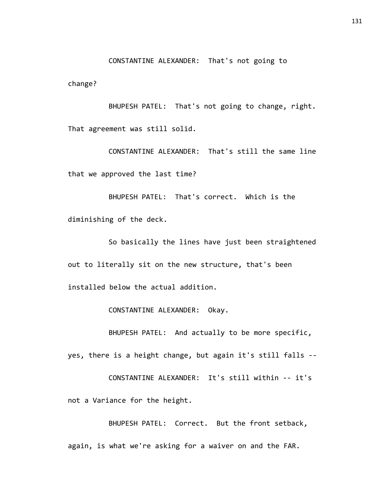CONSTANTINE ALEXANDER: That's not going to

change?

BHUPESH PATEL: That's not going to change, right. That agreement was still solid.

CONSTANTINE ALEXANDER: That's still the same line that we approved the last time?

BHUPESH PATEL: That's correct. Which is the diminishing of the deck.

So basically the lines have just been straightened out to literally sit on the new structure, that's been installed below the actual addition.

CONSTANTINE ALEXANDER: Okay.

BHUPESH PATEL: And actually to be more specific, yes, there is a height change, but again it's still falls --

CONSTANTINE ALEXANDER: It's still within -- it's not a Variance for the height.

BHUPESH PATEL: Correct. But the front setback, again, is what we're asking for a waiver on and the FAR.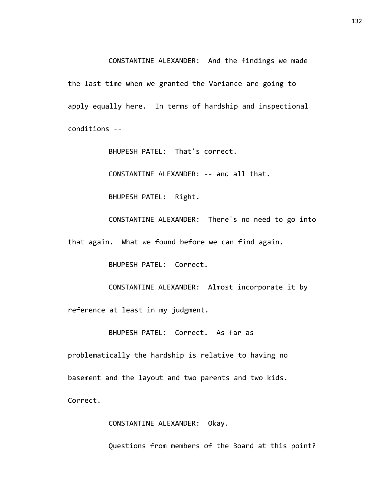CONSTANTINE ALEXANDER: And the findings we made the last time when we granted the Variance are going to apply equally here. In terms of hardship and inspectional conditions --

BHUPESH PATEL: That's correct.

CONSTANTINE ALEXANDER: -- and all that.

BHUPESH PATEL: Right.

CONSTANTINE ALEXANDER: There's no need to go into

that again. What we found before we can find again.

BHUPESH PATEL: Correct.

CONSTANTINE ALEXANDER: Almost incorporate it by reference at least in my judgment.

BHUPESH PATEL: Correct. As far as

problematically the hardship is relative to having no basement and the layout and two parents and two kids. Correct.

CONSTANTINE ALEXANDER: Okay.

Questions from members of the Board at this point?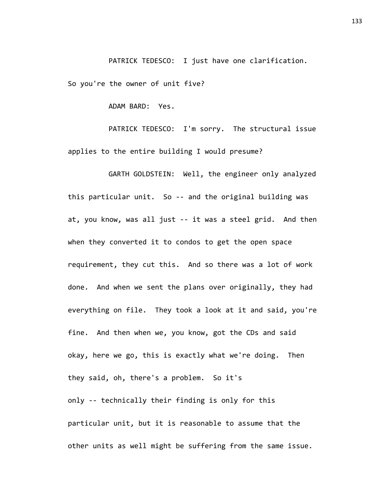PATRICK TEDESCO: I just have one clarification.

So you're the owner of unit five?

ADAM BARD: Yes.

PATRICK TEDESCO: I'm sorry. The structural issue applies to the entire building I would presume?

GARTH GOLDSTEIN: Well, the engineer only analyzed this particular unit. So -- and the original building was at, you know, was all just -- it was a steel grid. And then when they converted it to condos to get the open space requirement, they cut this. And so there was a lot of work done. And when we sent the plans over originally, they had everything on file. They took a look at it and said, you're fine. And then when we, you know, got the CDs and said okay, here we go, this is exactly what we're doing. Then they said, oh, there's a problem. So it's only -- technically their finding is only for this particular unit, but it is reasonable to assume that the other units as well might be suffering from the same issue.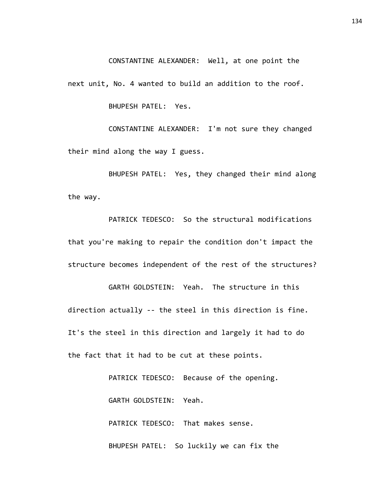CONSTANTINE ALEXANDER: Well, at one point the

next unit, No. 4 wanted to build an addition to the roof.

BHUPESH PATEL: Yes.

CONSTANTINE ALEXANDER: I'm not sure they changed their mind along the way I guess.

BHUPESH PATEL: Yes, they changed their mind along the way.

PATRICK TEDESCO: So the structural modifications that you're making to repair the condition don't impact the structure becomes independent of the rest of the structures?

GARTH GOLDSTEIN: Yeah. The structure in this direction actually -- the steel in this direction is fine. It's the steel in this direction and largely it had to do the fact that it had to be cut at these points.

> PATRICK TEDESCO: Because of the opening. GARTH GOLDSTEIN: Yeah. PATRICK TEDESCO: That makes sense. BHUPESH PATEL: So luckily we can fix the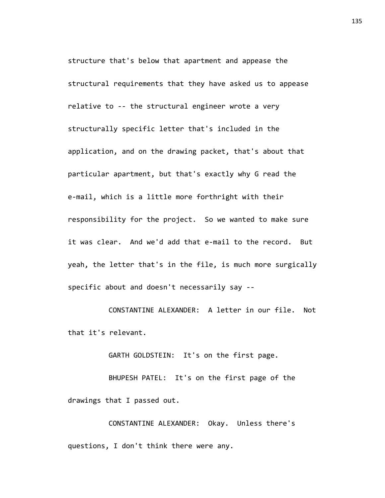structure that's below that apartment and appease the structural requirements that they have asked us to appease relative to -- the structural engineer wrote a very structurally specific letter that's included in the application, and on the drawing packet, that's about that particular apartment, but that's exactly why G read the e-mail, which is a little more forthright with their responsibility for the project. So we wanted to make sure it was clear. And we'd add that e-mail to the record. But yeah, the letter that's in the file, is much more surgically specific about and doesn't necessarily say --

CONSTANTINE ALEXANDER: A letter in our file. Not that it's relevant.

GARTH GOLDSTEIN: It's on the first page.

BHUPESH PATEL: It's on the first page of the drawings that I passed out.

CONSTANTINE ALEXANDER: Okay. Unless there's questions, I don't think there were any.

135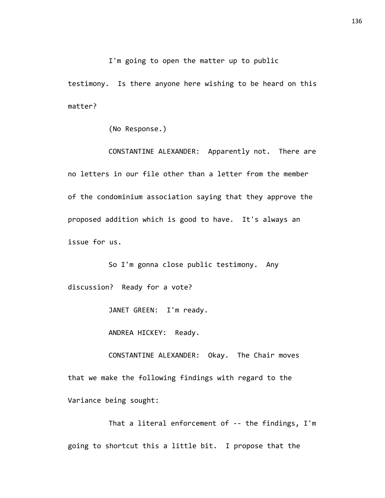I'm going to open the matter up to public

testimony. Is there anyone here wishing to be heard on this matter?

(No Response.)

CONSTANTINE ALEXANDER: Apparently not. There are no letters in our file other than a letter from the member of the condominium association saying that they approve the proposed addition which is good to have. It's always an issue for us.

So I'm gonna close public testimony. Any discussion? Ready for a vote?

JANET GREEN: I'm ready.

ANDREA HICKEY: Ready.

CONSTANTINE ALEXANDER: Okay. The Chair moves that we make the following findings with regard to the Variance being sought:

That a literal enforcement of -- the findings, I'm going to shortcut this a little bit. I propose that the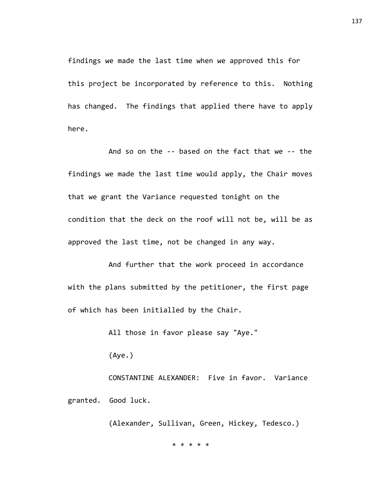findings we made the last time when we approved this for this project be incorporated by reference to this. Nothing has changed. The findings that applied there have to apply here.

And so on the -- based on the fact that we -- the findings we made the last time would apply, the Chair moves that we grant the Variance requested tonight on the condition that the deck on the roof will not be, will be as approved the last time, not be changed in any way.

And further that the work proceed in accordance with the plans submitted by the petitioner, the first page of which has been initialled by the Chair.

All those in favor please say "Aye."

(Aye.)

CONSTANTINE ALEXANDER: Five in favor. Variance

granted. Good luck.

(Alexander, Sullivan, Green, Hickey, Tedesco.)

\* \* \* \* \*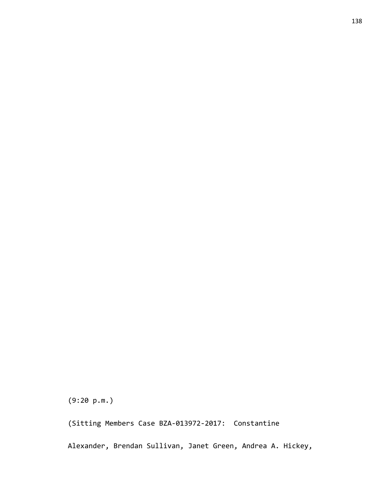(9:20 p.m.)

(Sitting Members Case BZA-013972-2017: Constantine

Alexander, Brendan Sullivan, Janet Green, Andrea A. Hickey,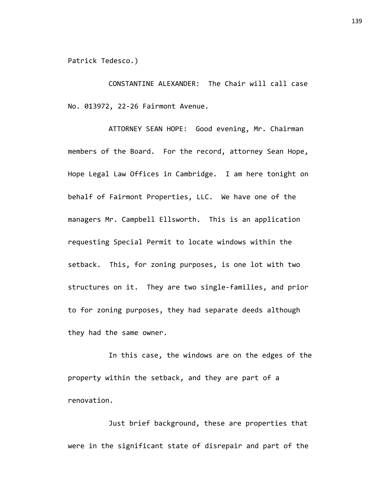Patrick Tedesco.)

CONSTANTINE ALEXANDER: The Chair will call case No. 013972, 22-26 Fairmont Avenue.

ATTORNEY SEAN HOPE: Good evening, Mr. Chairman members of the Board. For the record, attorney Sean Hope, Hope Legal Law Offices in Cambridge. I am here tonight on behalf of Fairmont Properties, LLC. We have one of the managers Mr. Campbell Ellsworth. This is an application requesting Special Permit to locate windows within the setback. This, for zoning purposes, is one lot with two structures on it. They are two single-families, and prior to for zoning purposes, they had separate deeds although they had the same owner.

In this case, the windows are on the edges of the property within the setback, and they are part of a renovation.

Just brief background, these are properties that were in the significant state of disrepair and part of the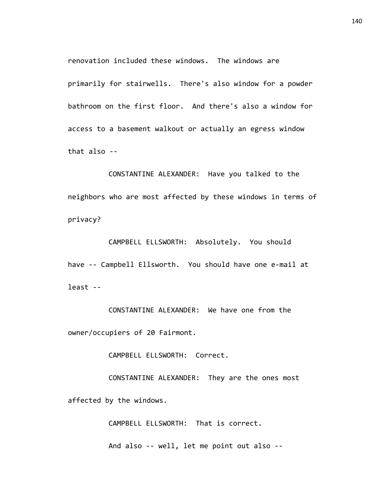renovation included these windows. The windows are primarily for stairwells. There's also window for a powder bathroom on the first floor. And there's also a window for access to a basement walkout or actually an egress window that also --

CONSTANTINE ALEXANDER: Have you talked to the neighbors who are most affected by these windows in terms of privacy?

CAMPBELL ELLSWORTH: Absolutely. You should have -- Campbell Ellsworth. You should have one e-mail at least --

CONSTANTINE ALEXANDER: We have one from the owner/occupiers of 20 Fairmont.

CAMPBELL ELLSWORTH: Correct.

CONSTANTINE ALEXANDER: They are the ones most affected by the windows.

CAMPBELL ELLSWORTH: That is correct.

And also -- well, let me point out also --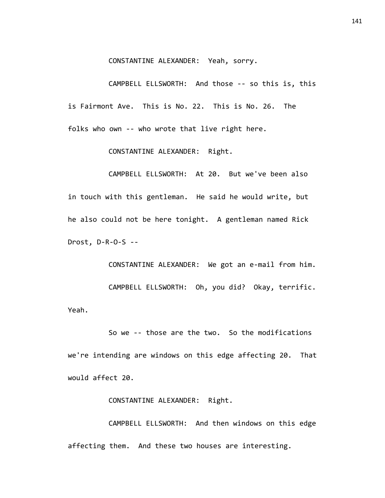CONSTANTINE ALEXANDER: Yeah, sorry.

CAMPBELL ELLSWORTH: And those -- so this is, this is Fairmont Ave. This is No. 22. This is No. 26. The folks who own -- who wrote that live right here.

CONSTANTINE ALEXANDER: Right.

CAMPBELL ELLSWORTH: At 20. But we've been also in touch with this gentleman. He said he would write, but he also could not be here tonight. A gentleman named Rick Drost, D-R-O-S --

CONSTANTINE ALEXANDER: We got an e-mail from him. CAMPBELL ELLSWORTH: Oh, you did? Okay, terrific. Yeah.

So we -- those are the two. So the modifications we're intending are windows on this edge affecting 20. That would affect 20.

CONSTANTINE ALEXANDER: Right.

CAMPBELL ELLSWORTH: And then windows on this edge affecting them. And these two houses are interesting.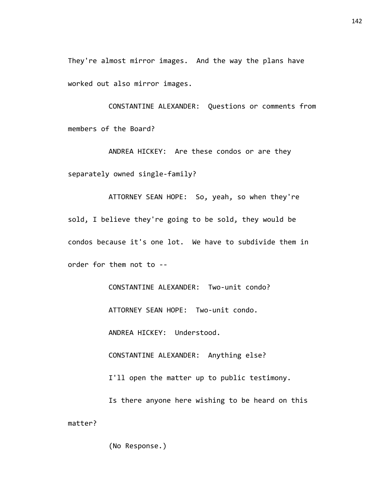They're almost mirror images. And the way the plans have worked out also mirror images.

CONSTANTINE ALEXANDER: Questions or comments from members of the Board?

ANDREA HICKEY: Are these condos or are they separately owned single-family?

ATTORNEY SEAN HOPE: So, yeah, so when they're sold, I believe they're going to be sold, they would be condos because it's one lot. We have to subdivide them in order for them not to --

CONSTANTINE ALEXANDER: Two-unit condo?

ATTORNEY SEAN HOPE: Two-unit condo.

ANDREA HICKEY: Understood.

CONSTANTINE ALEXANDER: Anything else?

I'll open the matter up to public testimony.

Is there anyone here wishing to be heard on this matter?

(No Response.)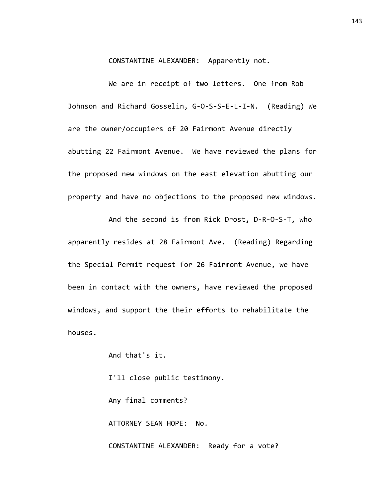CONSTANTINE ALEXANDER: Apparently not.

We are in receipt of two letters. One from Rob Johnson and Richard Gosselin, G-O-S-S-E-L-I-N. (Reading) We are the owner/occupiers of 20 Fairmont Avenue directly abutting 22 Fairmont Avenue. We have reviewed the plans for the proposed new windows on the east elevation abutting our property and have no objections to the proposed new windows.

And the second is from Rick Drost, D-R-O-S-T, who apparently resides at 28 Fairmont Ave. (Reading) Regarding the Special Permit request for 26 Fairmont Avenue, we have been in contact with the owners, have reviewed the proposed windows, and support the their efforts to rehabilitate the houses.

And that's it.

I'll close public testimony. Any final comments? ATTORNEY SEAN HOPE: No. CONSTANTINE ALEXANDER: Ready for a vote?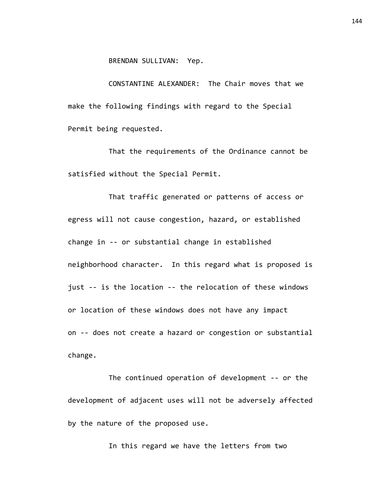BRENDAN SULLIVAN: Yep.

CONSTANTINE ALEXANDER: The Chair moves that we make the following findings with regard to the Special Permit being requested.

That the requirements of the Ordinance cannot be satisfied without the Special Permit.

That traffic generated or patterns of access or egress will not cause congestion, hazard, or established change in -- or substantial change in established neighborhood character. In this regard what is proposed is just -- is the location -- the relocation of these windows or location of these windows does not have any impact on -- does not create a hazard or congestion or substantial change.

The continued operation of development -- or the development of adjacent uses will not be adversely affected by the nature of the proposed use.

In this regard we have the letters from two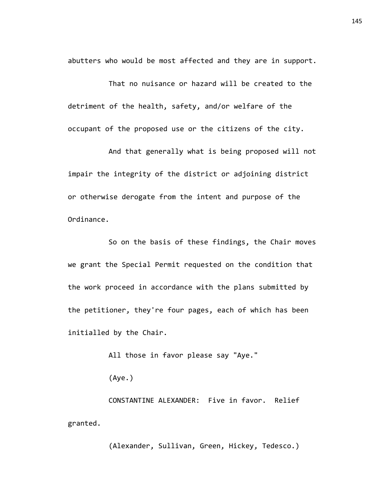abutters who would be most affected and they are in support.

That no nuisance or hazard will be created to the detriment of the health, safety, and/or welfare of the occupant of the proposed use or the citizens of the city.

And that generally what is being proposed will not impair the integrity of the district or adjoining district or otherwise derogate from the intent and purpose of the Ordinance.

So on the basis of these findings, the Chair moves we grant the Special Permit requested on the condition that the work proceed in accordance with the plans submitted by the petitioner, they're four pages, each of which has been initialled by the Chair.

All those in favor please say "Aye."

(Aye.)

CONSTANTINE ALEXANDER: Five in favor. Relief granted.

(Alexander, Sullivan, Green, Hickey, Tedesco.)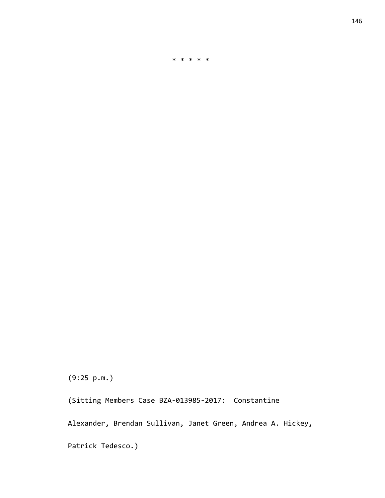(9:25 p.m.)

(Sitting Members Case BZA-013985-2017: Constantine

Alexander, Brendan Sullivan, Janet Green, Andrea A. Hickey,

\* \* \* \* \*

Patrick Tedesco.)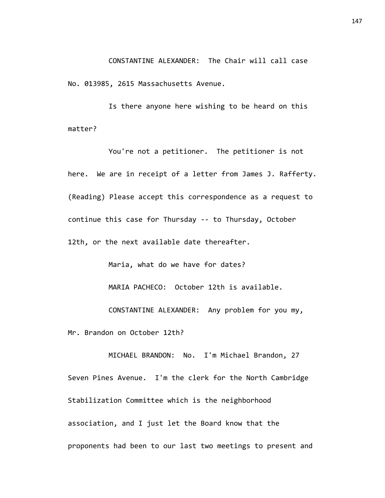CONSTANTINE ALEXANDER: The Chair will call case No. 013985, 2615 Massachusetts Avenue.

Is there anyone here wishing to be heard on this matter?

You're not a petitioner. The petitioner is not here. We are in receipt of a letter from James J. Rafferty. (Reading) Please accept this correspondence as a request to continue this case for Thursday -- to Thursday, October 12th, or the next available date thereafter.

Maria, what do we have for dates?

MARIA PACHECO: October 12th is available.

CONSTANTINE ALEXANDER: Any problem for you my,

Mr. Brandon on October 12th?

MICHAEL BRANDON: No. I'm Michael Brandon, 27 Seven Pines Avenue. I'm the clerk for the North Cambridge Stabilization Committee which is the neighborhood association, and I just let the Board know that the proponents had been to our last two meetings to present and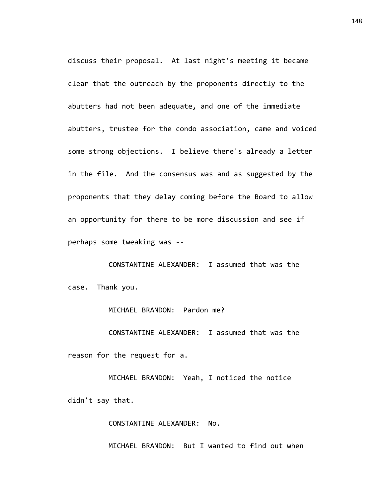discuss their proposal. At last night's meeting it became clear that the outreach by the proponents directly to the abutters had not been adequate, and one of the immediate abutters, trustee for the condo association, came and voiced some strong objections. I believe there's already a letter in the file. And the consensus was and as suggested by the proponents that they delay coming before the Board to allow an opportunity for there to be more discussion and see if perhaps some tweaking was --

CONSTANTINE ALEXANDER: I assumed that was the case. Thank you.

MICHAEL BRANDON: Pardon me?

CONSTANTINE ALEXANDER: I assumed that was the reason for the request for a.

MICHAEL BRANDON: Yeah, I noticed the notice didn't say that.

CONSTANTINE ALEXANDER: No.

MICHAEL BRANDON: But I wanted to find out when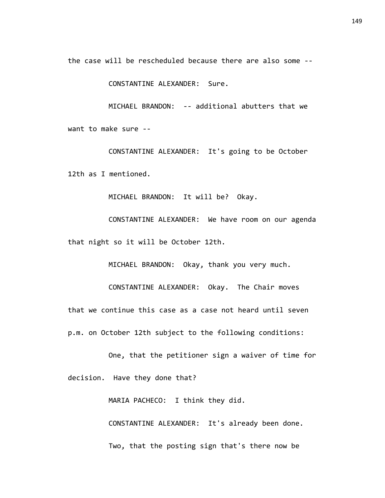the case will be rescheduled because there are also some --

CONSTANTINE ALEXANDER: Sure.

MICHAEL BRANDON: -- additional abutters that we want to make sure --

CONSTANTINE ALEXANDER: It's going to be October 12th as I mentioned.

MICHAEL BRANDON: It will be? Okay.

CONSTANTINE ALEXANDER: We have room on our agenda that night so it will be October 12th.

MICHAEL BRANDON: Okay, thank you very much.

CONSTANTINE ALEXANDER: Okay. The Chair moves that we continue this case as a case not heard until seven p.m. on October 12th subject to the following conditions:

One, that the petitioner sign a waiver of time for decision. Have they done that?

MARIA PACHECO: I think they did.

CONSTANTINE ALEXANDER: It's already been done. Two, that the posting sign that's there now be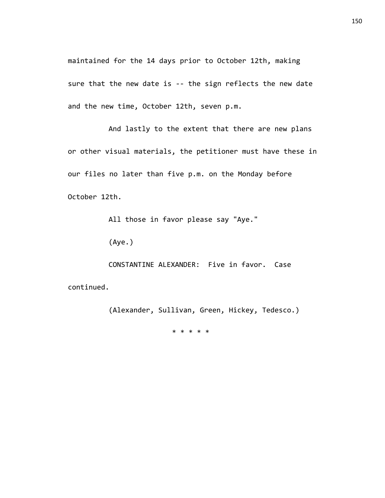maintained for the 14 days prior to October 12th, making sure that the new date is -- the sign reflects the new date and the new time, October 12th, seven p.m.

And lastly to the extent that there are new plans or other visual materials, the petitioner must have these in our files no later than five p.m. on the Monday before October 12th.

All those in favor please say "Aye."

(Aye.)

CONSTANTINE ALEXANDER: Five in favor. Case

continued.

(Alexander, Sullivan, Green, Hickey, Tedesco.)

\* \* \* \* \*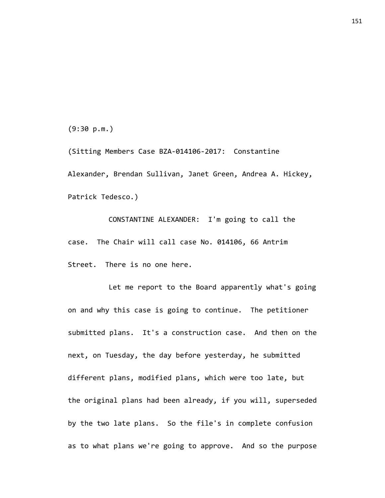(9:30 p.m.)

(Sitting Members Case BZA-014106-2017: Constantine Alexander, Brendan Sullivan, Janet Green, Andrea A. Hickey, Patrick Tedesco.)

CONSTANTINE ALEXANDER: I'm going to call the case. The Chair will call case No. 014106, 66 Antrim Street. There is no one here.

Let me report to the Board apparently what's going on and why this case is going to continue. The petitioner submitted plans. It's a construction case. And then on the next, on Tuesday, the day before yesterday, he submitted different plans, modified plans, which were too late, but the original plans had been already, if you will, superseded by the two late plans. So the file's in complete confusion as to what plans we're going to approve. And so the purpose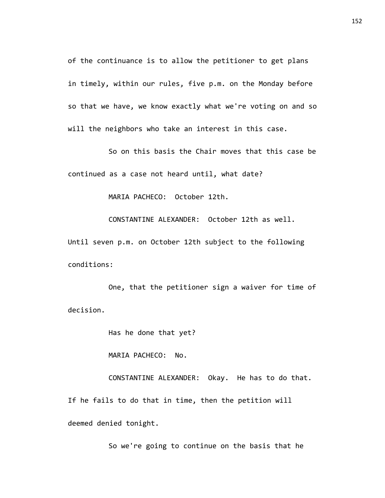of the continuance is to allow the petitioner to get plans in timely, within our rules, five p.m. on the Monday before so that we have, we know exactly what we're voting on and so will the neighbors who take an interest in this case.

So on this basis the Chair moves that this case be continued as a case not heard until, what date?

MARIA PACHECO: October 12th.

CONSTANTINE ALEXANDER: October 12th as well.

Until seven p.m. on October 12th subject to the following conditions:

One, that the petitioner sign a waiver for time of decision.

Has he done that yet?

MARIA PACHECO: No.

CONSTANTINE ALEXANDER: Okay. He has to do that. If he fails to do that in time, then the petition will deemed denied tonight.

So we're going to continue on the basis that he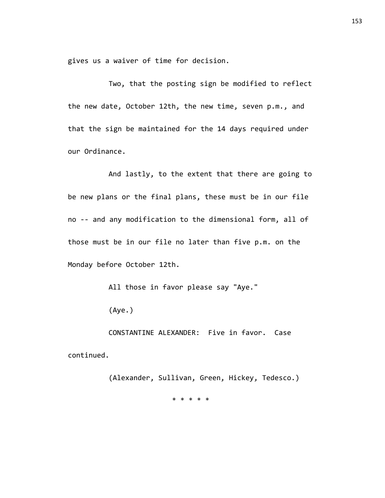gives us a waiver of time for decision.

Two, that the posting sign be modified to reflect the new date, October 12th, the new time, seven p.m., and that the sign be maintained for the 14 days required under our Ordinance.

And lastly, to the extent that there are going to be new plans or the final plans, these must be in our file no -- and any modification to the dimensional form, all of those must be in our file no later than five p.m. on the Monday before October 12th.

All those in favor please say "Aye."

(Aye.)

CONSTANTINE ALEXANDER: Five in favor. Case continued.

> (Alexander, Sullivan, Green, Hickey, Tedesco.) \* \* \* \* \*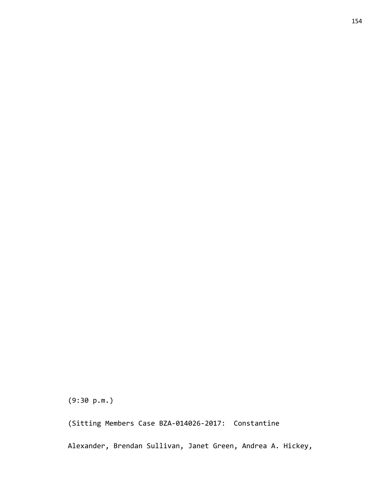(9:30 p.m.)

(Sitting Members Case BZA-014026-2017: Constantine

Alexander, Brendan Sullivan, Janet Green, Andrea A. Hickey,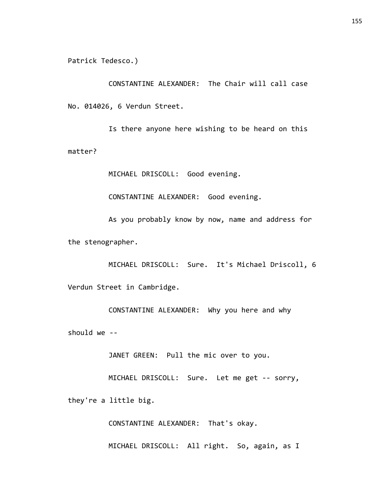Patrick Tedesco.)

CONSTANTINE ALEXANDER: The Chair will call case No. 014026, 6 Verdun Street.

Is there anyone here wishing to be heard on this matter?

MICHAEL DRISCOLL: Good evening.

CONSTANTINE ALEXANDER: Good evening.

As you probably know by now, name and address for the stenographer.

MICHAEL DRISCOLL: Sure. It's Michael Driscoll, 6 Verdun Street in Cambridge.

CONSTANTINE ALEXANDER: Why you here and why should we --

JANET GREEN: Pull the mic over to you.

MICHAEL DRISCOLL: Sure. Let me get -- sorry,

they're a little big.

CONSTANTINE ALEXANDER: That's okay.

MICHAEL DRISCOLL: All right. So, again, as I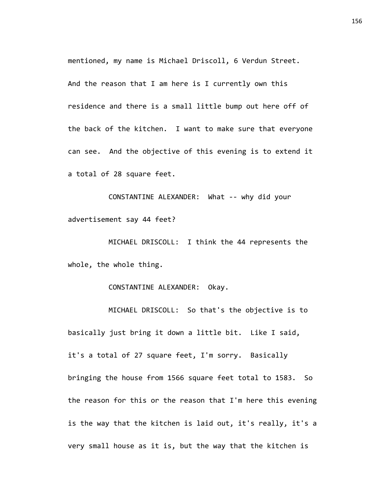mentioned, my name is Michael Driscoll, 6 Verdun Street. And the reason that I am here is I currently own this residence and there is a small little bump out here off of the back of the kitchen. I want to make sure that everyone can see. And the objective of this evening is to extend it a total of 28 square feet.

CONSTANTINE ALEXANDER: What -- why did your advertisement say 44 feet?

MICHAEL DRISCOLL: I think the 44 represents the whole, the whole thing.

CONSTANTINE ALEXANDER: Okay.

MICHAEL DRISCOLL: So that's the objective is to basically just bring it down a little bit. Like I said, it's a total of 27 square feet, I'm sorry. Basically bringing the house from 1566 square feet total to 1583. So the reason for this or the reason that I'm here this evening is the way that the kitchen is laid out, it's really, it's a very small house as it is, but the way that the kitchen is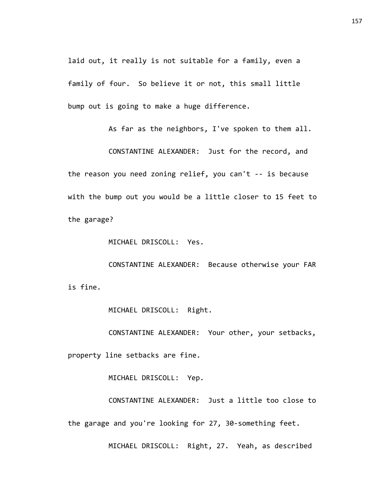laid out, it really is not suitable for a family, even a family of four. So believe it or not, this small little bump out is going to make a huge difference.

As far as the neighbors, I've spoken to them all.

CONSTANTINE ALEXANDER: Just for the record, and the reason you need zoning relief, you can't -- is because with the bump out you would be a little closer to 15 feet to the garage?

MICHAEL DRISCOLL: Yes.

CONSTANTINE ALEXANDER: Because otherwise your FAR is fine.

MICHAEL DRISCOLL: Right.

CONSTANTINE ALEXANDER: Your other, your setbacks,

property line setbacks are fine.

MICHAEL DRISCOLL: Yep.

CONSTANTINE ALEXANDER: Just a little too close to the garage and you're looking for 27, 30-something feet.

MICHAEL DRISCOLL: Right, 27. Yeah, as described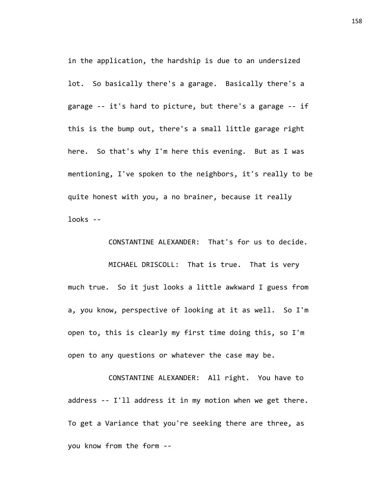in the application, the hardship is due to an undersized lot. So basically there's a garage. Basically there's a garage -- it's hard to picture, but there's a garage -- if this is the bump out, there's a small little garage right here. So that's why I'm here this evening. But as I was mentioning, I've spoken to the neighbors, it's really to be quite honest with you, a no brainer, because it really  $l\nooks - -$ 

CONSTANTINE ALEXANDER: That's for us to decide.

MICHAEL DRISCOLL: That is true. That is very much true. So it just looks a little awkward I guess from a, you know, perspective of looking at it as well. So I'm open to, this is clearly my first time doing this, so I'm open to any questions or whatever the case may be.

CONSTANTINE ALEXANDER: All right. You have to address -- I'll address it in my motion when we get there. To get a Variance that you're seeking there are three, as you know from the form --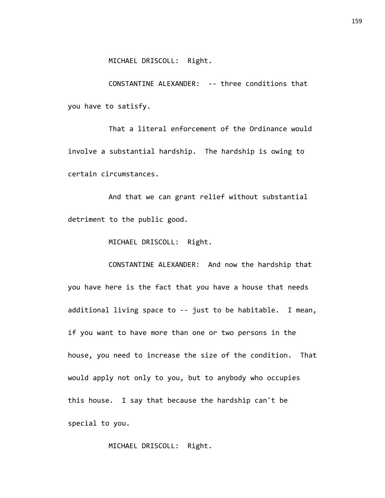CONSTANTINE ALEXANDER: -- three conditions that you have to satisfy.

That a literal enforcement of the Ordinance would involve a substantial hardship. The hardship is owing to certain circumstances.

And that we can grant relief without substantial detriment to the public good.

MICHAEL DRISCOLL: Right.

CONSTANTINE ALEXANDER: And now the hardship that you have here is the fact that you have a house that needs additional living space to -- just to be habitable. I mean, if you want to have more than one or two persons in the house, you need to increase the size of the condition. That would apply not only to you, but to anybody who occupies this house. I say that because the hardship can't be special to you.

MICHAEL DRISCOLL: Right.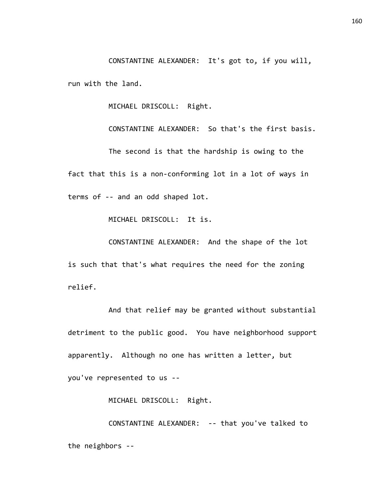CONSTANTINE ALEXANDER: It's got to, if you will, run with the land.

MICHAEL DRISCOLL: Right.

CONSTANTINE ALEXANDER: So that's the first basis. The second is that the hardship is owing to the fact that this is a non-conforming lot in a lot of ways in terms of -- and an odd shaped lot.

MICHAEL DRISCOLL: It is.

CONSTANTINE ALEXANDER: And the shape of the lot is such that that's what requires the need for the zoning relief.

And that relief may be granted without substantial detriment to the public good. You have neighborhood support apparently. Although no one has written a letter, but you've represented to us --

MICHAEL DRISCOLL: Right.

CONSTANTINE ALEXANDER: -- that you've talked to the neighbors --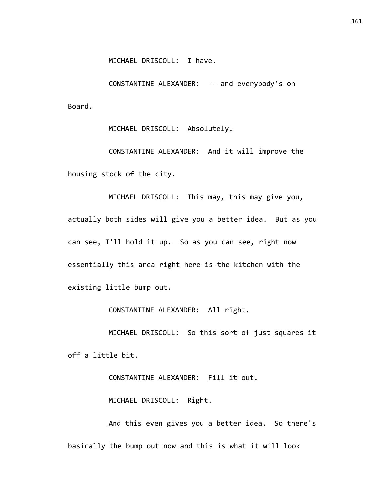MICHAEL DRISCOLL: I have.

CONSTANTINE ALEXANDER: -- and everybody's on Board.

MICHAEL DRISCOLL: Absolutely.

CONSTANTINE ALEXANDER: And it will improve the housing stock of the city.

MICHAEL DRISCOLL: This may, this may give you, actually both sides will give you a better idea. But as you can see, I'll hold it up. So as you can see, right now essentially this area right here is the kitchen with the existing little bump out.

CONSTANTINE ALEXANDER: All right.

MICHAEL DRISCOLL: So this sort of just squares it off a little bit.

CONSTANTINE ALEXANDER: Fill it out.

MICHAEL DRISCOLL: Right.

And this even gives you a better idea. So there's basically the bump out now and this is what it will look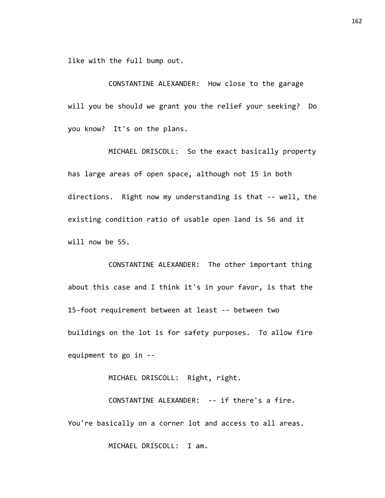like with the full bump out.

CONSTANTINE ALEXANDER: How close to the garage will you be should we grant you the relief your seeking? Do you know? It's on the plans.

MICHAEL DRISCOLL: So the exact basically property has large areas of open space, although not 15 in both directions. Right now my understanding is that -- well, the existing condition ratio of usable open land is 56 and it will now be 55.

CONSTANTINE ALEXANDER: The other important thing about this case and I think it's in your favor, is that the 15-foot requirement between at least -- between two buildings on the lot is for safety purposes. To allow fire equipment to go in --

MICHAEL DRISCOLL: Right, right.

CONSTANTINE ALEXANDER: -- if there's a fire. You're basically on a corner lot and access to all areas.

MICHAEL DRISCOLL: I am.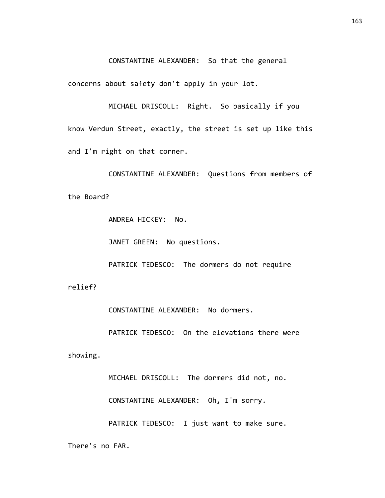CONSTANTINE ALEXANDER: So that the general

concerns about safety don't apply in your lot.

MICHAEL DRISCOLL: Right. So basically if you know Verdun Street, exactly, the street is set up like this and I'm right on that corner.

CONSTANTINE ALEXANDER: Questions from members of the Board?

ANDREA HICKEY: No.

JANET GREEN: No questions.

PATRICK TEDESCO: The dormers do not require

relief?

CONSTANTINE ALEXANDER: No dormers.

PATRICK TEDESCO: On the elevations there were

showing.

MICHAEL DRISCOLL: The dormers did not, no.

CONSTANTINE ALEXANDER: Oh, I'm sorry.

PATRICK TEDESCO: I just want to make sure.

There's no FAR.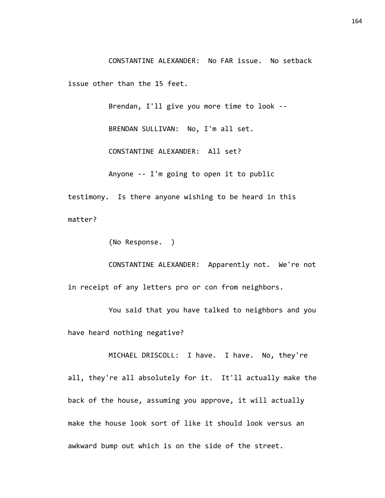CONSTANTINE ALEXANDER: No FAR issue. No setback issue other than the 15 feet.

Brendan, I'll give you more time to look -- BRENDAN SULLIVAN: No, I'm all set. CONSTANTINE ALEXANDER: All set? Anyone -- I'm going to open it to public

testimony. Is there anyone wishing to be heard in this matter?

(No Response. )

CONSTANTINE ALEXANDER: Apparently not. We're not in receipt of any letters pro or con from neighbors.

You said that you have talked to neighbors and you have heard nothing negative?

MICHAEL DRISCOLL: I have. I have. No, they're all, they're all absolutely for it. It'll actually make the back of the house, assuming you approve, it will actually make the house look sort of like it should look versus an awkward bump out which is on the side of the street.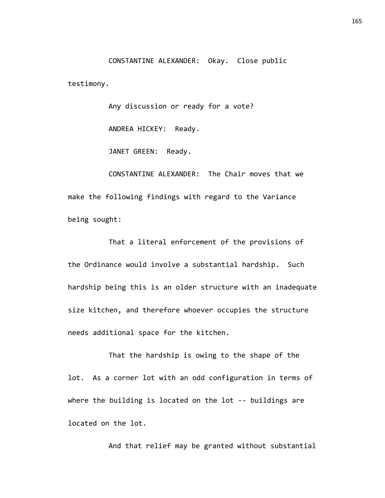CONSTANTINE ALEXANDER: Okay. Close public testimony.

Any discussion or ready for a vote?

ANDREA HICKEY: Ready.

JANET GREEN: Ready.

CONSTANTINE ALEXANDER: The Chair moves that we make the following findings with regard to the Variance being sought:

That a literal enforcement of the provisions of the Ordinance would involve a substantial hardship. Such hardship being this is an older structure with an inadequate size kitchen, and therefore whoever occupies the structure needs additional space for the kitchen.

That the hardship is owing to the shape of the lot. As a corner lot with an odd configuration in terms of where the building is located on the lot -- buildings are located on the lot.

And that relief may be granted without substantial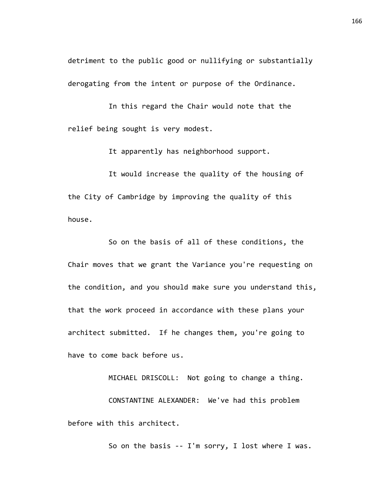detriment to the public good or nullifying or substantially derogating from the intent or purpose of the Ordinance.

In this regard the Chair would note that the relief being sought is very modest.

It apparently has neighborhood support.

It would increase the quality of the housing of the City of Cambridge by improving the quality of this house.

So on the basis of all of these conditions, the Chair moves that we grant the Variance you're requesting on the condition, and you should make sure you understand this, that the work proceed in accordance with these plans your architect submitted. If he changes them, you're going to have to come back before us.

MICHAEL DRISCOLL: Not going to change a thing. CONSTANTINE ALEXANDER: We've had this problem before with this architect.

So on the basis -- I'm sorry, I lost where I was.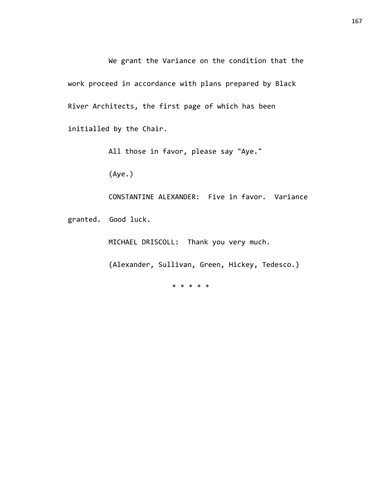We grant the Variance on the condition that the work proceed in accordance with plans prepared by Black River Architects, the first page of which has been initialled by the Chair.

All those in favor, please say "Aye."

(Aye.)

CONSTANTINE ALEXANDER: Five in favor. Variance granted. Good luck.

MICHAEL DRISCOLL: Thank you very much.

(Alexander, Sullivan, Green, Hickey, Tedesco.)

\* \* \* \* \*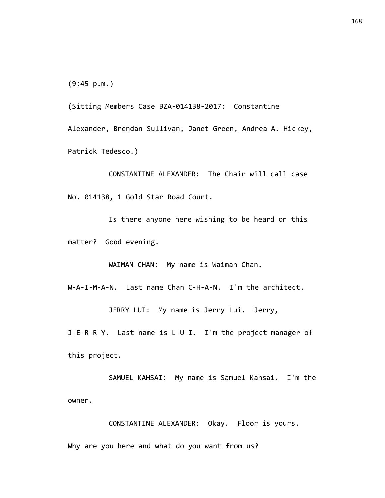(9:45 p.m.)

(Sitting Members Case BZA-014138-2017: Constantine Alexander, Brendan Sullivan, Janet Green, Andrea A. Hickey, Patrick Tedesco.)

CONSTANTINE ALEXANDER: The Chair will call case No. 014138, 1 Gold Star Road Court.

Is there anyone here wishing to be heard on this matter? Good evening.

WAIMAN CHAN: My name is Waiman Chan.

W-A-I-M-A-N. Last name Chan C-H-A-N. I'm the architect.

JERRY LUI: My name is Jerry Lui. Jerry,

J-E-R-R-Y. Last name is L-U-I. I'm the project manager of this project.

SAMUEL KAHSAI: My name is Samuel Kahsai. I'm the owner.

CONSTANTINE ALEXANDER: Okay. Floor is yours. Why are you here and what do you want from us?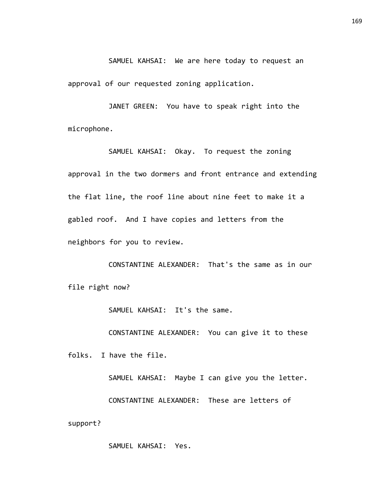SAMUEL KAHSAI: We are here today to request an

approval of our requested zoning application.

JANET GREEN: You have to speak right into the microphone.

SAMUEL KAHSAI: Okay. To request the zoning approval in the two dormers and front entrance and extending the flat line, the roof line about nine feet to make it a gabled roof. And I have copies and letters from the neighbors for you to review.

CONSTANTINE ALEXANDER: That's the same as in our file right now?

SAMUEL KAHSAI: It's the same.

CONSTANTINE ALEXANDER: You can give it to these

folks. I have the file.

SAMUEL KAHSAI: Maybe I can give you the letter. CONSTANTINE ALEXANDER: These are letters of support?

SAMUEL KAHSAI: Yes.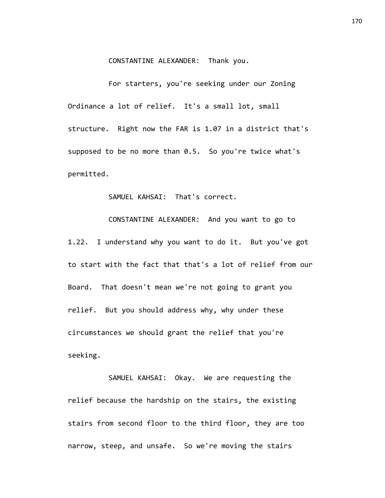## CONSTANTINE ALEXANDER: Thank you.

For starters, you're seeking under our Zoning Ordinance a lot of relief. It's a small lot, small structure. Right now the FAR is 1.07 in a district that's supposed to be no more than 0.5. So you're twice what's permitted.

SAMUEL KAHSAI: That's correct.

CONSTANTINE ALEXANDER: And you want to go to 1.22. I understand why you want to do it. But you've got to start with the fact that that's a lot of relief from our Board. That doesn't mean we're not going to grant you relief. But you should address why, why under these circumstances we should grant the relief that you're seeking.

SAMUEL KAHSAI: Okay. We are requesting the relief because the hardship on the stairs, the existing stairs from second floor to the third floor, they are too narrow, steep, and unsafe. So we're moving the stairs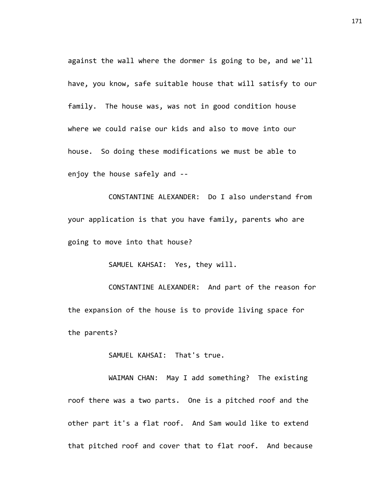against the wall where the dormer is going to be, and we'll have, you know, safe suitable house that will satisfy to our family. The house was, was not in good condition house where we could raise our kids and also to move into our house. So doing these modifications we must be able to enjoy the house safely and --

CONSTANTINE ALEXANDER: Do I also understand from your application is that you have family, parents who are going to move into that house?

SAMUEL KAHSAI: Yes, they will.

CONSTANTINE ALEXANDER: And part of the reason for the expansion of the house is to provide living space for the parents?

SAMUEL KAHSAI: That's true.

WAIMAN CHAN: May I add something? The existing roof there was a two parts. One is a pitched roof and the other part it's a flat roof. And Sam would like to extend that pitched roof and cover that to flat roof. And because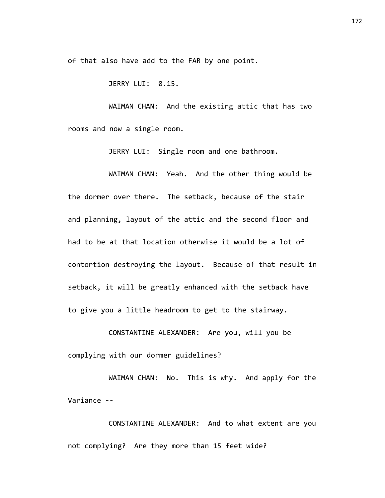of that also have add to the FAR by one point.

JERRY LUI: 0.15.

WAIMAN CHAN: And the existing attic that has two rooms and now a single room.

JERRY LUI: Single room and one bathroom.

WAIMAN CHAN: Yeah. And the other thing would be the dormer over there. The setback, because of the stair and planning, layout of the attic and the second floor and had to be at that location otherwise it would be a lot of contortion destroying the layout. Because of that result in setback, it will be greatly enhanced with the setback have to give you a little headroom to get to the stairway.

CONSTANTINE ALEXANDER: Are you, will you be complying with our dormer guidelines?

WAIMAN CHAN: No. This is why. And apply for the Variance --

CONSTANTINE ALEXANDER: And to what extent are you not complying? Are they more than 15 feet wide?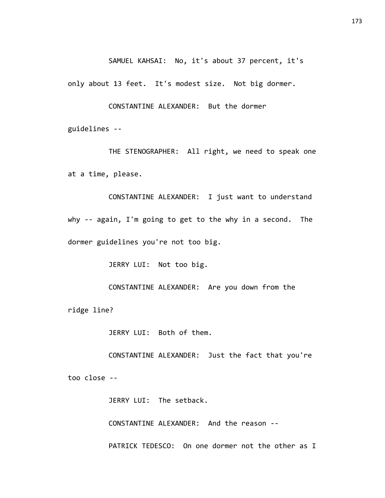SAMUEL KAHSAI: No, it's about 37 percent, it's

only about 13 feet. It's modest size. Not big dormer.

CONSTANTINE ALEXANDER: But the dormer

guidelines --

THE STENOGRAPHER: All right, we need to speak one at a time, please.

CONSTANTINE ALEXANDER: I just want to understand why -- again, I'm going to get to the why in a second. The dormer guidelines you're not too big.

JERRY LUI: Not too big.

CONSTANTINE ALEXANDER: Are you down from the ridge line?

JERRY LUI: Both of them.

CONSTANTINE ALEXANDER: Just the fact that you're too close --

JERRY LUI: The setback.

CONSTANTINE ALEXANDER: And the reason --

PATRICK TEDESCO: On one dormer not the other as I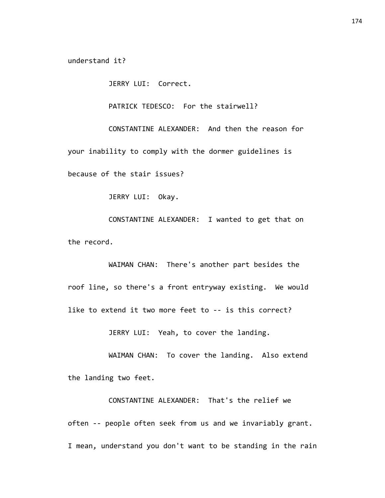understand it?

JERRY LUI: Correct.

PATRICK TEDESCO: For the stairwell?

CONSTANTINE ALEXANDER: And then the reason for your inability to comply with the dormer guidelines is because of the stair issues?

JERRY LUI: Okay.

CONSTANTINE ALEXANDER: I wanted to get that on the record.

WAIMAN CHAN: There's another part besides the roof line, so there's a front entryway existing. We would like to extend it two more feet to -- is this correct?

JERRY LUI: Yeah, to cover the landing.

WAIMAN CHAN: To cover the landing. Also extend the landing two feet.

CONSTANTINE ALEXANDER: That's the relief we often -- people often seek from us and we invariably grant. I mean, understand you don't want to be standing in the rain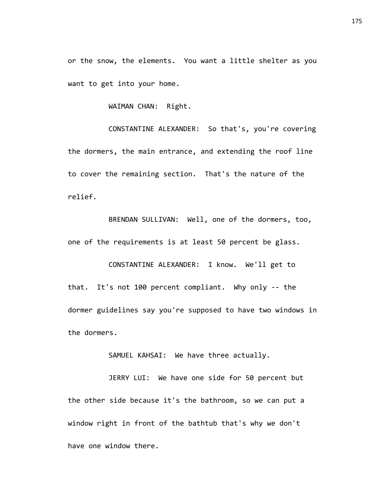or the snow, the elements. You want a little shelter as you want to get into your home.

WAIMAN CHAN: Right.

CONSTANTINE ALEXANDER: So that's, you're covering the dormers, the main entrance, and extending the roof line to cover the remaining section. That's the nature of the relief.

BRENDAN SULLIVAN: Well, one of the dormers, too, one of the requirements is at least 50 percent be glass.

CONSTANTINE ALEXANDER: I know. We'll get to that. It's not 100 percent compliant. Why only -- the dormer guidelines say you're supposed to have two windows in the dormers.

SAMUEL KAHSAI: We have three actually.

JERRY LUI: We have one side for 50 percent but the other side because it's the bathroom, so we can put a window right in front of the bathtub that's why we don't have one window there.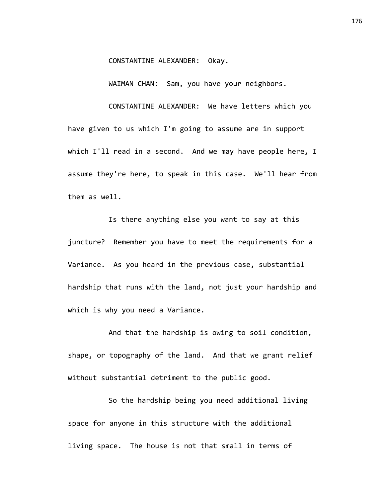## CONSTANTINE ALEXANDER: Okay.

WAIMAN CHAN: Sam, you have your neighbors.

CONSTANTINE ALEXANDER: We have letters which you

have given to us which I'm going to assume are in support which I'll read in a second. And we may have people here, I assume they're here, to speak in this case. We'll hear from them as well.

Is there anything else you want to say at this juncture? Remember you have to meet the requirements for a Variance. As you heard in the previous case, substantial hardship that runs with the land, not just your hardship and which is why you need a Variance.

And that the hardship is owing to soil condition, shape, or topography of the land. And that we grant relief without substantial detriment to the public good.

So the hardship being you need additional living space for anyone in this structure with the additional living space. The house is not that small in terms of

176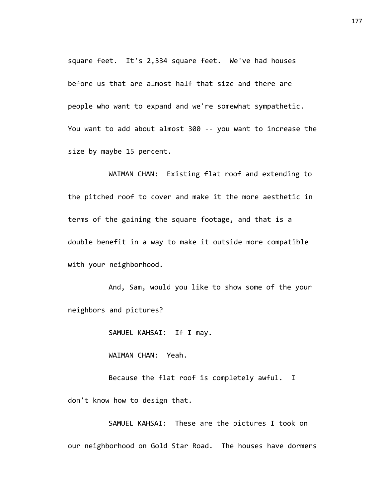square feet. It's 2,334 square feet. We've had houses before us that are almost half that size and there are people who want to expand and we're somewhat sympathetic. You want to add about almost 300 -- you want to increase the size by maybe 15 percent.

WAIMAN CHAN: Existing flat roof and extending to the pitched roof to cover and make it the more aesthetic in terms of the gaining the square footage, and that is a double benefit in a way to make it outside more compatible with your neighborhood.

And, Sam, would you like to show some of the your neighbors and pictures?

SAMUEL KAHSAI: If I may.

WAIMAN CHAN: Yeah.

Because the flat roof is completely awful. I don't know how to design that.

SAMUEL KAHSAI: These are the pictures I took on our neighborhood on Gold Star Road. The houses have dormers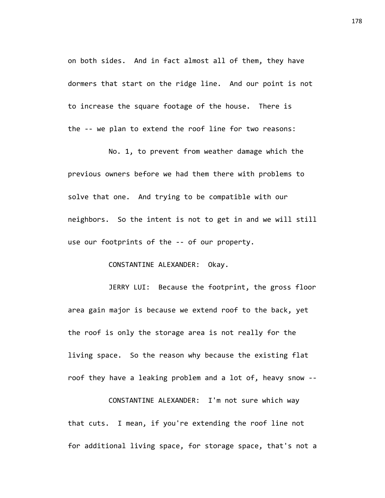on both sides. And in fact almost all of them, they have dormers that start on the ridge line. And our point is not to increase the square footage of the house. There is the -- we plan to extend the roof line for two reasons:

No. 1, to prevent from weather damage which the previous owners before we had them there with problems to solve that one. And trying to be compatible with our neighbors. So the intent is not to get in and we will still use our footprints of the -- of our property.

## CONSTANTINE ALEXANDER: Okay.

JERRY LUI: Because the footprint, the gross floor area gain major is because we extend roof to the back, yet the roof is only the storage area is not really for the living space. So the reason why because the existing flat roof they have a leaking problem and a lot of, heavy snow --

CONSTANTINE ALEXANDER: I'm not sure which way that cuts. I mean, if you're extending the roof line not for additional living space, for storage space, that's not a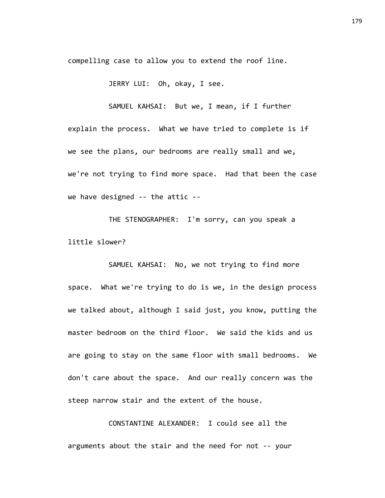compelling case to allow you to extend the roof line.

JERRY LUI: Oh, okay, I see.

SAMUEL KAHSAI: But we, I mean, if I further

explain the process. What we have tried to complete is if we see the plans, our bedrooms are really small and we, we're not trying to find more space. Had that been the case we have designed -- the attic --

THE STENOGRAPHER: I'm sorry, can you speak a little slower?

SAMUEL KAHSAI: No, we not trying to find more space. What we're trying to do is we, in the design process we talked about, although I said just, you know, putting the master bedroom on the third floor. We said the kids and us are going to stay on the same floor with small bedrooms. We don't care about the space. And our really concern was the steep narrow stair and the extent of the house.

CONSTANTINE ALEXANDER: I could see all the arguments about the stair and the need for not -- your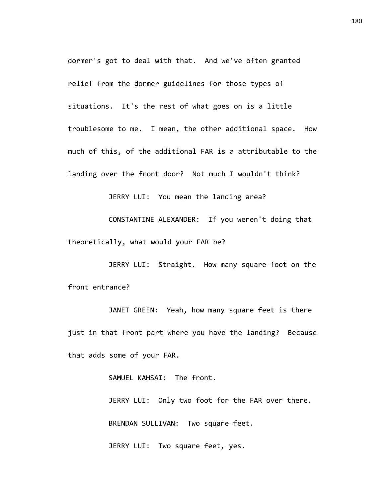dormer's got to deal with that. And we've often granted relief from the dormer guidelines for those types of situations. It's the rest of what goes on is a little troublesome to me. I mean, the other additional space. How much of this, of the additional FAR is a attributable to the landing over the front door? Not much I wouldn't think?

JERRY LUI: You mean the landing area?

CONSTANTINE ALEXANDER: If you weren't doing that theoretically, what would your FAR be?

JERRY LUI: Straight. How many square foot on the front entrance?

JANET GREEN: Yeah, how many square feet is there just in that front part where you have the landing? Because that adds some of your FAR.

SAMUEL KAHSAI: The front.

JERRY LUI: Only two foot for the FAR over there. BRENDAN SULLIVAN: Two square feet.

JERRY LUI: Two square feet, yes.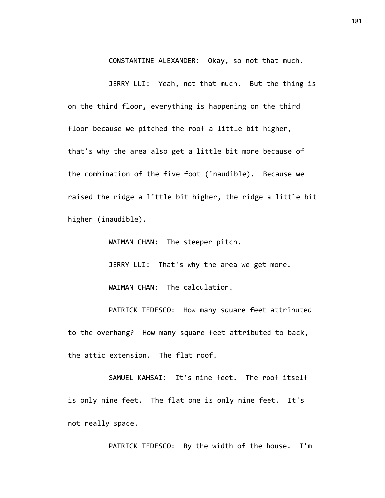CONSTANTINE ALEXANDER: Okay, so not that much.

JERRY LUI: Yeah, not that much. But the thing is on the third floor, everything is happening on the third floor because we pitched the roof a little bit higher, that's why the area also get a little bit more because of the combination of the five foot (inaudible). Because we raised the ridge a little bit higher, the ridge a little bit higher (inaudible).

WAIMAN CHAN: The steeper pitch.

JERRY LUI: That's why the area we get more. WAIMAN CHAN: The calculation.

PATRICK TEDESCO: How many square feet attributed to the overhang? How many square feet attributed to back, the attic extension. The flat roof.

SAMUEL KAHSAI: It's nine feet. The roof itself is only nine feet. The flat one is only nine feet. It's not really space.

PATRICK TEDESCO: By the width of the house. I'm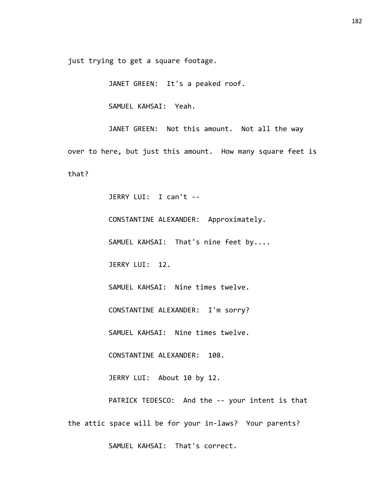just trying to get a square footage.

JANET GREEN: It's a peaked roof.

SAMUEL KAHSAI: Yeah.

JANET GREEN: Not this amount. Not all the way over to here, but just this amount. How many square feet is that?

JERRY LUI: I can't --

CONSTANTINE ALEXANDER: Approximately.

SAMUEL KAHSAI: That's nine feet by....

JERRY LUI: 12.

SAMUEL KAHSAI: Nine times twelve.

CONSTANTINE ALEXANDER: I'm sorry?

SAMUEL KAHSAI: Nine times twelve.

CONSTANTINE ALEXANDER: 108.

JERRY LUI: About 10 by 12.

PATRICK TEDESCO: And the -- your intent is that the attic space will be for your in-laws? Your parents?

SAMUEL KAHSAI: That's correct.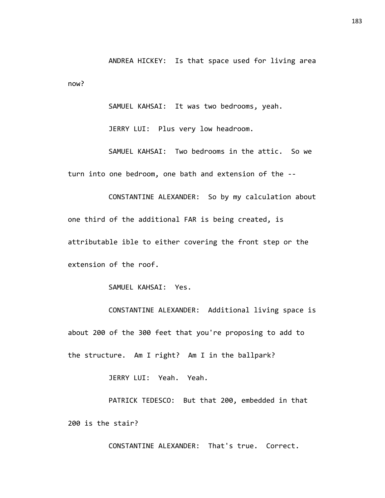ANDREA HICKEY: Is that space used for living area now?

SAMUEL KAHSAI: It was two bedrooms, yeah.

JERRY LUI: Plus very low headroom.

SAMUEL KAHSAI: Two bedrooms in the attic. So we turn into one bedroom, one bath and extension of the --

CONSTANTINE ALEXANDER: So by my calculation about one third of the additional FAR is being created, is attributable ible to either covering the front step or the extension of the roof.

SAMUEL KAHSAI: Yes.

CONSTANTINE ALEXANDER: Additional living space is about 200 of the 300 feet that you're proposing to add to the structure. Am I right? Am I in the ballpark?

JERRY LUI: Yeah. Yeah.

PATRICK TEDESCO: But that 200, embedded in that 200 is the stair?

CONSTANTINE ALEXANDER: That's true. Correct.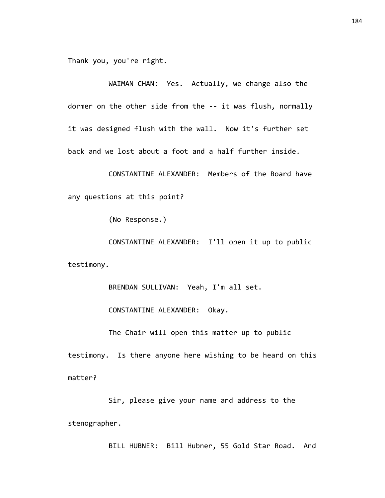Thank you, you're right.

WAIMAN CHAN: Yes. Actually, we change also the dormer on the other side from the -- it was flush, normally it was designed flush with the wall. Now it's further set back and we lost about a foot and a half further inside.

CONSTANTINE ALEXANDER: Members of the Board have any questions at this point?

(No Response.)

CONSTANTINE ALEXANDER: I'll open it up to public testimony.

BRENDAN SULLIVAN: Yeah, I'm all set.

CONSTANTINE ALEXANDER: Okay.

The Chair will open this matter up to public

testimony. Is there anyone here wishing to be heard on this matter?

Sir, please give your name and address to the stenographer.

BILL HUBNER: Bill Hubner, 55 Gold Star Road. And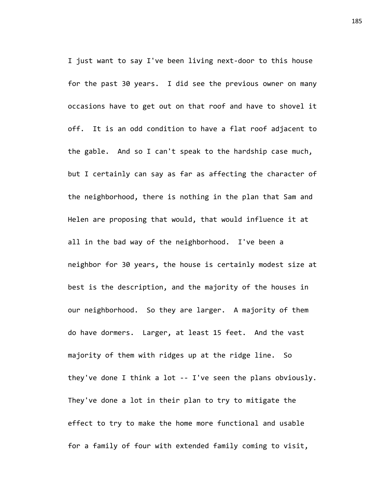I just want to say I've been living next-door to this house for the past 30 years. I did see the previous owner on many occasions have to get out on that roof and have to shovel it off. It is an odd condition to have a flat roof adjacent to the gable. And so I can't speak to the hardship case much, but I certainly can say as far as affecting the character of the neighborhood, there is nothing in the plan that Sam and Helen are proposing that would, that would influence it at all in the bad way of the neighborhood. I've been a neighbor for 30 years, the house is certainly modest size at best is the description, and the majority of the houses in our neighborhood. So they are larger. A majority of them do have dormers. Larger, at least 15 feet. And the vast majority of them with ridges up at the ridge line. So they've done I think a lot -- I've seen the plans obviously. They've done a lot in their plan to try to mitigate the effect to try to make the home more functional and usable for a family of four with extended family coming to visit,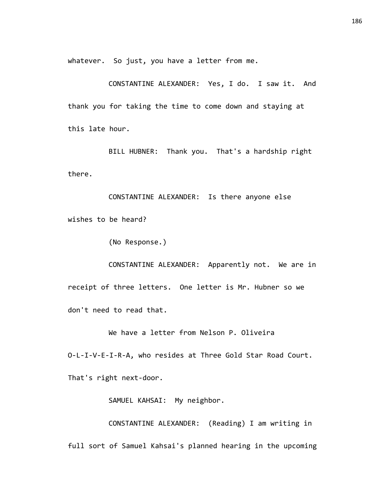whatever. So just, you have a letter from me.

CONSTANTINE ALEXANDER: Yes, I do. I saw it. And thank you for taking the time to come down and staying at this late hour.

BILL HUBNER: Thank you. That's a hardship right there.

CONSTANTINE ALEXANDER: Is there anyone else wishes to be heard?

(No Response.)

CONSTANTINE ALEXANDER: Apparently not. We are in receipt of three letters. One letter is Mr. Hubner so we don't need to read that.

We have a letter from Nelson P. Oliveira

O-L-I-V-E-I-R-A, who resides at Three Gold Star Road Court.

That's right next-door.

SAMUEL KAHSAI: My neighbor.

CONSTANTINE ALEXANDER: (Reading) I am writing in full sort of Samuel Kahsai's planned hearing in the upcoming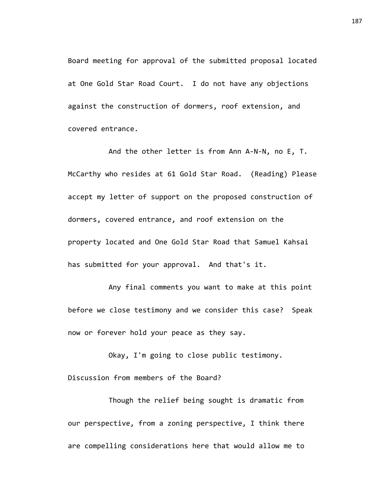Board meeting for approval of the submitted proposal located at One Gold Star Road Court. I do not have any objections against the construction of dormers, roof extension, and covered entrance.

And the other letter is from Ann A-N-N, no E, T. McCarthy who resides at 61 Gold Star Road. (Reading) Please accept my letter of support on the proposed construction of dormers, covered entrance, and roof extension on the property located and One Gold Star Road that Samuel Kahsai has submitted for your approval. And that's it.

Any final comments you want to make at this point before we close testimony and we consider this case? Speak now or forever hold your peace as they say.

Okay, I'm going to close public testimony. Discussion from members of the Board?

Though the relief being sought is dramatic from our perspective, from a zoning perspective, I think there are compelling considerations here that would allow me to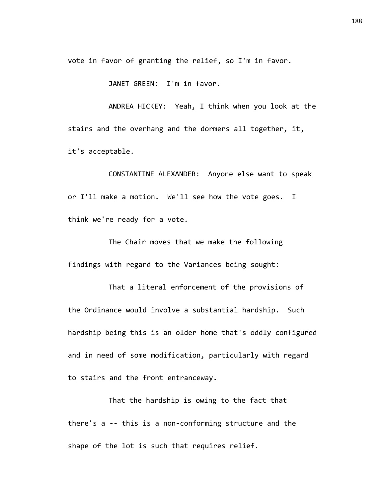vote in favor of granting the relief, so I'm in favor.

JANET GREEN: I'm in favor.

ANDREA HICKEY: Yeah, I think when you look at the stairs and the overhang and the dormers all together, it, it's acceptable.

CONSTANTINE ALEXANDER: Anyone else want to speak or I'll make a motion. We'll see how the vote goes. I think we're ready for a vote.

The Chair moves that we make the following findings with regard to the Variances being sought:

That a literal enforcement of the provisions of the Ordinance would involve a substantial hardship. Such hardship being this is an older home that's oddly configured and in need of some modification, particularly with regard to stairs and the front entranceway.

That the hardship is owing to the fact that there's a -- this is a non-conforming structure and the shape of the lot is such that requires relief.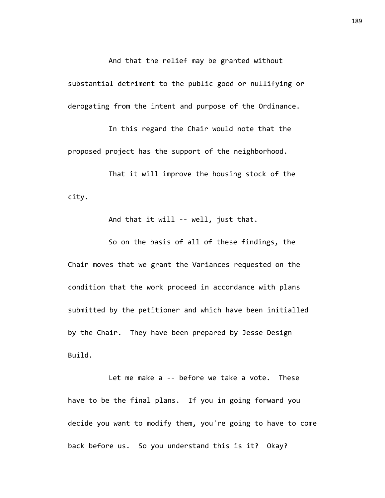And that the relief may be granted without

substantial detriment to the public good or nullifying or derogating from the intent and purpose of the Ordinance.

In this regard the Chair would note that the proposed project has the support of the neighborhood.

That it will improve the housing stock of the city.

And that it will -- well, just that.

So on the basis of all of these findings, the Chair moves that we grant the Variances requested on the condition that the work proceed in accordance with plans submitted by the petitioner and which have been initialled by the Chair. They have been prepared by Jesse Design Build.

Let me make a -- before we take a vote. These have to be the final plans. If you in going forward you decide you want to modify them, you're going to have to come back before us. So you understand this is it? Okay?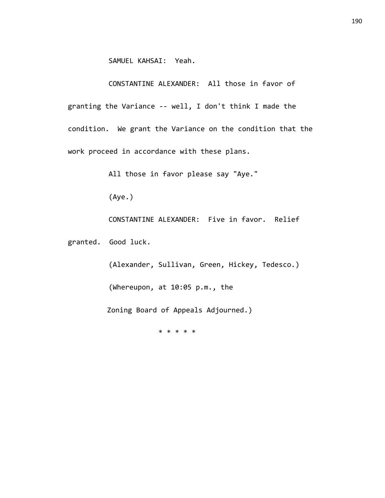SAMUEL KAHSAI: Yeah.

CONSTANTINE ALEXANDER: All those in favor of

granting the Variance -- well, I don't think I made the condition. We grant the Variance on the condition that the work proceed in accordance with these plans.

All those in favor please say "Aye."

(Aye.)

CONSTANTINE ALEXANDER: Five in favor. Relief

granted. Good luck.

(Alexander, Sullivan, Green, Hickey, Tedesco.) (Whereupon, at 10:05 p.m., the

Zoning Board of Appeals Adjourned.)

\* \* \* \* \*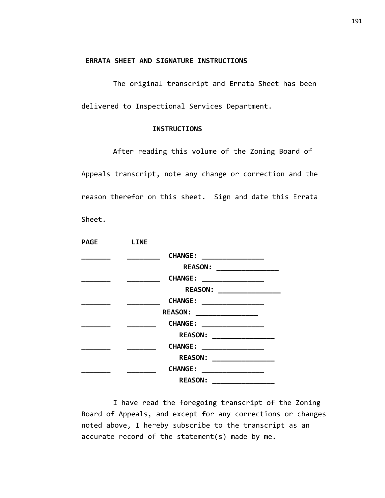#### **ERRATA SHEET AND SIGNATURE INSTRUCTIONS**

The original transcript and Errata Sheet has been delivered to Inspectional Services Department.

#### **INSTRUCTIONS**

After reading this volume of the Zoning Board of Appeals transcript, note any change or correction and the reason therefor on this sheet. Sign and date this Errata Sheet.

| PAGE | <b>LINE</b> |                                                              |  |
|------|-------------|--------------------------------------------------------------|--|
|      |             | <b>CHANGE:</b>                                               |  |
|      |             | REASON: ___________________                                  |  |
|      |             | <b>CHANGE:</b>                                               |  |
|      |             | <b>REASON:</b>                                               |  |
|      |             | <b>CHANGE:</b><br>____________________                       |  |
|      |             | <b>REASON:</b>                                               |  |
|      |             | <b>CHANGE:</b>                                               |  |
|      |             | <b>REASON:</b>                                               |  |
|      |             | <b>CHANGE:</b>                                               |  |
|      |             | <b>REASON:</b><br><u> 1989 - Johann Barbara, martin basa</u> |  |
|      |             | <b>CHANGE:</b>                                               |  |
|      |             | <b>REASON:</b>                                               |  |

I have read the foregoing transcript of the Zoning Board of Appeals, and except for any corrections or changes noted above, I hereby subscribe to the transcript as an accurate record of the statement(s) made by me.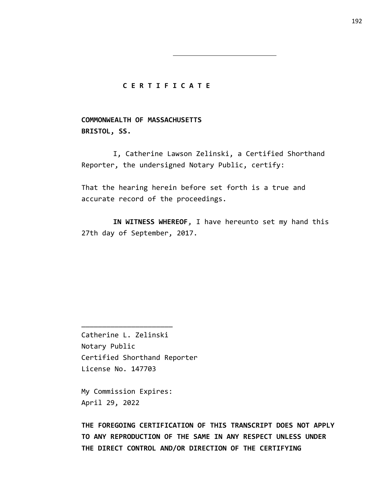#### **C E R T I F I C A T E**

**COMMONWEALTH OF MASSACHUSETTS BRISTOL, SS.**

I, Catherine Lawson Zelinski, a Certified Shorthand Reporter, the undersigned Notary Public, certify:

That the hearing herein before set forth is a true and accurate record of the proceedings.

**IN WITNESS WHEREOF**, I have hereunto set my hand this 27th day of September, 2017.

Catherine L. Zelinski Notary Public Certified Shorthand Reporter License No. 147703

My Commission Expires: April 29, 2022

\_\_\_\_\_\_\_\_\_\_\_\_\_\_\_\_\_\_\_\_\_\_

**THE FOREGOING CERTIFICATION OF THIS TRANSCRIPT DOES NOT APPLY TO ANY REPRODUCTION OF THE SAME IN ANY RESPECT UNLESS UNDER THE DIRECT CONTROL AND/OR DIRECTION OF THE CERTIFYING**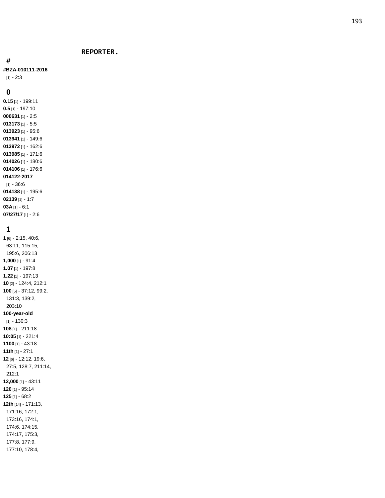#### **REPORTER.**

#### **#**

**#BZA -010111 -2016**

[1] - 2:3

#### **0**

**0.15** [1] - 199:11 **0.5** [1] - 197:10 [1] - 2:5 [1] - 5:5 [1] - 95:6 [1] - 149:6 [1] - 162:6 [1] - 171:6 [1] - 180:6 [1] - 176:6 **014122 -2017** [1] - 36:6 [1] - 195:6 [1] - 1:7 **03A** [1] - 6:1 **07/27/17** [1] - 2:6

#### **1**

**1** [6] - 2:15, 40:6, 63:11, 115:15, 195:6, 206:13 **1,000** [1] - 91:4 **1.07** [1] - 197:8 **1.22** [1] - 197:13 **10** [2] - 124:4, 212:1 **100** [5] - 37:12, 99:2, 131:3, 139:2, 203:10 **100 -year -old**  $[1] - 130:3$ **108** [1] - 211:18 **10:05** [1] - 221:4 **1100** [1] - 43:18 **11th** [1] - 27:1 **12** [6] - 12:12, 19:6, 27:5, 128:7, 211:14, 212:1 **12,000** [1] - 43:11 **120** [1] - 95:14 **125** [1] - 68:2 **12th** [14] - 171:13, 171:16, 172:1, 173:16, 174:1, 174:6, 174:15, 174:17, 175:3, 177:8, 177:9, 177:10, 178:4,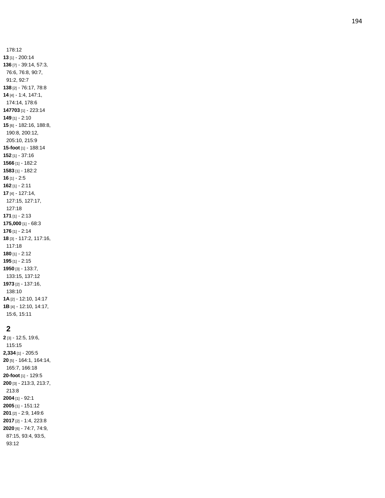178:12 [1] - 200:14 [7] - 39:14, 57:3, 76:6, 76:8, 90:7, 91:2, 92:7 [2] - 76:17, 78:8 [4] - 1:4, 147:1, 174:14, 178:6 [1] - 223:14 [1] - 2:10 [6] - 182:16, 188:8, 190:8, 200:12, 205:10, 215:9 **-foot** [1] - 188:14 [1] - 37:16 [1] - 182:2 [1] - 182:2 [1] - 2:5 [1] - 2:11 [4] - 127:14, 127:15, 127:17, 127:18 [1] - 2:13 **175,000** [1] - 68:3 [1] - 2:14 [3] - 117:2, 117:16, 117:18 [1] - 2:12 [1] - 2:15 [3] - 133:7, 133:15, 137:12 [2] - 137:16, 138:10 **1A** [2] - 12:10, 14:17 **1B** [4] - 12:10, 14:17, 15:6, 15:11

## 

 [3] - 12:5, 19:6, 115:15 **2,334** [1] - 205:5 [5] - 164:1, 164:14, 165:7, 166:18 **-foot** [1] - 129:5 [3] - 213:3, 213:7, 213:8 [1] - 92:1 [1] - 151:12 [2] - 2:9, 149:6 [2] - 1:4, 223:8 [6] - 74:7, 74:9, 87:15, 93:4, 93:5, 93:12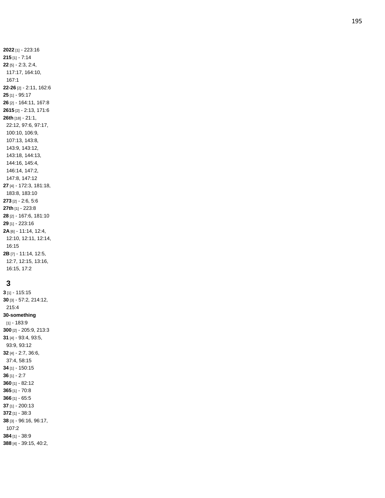**2022** [1] - 223:16 **215** [1] - 7:14 **22** [5] - 2:3, 2:4, 117:17, 164:10, 167:1 **22 -26** [2] - 2:11, 162:6 **25** [1] - 95:17 **26** [2] - 164:11, 167:8 **2615** [2] - 2:13, 171:6 **26th** [18] - 21:1, 22:12, 97:6, 97:17, 100:10, 106:9, 107:13, 143:8, 143:9, 143:12, 143:18, 144:13, 144:16, 145:4, 146:14, 147:2, 147:8, 147:12 **27** [4] - 172:3, 181:18, 183:8, 183:10 **273** [2] - 2:6, 5:6 **27th** [1] - 223:8 **28** [2] - 167:6, 181:10 **29** [1] - 223:16 **2A** [6] - 11:14, 12:4, 12:10, 12:11, 12:14, 16:15 **2B** [7] - 11:14, 12:5, 12:7, 12:15, 13:16, 16:15, 17:2

## **3**

 [1] - 115:15 [3] - 57:2, 214:12, 215:4 **-something** [1] - 183:9 [2] - 205:9, 213:3 [4] - 93:4, 93:5, 93:9, 93:12 [4] - 2:7, 36:6, 37:4, 58:15 [1] - 150:15 [1] - 2:7 [1] - 82:12 [1] - 70:8 [1] - 65:5 [1] - 200:13 [1] - 38:3 [3] - 96:16, 96:17, 107:2 [1] - 38:9 [4] - 39:15, 40:2,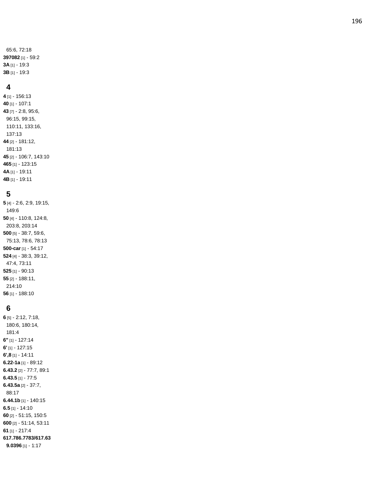65:6, 72:18 **397082** [1] - 59:2 **3A** [1] - 19:3 **3B** [1] - 19:3

#### **4**

**4** [1] - 156:13 **40** [1] - 107:1 **43** [7] - 2:8, 95:6, 96:15, 99:15, 110:11, 133:16, 137:13 **44** [2] - 181:12, 181:13 **45** [2] - 106:7, 143:10 **46 5** [1] - 123:15 **4A** [1] - 19:11 **4B** [1] - 19:11

### **5**

 [4] - 2:6, 2:9, 19:15, 149:6 [4] - 110:8, 124:8, 203:8, 203:14 [5] - 38:7, 59:6, 75:13, 78:6, 78:13 **-car** [1] - 54:17 [4] - 38:3, 39:12, 47:4, 73:11 [1] - 90:13 [2] - 188:11, 214:10 [1] - 188:10

## **6**

**6** [5] - 2:12, 7:18, 180:6, 180:14, 181:4 **6"** [1] - 127:14 **6'** [1] - 127:15 **6',8** [1] - 14:11 **6.22 -1a** [1] - 89:12 **6.43.2** [2] - 77:7, 89:1 **6.43.5** [1] - 77:5 **6.43.5a** [2] - 37:7, 88:17 **6.44.1b** [1] - 140:15 **6.5** [1] - 14:10 **60** [2] - 51:15, 150:5 **60 0** [2] - 51:14, 53:11 **61** [1] - 217:4 **617.786.7783/617.63 9.0396** [1] - 1:17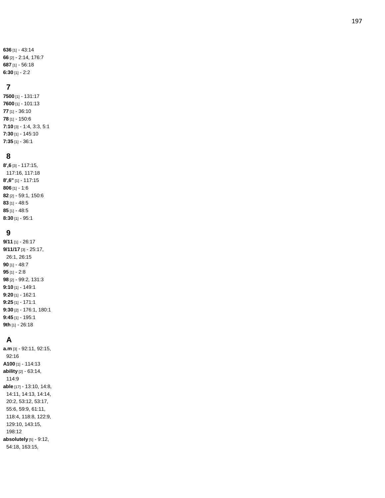[1] - 43:14 [2] - 2:14, 176:7 [1] - 56:18 **6:30** [1] - 2:2

## **7**

**7500** [1] - 131:17 **7600** [1] - 101:13 **77** [1] - 36:10 **78** [1] - 150:6 **7:10** [3] - 1:4, 3:3, 5:1 **7:30** [1] - 145:10 **7:35** [1] - 36:1

### **8**

**8',6** [3] - 117:15, 117:16, 117:18 **8',6"** [1] - 117:15 **806** [1] - 1:6 **82** [2] - 59:1, 150:6 **83** [1] - 48:5 **85** [1] - 48:5 **8:30** [1] - 95:1

## **9**

**9/11** [1] - 26:17 **9/11/17** [3] - 25:17, 26:1, 26:15 **90** [1] - 48:7 **95** [1] - 2:8 **98** [2] - 99:2, 131:3 **9:10** [1] - 149:1 **9:20** [1] - 162:1 **9:25** [1] - 171:1 **9:30** [2] - 176:1, 180:1 **9:45** [1] - 195:1 **9th** [1] - 26:18

# **A**

**a.m** [3] - 92:11, 92:15, 92:16 **A100** [1] - 114:13 **ability** [2] - 63:14, 114:9 **able** [17] - 13:10, 14:8, 14:11, 14:13, 14:14, 20:2, 53:12, 53:17, 55:6, 59:9, 61:11, 118:4, 118:8, 122:9, 129:10, 143:15, 198:12 **absolutely** [5] - 9:12, 54:18, 163:15,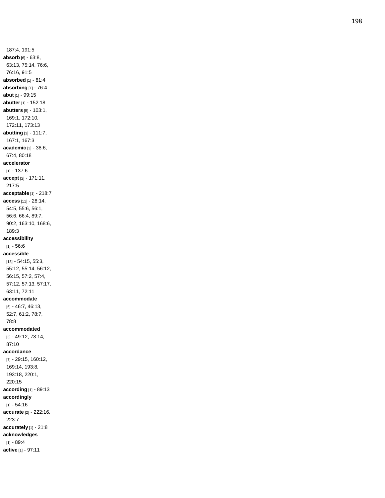187:4, 191:5 **absorb** [6] - 63:8, 63:13, 75:14, 76:6, 76:16, 91:5 **absorbed** [1] - 81:4 **absorbing** [1] - 76:4 **abut** [1] - 99:15 **abutter** [1] - 152:18 **abutters** [5] - 103:1, 169:1, 172:10, 172:11, 173:13 **abutting** [3] - 111:7, 167:1, 167:3 **academic** [3] - 38:6, 67:4, 80:18 **accelerator** [1] - 137:6 **accept** [2] - 171:11, 217:5 **acceptable** [1] - 218:7 **access** [11] - 28:14, 54:5, 55:6, 56:1, 56:6, 66:4, 89:7, 90:2, 163:10, 168:6, 189:3 **accessibility** [1] - 56:6 **accessible** [13] - 54:15, 55:3, 55:12, 55:14, 56:12, 56:15, 57:2, 57:4, 57:12, 57:13, 57:17, 63:11, 72:11 **accommodate** [6] - 46:7, 46:13, 52:7, 61:2, 78:7, 78:8 **accommodated** [3] - 49:12, 73:14, 87:10 **accordance** [7] - 29:15, 160:12, 169:14, 193:8, 193:18, 220:1, 220:15 **according** [1] - 89:13 **accordingly** [1] - 54:16 **accurate** [2] - 222:16, 223:7 **accurately** [1] - 21:8 **acknowledges** [1] - 89:4

**active** [1] - 97:11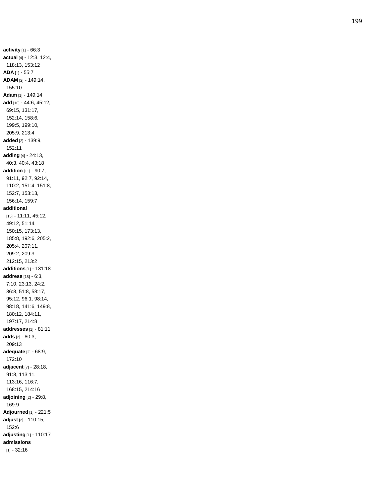**activity** [1] - 66:3 **actual** [4] - 12:3, 12:4, 118:13, 153:12 **ADA** [1] - 55:7 **ADAM** [2] - 149:14, 155:10 **Adam** [1] - 149:14 **add** [10] - 44:6, 45:12, 69:15, 131:17, 152:14, 158:6, 199:5, 199:10, 205:9, 213:4 **added** [2] - 139:9, 152:11 **adding** [4] - 24:13, 40:3, 40:4, 43:18 **addition** [11] - 90:7, 91:11, 92:7, 92:14, 110:2, 151:4, 151:8, 152:7, 153:13, 156:14, 159:7 **additional** [15] - 11:11, 45:12, 49:12, 51:14, 150:15, 173:13, 185:8, 192:6, 205:2, 205:4, 207:11, 209:2, 209:3, 212:15, 213:2 **additions** [1] - 131:18 **address** [18] - 6:3, 7:10, 23:13, 24:2, 36:8, 51:8, 58:17, 95:12, 96:1, 98:14, 98:18, 141:6, 149:8, 180:12, 184:11, 197:17, 214:8 **addresses** [1] - 81:11 **adds** [2] - 80:3, 209:13 **adequate** [2] - 68:9, 172:10 **adjacent** [7] - 28:18, 91:8, 113:11, 113:16, 116:7, 168:15, 214:16 **adjoining** [2] - 29:8, 169:9 **Adjourned** [1] - 221:5 **adjust** [2] - 110:15, 152:6 **adjusting** [1] - 110:17 **admissions** [1] - 32:16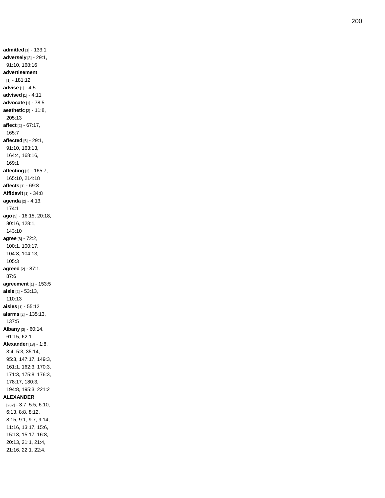**admitted** [1] - 133:1 **adversely** [3] - 29:1, 91:10, 168:16 **advertisement** [1] - 181:12 **advise** [1] - 4:5 **advised** [1] - 4:11 **advocate** [1] - 78:5 **aesthetic** [2] - 11:8, 205:13 **affect** [2] - 67:17, 165:7 **affected** [6] - 29:1, 91:10, 163:13, 164:4, 168:16, 169:1 **affecting** [3] - 165:7, 165:10, 214:18 **affects** [1] - 69:8 **Affidavit** [1] - 34:8 **agenda** [2] - 4:13, 174:1 **ago** [5] - 16:15, 20:18, 80:16, 128:1, 143:10 **agree** [6] - 72:2, 100:1, 100:17, 104:8, 104:13, 105:3 **agreed** [2] - 87:1, 87:6 **agreement** [1] - 153:5 **aisle** [2] - 53:13, 110:13 **aisles** [1] - 55:12 **alarms** [2] - 135:13, 137:5 **Albany** [3] - 60:14, 61:15, 62:1 **Alexander** [18] - 1:8, 3:4, 5:3, 35:14, 95:3, 147:17, 149:3, 161:1, 162:3, 170:3, 171:3, 175:8, 176:3, 178:17, 180:3, 194:8, 195:3, 221:2 **ALEXANDER** [282] - 3:7, 5:5, 6:10, 6:13, 8:8, 8:12, 8:15, 9:1, 9:7, 9:14, 11:16, 13:17, 15:6, 15:13, 15:17, 16:8, 20:13, 21:1, 21:4, 21:16, 22:1, 22:4,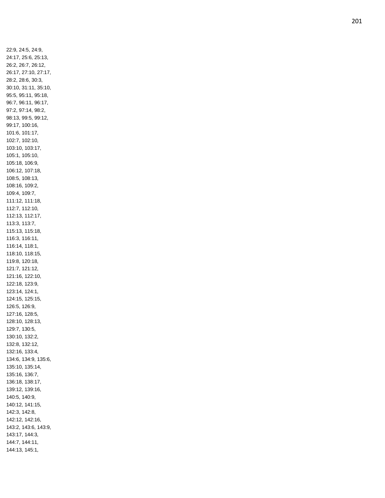22:9, 24:5, 24:9, 24:17, 25:6, 25:13, 26:2, 26:7, 26:12, 26:17, 27:10, 27:17, 28:2, 28:6, 30:3, 30:10, 31:11, 35:10, 95:5, 95:11, 95:18, 96:7, 96:11, 96:17, 97:2, 97:14, 98:2, 98:13, 99:5, 99:12, 99:17, 100:16, 101:6, 101:17, 102:7, 102:10, 103:10, 103:17, 105:1, 105:10, 105:18, 106:9, 106:12, 107:18, 108:5, 108:13, 108:16, 109:2, 109:4, 109:7, 111:12, 111:18, 112:7, 112:10, 112:13, 112:17, 113:3, 113:7, 115:13, 115:18, 116:3, 116:11, 116:14, 118:1, 118:10, 118:15, 119:8, 120:18, 121:7, 121:12, 121:16, 122:10, 122:18, 123:9, 123:14, 124:1, 124:15, 125:15, 126:5, 126:9, 127:16, 128:5, 128:10, 128:13, 129:7, 130:5, 130:10, 132:2, 132:8, 132:12, 132:16, 133:4, 134:6, 134:9, 135:6, 135:10, 135:14, 135:16, 136:7, 136:18, 138:17, 139:12, 139:16, 140:5, 140:9, 140:12, 141:15, 142:3, 142:8, 142:12, 142:16, 143:2, 143:6, 143:9, 143:17, 144:3, 144:7, 144:11, 144:13, 145:1,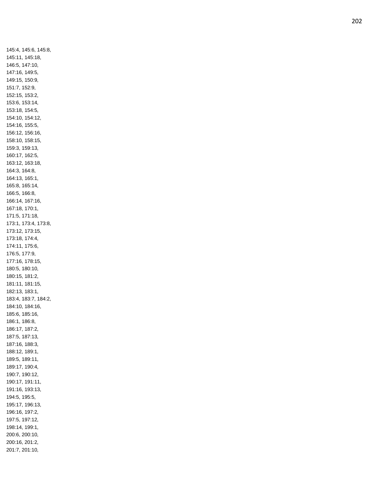145:4, 145:6, 145:8, 145:11, 145:18, 146:5, 147:10, 147:16, 149:5, 149:15, 150:9, 151:7, 152:9, 152:15, 153:2, 153:6, 153:14, 153:18, 154:5, 154:10, 154:12, 154:16, 155:5, 156:12, 156:16, 158:10, 158:15, 159:3, 159:13, 160:17, 162:5, 163:12, 163:18, 164:3, 164:8, 164:13, 165:1, 165:8, 165:14, 166:5, 166:8, 166:14, 167:16, 167:18, 170:1, 171:5, 171:18, 173:1, 173:4, 173:8, 173:12, 173:15, 173:18, 174:4, 174:11, 175:6, 176:5, 177:9, 177:16, 178:15, 180:5, 180:10, 180:15, 181:2, 181:11, 181:15, 182:13, 183:1, 183:4, 183:7, 184:2, 184:10, 184:16, 185:6, 185:16, 186:1, 186:8, 186:17, 187:2, 187:5, 187:13, 187:16, 188:3, 188:12, 189:1, 189:5, 189:11, 189:17, 190:4, 190:7, 190:12, 190:17, 191:11, 191:16, 193:13, 194:5, 195:5, 195:17, 196:13, 196:16, 197:2, 197:5, 197:12, 198:14, 199:1, 200:6, 200:10, 200:16, 201:2, 201:7, 201:10,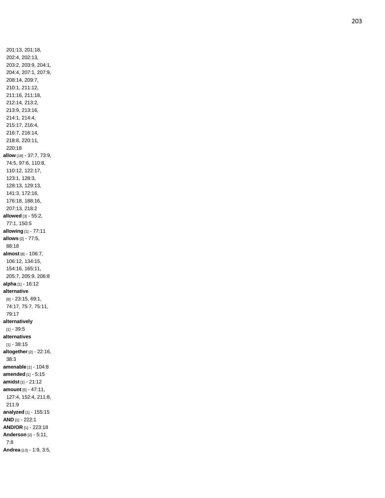201:13, 201:18, 202:4, 202:13, 203:2, 203:9, 204:1, 204:4, 207:1, 207:9, 208:14, 209:7, 210:1, 211:12, 211:16, 211:18, 212:14, 213:2, 213:9, 213:16, 214:1, 214:4, 215:17, 216:4, 216:7, 216:14, 218:8, 220:11, 220:18 **allow** [18] - 37:7, 73:9, 74:5, 97:6, 110:8, 110:12, 122:17, 123:1, 128:3, 128:13, 129:13, 141:3, 172:16, 176:18, 188:16, 207:13, 218:2 **allowed** [3] - 55:2, 77:1, 150:5 **allowing** [1] - 77:11 **allows** [2] - 77:5, 88:18 **almost** [8] - 106:7, 106:12, 134:15, 154:16, 165:11, 205:7, 205:9, 206:8 **alpha** [1] - 16:12 **alternative** [6] - 23:15, 69:1, 74:17, 75:7, 75:11, 79:17 **alternatively** [1] - 39:5 **alternatives** [1] - 38:15 **altogether** [2] - 22:16, 38:3 **amenable** [1] - 104:8 **amended** [1] - 5:15 **amidst** [1] - 21:12 **amount** [5] - 47:11, 127:4, 152:4, 211:8, 211:9 **analyzed** [1] - 155:15 **AND** [1] - 222:1 **AND/OR** [1] - 223:18 **Anderson** [2] - 5:11, 7:8 **Andrea** [13] - 1:9, 3:5,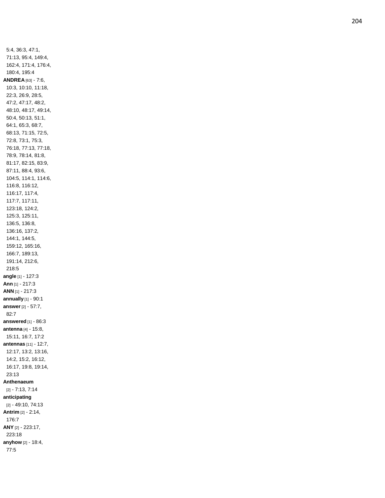5:4, 36:3, 47:1, 71:13, 95:4, 149:4, 162:4, 171:4, 176:4, 180:4, 195:4 **ANDREA** [63] - 7:6, 10:3, 10:10, 11:18, 22:3, 26:9, 28:5, 47:2, 47:17, 48:2, 48:10, 48:17, 49:14, 50:4, 50:13, 51:1, 64:1, 65:3, 68:7, 68:13, 71:15, 72:5, 72:8, 73:1, 75:3, 76:18, 77:13, 77:18, 78:9, 78:14, 81:8, 81:17, 82:15, 83:9, 87:11, 88:4, 93:6, 104:5, 114:1, 114:6, 116:8, 116:12, 116:17, 117:4, 117:7, 117:11, 123:18, 124:2, 125:3, 125:11, 136:5, 136:8, 136:16, 137:2, 144:1, 144:5, 159:12, 165:16, 166:7, 189:13, 191:14, 212:6, 218:5 **angle** [1] - 127:3 **Ann** [1] - 217:3 **ANN** [1] - 217:3 **annually** [1] - 90:1 **answer** [2] - 57:7, 82:7 **answered** [1] - 86:3 **antenna** [4] - 15:8, 15:11, 16:7, 17:2 **antennas** [11] - 12:7, 12:17, 13:2, 13:16, 14:2, 15:2, 16:12, 16:17, 19:8, 19:14, 23:13 **Anthenaeum** [2] - 7:13, 7:14 **anticipating** [2] - 49:10, 74:13 **Antrim** [2] - 2:14, 176:7 **ANY** [2] - 223:17, 223:18 **anyhow** [2] - 18:4, 77:5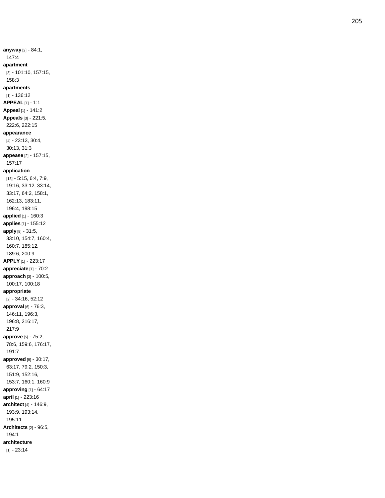**anyway** [2] - 84:1, 147:4 **apartment** [3] - 101:10, 157:15, 158:3 **apartments** [1] - 136:12 **APPEAL** [1] - 1:1 **Appeal** [1] - 141:2 **Appeals** [3] - 221:5, 222:6, 222:15 **appearance** [4] - 23:13, 30:4, 30:13, 31:3 **appease** [2] - 157:15, 157:17 **application** [13] - 5:15, 6:4, 7:9, 19:16, 33:12, 33:14, 33:17, 64:2, 158:1, 162:13, 183:11, 196:4, 198:15 **applied** [1] - 160:3 **applies** [1] - 155:12 **apply** [8] - 31:5, 33:10, 154:7, 160:4, 160:7, 185:12, 189:6, 200:9 **APPLY** [1] - 223:17 **appreciate** [1] - 70:2 **approach** [3] - 100:5, 100:17, 100:18 **appropriate** [2] - 34:16, 52:12 **approval** [6] - 76:3, 146:11, 196:3, 196:8, 216:17, 217:9 **approve** [5] - 75:2, 78:6, 159:6, 176:17, 191:7 **approved** [9] - 30:17, 63:17, 79:2, 150:3, 151:9, 152:16, 153:7, 160:1, 160:9 **approving** [1] - 64:17 **april** [1] - 223:16 **architect** [4] - 146:9, 193:9, 193:14, 195:11 **Architects** [2] - 96:5, 194:1 **architecture** [1] - 23:14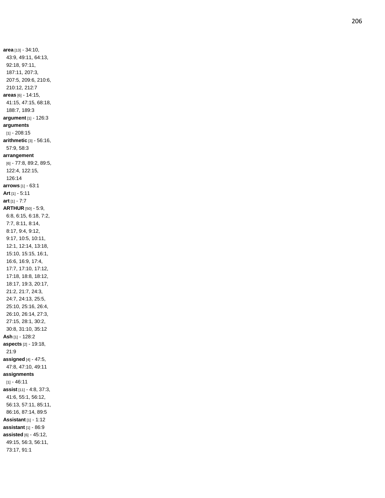**area** [13] - 34:10, 43:9, 49:11, 64:13, 92:18, 97:11, 187:11, 207:3, 207:5, 209:6, 210:6, 210:12, 212:7 **areas** [6] - 14:15, 41:15, 47:15, 68:18, 188:7, 189:3 **argument** [1] - 126:3 **arguments** [1] - 208:15 **arithmetic** [3] - 56:16, 57:9, 58:3 **arrangement** [6] - 77:8, 89:2, 89:5, 122:4, 122:15, 126:14 **arrows** [1] - 63:1 **Art** [1] - 5:11 **art** [1] - 7:7 **ARTHUR** [50] - 5:9, 6:8, 6:15, 6:18, 7:2, 7:7, 8:11, 8:14, 8:17, 9:4, 9:12, 9:17, 10:5, 10:11, 12:1, 12:14, 13:18, 15:10, 15:15, 16:1, 16:6, 16:9, 17:4, 17:7, 17:10, 17:12, 17:18, 18:8, 18:12, 18:17, 19:3, 20:17, 21:2, 21:7, 24:3, 24:7, 24:13, 25:5, 25:10, 25:16, 26:4, 26:10, 26:14, 27:3, 27:15, 28:1, 30:2, 30:8, 31:10, 35:12 **Ash** [1] - 128:2 **aspects** [2] - 19:18, 21:9 **assigned** [4] - 47:5, 47:8, 47:10, 49:11 **assignments** [1] - 46:11 **assist** [11] - 4:8, 37:3, 41:6, 55:1, 56:12, 56:13, 57:11, 85:11, 86:16, 87:14, 89:5 **Assistant** [1] - 1:12 **assistant** [1] - 86:9 **assisted** [6] - 45:12, 49:15, 56:3, 56:11, 73:17, 91:1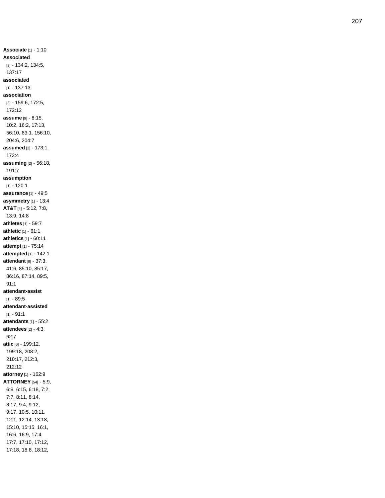**Associate** [1] - 1:10 **Associated** [3] - 134:2, 134:5, 137:17 **associated** [1] - 137:13 **association** [3] - 159:6, 172:5, 172:12 **assume** [9] - 8:15, 10:2, 16:2, 17:13, 56:10, 83:1, 156:10, 204:6, 204:7 **assumed** [2] - 173:1, 173:4 **assuming** [2] - 56:18, 191:7 **assumption** [1] - 120:1 **assurance** [1] - 49:5 **asymmetry** [1] - 13:4 **AT&T** [4] - 5:12, 7:8, 13:9, 14:8 **athletes** [1] - 59:7 **athletic** [1] - 61:1 **athletics** [1] - 60:11 **attempt** [1] - 75:14 **attempted** [1] - 142:1 **attendant** [8] - 37:3, 41:6, 85:10, 85:17, 86:16, 87:14, 89:5, 91:1 **attendant -assist** [1] - 89:5 **attendant -assisted** [1] - 91:1 **attendants** [1] - 55:2 **attendees** [2] - 4:3, 62:7 **attic** [6] - 199:12, 199:18, 208:2, 210:17, 212:3, 212:12 **attorney** [1] - 162:9 **ATTORNEY** [54] - 5:9, 6:8, 6:15, 6:18, 7:2, 7:7, 8:11, 8:14, 8:17, 9:4, 9:12, 9:17, 10:5, 10:11, 12:1, 12:14, 13:18, 15:10, 15:15, 16:1, 16:6, 16:9, 17:4, 17:7, 17:10, 17:12, 17:18, 18:8, 18:12,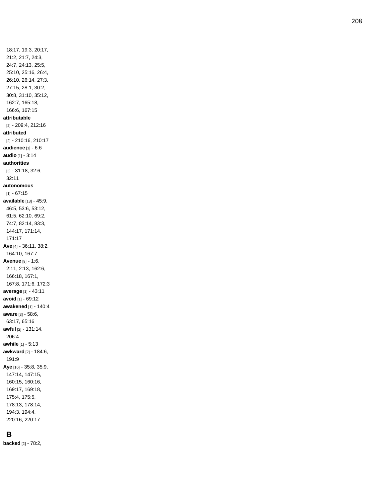18:17, 19:3, 20:17, 21:2, 21:7, 24:3, 24:7, 24:13, 25:5, 25:10, 25:16, 26:4, 26:10, 26:14, 27:3, 27:15, 28:1, 30:2, 30:8, 31:10, 35:12, 162:7, 165:18, 166:6, 167:15 **attributable** [2] - 209:4, 212:16 **attributed** [2] - 210:16, 210:17 **audience** [1] - 6:6 **audio** [1] - 3:14 **authorities** [3] - 31:18, 32:6, 32:11 **autonomous** [1] - 67:15 **available** [13] - 45:9, 46:5, 53:6, 53:12, 61:5, 62:10, 69:2, 74:7, 82:14, 83:3, 144:17, 171:14, 171:17 **Ave** [4] - 36:11, 38:2, 164:10, 167:7 **Avenue** [9] - 1:6, 2:11, 2:13, 162:6, 166:18, 167:1, 167:8, 171:6, 172:3 **average** [1] - 43:11 **avoid** [1] - 69:12 **awakened** [1] - 140:4 **aware** [3] - 58:6, 63:17, 65:16 **awful** [2] - 131:14, 206:4 **awhile** [1] - 5:13 **awkward** [2] - 184:6, 191:9 **Aye** [16] - 35:8, 35:9, 147:14, 147:15, 160:15, 160:16, 169:17, 169:18, 175:4, 175:5, 178:13, 178:14, 194:3, 194:4,

**B**

**backed** [2] - 78:2,

220:16, 220:17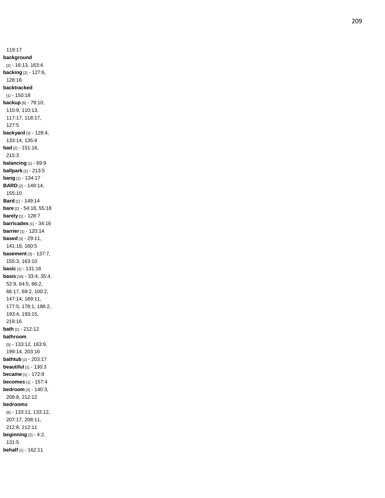119:17 **background** [2] - 16:13, 163:4 **backing** [2] - 127:6, 128:16 **backtracked** [1] - 150:18 **backup** [6] - 79:10, 110:9, 110:13, 117:17, 118:17, 127:5 **backyard** [3] - 128:4, 133:14, 135:4 **bad** [2] - 151:16, 215:3 **balancing** [1] - 69:9 **ballpark** [1] - 213:5 **bang** [1] - 134:17 **BARD** [2] - 149:14, 155:10 **Bard** [1] - 149:14 **bare** [2] - 54:18, 55:18 **barely** [1] - 128:7 **barricades** [1] - 34:16 **barrier** [1] - 120:14 **based** [3] - 29:11, 141:18, 160:5 **basement** [3] - 137:7, 155:3, 163:10 **basic** [1] - 131:16 **basis** [16] - 33:4, 35:4, 52:9, 64:5, 66:2, 66:17, 69:2, 100:2, 147:14, 169:11, 177:5, 178:1, 186:2, 193:4, 193:15, 219:16 **bath** [1] - 212:1 2 **bathroom** [5] - 133:12, 163:9, 199:14, 203:16 **bathtub** [1] - 203:17 **beautiful** [1] - 130:3 **became** [1] - 172:9 **becomes** [1] - 157:4 **bedroom** [3] - 140:3, 208:8, 212:12 **bedrooms** [6] - 133:11, 133:12, 207:17, 208:11, 212:8, 212:11 **beginning** [2] - 4:2, 131:5 **behalf** [1] - 162:11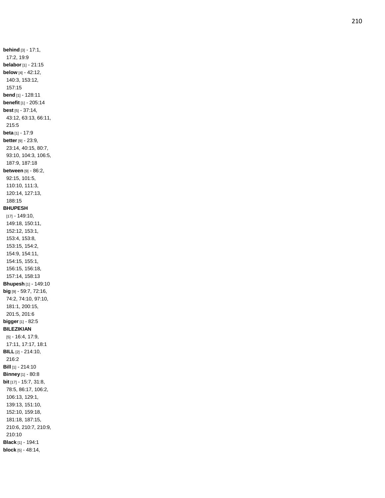**behind** [3] - 17:1, 17:2, 19:9 **belabor** [1] - 21:15 **below** [4] - 42:12, 140:3, 153:12, 157:15 **bend** [1] - 128:11 **benefit** [1] - 205:14 **best** [5] - 37:14, 43:12, 63:13, 66:11, 215:5 **beta** [1] - 17:9 **better** [9] - 23:9, 23:14, 40:15, 80:7, 93:10, 104:3, 106:5, 187:9, 187:18 **between** [9] - 86:2, 92:15, 101:5, 110:10, 111:3, 120:14, 127:13, 188:15 **BHUPESH** [17] - 149:10, 149:18, 150:11, 152:12, 153:1, 153:4, 153:8, 153:15, 154:2, 154:9, 154:11, 154:15, 155:1, 156:15, 156:18, 157:14, 158:13 **Bhupesh** [1] - 149:10 **big** [9] - 59:7, 72:16, 74:2, 74:10, 97:10, 181:1, 200:15, 201:5, 201:6 **bigger** [1] - 82:5 **BILEZIKIAN** [5] - 16:4, 17:9, 17:11, 17:17, 18:1 **BILL** [2] - 214:10, 216:2 **Bill** [1] - 214:10 **Binney** [1] - 80:8 **bit** [17] - 15:7, 31:8, 78:5, 86:17, 106:2, 106:13, 129:1, 139:13, 151:10, 152:10, 159:18, 181:18, 187:15, 210:6, 210:7, 210:9, 210:10 **Black** [1] - 194:1 **block** [5] - 48:14,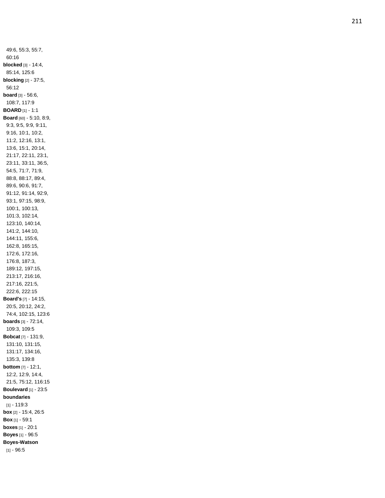49:6, 55:3, 55:7, 60:16 **blocked** [3] - 14:4, 85:14, 125:6 **blocking** [2] - 37:5, 56:12 **board** [3] - 56:6, 108:7, 117:9 **BOARD** [1] - 1:1 **Board** [60] - 5:10, 8:9, 9:3, 9:5, 9:9, 9:11, 9:16, 10:1, 10:2, 11:2, 12:16, 13:1, 13:6, 15:1, 20:14, 21:17, 22:11, 23:1, 23:11, 33:11, 36:5, 54:5, 71:7, 71:9, 88:8, 88:17, 89:4, 89:6, 90:6, 91:7, 91:12, 91:14, 92:9, 93:1, 97:15, 98:9, 100:1, 100:13, 101:3, 102:14, 123:10, 140:14, 141:2, 144:10, 144:11, 155:6, 162:8, 165:15, 172:6, 172:16, 176:8, 187:3, 189:12, 197:15, 213:17, 216:16, 217:16, 221:5, 222:6, 222:15 **Board's** [7] - 14:15, 20:5, 20:12, 24:2, 74:4, 102:15, 123:6 **boards** [3] - 72:14, 109:3, 109:5 **Bobcat** [7] - 131:9, 131:10, 131:15, 131:17, 134:16, 135:3, 139:8 **bottom** [7] - 12:1, 12:2, 12:9, 14:4, 21:5, 75:12, 116:15 **Boulevard** [1] - 23:5 **boundaries** [1] - 119:3 **box** [2] - 15:4, 26:5 **Box** [1] - 59:1 **boxes** [1] - 20:1 **Boyes** [1] - 96:5 **Boyes -Watson** [1] - 96:5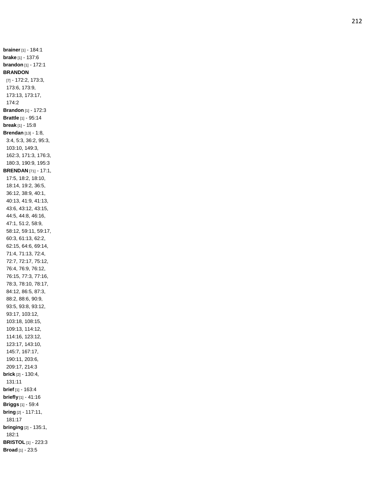**brainer** [1] - 184:1 **brake** [1] - 137:6 **brandon** [1] - 172:1 **BRANDON** [7] - 172:2, 173:3, 173:6, 173:9, 173:13, 173:17, 174:2 **Brandon** [1] - 172:3 **Brattle** [1] - 95:14 **break** [1] - 15:8 **Brendan** [13] - 1:8, 3:4, 5:3, 36:2, 95:3, 103:10, 149:3, 162:3, 171:3, 176:3, 180:3, 190:9, 195:3 **BRENDAN** [71] - 17:1, 17:5, 18:2, 18:10, 18:14, 19:2, 36:5, 36:12, 38:9, 40:1, 40:13, 41:9, 41:13, 43:6, 43:12, 43:15, 44:5, 44:8, 46:16, 47:1, 51:2, 58:9, 58:12, 59:11, 59:17, 60:3, 61:13, 62:2, 62:15, 64:6, 69:14, 71:4, 71:13, 72:4, 72:7, 72:17, 75:12, 76:4, 76:9, 76:12, 76:15, 77:3, 77:16, 78:3, 78:10, 78:17, 84:12, 86:5, 87:3, 88:2, 88:6, 90:9, 93:5, 93:8, 93:12, 93:17, 103:12, 103:18, 108:15, 109:13, 114:12, 114:16, 123:12, 123:17, 143:10, 145:7, 167:17, 190:11, 203:6, 209:17, 214:3 **brick** [2] - 130:4, 131:11 **brief** [1] - 163:4 **briefly** [1] - 41:16 **Briggs** [1] - 59:4 **bring** [2] - 117:11, 181:17 **bringing** [2] - 135:1, 182:1 **BRISTOL** [1] - 223:3 **Broad** [1] - 23:5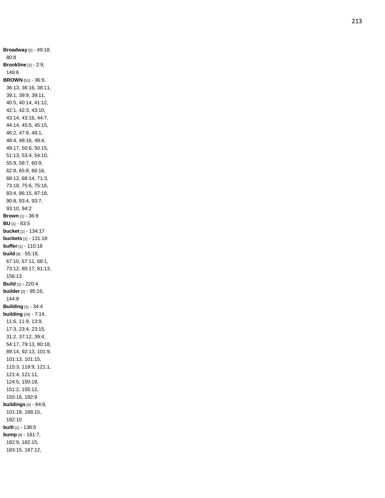**Broadway** [2] - 49:18, 80:8 **Brookline** [2] - 2:9, 149:6 **BROWN** [51] - 36:9, 36:13, 36:16, 38:11, 39:1, 39:9, 39:11, 40:5, 40:14, 41:12, 42:1, 42:3, 43:10, 43:14, 43:16, 44:7, 44:14, 45:5, 45:15, 46:2, 47:9, 48:1, 48:4, 48:16, 49:4, 49:17, 50:6, 50:15, 51:13, 53:4, 54:10, 55:9, 58:7, 60:9, 62:8, 65:8, 66:16, 68:12, 68:14, 71:3, 73:18, 75:6, 75:16, 83:4, 86:15, 87:18, 90:8, 93:4, 93:7, 93:10, 94:2 **Brown** [1] - 36:9 **BU** [1] - 83:5 **bucket** [1] - 134:17 **buckets** [1] - 131:18 **buffer** [1] - 110:18 **build** [8] - 55:18, 67:10, 67:11, 68:1, 73:12, 80:17, 81:13, 156:13 **Build** [1] - 220:4 **builder** [2] - 95:16, 144:8 **Building** [1] - 34:4 **building** [29] - 7:14, 11:6, 11:9, 13:9, 17:3, 23:4, 23:15, 31:2, 37:12, 39:4, 54:17, 79:13, 80:18, 89:14, 92:13, 101:9, 101:13, 101:15, 115:3, 119:9, 121:1, 121:4, 121:11, 124:5, 150:18, 151:2, 155:12, 155:16, 192: 9 **buildings** [4] - 84:8, 101:18, 188:15, 192:10 **built** [1] - 138:5 **bump** [8] - 181:7, 182:9, 182:15, 183:15, 187:12,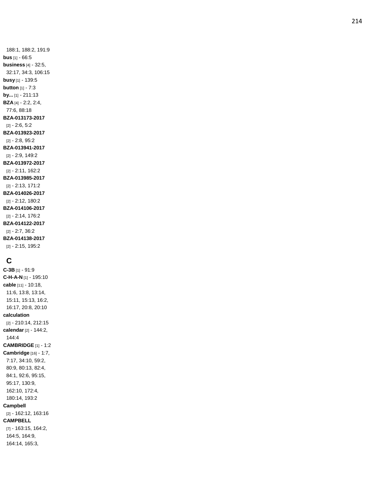188:1, 188:2, 191:9 **bus** [1] - 66:5 **business** [4] - 32:5, 32:17, 34:3, 106:15 **busy** [1] - 139:5 **button** [1] - 7:3 **by...** [1] - 211:13 **BZA** [4] - 2:2, 2:4, 77:6, 88:18 **BZA -013173 -2017** [2] - 2:6, 5:2 **BZA -013923 -2017** [2] - 2:8, 95:2 **BZA -013941 -2017** [2] - 2:9, 149:2 **BZA -013972 -2017** [2] - 2:11, 162:2 **BZA -013985 -2017** [2] - 2:13, 171:2 **BZA -014026 -2017** [2] - 2:12, 180:2 **BZA -014106 -2017** [2] - 2:14, 176:2 **BZA -014122 -2017** [2] - 2:7, 36:2 **BZA -014138 -2017** [2] - 2:15, 195:2

# **C**

**C -3B** [1] - 91:9 **C - H - A - N** [1] - 195:10 **cable** [11] - 10:18, 11:6, 13:8, 13:14, 15:11, 15:13, 16:2, 16:17, 20:8, 20:10 **calculation** [2] - 210:14, 212:15 **calendar** [2] - 144:2, 144:4 **CAMBRIDGE** [1] - 1:2 **Cambridge** [16] - 1:7, 7:17, 34:10, 59:2, 80:9, 80:13, 82:4, 84:1, 92:6, 95:15, 95:17, 130:9, 162:10, 172:4, 180:14, 193:2 **Campbell** [2] - 162:12, 163:16 **CAMPBELL** [7] - 163:15, 164:2, 164:5, 164:9, 164:14, 165:3,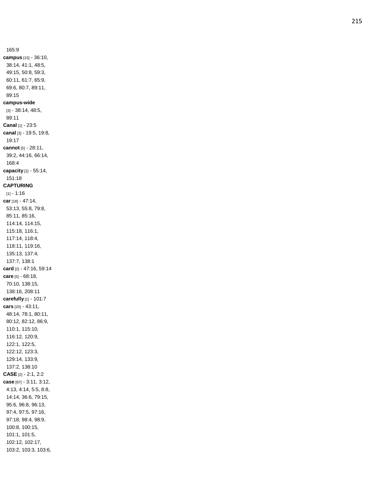165:9 **campus** [15] - 36:10, 38:14, 41:1, 48:5, 49:15, 50:8, 59:3, 60:11, 61:7, 65:9, 69:6, 80:7, 89:11, 89:15 **campus -wide** [3] - 38:14, 48:5, 89:11 **Canal** [1] - 23:5 **canal** [3] - 19:5, 19:8, 19:17 **cannot** [5] - 28:11, 39:2, 44:16, 66:14, 168:4 **capacity** [2] - 55:14, 151:18 **CAPTURING** [1] - 1:16 **car** [18] - 47:14, 53:13, 55:8, 79:8, 85:11, 85:16, 114:14, 114:15, 115:18, 116:1, 117:14, 118:4, 118:11, 119:16, 135:13, 137:4, 137:7, 138:1 **card** [2] - 47:16, 59:14 **care** [5] - 68:18, 70:10, 138:15, 138:16, 208:11 **carefully** [1] - 101:7 **cars** [20] - 43:11, 48:14, 78:1, 80:11, 80:12, 82:12, 86:9, 110:1, 115:10, 116:12, 120:9, 122:1, 122:5, 122:12, 123:3, 129:14, 133:9, 137:2, 138:10 **CASE** [2] - 2:1, 2:2 **case** [87] - 3:11, 3:12, 4:13, 4:14, 5:5, 8:8, 14:14, 36:6, 79:15, 95:6, 96:8, 96:13, 97:4, 97:5, 97:16, 97:18, 98:4, 98:9, 100:8, 100:15, 101:1, 101:5, 102:12, 102:17, 103:2, 103:3, 103:6,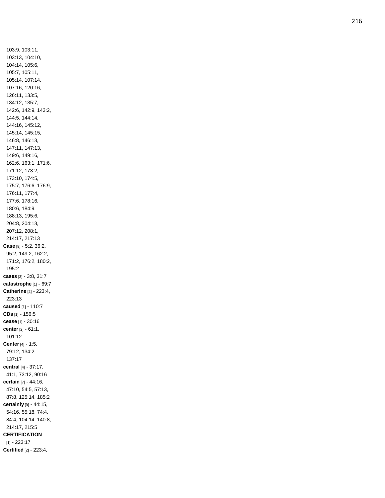103:9, 103:11, 103:13, 104:10, 104:14, 105:6, 105:7, 105:11, 105:14, 107:14, 107:16, 120:16, 126:11, 133:5, 134:12, 135:7, 142:6, 142:9, 143:2, 144:5, 144:14, 144:16, 145:12, 145:14, 145:15, 146:8, 146:13, 147:11, 147:13, 149:6, 149:16, 162:6, 163:1, 171:6, 171:12, 173:2, 173:10, 174:5, 175:7, 176:6, 176:9, 176:11, 177:4, 177:6, 178:16, 180:6, 184:9, 188:13, 195:6, 204:8, 204:13, 207:12, 208:1, 214:17, 217:13 **Case** [9] - 5:2, 36:2, 95:2, 149:2, 162:2, 171:2, 176:2, 180:2, 195:2 **cases** [3] - 3:8, 31:7 **catastrophe** [1] - 69:7 **Catherine** [2] - 223:4, 223:13 **caused** [1] - 110:7 **CDs** [1] - 156:5 **cease** [1] - 30:16 **center** [2] - 61:1, 101:12 **Center** [4] - 1:5, 79:12, 134:2, 137:17 **central** [4] - 37:17, 41:1, 73:12, 90:16 **certain** [7] - 44:16, 47:10, 54:5, 57:13, 87:8, 125:14, 185:2 **certainly** [9] - 44:15, 54:16, 55:18, 74:4, 84:4, 104:14, 140:8, 214:17, 215:5 **CERTIFICATION** [1] - 223:17 **Certified** [2] - 223:4,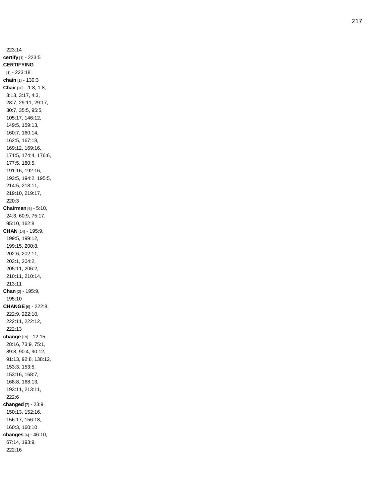223:14 **certify** [1] - 223:5 **CERTIFYING** [1] - 223:18 **chain** [1] - 130:3 **Chair** [36] - 1:8, 1:8, 3:13, 3:17, 4:3, 28:7, 29:11, 29:17, 30:7, 35:5, 95:5, 105:17, 146:12, 149:5, 159:13, 160:7, 160:14, 162:5, 167:18, 169:12, 169:16, 171:5, 174:4, 176:6, 177:5, 180:5, 191:16, 192:16, 193:5, 194:2, 195:5, 214:5, 218:11, 219:10, 219:17, 220:3 **Chairman** [6] - 5:10, 24:3, 60:9, 75:17, 95:10, 162:8 **CHAN** [14] - 195:9, 199:5, 199:12, 199:15, 200:8, 202:6, 202:11, 203:1, 204:2, 205:11, 206:2, 210:11, 210:14, 213:11 **Chan** [2] - 195:9, 195:10 **CHANGE** [6] - 222:8, 222:9, 222:10, 222:11, 222:12, 222:13 **change** [19] - 12:15, 28:16, 73:9, 75:1, 89:8, 90:4, 90:12, 91:13, 92:8, 138:12, 153:3, 153:5, 153:16, 168:7, 168:8, 168:13, 193:11, 213:11, 222:6 **changed** [7] - 23:9, 150:13, 152:16, 156:17, 156:18, 160:3, 160:10 **changes** [4] - 46:10, 67:14, 193:9, 222:16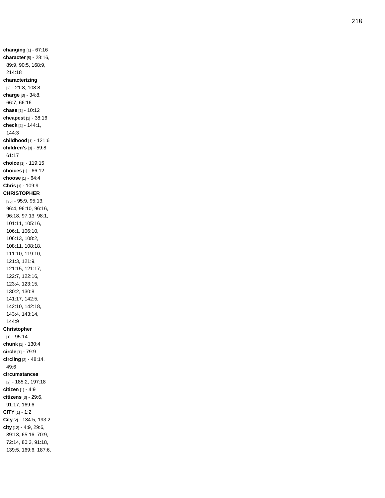**changing** [1] - 67:16 **character** [5] - 28:16, 89:9, 90:5, 168:9, 214:18 **characterizing** [2] - 21:8, 108:8 **charge** [3] - 34:8, 66:7, 66:16 **chase** [1] - 10:12 **cheapest** [1] - 38:16 **check** [2] - 144:1, 144:3 **childhood** [1] - 121:6 **children's** [3] - 59:8, 61:17 **choice** [1] - 119:15 **choices** [1] - 66:12 **choose** [1] - 64:4 **Chris** [1] - 109:9 **CHRISTOPHER** [35] - 95:9, 95:13, 96:4, 96:10, 96:16, 96:18, 97:13, 98:1, 101:11, 105:16, 106:1, 106:10, 106:13, 108:2, 108:11, 108:18, 111:10, 119:10, 121:3, 121:9, 121:15, 121:17, 122:7, 122:16, 123:4, 123:15, 130:2, 130:8, 141:17, 142:5, 142:10, 142:18, 143:4, 143:14, 144:9 **Christopher** [1] - 95:14 **chunk** [1] - 130:4 **circle** [1] - 79:9 **circling** [2] - 48:14, 49:6 **circumstances** [2] - 185:2, 197:18 **citizen** [1] - 4:9 **citizens** [3] - 29:6, 91:17, 169:6 **CITY** [1] - 1:2 **City** [2] - 134:5, 193:2 **city** [12] - 4:9, 29:6, 39:13, 65:16, 70:9, 72:14, 80:3, 91:18, 139:5, 169:6, 187:6,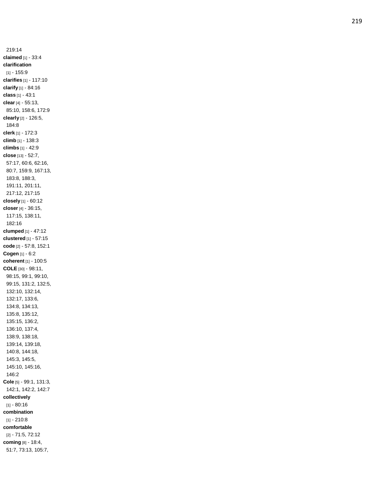219:14 **claimed** [1] - 33:4 **clarification** [1] - 155:9 **clarifies** [1] - 117:10 **clarify** [1] - 84:16 **class** [1] - 43:1 **clear** [4] - 55:13, 85:10, 158:6, 172:9 **clearly** [2] - 126:5, 184:8 **clerk** [1] - 172:3 **climb** [1] - 138:3 **climbs** [1] - 42:9 **close** [13] - 52:7, 57:17, 60:6, 62:16, 80:7, 159:9, 167:13, 183:8, 188:3, 191:11, 201:11, 217:12, 217:15 **closely** [1] - 60:12 **closer** [4] - 36:15, 117:15, 138:11, 182:16 **clumped** [1] - 47:12 **clustered** [1] - 57:15 **code** [2] - 57:8, 152:1 **Cogen** [1] - 6:2 **coherent** [1] - 100:5 **COLE** [30] - 98:11, 98:15, 99:1, 99:10, 99:15, 131:2, 132:5, 132:10, 132:14, 132:17, 133:6, 134:8, 134:13, 135:8, 135:12, 135:15, 136:2, 136:10, 137:4, 138:9, 138:18, 139:14, 139:18, 140:8, 144:18, 145:3, 145:5, 145:10, 145:16, 146:2 **Cole** [5] - 99:1, 131:3, 142:1, 142:2, 142:7 **collectively** [1] - 80:16 **combination** [1] - 210:8 **comfortable** [2] - 71:5, 72:12 **coming** [8] - 18:4, 51:7, 73:13, 105:7,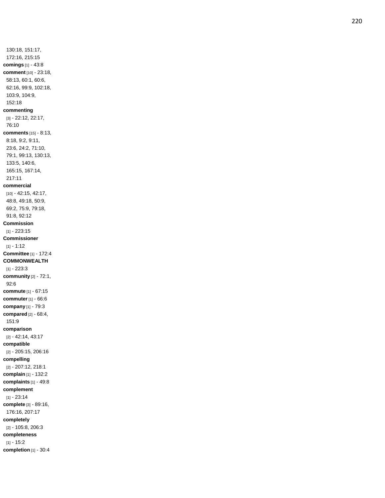130:18, 151:17, 172:16, 215:15 **comings** [1] - 43:8 **comment** [10] - 23:18, 58:13, 60:1, 60:6, 62:16, 99:9, 102:18, 103:9, 104:9, 152:18 **commenting** [3] - 22:12, 22:17, 76:10 **comments** [15] - 8:13, 8:18, 9:2, 9:11, 23:6, 24:2, 71:10, 79:1, 99:13, 130:13, 133:5, 140:6, 165:15, 167:14, 217:11 **commercial** [10] - 42:15, 42:17, 48:8, 49:18, 50:9, 69:2, 75:9, 79:18, 91:8, 92:12 **Commission** [1] - 223:15 **Commissioner** [1] - 1:12 **Committee** [1] - 172:4 **COMMONWEALTH** [1] - 223:3 **community** [2] - 72:1, 92:6 **commute** [1] - 67:15 **commuter** [1] - 66:6 **company** [1] - 79:3 **compared** [2] - 68:4, 151:9 **comparison** [2] - 42:14, 43:17 **compatible** [2] - 205:15, 206:16 **compelling** [2] - 207:12, 218:1 **complain** [1] - 132:2 **complaints** [1] - 49:8 **complement** [1] - 23:14 **complete** [3] - 89:16, 176:16, 207:17 **completely** [2] - 105:8, 206:3 **completeness** [1] - 15:2 **completion** [1] - 30:4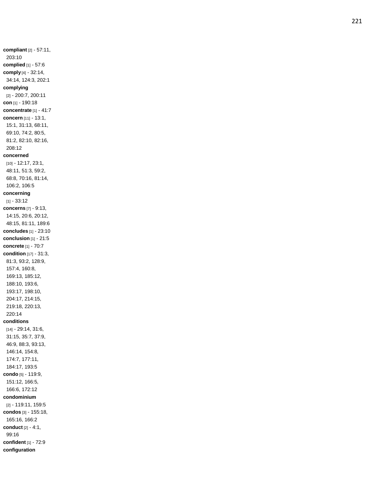**compliant** [2] - 57:11, 203:10 **complied** [1] - 57:6 **comply** [4] - 32:14, 34:14, 124:3, 202:1 **complying** [2] - 200:7, 200:11 **con** [1] - 190:18 **concentrate** [1] - 41:7 **concern** [11] - 13:1, 15:1, 31:13, 68:11, 69:10, 74:2, 80:5, 81:2, 82:10, 82:16, 208:12 **concerned** [10] - 12:17, 23:1, 48:11, 51:3, 59:2, 68:8, 70:16, 81:14, 106:2, 106:5 **concerning** [1] - 33:12 **concerns** [7] - 9:13, 14:15, 20:6, 20:12, 48:15, 81:11, 189:6 **concludes** [1] - 23:10 **conclusion** [1] - 21:5 **concrete** [1] - 70:7 **condition** [17] - 31:3, 81:3, 93:2, 128:9, 157:4, 160:8, 169:13, 185:12, 188:10, 193:6, 193:17, 198:10, 204:17, 214:15, 219:18, 220:13, 220:14 **conditions** [14] - 29:14, 31:6, 31:15, 35:7, 37:9, 46:9, 88:3, 93:13, 146:14, 154:8, 174:7, 177:11, 184:17, 193:5 **condo** [5] - 119:9, 151:12, 166:5, 166:6, 172:12 **condominium** [2] - 119:11, 159:5 **condos** [3] - 155:18, 165:16, 166:2 **conduct** [2] - 4:1, 99:16 **confident** [1] - 72:9 **configuration**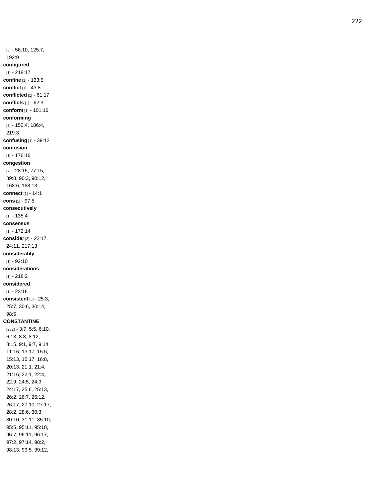[3] - 56:10, 125:7, 192:9 **configured** [1] - 218:17 **confine** [1] - 133:5 **conflict** [1] - 43:8 **conflicted** [1] - 61:17 **conflicts** [1] - 62:3 **conform** [1] - 101:16 **conforming** [3] - 150:4, 186:4, 219:3 **confusing** [1] - 39:12 **confusion** [1] - 176:16 **congestion** [7] - 28:15, 77:15, 89:8, 90:3, 90:12, 168:6, 168:13 **connect** [1] - 14:1 **cons** [1] - 97:5 **consecutively** [1] - 135:4 **consensus** [1] - 172:14 **consider** [3] - 22:17, 24:11, 217:13 **considerably** [1] - 92:10 **considerations** [1] - 218:2 **considered** [1] - 23:16 **consistent** [5] - 25:3, 25:7, 30:6, 30:14, 98:5 **CONSTANTINE** [282] - 3:7, 5:5, 6:10, 6:13, 8:8, 8:12, 8:15, 9:1, 9:7, 9:14, 11:16, 13:17, 15:6, 15:13, 15:17, 16:8, 20:13, 21:1, 21:4, 21:16, 22:1, 22:4, 22:9, 24:5, 24:9, 24:17, 25:6, 25:13, 26:2, 26:7, 26:12, 26:17, 27:10, 27:17, 28:2, 28:6, 30:3, 30:10, 31:11, 35:10, 95:5, 95:11, 95:18, 96:7, 96:11, 96:17, 97:2, 97:14, 98:2, 98:13, 99:5, 99:12,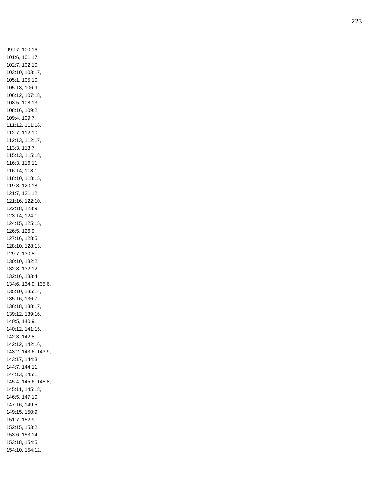99:17, 100:16, 101:6, 101:17, 102:7, 102:10, 103:10, 103:17, 105:1, 105:10, 105:18, 106:9, 106:12, 107:18, 108:5, 108:13, 108:16, 109:2, 109:4, 109:7, 111:12, 111:18, 112:7, 112:10, 112:13, 112:17, 113:3, 113:7, 115:13, 115:18, 116:3, 116:11, 116:14, 118:1, 118:10, 118:15, 119:8, 120:18, 121:7, 121:12, 121:16, 122:10, 122:18, 123:9, 123:14, 124:1, 124:15, 125:15, 126:5, 126:9, 127:16, 128:5, 128:10, 128:13, 129:7, 130:5, 130:10, 132:2, 132:8, 132:12, 132:16, 133:4, 134:6, 134:9, 135:6, 135:10, 135:14, 135:16, 136:7, 136:18, 138:17, 139:12, 139:16, 140:5, 140:9, 140:12, 141:15, 142:3, 142:8, 142:12, 142:16, 143:2, 143:6, 143:9, 143:17, 144:3, 144:7, 144:11, 144:13, 145:1, 145:4, 145:6, 145:8, 145:11, 145:18, 146:5, 147:10, 147:16, 149:5, 149:15, 150:9, 151:7, 152:9, 152:15, 153:2, 153:6, 153:14, 153:18, 154:5, 154:10, 154:12,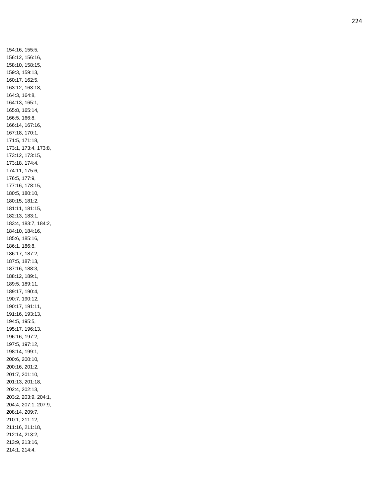154:16, 155:5, 156:12, 156:16, 158:10, 158:15, 159:3, 159:13, 160:17, 162:5, 163:12, 163:18, 164:3, 164:8, 164:13, 165:1, 165:8, 165:14, 166:5, 166:8, 166:14, 167:16, 167:18, 170:1, 171:5, 171:18, 173:1, 173:4, 173:8, 173:12, 173:15, 173:18, 174:4, 174:11, 175:6, 176:5, 177:9, 177:16, 178:15, 180:5, 180:10, 180:15, 181:2, 181:11, 181:15, 182:13, 183:1, 183:4, 183:7, 184:2, 184:10, 184:16, 185:6, 185:16, 186:1, 186:8, 186:17, 187:2, 187:5, 187:13, 187:16, 188:3, 188:12, 189:1, 189:5, 189:11, 189:17, 190:4, 190:7, 190:12, 190:17, 191:11, 191:16, 193:13, 194:5, 195:5, 195:17, 196:13, 196:16, 197:2, 197:5, 197:12, 198:14, 199:1, 200:6, 200:10, 200:16, 201:2, 201:7, 201:10, 201:13, 201:18, 202:4, 202:13, 203:2, 203:9, 204:1, 204:4, 207:1, 207:9, 208:14, 209:7, 210:1, 211:12, 211:16, 211:18, 212:14, 213:2, 213:9, 213:16, 214:1, 214:4,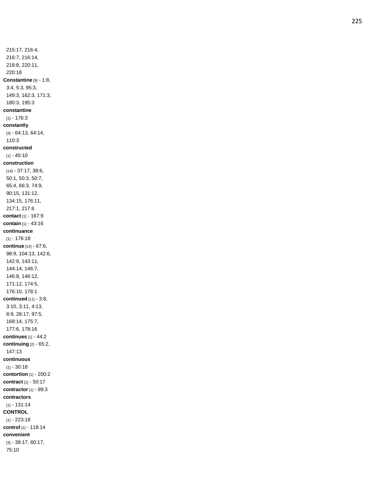215:17, 216:4, 216:7, 216:14, 218:8, 220:11, 220:18 **Constantine** [9] - 1:8, 3:4, 5:3, 95:3, 149:3, 162:3, 171:3, 180:3, 195:3 **constantine** [1] - 176:3 **constantly** [3] - 64:13, 64:14, 110:3 **constructed** [1] - 45:10 **construction** [14] - 37:17, 38:6, 50:1, 50:3, 50:7, 65:4, 66:3, 74:9, 90:15, 131:12, 134:15, 176:11, 217:1, 217:6 **contact** [1] - 167:9 **contain** [1] - 43:16 **continuance** [1] - 176:18 **continue** [14] - 67:6, 98:9, 104:13, 142:6, 142:9, 143:11, 144:14, 146:7, 146:8, 146:12, 171:12, 174:5, 176:10, 178:1 **continued** [11] - 3:8, 3:10, 3:11, 4:13, 8:9, 28:17, 97:5, 168:14, 175:7, 177:6, 178:16 **continues** [1] - 44:2 **continuing** [2] - 65:2, 147:13 **continuous** [1] - 30:18 **contortion** [1] - 200:2 **contract** [1] - 50:17 **contractor** [1] - 99:3 **contractors** [1] - 131:14 **CONTROL** [1] - 223:18 **control** [1] - 118:14 **convenient** [3] - 38:17, 60:17, 75:10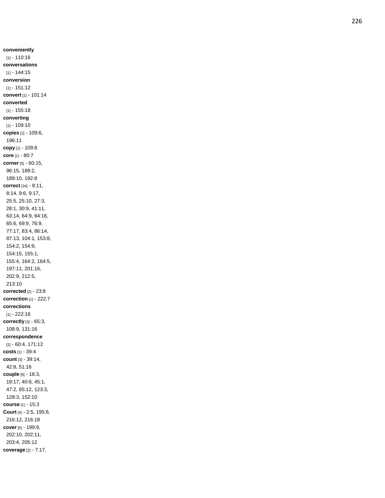**conveniently** [1] - 110:16 **conversations** [1] - 144:15 **conversion** [1] - 151:12 **convert** [1] - 101:14 **converted** [1] - 155:18 **converting** [1] - 109:10 **copies** [2] - 109:6, 196:11 **copy** [1] - 109:8 **core** [1] - 80:7 **corner** [5] - 60:15, 96:15, 189:2, 189:10, 192:8 **correct** [34] - 8:11, 8:14, 9:6, 9:17, 25:5, 25:10, 27:3, 28:1, 30:9, 41:11, 63:14, 64:9, 64:16, 65:6, 69:9, 76:9, 77:17, 83:4, 86:14, 87:13, 104:1, 153:8, 154:2, 154:9, 154:15, 155:1, 155:4, 164:2, 164:5, 197:11, 201:16, 202:9, 212:5, 213:10 **corrected** [2] - 23:8 **correction** [1] - 222:7 **corrections** [1] - 222:16 **correctly** [3] - 65:3, 108:9, 131:16 **correspondence** [2] - 60:4, 171:12 **costs** [1] - 39:4 **count** [3] - 39:14, 42:8, 51:16 **couple** [9] - 16:3, 19:17, 40:6, 45:1, 47:2, 65:12, 123:3, 128:3, 152:10 **course** [1] - 15:3 **Court** [4] - 2:5, 195:6, 216:12, 216:18 **cover** [5] - 199:9, 202:10, 202:11, 203:4, 205:12 **coverage** [2] - 7:17,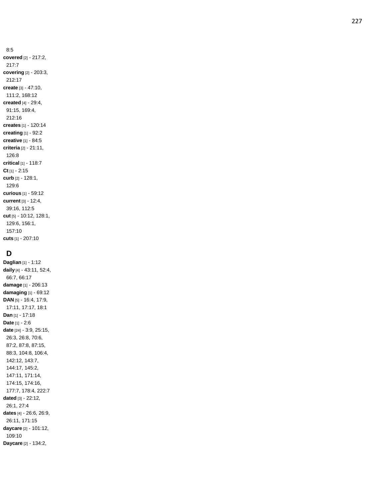8:5 **covered** [2] - 217:2, 217:7 **covering** [2] - 203:3, 212:17 **create** [3] - 47:10, 111:2, 168:12 **created** [4] - 29:4, 91:15, 169:4, 212:16 **creates** [1] - 120:14 **creating** [1] - 92:2 **creative** [1] - 84:5 **criteria** [2] - 21:11, 126:8 **critical** [1] - 118:7 **Ct** [1] - 2:15 **curb** [2] - 128:1, 129:6 **curious** [1] - 59:12 **current** [3] - 12:4, 39:16, 112:5 **cut** [5] - 10:12, 128:1, 129:6, 156:1, 157:10 **cuts** [1] - 207:10

# **D**

**Daglian** [1] - 1:12 **daily** [4] - 43:11, 52:4, 66:7, 66:17 **damage** [1] - 206:13 **damaging** [1] - 69:12 **DAN** [5] - 16:4, 17:9, 17:11, 17:17, 18:1 **Dan** [1] - 17:18 **Date** [1] - 2:6 **date** [24] - 3:9, 25:15, 26:3, 26:8, 70:6, 87:2, 87:8, 87:15, 88:3, 104:8, 106:4, 142:12, 143:7, 144:17, 145:2, 147:11, 171:14, 174:15, 174:16, 177:7, 178:4, 222:7 **dated** [3] - 22:12, 26:1, 27:4 **dates** [4] - 26:6, 26:9, 26:11, 171:15 **daycare** [2] - 101:12, 109:10 **Daycare** [2] - 134:2,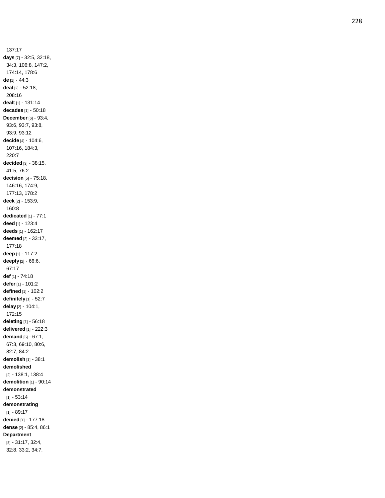137:17 **days** [7] - 32:5, 32:18, 34:3, 106:8, 147:2, 174:14, 178:6 **de** [1] - 44:3 **deal** [2] - 52:18, 208:16 **dealt** [1] - 131:14 **decades** [1] - 50:18 **December** [6] - 93:4, 93:6, 93:7, 93:8, 93:9, 93:12 **decide** [4] - 104:6, 107:16, 184:3, 220:7 **decided** [3] - 38:15, 41:5, 76:2 **decision** [5] - 75:18, 146:16, 174:9, 177:13, 178:2 **deck** [2] - 153:9, 160:8 **dedicated** [1] - 77:1 **deed** [1] - 123:4 **deeds** [1] - 162:17 **deemed** [2] - 33:17, 177:18 **deep** [1] - 117:2 **deeply** [2] - 66:6, 67:17 **def** [1] - 74:18 **defer** [1] - 101:2 **defined** [1] - 102:2 **definitely** [1] - 52:7 **delay** [2] - 104:1, 172:15 **deleting** [1] - 56:18 **delivered** [1] - 222:3 **demand** [6] - 67:1, 67:3, 69:10, 80:6, 82:7, 84:2 **demolish** [1] - 38:1 **demolished** [2] - 138:1, 138:4 **demolition** [1] - 90:14 **demonstrated** [1] - 53:14 **demonstrating** [1] - 89:17 **denied** [1] - 177:18 **dense** [2] - 85:4, 86:1 **Department** [8] - 31:17, 32:4, 32:8, 33:2, 34:7,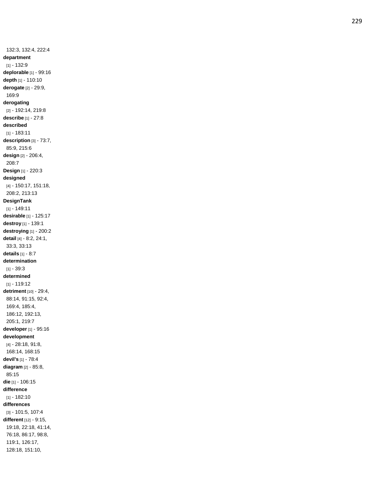132:3, 132:4, 222:4 **department** [1] - 132:9 **deplorable** [1] - 99:16 **depth** [1] - 110:10 **derogate** [2] - 29:9, 169:9 **derogating** [2] - 192:14, 219:8 **describe** [1] - 27:8 **described** [1] - 183:11 **description** [3] - 73:7, 85:9, 215:6 **design** [2] - 206:4, 208:7 **Design** [1] - 220:3 **designed** [4] - 150:17, 151:18, 208:2, 213:13 **DesignTank** [1] - 149:11 **desirable** [1] - 125:17 **destroy** [1] - 139:1 **destroying** [1] - 200:2 **detail** [4] - 8:2, 24:1, 33:3, 33:13 **details** [1] - 8:7 **determination** [1] - 39:3 **determined** [1] - 119:12 **detriment** [10] - 29:4, 88:14, 91:15, 92:4, 169:4, 185:4, 186:12, 192:13, 205:1, 219:7 **developer** [1] - 95:16 **development** [4] - 28:18, 91:8, 168:14, 168:15 **devil's** [1] - 78:4 **diagram** [2] - 85:8, 85:15 **die** [1] - 106:15 **difference** [1] - 182:10 **differences** [3] - 101:5, 107:4 **different** [12] - 9:15, 19:18, 22:18, 41:14, 76:18, 86:17, 98:8, 119:1, 126:17, 128:18, 151:10,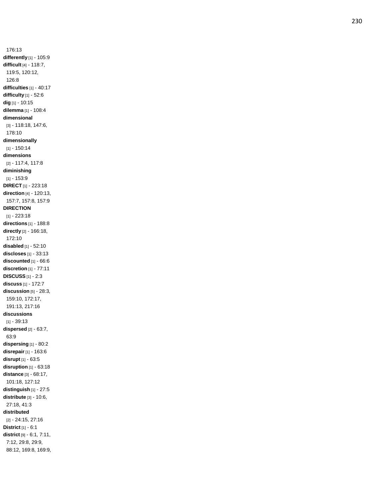176:13 **differently** [1] - 105:9 **difficult** [4] - 118:7, 119:5, 120:12, 126:8 **difficulties** [1] - 40:17 **difficulty** [1] - 52:6 **dig** [1] - 10:15 **dilemma** [1] - 108:4 **dimensional** [3] - 118:18, 147:6, 178:10 **dimensionally** [1] - 150:14 **dimensions** [2] - 117:4, 117:8 **diminishing** [1] - 153:9 **DIRECT** [1] - 223:18 **direction** [4] - 120:13, 157:7, 157:8, 157:9 **DIRECTION** [1] - 223:18 **directions** [1] - 188:8 **directly** [2] - 166:18, 172:10 **disabled** [1] - 52:10 **discloses** [1] - 33:13 **discounted** [1] - 66:6 **discretion** [1] - 77:11 **DISCUSS** [1] - 2:3 **discuss** [1] - 172:7 **discussion** [5] - 28:3, 159:10, 172:17, 191:13, 217:16 **discussions** [1] - 39:13 **dispersed** [2] - 63:7, 63:9 **dispersing** [1] - 80:2 **disrepair** [1] - 163:6 **disrupt** [1] - 63:5 **disruption** [1] - 63:18 **distance** [3] - 68:17, 101:18, 127:12 **distinguish** [1] - 27:5 **distribute** [3] - 10:6, 27:18, 41:3 **distributed** [2] - 24:15, 27:16 **District** [1] - 6:1 **district** [9] - 6:1, 7:11, 7:12, 29:8, 29:9, 88:12, 169:8, 169:9,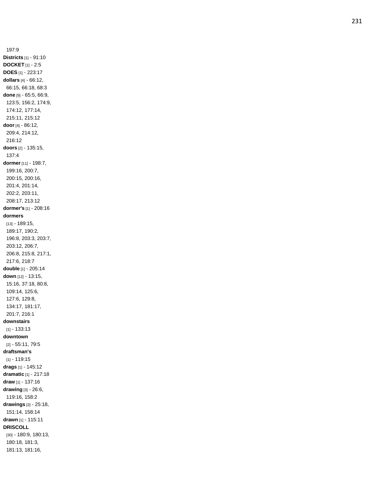197:9 **Districts** [1] - 91:10 **DOCKET** [1] - 2:5 **DOES** [1] - 223:17 **dollars** [4] - 66:12, 66:15, 66:18, 68:3 **done** [9] - 65:5, 66:9, 123:5, 156:2, 174:9, 174:12, 177:14, 215:11, 215:12 **door** [4] - 86:12, 209:4, 214:12, 216:12 **doors** [2] - 135:15, 137:4 **dormer** [11] - 198:7, 199:16, 200:7, 200:15, 200:16, 201:4, 201:14, 202:2, 203:11, 208:17, 213:12 **dormer's** [1] - 208:16 **dormers** [13] - 189:15, 189:17, 190:2, 196:8, 203:3, 203:7, 203:12, 206:7, 206:8, 215:8, 217:1, 217:6, 218:7 **double** [1] - 205:14 **down** [12] - 13:15, 15:16, 37:18, 80:8, 109:14, 125:6, 127:6, 129:8, 134:17, 181:17, 201:7, 216:1 **downstairs** [1] - 133:13 **downtown** [2] - 55:11, 79:5 **draftsman's** [1] - 119:15 **drags** [1] - 145:12 **dramatic** [1] - 217:18 **draw** [1] - 137:16 **drawing** [3] - 26:6, 119:16, 158:2 **drawings** [3] - 25:18, 151:14, 158:14 **drawn** [1] - 115:11 **DRISCOLL** [30] - 180:9, 180:13, 180:18, 181:3, 181:13, 181:16,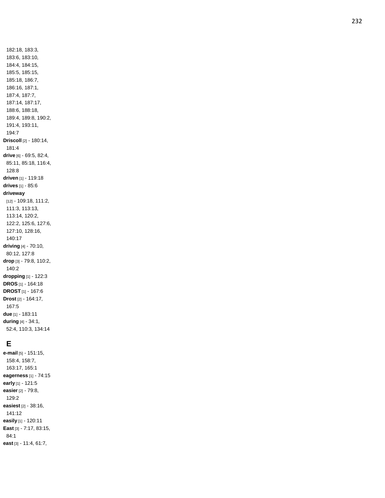182:18, 183:3, 183:6, 183:10, 184:4, 184:15, 185:5, 185:15, 185:18, 186:7, 186:16, 187:1, 187:4, 187:7, 187:14, 187:17, 188:6, 188:18, 189:4, 189:8, 190:2, 191:4, 193:11, 194:7 **Driscoll** [2] - 180:14, 181:4 **drive** [6] - 69:5, 82:4, 85:11, 85:18, 116:4, 128:8 **driven** [1] - 119:18 **drives** [1] - 85:6 **driveway** [12] - 109:18, 111:2, 111:3, 113:13, 113:14, 120:2, 122:2, 125:6, 127:6, 127:10, 128:16, 140:17 **driving** [4] - 70:10, 80:12, 127:8 **drop** [3] - 79:8, 110:2, 140:2 **dropping** [1] - 122:3 **DROS** [1] - 164:18 **DROST** [1] - 167:6 **Drost** [2] - 164:17, 167:5 **due** [1] - 183:11 **during** [4] - 34:1, 52:4, 110:3, 134:14

### **E**

**e -mail** [5] - 151:15, 158:4, 158:7, 163:17, 165:1 **eagerness** [1] - 74:15 **early** [1] - 121:5 **easier** [2] - 79:8, 129:2 **easiest** [2] - 38:16, 141:12 **easily** [1] - 120:11 **East** [3] - 7:17, 83:15, 84:1 **east** [3] - 11:4, 61:7,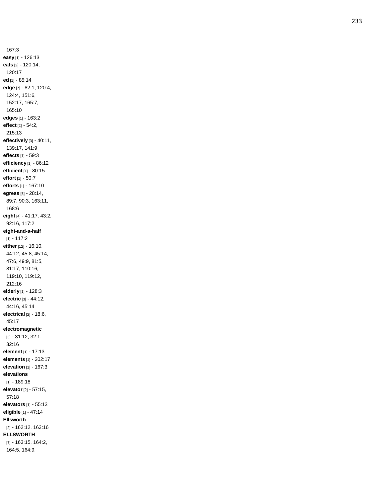167:3 **easy** [1] - 126:13 **eats** [2] - 120:14, 120:17 **ed** [1] - 85:14 **edge** [7] - 82:1, 120:4, 124:4, 151:6, 152:17, 165:7, 165:10 **edges** [1] - 163:2 **effect** [2] - 54:2, 215:13 **effectively** [3] - 40:11, 139:17, 141:9 **effects** [1] - 59:3 **efficiency** [1] - 86:12 **efficient** [1] - 80:15 **effort** [1] - 50:7 **efforts** [1] - 167:10 **egress** [5] - 28:14, 89:7, 90:3, 163:11, 168:6 **eight** [4] - 41:17, 43:2, 92:16, 117:2 **eight -and - a -half** [1] - 117:2 **either** [12] - 16:10, 44:12, 45:8, 45:14, 47:6, 49:9, 81:5, 81:17, 110:16, 119:10, 119:12, 212:16 **elderly** [1] - 128:3 **electric** [3] - 44:12, 44:16, 45:14 **electrical** [2] - 18:6, 45:17 **electromagnetic** [3] - 31:12, 32:1, 32:16 **element** [1] - 17:13 **elements** [1] - 202:17 **elevation** [1] - 167:3 **elevations** [1] - 189:18 **elevator** [2] - 57:15, 57:18 **elevators** [1] - 55:13 **eligible** [1] - 47:14 **Ellsworth** [2] - 162:12, 163:16 **ELLSWORTH** [7] - 163:15, 164:2, 164:5, 164:9,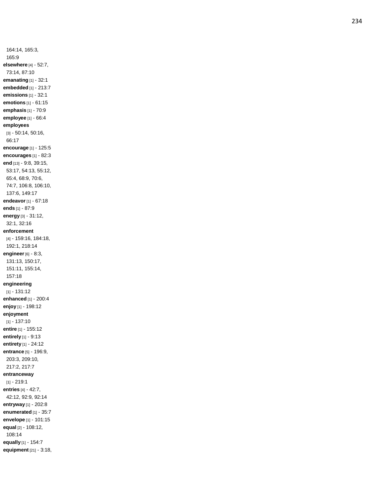164:14, 165:3, 165:9 **elsewhere** [4] - 52:7, 73:14, 87:10 **emanating** [1] - 32:1 **embedded** [1] - 213:7 **emissions** [1] - 32:1 **emotions** [1] - 61:15 **emphasis** [1] - 70:9 **employee** [1] - 66:4 **employees** [3] - 50:14, 50:16, 66:17 **encourage** [1] - 125:5 **encourages** [1] - 82:3 **end** [13] - 9:8, 39:15, 53:17, 54:13, 55:12, 65:4, 68:9, 70:6, 74:7, 106:8, 106:10, 137:6, 149:17 **endeavor** [1] - 67:18 **ends** [1] - 87:9 **energy** [3] - 31:12, 32:1, 32:16 **enforcement** [4] - 159:16, 184:18, 192:1, 218:14 **engineer** [6] - 8:3, 131:13, 150:17, 151:11, 155:14, 157:18 **engineering** [1] - 131:12 **enhanced** [1] - 200:4 **enjoy** [1] - 198:12 **enjoyment** [1] - 137:10 **entire** [1] - 155:12 **entirely** [1] - 9:13 **entirety** [1] - 24:12 **entrance** [5] - 196:9, 203:3, 209:10, 217:2, 217:7 **entranceway** [1] - 219:1 **entries** [4] - 42:7, 42:12, 92:9, 92:14 **entryway** [1] - 202:8 **enumerated** [1] - 35:7 **envelope** [1] - 101:15 **equal** [2] - 108:12, 108:14 **equally** [1] - 154:7 **equipment** [21] - 3:18,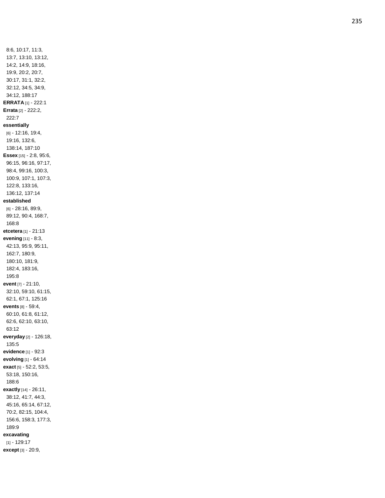8:6, 10:17, 11:3, 13:7, 13:10, 13:12, 14:2, 14:9, 18:16, 19:9, 20:2, 20:7, 30:17, 31:1, 32:2, 32:12, 34:5, 34:9, 34:12, 188:17 **ERRATA** [1] - 222:1 Errata [2] - 222:2, 222:7 essentially  $[6] - 12:16, 19:4,$ 19:16, 132:6, 138:14, 187:10 Essex [15] - 2:8, 95:6, 96:15, 96:16, 97:17, 98:4, 99:16, 100:3, 100:9, 107:1, 107:3, 122:8, 133:16, 136:12, 137:14 established  $[6] - 28:16, 89:9,$ 89:12, 90:4, 168:7, 168:8 etcetera [1] - 21:13 evening [11] - 8:3, 42:13, 95:9, 95:11, 162:7, 180:9, 180:10, 181:9, 182:4, 183:16, 195:8 event [7] - 21:10, 32:10, 59:10, 61:15, 62:1, 67:1, 125:16 events [8] - 59:4, 60:10, 61:8, 61:12, 62:6, 62:10, 63:10, 63:12 everyday [2] - 126:18, 135:5 evidence [1] - 92:3 evolving [1] - 64:14 exact [5] - 52:2, 53:5, 53:18, 150:16, 188:6 exactly [14] - 26:11, 38:12, 41:7, 44:3, 45:16, 65:14, 67:12, 70:2, 82:15, 104:4, 156:6, 158:3, 177:3, 189:9 excavating  $[1] - 129:17$ except [3] - 20:9,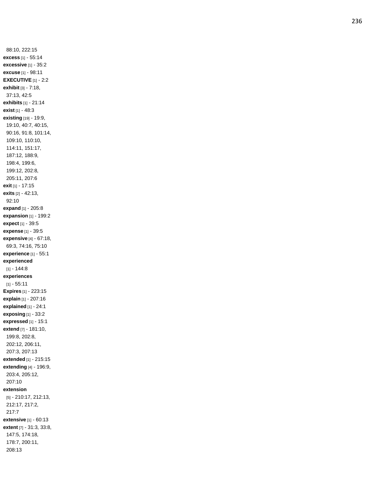88:10, 222:15 **excess** [1] - 55:14 **excessive** [1] - 35:2 **excuse** [1] - 98:11 **EXECUTIVE** [1] - 2:2 **exhibit** [3] - 7:18, 37:13, 42:5 **exhibits** [1] - 21:14 **exist** [1] - 48:3 **existing** [19] - 19:9, 19:10, 40:7, 40:15, 90:16, 91:8, 101:14, 109:10, 110:10, 114:11, 151:17, 187:12, 188:9, 198:4, 199:6, 199:12, 202:8, 205:11, 207:6 **exit** [1] - 17:15 **exits** [2] - 42:13, 92:10 **expand** [1] - 205:8 **expansion** [1] - 199:2 **expect** [1] - 39:5 **expense** [1] - 39:5 **expensive** [4] - 67:18, 69:3, 74:16, 75:10 **experience** [1] - 55:1 **experienced** [1] - 144:8 **experiences** [1] - 55:11 **Expires** [1] - 223:15 **explain** [1] - 207:16 **explained** [1] - 24:1 **exposing** [1] - 33:2 **expressed** [1] - 15:1 **extend** [7] - 181:10, 199:8, 202:8, 202:12, 206:11, 207:3, 207:13 **extended** [1] - 215:15 **extending** [4] - 196:9, 203:4, 205:12, 207:10 **extension** [5] - 210:17, 212:13, 212:17, 217:2, 217:7 **extensive** [1] - 60:13 **extent** [7] - 31:3, 33:8, 147:5, 174:18, 178:7, 200:11, 208:13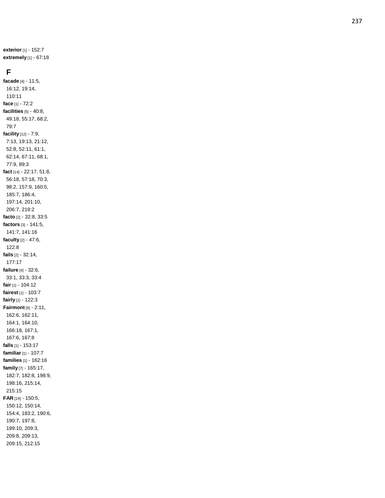**exterior** [1] - 152:7 **extremely** [1] - 67:18

### **F**

**facade** [4] - 11:5, 16:12, 19:14, 110:11 **face** [1] - 72:2 **facilities** [5] - 40:8, 49:18, 55:17, 68:2, 79:7 **facility** [12] - 7:9, 7:13, 19:13, 21:12, 52:8, 52:11, 61:1, 62:14, 67:11, 68:1, 77:9, 89:3 **fact** [14] - 22:17, 51:8, 56:18, 57:18, 70:3, 98:2, 157:9, 160:5, 185:7, 186:4, 197:14, 201:10, 206:7, 219:2 **facto** [2] - 32:8, 33:5 **factors** [3] - 141:5, 141:7, 141:16 **faculty** [2] - 47:6, 122:8 **fails** [2] - 32:14, 177:17 **failure** [4] - 32:6, 33:1, 33:3, 33:4 **fair** [1] - 104:12 **fairest** [1] - 103:7 **fairly** [1] - 122:3 **Fairmont** [9] - 2:11, 162:6, 162:11, 164:1, 164:10, 166:18, 167:1, 167:6, 167:8 **falls** [1] - 153:17 **familiar** [1] - 107:7 **families** [1] - 162:16 **family** [7] - 165:17, 182:7, 182:8, 198:9, 198:16, 215:14, 215:15 **FAR** [14] - 150:5, 150:12, 150:14, 154:4, 183:2, 190:6, 190:7, 197:8, 199:10, 209:3, 209:8, 209:13, 209:15, 212:15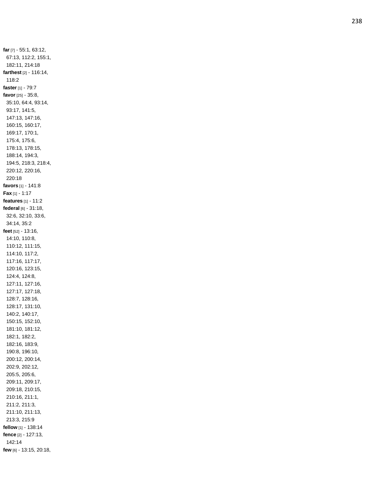far [7] - 55:1, 63:12, 67:13, 112:2, 155:1, 182:11, 214:18 farthest [2] - 116:14, 118:2 faster [1] - 79:7 favor [25] - 35:8, 35:10, 64:4, 93:14, 93:17, 141:5, 147:13, 147:16, 160:15, 160:17, 169:17, 170:1, 175:4, 175:6, 178:13, 178:15, 188:14, 194:3, 194:5, 218:3, 218:4, 220:12, 220:16, 220:18 favors [1] - 141:8  $\textsf{Fax}\left[1\right] - 1:17$ features [1] - 11:2 federal [6] - 31:18, 32:6, 32:10, 33:6, 34:14, 35:2 feet [52] - 13:16, 14:10, 110:8, 110:12, 111:15, 114:10, 117:2, 117:16, 117:17, 120:16, 123:15, 124:4, 124:8, 127:11, 127:16, 127:17, 127:18, 128:7, 128:16, 128:17, 131:10, 140:2, 140:17, 150:15, 152:10, 181:10, 181:12, 182:1, 182:2, 182:16, 183:9, 190:8, 196:10, 200:12, 200:14, 202:9, 202:12, 205:5, 205:6, 209:11, 209:17, 209:18, 210:15, 210:16, 211:1, 211:2, 211:3, 211:10, 211:13, 213:3, 215:9 fellow [1] - 138:14 fence [2] - 127:13, 142:14 few [6] - 13:15, 20:18,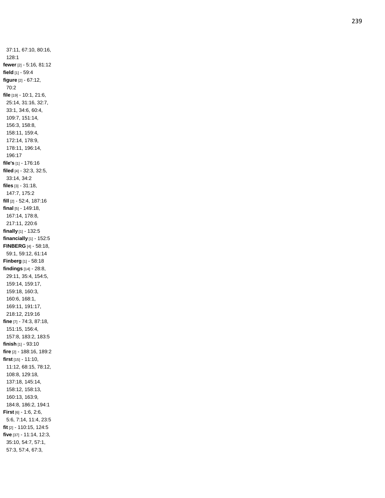37:11, 67:10, 80:16, 128:1 **fewer** [2] - 5:16, 81:12 **field** [1] - 59:4 **figure** [2] - 67:12, 70:2 **file** [19] - 10:1, 21:6, 25:14, 31:16, 32:7, 33:1, 34:6, 60:4, 109:7, 151:14, 156:3, 158:8, 158:11, 159:4, 172:14, 178:9, 178:11, 196:14, 196:17 **file's** [1] - 176:16 **filed** [4] - 32:3, 32:5, 33:14, 34:2 **files** [3] - 31:18, 147:7, 175:2 **fill** [2] - 52:4, 187:16 **final** [5] - 149:18, 167:14, 178:8, 217:11, 220:6 **finally** [1] - 132:5 **financially** [1] - 152:5 **FINBERG** [4] - 58:18, 59:1, 59:12, 61:14 **Finberg** [1] - 58:18 **findings** [14] - 28:8, 29:11, 35:4, 154:5, 159:14, 159:17, 159:18, 160:3, 160:6, 168:1, 169:11, 191:17, 218:12, 219:16 **fine** [7] - 74:3, 87:18, 151:15, 156:4, 157:8, 183:2, 183:5 **finish** [1] - 93:10 **fire** [2] - 188:16, 189:2 **first** [15] - 11:10, 11:12, 68:15, 78:12, 108:8, 129:18, 137:18, 145:14, 158:12, 158:13, 160:13, 163:9, 184:8, 186:2, 194:1 **First** [6] - 1:6, 2:6, 5:6, 7:14, 11:4, 23:5 **fit** [2] - 110:15, 124:5 **five** [37] - 11:14, 12:3, 35:10, 54:7, 57:1, 57:3, 57:4, 67:3,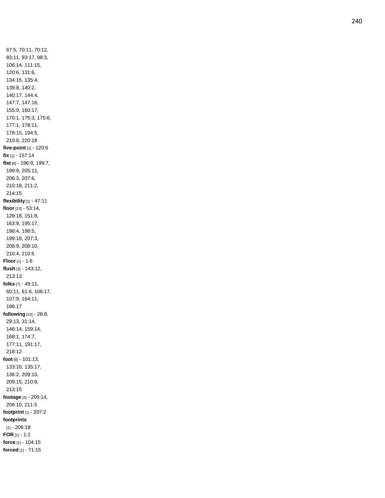67:5, 70:11, 70:12, 83:11, 93:17, 98:3, 106:14, 111:15, 120:6, 131:6, 134:15, 135:4, 139:8, 140:2, 140:17, 144:4, 147:7, 147:16, 155:9, 160:17, 170:1, 175:3, 175:6, 177:1, 178:11, 178:15, 194:5, 210:8, 220:18 **five -point** [1] - 120:6 **fix** [1] - 157:14 **flat** [9] - 196:9, 199:7, 199:9, 205:11, 206:3, 207:6, 210:18, 211:2, 214:15 **flexibility** [1] - 47:11 **floor** [13] - 53:14, 129:18, 151:8, 163:9, 195:17, 198:4, 198:5, 199:18, 207:3, 208:9, 208:10, 210:4, 210:5 **Floor** [1] - 1:6 **flush** [3] - 143:12, 213:13 **folks** [7] - 49:11, 60:11, 61:6, 106:17, 107:9, 164:11, 196:17 **following** [10] - 28:8, 29:13, 31:14, 146:14, 159:14, 168:1, 174:7, 177:11, 191:17, 218:12 **foot** [8] - 101:13, 133:10, 135:17, 136:2, 209:10, 209:15, 210:8, 213:15 **footage** [3] - 205:14, 206:10, 211:5 **footprint** [1] - 207:2 **footprints** [1] - 206:18 **FOR** [1] - 1:1 **force** [1] - 104:15 **forced** [1] - 71:15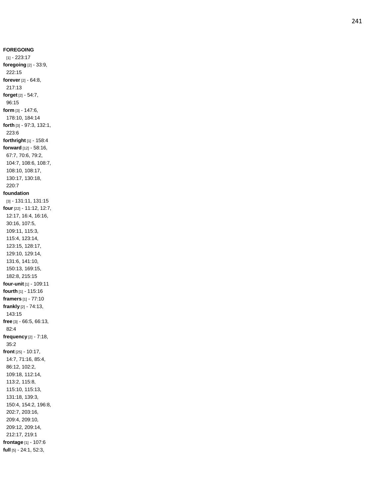**FOREGOING** [1] - 223:17 **foregoing** [2] - 33:9, 222:15 **forever** [2] - 64:8, 217:13 **forget** [2] - 54:7, 96:15 **form** [3] - 147:6, 178:10, 184:14 **forth** [3] - 97:3, 132:1, 223:6 **forthright** [1] - 158:4 **forward** [12] - 58:16, 67:7, 70:6, 79:2, 104:7, 108:6, 108:7, 108:10, 108:17, 130:17, 130:18, 220:7 **foundation** [3] - 131:11, 131:15 **four** [22] - 11:12, 12:7, 12:17, 16:4, 16:16, 30:16, 107:5, 109:11, 115:3, 115:4, 123:14, 123:15, 128:17, 129:10, 129:14, 131:6, 141:10, 150:13, 169:15, 182:8, 215:15 **four -unit** [1] - 109:11 **fourth** [1] - 115:16 **framers** [1] - 77:10 **frankly** [2] - 74:13, 143:15 **free** [3] - 66:5, 66:13, 82:4 **frequency** [2] - 7:18, 35:2 **front** [25] - 10:17, 14:7, 71:16, 85:4, 86:12, 102:2, 109:18, 112:14, 113:2, 115:8, 115:10, 115:13, 131:18, 139:3, 150:4, 154:2, 196:8, 202:7, 203:16, 209:4, 209:10, 209:12, 209:14, 212:17, 219:1 **frontage** [1] - 107:6 **full** [5] - 24:1, 52:3,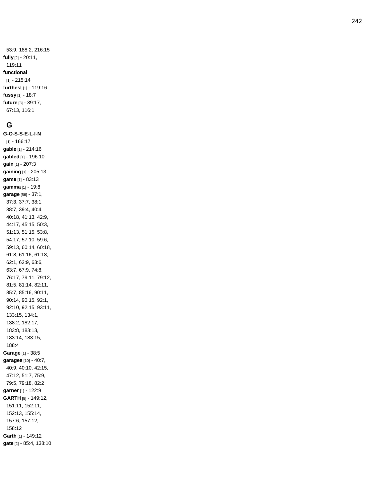53:9, 188:2, 216:15 fully [2] - 20:11, 119:11 functional  $[1] - 215:14$ furthest [1] - 119:16 fussy [1] - 18:7 future [3] - 39:17, 67:13, 116:1

### G

G-O-S-S-E-L-I-N  $[1] - 166:17$ gable [1] - 214:16 gabled [1] - 196:10 gain [1] - 207:3 gaining [1] - 205:13 game [1] - 83:13 gamma [1] - 19:8 garage [56] - 37:1, 37:3, 37:7, 38:1, 38:7, 39:4, 40:4, 40:18, 41:13, 42:9, 44:17, 45:15, 50:3, 51:13, 51:15, 53:8, 54:17, 57:10, 59:6, 59:13, 60:14, 60:18, 61:8, 61:16, 61:18, 62:1, 62:9, 63:6, 63:7, 67:9, 74:8, 76:17, 79:11, 79:12, 81:5, 81:14, 82:11, 85:7, 85:16, 90:11, 90:14, 90:15, 92:1, 92:10, 92:15, 93:11, 133:15, 134:1, 138:2, 182:17, 183:8, 183:13, 183:14, 183:15, 188:4 Garage [1] - 38:5 garages [10] - 40:7, 40:9, 40:10, 42:15, 47:12, 51:7, 75:9, 79:5, 79:18, 82:2 garner [1] - 122:9 GARTH [8] - 149:12, 151:11, 152:11, 152:13, 155:14, 157:6, 157:12, 158:12 Garth [1] - 149:12 gate [2] - 85:4, 138:10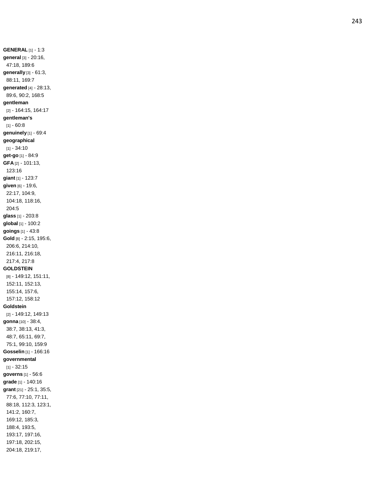**GENERAL** [1] - 1:3 **general** [3] - 20:16, 47:18, 189:6 **generally** [3] - 61:3, 88:11, 169:7 **generated** [4] - 28:13, 89:6, 90:2, 168:5 **gentleman** [2] - 164:15, 164:17 **gentleman's** [1] - 60:8 **genuinely** [1] - 69:4 **geographical** [1] - 34:10 **get -go** [1] - 84:9 **GFA** [2] - 101:13, 123:16 **giant** [1] - 123:7 **given** [6] - 19:6, 22:17, 104:9, 104:18, 118:16, 204:5 **glass** [1] - 203:8 **global** [1] - 100:2 **goings** [1] - 43:8 **Gold** [8] - 2:15, 195:6, 206:6, 214:10, 216:11, 216:18, 217:4, 217:8 **GOLDSTEIN** [8] - 149:12, 151:11, 152:11, 152:13, 155:14, 157:6, 157:12, 158:12 **Goldstein** [2] - 149:12, 149:13 **gonna** [10] - 38:4, 38:7, 38:13, 41:3, 48:7, 65:11, 69:7, 75:1, 99:10, 159:9 **Gosselin** [1] - 166:16 **governmental** [1] - 32:15 **governs** [1] - 56:6 **grade** [1] - 140:16 **grant** [21] - 25:1, 35:5, 77:6, 77:10, 77:11, 88:18, 112:3, 123:1, 141:2, 160:7, 169:12, 185:3, 188:4, 193:5, 193:17, 197:16, 197:18, 202:15, 204:18, 219:17,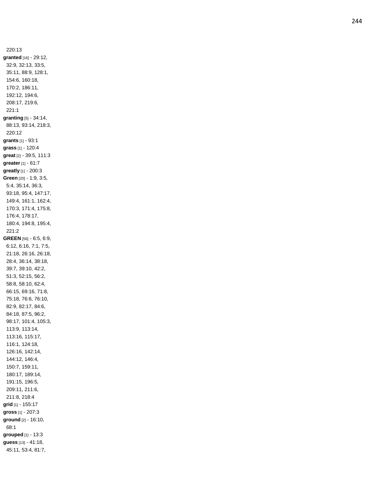220:13 granted [16] - 29:12, 32:9, 32:13, 33:5, 35:11, 88:9, 128:1, 154:6, 160:18, 170:2, 186:11, 192:12, 194:6, 208:17, 219:6,  $221:1$ granting [5] - 34:14, 88:13, 93:14, 218:3, 220:12 grants [1] - 93:1 grass [1] - 120:4 great [2] - 39:5, 111:3 greater [1] - 61:7 greatly [1] - 200:3 Green [20] - 1:9, 3:5, 5:4, 35:14, 36:3, 93:18, 95:4, 147:17, 149:4, 161:1, 162:4, 170:3, 171:4, 175:8, 176:4, 178:17, 180:4, 194:8, 195:4, 221:2 GREEN [56] - 6:5, 6:9, 6:12, 6:16, 7:1, 7:5, 21:18, 26:16, 26:18, 28:4, 36:14, 38:18, 39:7, 39:10, 42:2, 51:3, 52:15, 56:2, 58:8, 58:10, 62:4, 66:15, 69:16, 71:8, 75:18, 76:6, 76:10, 82:9, 82:17, 84:6, 84:18, 87:5, 96:2, 98:17, 101:4, 105:3, 113:9, 113:14, 113:16, 115:17, 116:1, 124:18, 126:16, 142:14, 144:12, 146:4, 150:7, 159:11, 180:17, 189:14, 191:15, 196:5, 209:11, 211:6, 211:8, 218:4 grid [1] - 155:17 gross [1] - 207:3 ground [2] - 16:10, 68:1 grouped [1] - 13:3 guess [13] - 41:18, 45:11, 53:4, 81:7,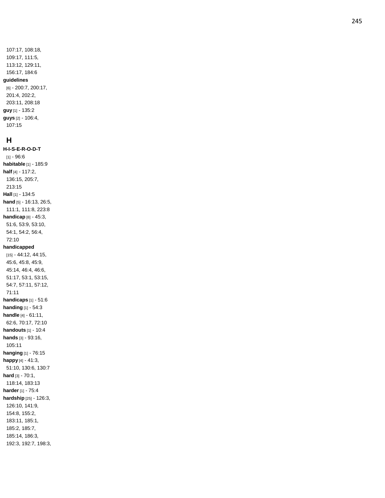# **H**

**H-I-S-E-R-O-D-T** [1] - 96:6 **habitable** [1] - 185:9 **half** [4] - 117:2, 136:15, 205:7, 213:15 **Hall** [1] - 134:5 **hand** [5] - 16:13, 26:5, 111:1, 111:8, 223:8 **handicap** [8] - 45:3, 51:6, 53:9, 53:10, 54:1, 54:2, 56:4, 72:10 **handicapped** [15] - 44:12, 44:15, 45:6, 45:8, 45:9, 45:14, 46:4, 46:6, 51:17, 53:1, 53:15, 54:7, 57:11, 57:12, 71:11 **handicaps** [1] - 51:6 **handing** [1] - 54:3 **handle** [4] - 61:11, 62:6, 70:17, 72:10 **handouts** [1] - 10:4 **hands** [3] - 93:16, 105:11 **hanging** [1] - 76:15 **happy** [4] - 41:3, 51:10, 130:6, 130:7 **hard** [3] - 70:1, 118:14, 183:13 **harder** [1] - 75:4 **hardship** [25] - 126:3, 126:10, 141:9, 154:8, 155:2, 183:11, 185:1, 185:2, 185:7, 185:14, 186:3, 192:3, 192:7, 198:3,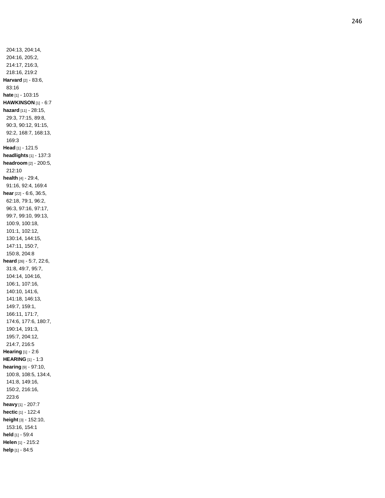204:13, 204:14, 204:16, 205:2, 214:17, 216:3, 218:16, 219:2 **Harvard** [2] - 83:6, 83:16 **hate** [1] - 103:15 **HAWKINSON** [1] - 6:7 **hazard** [11] - 28:15, 29:3, 77:15, 89:8, 90:3, 90:12, 91:15, 92:2, 168:7, 168:13, 169:3 **Head** [1] - 121:5 **headlights** [1] - 137:3 **headroom** [2] - 200:5, 212:10 **health** [4] - 29:4, 91:16, 92:4, 169:4 **hear** [22] - 6:6, 36:5, 62:18, 79:1, 96:2, 96:3, 97:16, 97:17, 99:7, 99:10, 99:13, 100:9, 100:18, 101:1, 102:12, 130:14, 144:15, 147:11, 150:7, 150:8, 204:8 **heard** [26] - 5:7, 22:6, 31:8, 49:7, 95:7, 104:14, 104:16, 106:1, 107:16, 140:10, 141:6, 141:18, 146:13, 149:7, 159:1, 166:11, 171:7, 174:6, 177:6, 180:7, 190:14, 191:3, 195:7, 204:12, 214:7, 216:5 **Hearing** [1] - 2:6 **HEARING** [1] - 1:3 **hearing** [9] - 97:10, 100:8, 108:5, 134:4, 141:8, 149:16, 150:2, 216:16, 223:6 **heavy** [1] - 207:7 **hectic** [1] - 122:4 **height** [3] - 152:10, 153:16, 154:1 **held** [1] - 59:4 **Helen** [1] - 215:2 **help** [1] - 84:5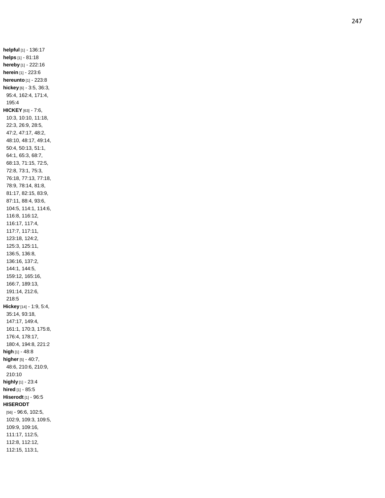helpful [1] - 136:17 helps [1] - 81:18 hereby [1] - 222:16 herein [1] - 223:6 hereunto [1] - 223:8 hickey [6] - 3:5, 36:3, 95:4, 162:4, 171:4, 195:4 HICKEY [63] - 7:6, 10:3, 10:10, 11:18, 22:3, 26:9, 28:5, 47:2, 47:17, 48:2, 48:10, 48:17, 49:14,  $50:4, 50:13, 51:1,$ 64:1, 65:3, 68:7, 68:13, 71:15, 72:5, 72:8, 73:1, 75:3, 76:18, 77:13, 77:18, 78:9, 78:14, 81:8, 81:17, 82:15, 83:9, 87:11, 88:4, 93:6, 104:5, 114:1, 114:6, 116:8, 116:12, 116:17, 117:4, 117:7, 117:11, 123:18, 124:2, 125:3, 125:11, 136:5, 136:8, 136:16, 137:2, 144:1, 144:5, 159:12, 165:16, 166:7, 189:13, 191:14, 212:6, 218:5 Hickey [14] - 1:9, 5:4, 35:14, 93:18, 147:17, 149:4, 161:1, 170:3, 175:8, 176:4, 178:17, 180:4, 194:8, 221:2 high [1] - 48:8 higher [5] - 40:7, 48:6, 210:6, 210:9, 210:10 highly [1] - 23:4 hired [1] - 85:5 Hiserodt [1] - 96:5 **HISERODT** [56] - 96:6, 102:5, 102:9, 109:3, 109:5, 109:9, 109:16, 111:17, 112:5, 112:8, 112:12, 112:15, 113:1,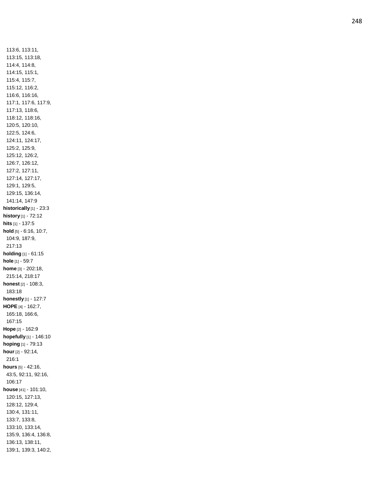113:6, 113:11, 113:15, 113:18, 114:4, 114:8, 114:15, 115:1, 115:4, 115:7, 115:12, 116:2, 116:6, 116:16, 117:1, 117:6, 117:9, 117:13, 118:6, 118:12, 118:16, 120:5, 120:10, 122:5, 124:6, 124:11, 124:17, 125:2, 125:9, 125:12, 126:2, 126:7, 126:12, 127:2, 127:11, 127:14, 127:17, 129:1, 129:5, 129:15, 136:14, 141:14, 147:9 **historically** [1] - 23:3 **history** [1] - 72:12 **hits** [1] - 137:5 **hold** [5] - 6:16, 10:7, 104:9, 187:9, 217:13 **holding** [1] - 61:15 **hole** [1] - 59:7 **home** [3] - 202:18, 215:14, 218:17 **honest** [2] - 108:3, 183:18 **honestly** [1] - 127:7 **HOPE** [4] - 162:7, 165:18, 166:6, 167:15 **Hope** [2] - 162:9 **hopefully** [1] - 146:10 **hoping** [1] - 79:13 **hour** [2] - 92:14, 216:1 **hours** [5] - 42:16, 43:5, 92:11, 92:16, 106:17 **house** [41] - 101:10, 120:15, 127:13, 128:12, 129:4, 130:4, 131:11, 133:7, 133:8, 133:10, 133:14, 135:9, 136:4, 136:8, 136:13, 138:11, 139:1, 139:3, 140:2,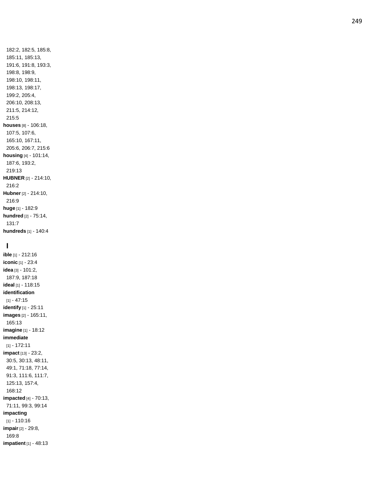182:2, 182:5, 185:8, 185:11, 185:13, 191:6, 191:8, 193:3, 198:8, 198:9, 198:10, 198:11, 198:13, 198:17, 199:2, 205:4, 206:10, 208:13, 211:5, 214:12, 215:5 **houses** [8] - 106:18, 107:5, 107:6, 165:10, 167:11, 205:6, 206:7, 215:6 **housing** [4] - 101:14, 187:6, 193:2, 219:13 **HUBNER** [2] - 214:10, 216:2 **Hubner** [2] - 214:10, 216:9 **huge** [1] - 182:9 **hundred** [2] - 75:14, 131:7 **hundreds** [1] - 140:4

### **I**

**ible** [1] - 212:16 **iconic** [1] - 23:4 **idea** [3] - 101:2, 187:9, 187:18 **ideal** [1] - 118:15 **identification** [1] - 47:15 **identify** [1] - 25:11 **images** [2] - 165:11, 165:13 **imagine** [1] - 18:12 **immediate** [1] - 172:11 **impact** [13] - 23:2, 30:5, 30:13, 48:11, 49:1, 71:18, 77:14, 91:3, 111:6, 111:7, 125:13, 157:4, 168:12 **impacted** [4] - 70:13, 71:11, 99:3, 99:14 **impacting** [1] - 110:16 **impair** [2] - 29:8, 169:8 **impatient** [1] - 48:13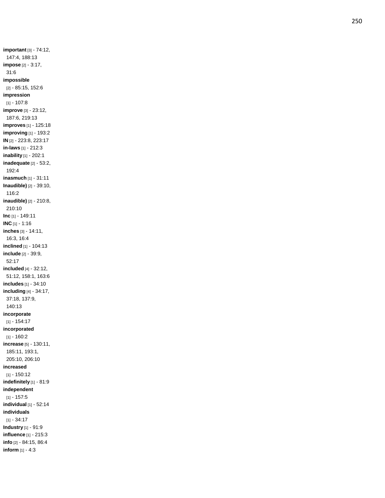**important** [3] - 74:12, 147:4, 188:13 **impose** [2] - 3:17, 31:6 **impossible** [2] - 85:15, 152:6 **impression** [1] - 107:8 **improve** [3] - 23:12, 187:6, 219:13 **improves** [1] - 125:18 **improving** [1] - 193:2 **IN** [2] - 223:8, 223:17 **in -laws** [1] - 212:3 **inability** [1] - 202:1 **inadequate** [2] - 53:2, 192:4 **inasmuch** [1] - 31:11 **Inaudible)** [2] - 39:10, 116:2 **inaudible)** [2] - 210:8, 210:10 **Inc** [1] - 149:11 **INC** [1] - 1:16 **inches** [3] - 14:11, 16:3, 16:4 **inclined** [1] - 104:13 **include** [2] - 39:9, 52:17 **included** [4] - 32:12, 51:12, 158:1, 163:6 **includes** [1] - 34:10 **including** [4] - 34:17, 37:18, 137:9, 140:13 **incorporate** [1] - 154:17 **incorporated** [1] - 160:2 **increase** [5] - 130:11, 185:11, 193:1, 205:10, 206:10 **increased** [1] - 150:12 **indefinitely** [1] - 81:9 **independent** [1] - 157:5 **individual** [1] - 52:14 **individuals** [1] - 34:17 **Industry** [1] - 91:9 **influence** [1] - 215:3 **info** [2] - 84:15, 86:4 **inform** [1] - 4:3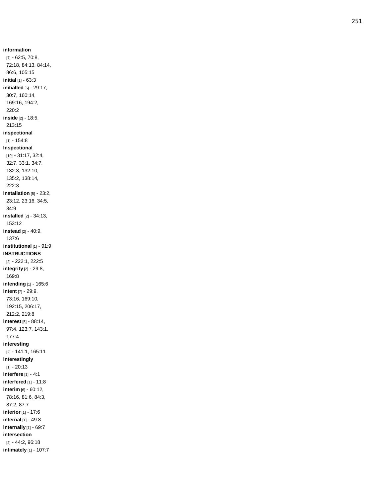**information** [7] - 62:5, 70:8, 72:18, 84:13, 84:14, 86:6, 105:15 **initial** [1] - 63:3 **initialled** [6] - 29:17, 30:7, 160:14, 169:16, 194:2, 220:2 **inside** [2] - 18:5, 213:15 **inspectional** [1] - 154:8 **Inspectional** [10] - 31:17, 32:4, 32:7, 33:1, 34:7, 132:3, 132:10, 135:2, 138:14, 222:3 **installation** [5] - 23:2, 23:12, 23:16, 34:5, 34:9 **installed** [2] - 34:13, 153:12 **instead** [2] - 40:9, 137:6 **institutional** [1] - 91:9 **INSTRUCTIONS** [2] - 222:1, 222:5 **integrity** [2] - 29:8, 169:8 **intending** [1] - 165:6 **intent** [7] - 29:9, 73:16, 169:10, 192:15, 206:17, 212:2, 219:8 **interest** [5] - 88:14, 97:4, 123:7, 143:1, 177:4 **interesting** [2] - 141:1, 165:11 **interestingly** [1] - 20:13 **interfere** [1] - 4:1 **interfered** [1] - 11:8 **interim** [6] - 60:12, 78:16, 81:6, 84:3, 87:2, 87:7 **interior** [1] - 17:6 **internal** [1] - 49:8 **internally** [1] - 69:7 **intersection** [2] - 44:2, 96:18

**intimately** [1] - 107:7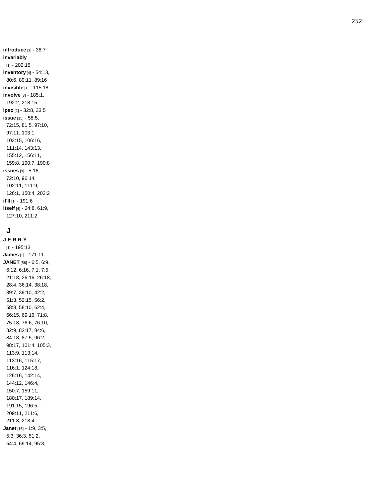introduce [1] - 36:7 invariably  $[1] - 202:15$ inventory [4] - 54:13, 80:6, 89:11, 89:16 invisible [1] - 115:18 involve [3] - 185:1, 192:2, 218:15 ipso [2] - 32:8, 33:5 issue [15] - 58:5, 72:15, 81:5, 97:10, 97:11, 103:1, 103:15, 106:16, 111:14, 143:13, 155:12, 156:11, 159:8, 190:7, 190:8 issues [9] - 5:16, 72:10, 96:14, 102:11, 111:9, 126:1, 150:4, 202:2 it'll [1] - 191:6 itself [4] - 24:8, 61:9, 127:10, 211:2

# J

J-E-R-R-Y  $[1] - 195:13$ James [1] - 171:11 JANET [56] - 6:5, 6:9, 6:12, 6:16, 7:1, 7:5, 21:18, 26:16, 26:18, 28:4, 36:14, 38:18, 39:7, 39:10, 42:2, 51:3, 52:15, 56:2, 58:8, 58:10, 62:4, 66:15, 69:16, 71:8, 75:18, 76:6, 76:10, 82:9, 82:17, 84:6, 84:18, 87:5, 96:2, 98:17, 101:4, 105:3, 113:9, 113:14, 113:16, 115:17, 116:1, 124:18, 126:16, 142:14, 144:12, 146:4, 150:7, 159:11, 180:17, 189:14, 191:15, 196:5, 209:11, 211:6, 211:8, 218:4 Janet [15] - 1:9, 3:5, 5:3, 36:3, 51:2, 54:4, 69:14, 95:3,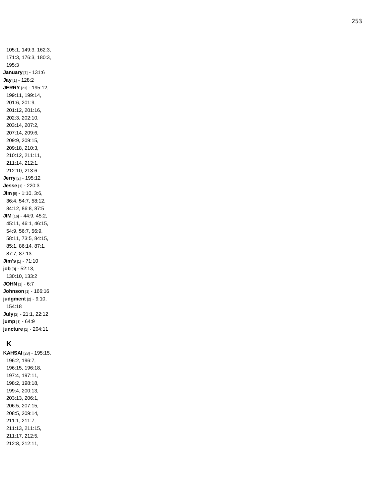105:1, 149:3, 162:3, 171:3, 176:3, 180:3, 195:3 **January** [1] - 131:6 **Jay** [1] - 128:2 **JERRY** [23] - 195:12, 199:11, 199:14, 201:6, 201:9, 201:12, 201:16, 202:3, 202:10, 203:14, 207:2, 207:14, 209:6, 209:9, 209:15, 209:18, 210:3, 210:12, 211:11, 211:14, 212:1, 212:10, 213:6 **Jerry** [2] - 195:12 **Jesse** [1] - 220:3 **Jim** [8] - 1:10, 3:6, 36:4, 54:7, 58:12, 84:12, 86:8, 87:5 **JIM** [16] - 44:9, 45:2, 45:11, 46:1, 46:15, 54:9, 56:7, 56:9, 58:11, 73:5, 84:15, 85:1, 86:14, 87:1, 87:7, 87:13 **Jim's** [1] - 71:10 **job** [3] - 52:13, 130:10, 133:2 **JOHN** [1] - 6:7 **Johnson** [1] - 166:16 **judgment** [2] - 9:10, 154:18 **July** [2] - 21:1, 22:12 **jump** [1] - 64:9 **juncture** [1] - 204:11

### **K**

**KAHSAI** [28] - 195:15, 196:2, 196:7, 196:15, 196:18, 197:4, 197:11, 198:2, 198:18, 199:4, 200:13, 203:13, 206:1, 206:5, 207:15, 208:5, 209:14, 211:1, 211:7, 211:13, 211:15, 211:17, 212:5, 212:8, 212:11,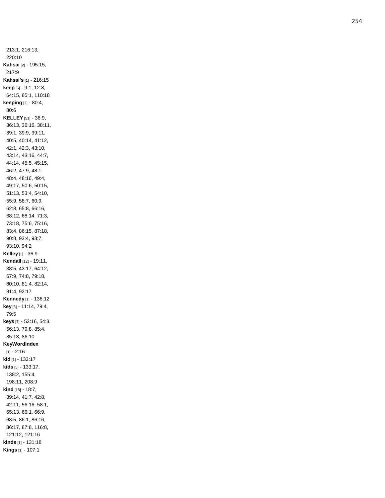213:1, 216:13, 220:10 **Kahsai** [2] - 195:15, 217:9 **Kahsai's** [1] - 216:15 **keep** [6] - 9:1, 12:8, 64:15, 85:1, 110:18 **keeping** [2] - 80:4, 80:6 **KELLEY** [51] - 36:9, 36:13, 36:16, 38:11, 39:1, 39:9, 39:11, 40:5, 40:14, 41:12, 42:1, 42:3, 43:10, 43:14, 43:16, 44:7, 44:14, 45:5, 45:15, 46:2, 47:9, 48:1, 48:4, 48:16, 49:4, 49:17, 50:6, 50:15, 51:13, 53:4, 54:10, 55:9, 58:7, 60:9, 62:8, 65:8, 66:16, 68:12, 68:14, 71:3, 73:18, 75:6, 75:16, 83:4, 86:15, 87:18, 90:8, 93:4, 93:7, 93:10, 94:2 **Kelley** [1] - 36:9 **Kendall** [12] - 19:11, 38:5, 43:17, 64:12, 67:9, 74:8, 79:18, 80:10, 81:4, 82:14, 91:4, 92:17 **Kennedy** [1] - 136:12 **key** [3] - 11:14, 79:4, 79:5 **keys** [7] - 53:16, 54:3, 56:13, 79:8, 85:4, 85:13, 86:10 **KeyWordIndex** [1] - 2:16 **kid** [1] - 133:17 **kids** [5] - 133:17, 138:2, 155:4, 198:11, 208:9 **kind** [18] - 18:7, 39:14, 41:7, 42:8, 42:11, 56:16, 58:1, 65:13, 66:1, 66:9, 68:5, 86:1, 86:16, 86:17, 87:8, 116:8, 121:12, 121:16 **kinds** [1] - 131:18 **Kings** [1] - 107:1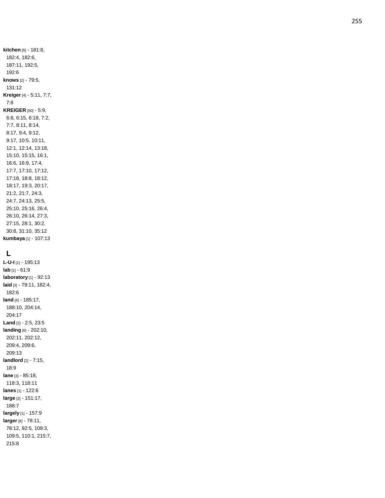**kitchen** [6] - 181:8, 182:4, 182:6, 187:11, 192:5, 192:6 **knows** [2] - 79:5, 131:12 **Kreiger** [4] - 5:11, 7:7, 7:8 **KREIGER** [50] - 5:9, 6:8, 6:15, 6:18, 7:2, 7:7, 8:11, 8:14, 8:17, 9:4, 9:12, 9:17, 10:5, 10:11, 12:1, 12:14, 13:18, 15:10, 15:15, 16:1, 16:6, 16:9, 17:4, 17:7, 17:10, 17:12, 17:18, 18:8, 18:12, 18:17, 19:3, 20:17, 21:2, 21:7, 24:3, 24:7, 24:13, 25:5, 25:10, 25:16, 26:4, 26:10, 26:14, 27:3, 27:15, 28:1, 30:2, 30:8, 31:10, 35:12 **kumbaya** [1] - 107:13

## **L**

**L - U - I** [1] - 195:13 **lab** [1] - 61:9 **laboratory** [1] - 92:13 **laid** [3] - 79:11, 182:4, 182:6 **land** [4] - 185:17, 188:10, 204:14, 204:17 **Land** [2] - 2:5, 23:5 **landing** [6] - 202:10, 202:11, 202:12, 209:4, 209:6, 209:13 **landlord** [2] - 7:15, 18:9 **lane** [3] - 85:18, 118:3, 118:11 **lanes** [1] - 122:6 **large** [2] - 151:17, 188:7 **largely** [1] - 157:9 **larger** [8] - 78:11, 78:12, 92:5, 109:3, 109:5, 110:1, 215:7, 215:8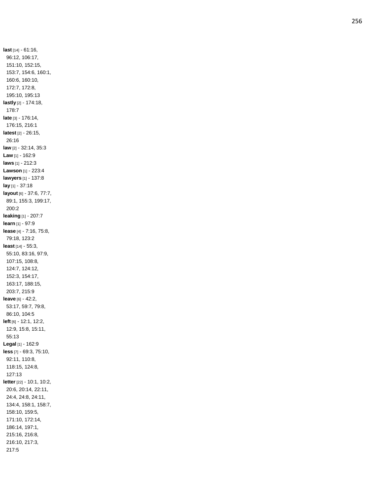**last** [14] - 61:16, 96:12, 106:17, 151:10, 152:15, 153:7, 154:6, 160:1, 160:6, 160:10, 172:7, 172:8, 195:10, 195:13 **lastly** [2] - 174:18, 178:7 **late** [3] - 176:14, 176:15, 216:1 **latest** [2] - 26:15, 26:16 **law** [2] - 32:14, 35:3 **Law** [1] - 162:9 **laws** [1] - 212:3 **Lawson** [1] - 223:4 **lawyers** [1] - 137:8 **lay** [1] - 37:18 **layout** [6] - 37:6, 77:7, 89:1, 155:3, 199:17, 200:2 **leaking** [1] - 207:7 **learn** [1] - 97:9 **lease** [4] - 7:16, 75:8, 79:18, 123:2 **least** [14] - 55:3, 55:10, 83:16, 97:9, 107:15, 108:8, 124:7, 124:12, 152:3, 154:17, 163:17, 188:15, 203:7, 215:9 **leave** [6] - 42:2, 53:17, 59:7, 79:8, 86:10, 104:5 **left** [6] - 12:1, 12:2, 12:9, 15:8, 15:11, 55:13 **Legal** [1] - 162:9 **less** [7] - 69:3, 75:10, 92:11, 110:8, 118:15, 124:8, 127:13 **letter** [22] - 10:1, 10:2, 20:6, 20:14, 22:11, 24:4, 24:8, 24:11, 134:4, 158:1, 158:7, 158:10, 159:5, 171:10, 172:14, 186:14, 197:1, 215:16, 216:8, 216:10, 217:3, 217:5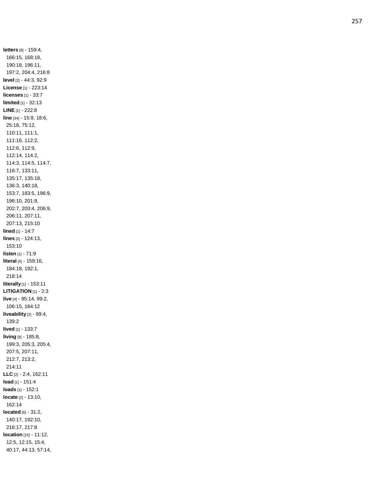**letters** [8] - 159:4, 166:15, 168:18, 190:18, 196:11, 197:2, 204:4, 216:8 **level** [2] - 44:3, 92:9 **License** [1] - 223:14 **licenses** [1] - 33:7 **limited** [1] - 32:13 **LINE** [1] - 222:8 **line** [34] - 15:9, 18:6, 25:18, 75:12, 110:11, 111:1, 111:16, 112:2, 112:6, 112:9, 112:14, 114:2, 114:3, 114:5, 114:7, 116:7, 133:11, 135:17, 135:18, 136:3, 140:18, 153:7, 183:5, 196:9, 196:10, 201:8, 202:7, 203:4, 206:9, 206:11, 207:11, 207:13, 215:10 **lined** [1] - 14: 7 **lines** [2] - 124:13, 153:10 **listen** [1] - 71:9 **literal** [4] - 159:16, 184:18, 192:1, 218:14 **literally** [1] - 153:11 **LITIGATION** [1] - 2:3 **live** [4] - 95:14, 99:2, 106:15, 164:12 **liveability** [2] - 99:4, 139:2 **lived** [1] - 133:7 **living** [9] - 185:8, 199:3, 205:3, 205:4, 207:5, 207:11, 212:7, 213:2, 214:11 **LLC** [2] - 2:4, 162:11 **load** [1] - 151:4 **loads** [1] - 152:1 **locate** [2] - 13:10, 162:14 **located** [6] - 31:2, 140:17, 192:10, 216:17, 217:8 **location** [15] - 11:12, 12:5, 12:15, 15:4, 40:17, 44:13, 57:14,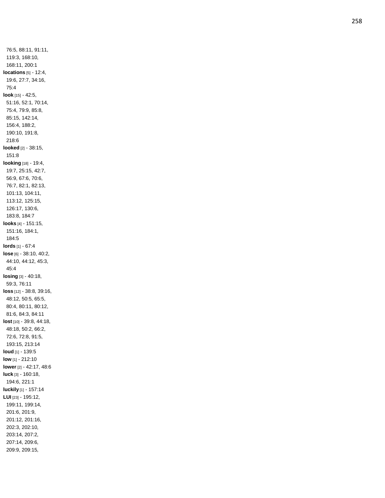76:5, 88:11, 91:11, 119:3, 168:10, 168:11, 200:1 **locations** [5] - 12:4, 19:6, 27:7, 34:16, 75:4 **look** [15] - 42:5, 51:16, 52:1, 70:14, 75:4, 79:9, 85:8, 85:15, 142:14, 156:4, 188:2, 190:10, 191:8, 218:6 **looked** [2] - 38:15, 151:8 **looking** [18] - 19:4, 19:7, 25:15, 42:7, 56:9, 67:6, 70:6, 76:7, 82:1, 82:13, 101:13, 104:11, 113:12, 125:15, 126:17, 130:6, 183:8, 184:7 **looks** [4] - 151:15, 151:16, 184:1, 184:5 **lords** [1] - 67:4 **lose** [6] - 38:10, 40:2, 44:10, 44:12, 45:3, 45:4 **losing** [3] - 40:18, 59:3, 76:11 **loss** [12] - 38:8, 39:16, 48:12, 50:5, 65:5, 80:4, 80:11, 80:12, 81:6, 84:3, 84:11 **lost** [10] - 39:8, 44:18, 48:18, 50:2, 66:2, 72:6, 72:8, 91:5, 193:15, 213:14 **loud** [1] - 139:5 **low** [1] - 212:10 **lower** [2] - 42:17, 48:6 **luck** [3] - 160:18, 194:6, 221:1 **luckily** [1] - 157:14 **LUI** [23] - 195:12, 199:11, 199:14, 201:6, 201:9, 201:12, 201:16, 202:3, 202:10, 203:14, 207:2, 207:14, 209:6, 209:9, 209:15,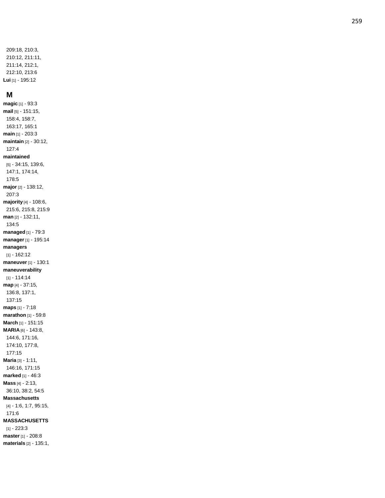209:18, 210:3, 210:12, 211:11, 211:14, 212:1, 212:10, 213:6 **Lui** [1] - 195:12

#### **M**

**magic** [1] - 93:3 **mail** [5] - 151:15, 158:4, 158:7, 163:17, 165:1 **main** [1] - 203:3 **maintain** [2] - 30:12, 127:4 **maintained** [5] - 34:15, 139:6, 147:1, 174:14, 178:5 **major** [2] - 138:12, 207:3 **majority** [4] - 108:6, 215:6, 215:8, 215:9 **man** [2] - 132:11, 134:5 **managed** [1] - 79:3 **manager** [1] - 195:14 **managers** [1] - 162:12 **maneuver** [1] - 130:1 **maneuverability** [1] - 114:14 **map** [4] - 37:15, 136:8, 137:1, 137:15 **maps** [1] - 7:18 **marathon** [1] - 59:8 **March** [1] - 151:15 **MARIA** [6] - 143:8, 144:6, 171:16, 174:10, 177:8, 177:15 **Maria** [3] - 1:11, 146:16, 171:15 **marked** [1] - 46:3 **Mass** [4] - 2:13, 36:10, 38:2, 54:5 **Massachusetts** [4] - 1:6, 1:7, 95:15, 171:6 **MASSACHUSETTS** [1] - 223:3 **master** [1] - 208:8

**materials** [2] - 135:1,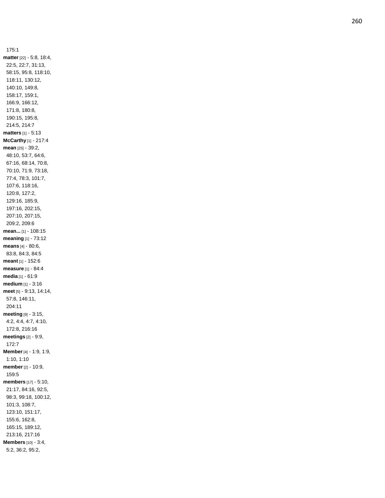175:1 **matter** [22] - 5:8, 18:4, 22:5, 22:7, 31:13, 58:15, 95:8, 118:10, 118:11, 130:12, 140:10, 149:8, 158:17, 159:1, 166:9, 166:12, 171:8, 180:8, 190:15, 195:8, 214:5, 214:7 **matters** [1] - 5:13 **McCarthy** [1] - 217:4 **mean** [25] - 39:2, 48:10, 53:7, 64:6, 67:16, 68:14, 70:8, 70:10, 71:9, 73:18, 77:4, 78:3, 101:7, 107:6, 118:16, 120:8, 127:2, 129:16, 185:9, 197:16, 202:15, 207:10, 207:15, 209:2, 209:6 **mean...** [1] - 108:15 **meaning** [1] - 73:12 **means** [4] - 80:6, 83:8, 84:3, 84:5 **meant** [1] - 152:6 **measure** [1] - 84:4 **media** [1] - 61:9 **medium** [1] - 3:16 **meet** [5] - 9:13, 14:14, 57:8, 146:11, 204:11 **meeting** [9] - 3:15, 4:2, 4:4, 4:7, 4:10, 172:8, 216:16 **meetings** [2] - 9:9, 172:7 **Member** [4] - 1:9, 1:9, 1:10, 1:10 **member** [2] - 10:9, 159:5 **members** [17] - 5:10, 21:17, 84:16, 92:5, 98:3, 99:18, 100:12, 101:3, 108:7, 123:10, 151:17, 155:6, 162:8, 165:15, 189:12, 213:16, 217:16 **Members** [10] - 3:4, 5:2, 36:2, 95:2,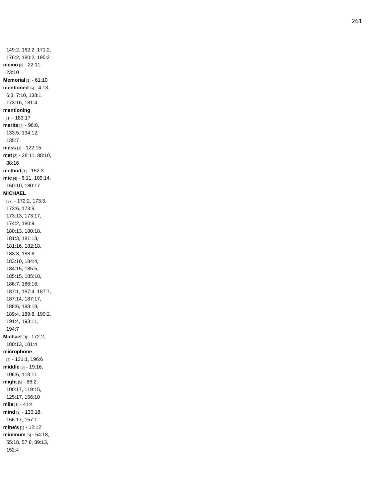149:2, 162:2, 171:2, 176:2, 180:2, 195:2 **memo** [2] - 22:11, 23:10 **Memorial** [1] - 61:10 **mentioned** [6] - 4:13, 6:3, 7:10, 138:1, 173:16, 181:4 **mentioning** [1] - 183:17 **merits** [4] - 96:8, 133:5, 134:12, 135:7 **mess** [1] - 122:15 **met** [3] - 28:11, 88:10, 88:16 **method** [1] - 152:3 **mic** [4] - 6:11, 109:14, 150:10, 180:17 **MICHAEL** [37] - 172:2, 173:3, 173:6, 173:9, 173:13, 173:17, 174:2, 180:9, 180:13, 180:18, 181:3, 181:13, 181:16, 182:18, 183:3, 183:6, 183:10, 184:4, 184:15, 185:5, 185:15, 185:18, 186:7, 186:16, 187:1, 187:4, 187:7, 187:14, 187:17, 188:6, 188:18, 189:4, 189:8, 190:2, 191:4, 193:11, 194:7 **Michael** [3] - 172:2, 180:13, 181:4 **microphone** [2] - 131:1, 196:6 **middle** [3] - 19:16, 106:6, 118:11 **might** [5] - 66:2, 100:17, 119:15, 125:17, 156:10 **mile** [1] - 41:4 **mind** [3] - 130:18, 156:17, 157:1 **mine's** [1] - 12:12 **minimum** [5] - 54:18, 55:18, 57:8, 89:13, 152:4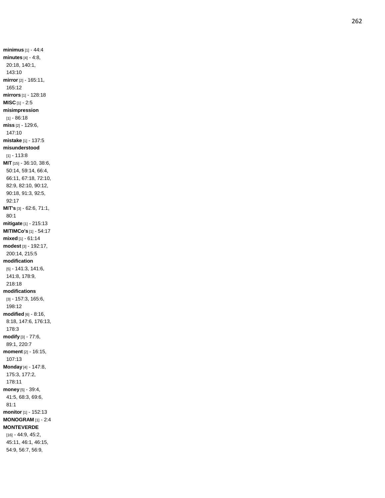**minimus** [1] - 44:4 **minutes** [4] - 4:8, 20:18, 140:1, 143:10 **mirror** [2] - 165:11, 165:12 **mirrors** [1] - 128:18 **MISC** [1] - 2:5 **misimpression** [1] - 86:18 **miss** [2] - 129:6, 147:10 **mistake** [1] - 137:5 **misunderstood** [1] - 113:8 **MI T** [15] - 36:10, 38:6, 50:14, 59:14, 66:4, 66:11, 67:18, 72:10, 82:9, 82:10, 90:12, 90:18, 91:3, 92:5, 92:17 **MIT's** [3] - 62:6, 71:1, 80:1 **mitigate** [1] - 215:13 **MITIMCo's** [1] - 54:17 **mixed** [1] - 61:14 **modest** [3] - 192:17, 200:14, 215:5 **modification** [5] - 141:3, 141:6, 141:8, 178:9, 218:18 **modifications** [3] - 157:3, 165:6, 198:12 **modified** [6] - 8:16, 8:18, 147:6, 176:13, 178:3 **modify** [3] - 77:6, 89:1, 220:7 **moment** [2] - 16:15, 107:13 **Monday** [4] - 147:8, 175:3, 177:2, 178:11 **money** [5] - 39:4, 41:5, 68:3, 69:6, 81:1 **monitor** [1] - 152:13 **MONOGRAM** [1] - 2:4 **MONTEVERDE** [16] - 44:9, 45:2, 45:11, 46:1, 46:15, 54:9, 56:7, 56:9,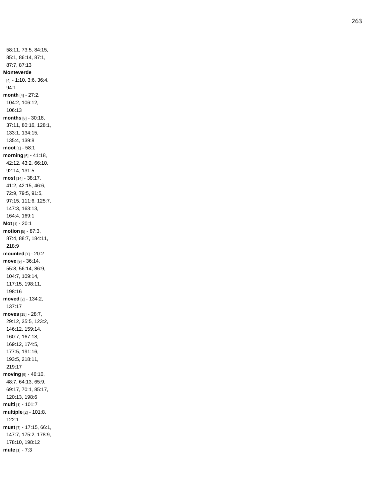58:11, 73:5, 84:15, 85:1, 86:14, 87:1, 87:7, 87:13 **Monteverde** [4] - 1:10, 3:6, 36:4, 94:1 **month** [4] - 27:2, 104:2, 106:12, 106:13 **months** [8] - 30:18, 37:11, 80:16, 128:1, 133:1, 134:15, 135:4, 139:8 **moot** [1] - 58:1 **morning** [6] - 41:18, 42:12, 43:2, 66:10, 92:14, 131:5 **most** [14] - 38:17, 41:2, 42:15, 46:6, 72:9, 79:5, 91:5, 97:15, 111:6, 125:7, 147:3, 163:13, 164:4, 169:1 **Mot** [1] - 20:1 **motion** [5] - 87:3, 87:4, 88:7, 184:11, 218:9 **mounted** [1] - 20:2 **move** [9] - 36:14, 55:8, 56:14, 86:9, 104:7, 109:14, 117:15, 198:11, 198:16 **moved** [2] - 134:2, 137:17 **moves** [15] - 28:7, 29:12, 35:5, 123:2, 146:12, 159:14, 160:7, 167:18, 169:12, 174:5, 177:5, 191:16, 193:5, 218:11, 219:17 **moving** [9] - 46:10, 48:7, 64:13, 65:9, 69:17, 70:1, 85:17, 120:13, 198:6 **multi** [1] - 101:7 **multiple** [2] - 101:8, 122:1 **must** [7] - 17:15, 66:1, 147:7, 175:2, 178:9, 178:10, 198:12 **mute** [1] - 7:3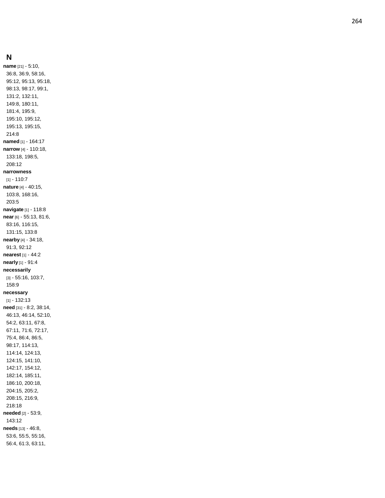### **N**

**name** [21] - 5:10, 36:8, 36:9, 58:16, 95:12, 95:13, 95:18, 98:13, 98:17, 99:1, 131:2, 132:11, 149:8, 180:11, 181:4, 195:9, 195:10, 195:12, 195:13, 195:15, 214:8 **named** [1] - 164:17 **narrow** [4] - 110:18, 133:18, 198:5, 208:12 **narrowness** [1] - 110:7 **nature** [4] - 40:15, 103:8, 168:16, 203:5 **navigate** [1] - 118:8 **near** [6] - 55:13, 81:6, 83:16, 116:15, 131:15, 133:8 **nearby** [4] - 34:18, 91:3, 92:12 **nearest** [1] - 44:2 **nearly** [1] - 91:4 **necessarily** [3] - 55:16, 103:7, 158:9 **necessary** [1] - 132:13 **need** [31] - 8:2, 38:14, 46:13, 46:14, 52:10, 54:2, 63:11, 67:8, 67:11, 71:6, 72:17, 75:4, 86:4, 86:5, 98:17, 114:13, 114:14, 124:13, 124:15, 141:10, 142:17, 154:12, 182:14, 185:11, 186:10, 200:18, 204:15, 205:2, 208:15, 216:9, 218:18 **needed** [2] - 53:9, 143:12 **needs** [13] - 46:8, 53:6, 55:5, 55:16, 56:4, 61:3, 63:11,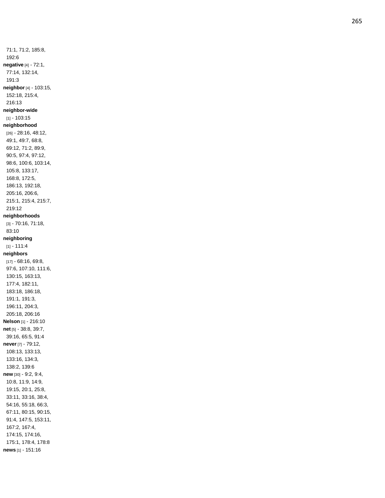71:1, 71:2, 185:8, 192:6 **negative** [4] - 72:1, 77:14, 132:14, 191:3 **neighbor** [4] - 103:15, 152:18, 215:4, 216:13 **neighbor -wide** [1] - 103:15 **neighborhood** [26] - 28:16, 48:12, 49:1, 49:7, 68:8, 69:12, 71:2, 89:9, 90:5, 97:4, 97:12, 98:6, 100:6, 103:14, 105:8, 133:17, 168:8, 172:5, 186:13, 192:18, 205:16, 206:6, 215:1, 215:4, 215:7, 219:12 **neighborhoods** [3] - 70:16, 71:18, 83:10 **neighboring** [1] - 111:4 **neighbors** [17] - 68:16, 69:8, 97:6, 107:10, 111:6, 130:15, 163:13, 177:4, 182:11, 183:18, 186:18, 191:1, 191:3, 196:11, 204:3, 205:18, 206:16 **Nelson** [1] - 216:10 **net** [5] - 38:8, 39:7, 39:16, 65:5, 91:4 **never** [7] - 79:12, 108:13, 133:13, 133:16, 134:3, 138:2, 139:6 **new** [30] - 9:2, 9:4, 10:8, 11:9, 14:9, 19:15, 20:1, 25:8, 33:11, 33:16, 38:4, 54:16, 55:18, 66:3, 67:11, 80:15, 90:15, 91:4, 147:5, 153:11, 167:2, 167:4, 174:15, 174:16, 175:1, 178:4, 178:8 **news** [1] - 151:16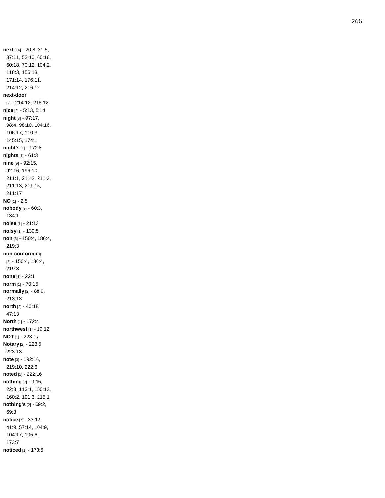**next** [14] - 20:8, 31:5, 37:11, 52:10, 60:16, 60:18, 70:12, 104:2, 118:3, 156:13, 171:14, 176:11, 214:12, 216:12 **next -door** [2] - 214:12, 216:12 **nice** [2] - 5:13, 5:14 **night** [8] - 97:17, 98:4, 98:10, 104:16, 106:17, 110:3, 145:15, 174:1 **night's** [1] - 172:8 **nights** [1] - 61:3 **nine** [9] - 92:15, 92:16, 196:10, 211:1, 211:2, 211:3, 211:13, 211:15, 211:17 **NO** [1] - 2:5 **nobody** [2] - 60:3, 134:1 **noise** [1] - 21:13 **noisy** [1] - 139:5 **non** [3] - 150:4, 186:4, 219:3 **non -conforming** [3] - 150:4, 186:4, 219:3 **none** [1] - 22:1 **norm** [1] - 70:15 **normally** [2] - 88:9, 213:13 **north** [2] - 40:18, 47:13 **North** [1] - 172:4 **northwest** [1] - 19:12 **NOT** [1] - 223:17 **Notary** [2] - 223:5, 223:13 **note** [3] - 192:16, 219:10, 222:6 **noted** [1] - 222:16 **nothing** [7] - 9:15, 22:3, 113:1, 150:13, 160:2, 191:3, 215:1 **nothing's** [2] - 69:2, 69:3 **notice** [7] - 33:12, 41:9, 57:14, 104:9, 104:17, 105:6, 173:7 **noticed** [1] - 173:6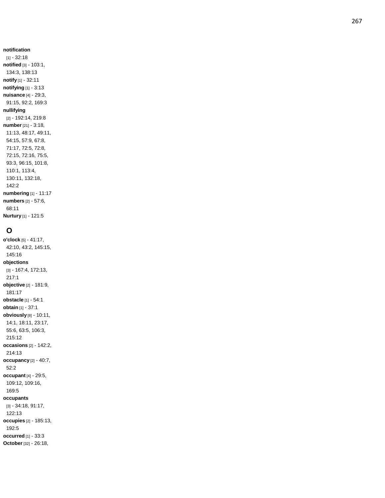# **notification**

[1] - 32:18 **notified** [3] - 103:1, 134:3, 138:13 **notify** [1] - 32:11 **notifying** [1] - 3:13 **nuisance** [4] - 29:3, 91:15, 92:2, 169:3 **nullifying** [2] - 192:14, 219:8 **number** [21] - 3:18, 11:13, 48:17, 49:11, 54:15, 57:9, 67:8, 71:17, 72:5, 72:8, 72:15, 72:16, 75:5, 93:3, 96:15, 101:8, 110:1, 113:4, 130:11, 132:18, 142:2 **numbering** [1] - 11:17 **numbers** [2] - 57:6, 68:11 **Nurtury** [1] - 121:5

## **O**

**o'clock** [5] - 41:17, 42:10, 43:2, 145:15, 145:16 **objections** [3] - 167:4, 172:13, 217:1 **objective** [2] - 181:9, 181:17 **obstacle** [1] - 54:1 **obtain** [1] - 37:1 **obviously** [8] - 10:11, 14:1, 18:11, 23:17, 55:6, 63:5, 106:3, 215:12 **occasions** [2] - 142:2, 214:13 **occupancy** [2] - 40:7, 52:2 **occupant** [4] - 29:5, 109:12, 109:16, 169:5 **occupants** [3] - 34:18, 91:17, 122:13 **occupies** [2] - 185:13, 192:5 **occurred** [1] - 33:3 **October** [32] - 26:18,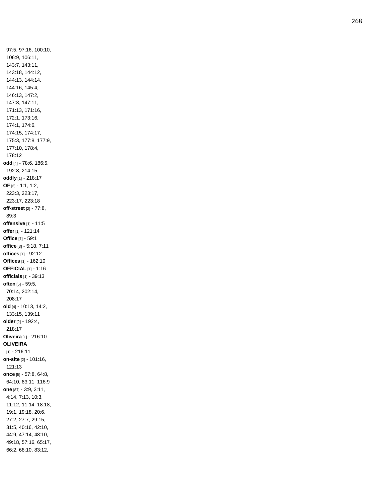97:5, 97:16, 100:10, 106:9, 106:11, 143:7, 143:11, 143:18, 144:12, 144:13, 144:14, 144:16, 145:4, 146:13, 147:2, 147:8, 147:11, 171:13, 171:16, 172:1, 173:16, 174:1, 174:6, 174:15, 174:17, 175:3, 177:8, 177:9, 177:10, 178:4, 178:12 **odd** [4] - 78:6, 186:5, 192:8, 214:15 **oddly** [1] - 218:17 **OF** [6] - 1:1, 1:2, 223:3, 223:17, 223:17, 223:18 **off -street** [2] - 77:8, 89:3 **offensive** [1] - 11:5 **offer** [1] - 121:14 **Office** [1] - 59:1 **office** [3] - 5:18, 7:11 **offices** [1] - 92:12 **Offices** [1] - 162:10 **OFFICIAL** [1] - 1:16 **officials** [1] - 39:13 **often** [5] - 59:5, 70:14, 202:14, 208:17 **old** [4] - 10:13, 14:2, 133:15, 139:11 **older** [2] - 192:4, 218:17 **Oliveira** [1] - 216:10 **OLIVEIRA** [1] - 216:11 **on -site** [2] - 101:16, 121:13 **once** [5] - 57:8, 64:8, 64:10, 83:11, 116:9 **one** [87] - 3:9, 3:11, 4:14, 7:13, 10:3, 11:12, 11:14, 18:18, 19:1, 19:18, 20:6, 27:2, 27:7, 29:15, 31:5, 40:16, 42:10, 44:9, 47:14, 48:10, 49:18, 57:16, 65:17, 66:2, 68:10, 83:12,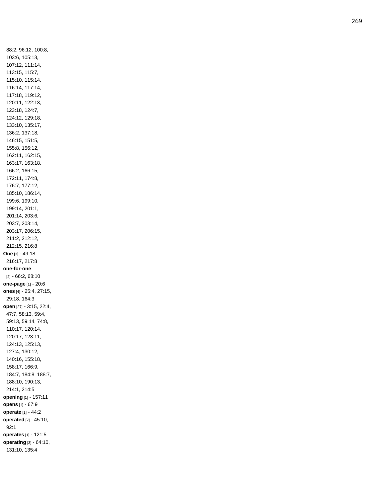88:2, 96:12, 100:8, 103:6, 105:13, 107:12, 111:14, 113:15, 115:7, 115:10, 115:14, 116:14, 117:14, 117:18, 119:12, 120:11, 122:13, 123:18, 124:7, 124:12, 129:18, 133:10, 135:17, 136:2, 137:18, 146:15, 151:5, 155:8, 156:12, 162:11, 162:15, 163:17, 163:18, 166:2, 166:15, 172:11, 174:8, 176:7, 177:12, 185:10, 186:14, 199:6, 199:10, 199:14, 201:1, 201:14, 203:6, 203:7, 203:14, 203:17, 206:15, 211:2, 212:12, 212:15, 216:8 **One** [3] - 49:18, 216:17, 217:8 **one -for -one** [2] - 66:2, 68:10 **one -page** [1] - 20:6 **ones** [4] - 25:4, 27:15, 29:18, 164:3 **open** [27] - 3:15, 22:4, 47:7, 58:13, 59:4, 59:13, 59:14, 74:8, 110:17, 120:14, 120:17, 123:11, 124:13, 125:13, 127:4, 130:12, 140:16, 155:18, 158:17, 166:9, 184:7, 184:8, 188:7, 188:10, 190:13, 214:1, 214:5 **opening** [1] - 157:11 **opens** [1] - 67:9 **operate** [1] - 44:2 **operated** [2] - 45:10, 92:1 **operates** [1] - 121:5 **operating** [3] - 64:10, 131:10, 135:4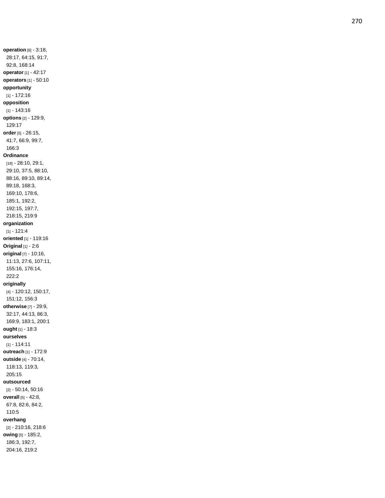**operation** [6] - 3:18, 28:17, 64:15, 91:7, 92:8, 168:14 **operator** [1] - 42:17 **operators** [1] - 50:10 **opportunity** [1] - 172:16 **opposition** [1] - 143:16 **options** [2] - 129:9, 129:17 **order** [5] - 26:15, 41:7, 66:9, 99:7, 166:3 **Ordinance** [18] - 28:10, 29:1, 29:10, 37:5, 88:10, 88:16, 89:10, 89:14, 89:18, 168:3, 169:10, 178:6, 185:1, 192:2, 192:15, 197:7, 218:15, 219:9 **organization** [1] - 121:4 **oriented** [1] - 119:16 **Original** [1] - 2:6 **original** [7] - 10:16, 11:13, 27:6, 107:11, 155:16, 176:14, 222:2 **originally** [4] - 120:12, 150:17, 151:12, 156:3 **otherwise** [7] - 29:9, 32:17, 44:13, 86:3, 169:9, 183:1, 200:1 **ought** [1] - 18:3 **ourselves** [1] - 114:11 **outreach** [1] - 172:9 **outside** [4] - 70:14, 118:13, 119:3, 205:15 **outsourced** [2] - 50:14, 50:16 **overall** [5] - 42:8, 67:8, 82:6, 84:2, 110:5 **overhang** [2] - 210:16, 218:6 **owing** [5] - 185:2, 186:3, 192:7,

204:16, 219:2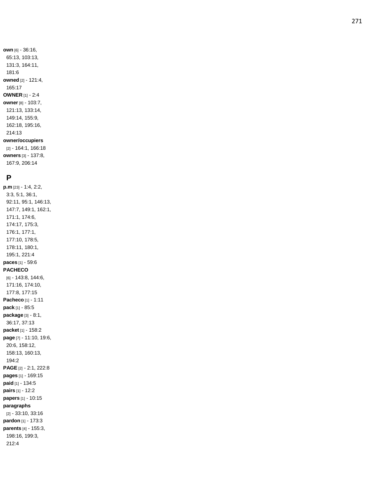**own** [6] - 36:16, 65:13, 103:13, 131:3, 164:11, 181:6 **owned** [2] - 121:4, 165:17 **OWNER** [1] - 2:4 **owner** [8] - 103:7, 121:13, 133:14, 149:14, 155:9, 162:18, 195:16, 214:13 **owner/occupiers** [2] - 164:1, 166:18 **owners** [3] - 137:8, 167:9, 206:14

### **P**

**p.m** [23] - 1:4, 2:2, 3:3, 5:1, 36:1, 92:11, 95:1, 146:13, 147:7, 149:1, 162:1, 171:1, 174:6, 174:17, 175:3, 176:1, 177:1, 177:10, 178:5, 178:11, 180:1, 195:1, 221:4 **paces** [1] - 59:6 **PACHECO** [6] - 143:8, 144:6, 171:16, 174:10, 177:8, 177:15 **Pacheco** [1] - 1:11 **pack** [1] - 85:5 **package** [3] - 8:1, 36:17, 37:13 **packet** [1] - 158:2 **page** [7] - 11:10, 19:6, 20:6, 158:12, 158:13, 160:13, 194:2 **PAGE** [2] - 2:1, 222:8 **pages** [1] - 169:15 **paid** [1] - 134:5 **pairs** [1] - 12:2 **papers** [1] - 10:15 **paragraphs** [2] - 33:10, 33:16 **pardon** [1] - 173:3 **parents** [4] - 155:3, 198:16, 199:3, 212:4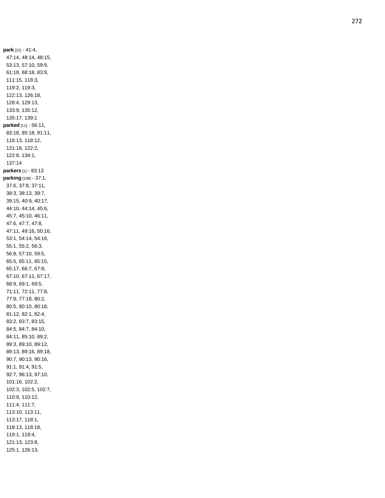**park** [22] - 41:4, 47:14, 48:14, 48:15, 53:13, 57:10, 59:9, 61:18, 68:18, 83:9, 111:15, 118:3, 119:2, 119:3, 122:13, 126:18, 128:4, 129:13, 133:9, 135:12, 135:17, 139:1 **parked** [11] - 56:11, 83:18, 85:18, 91:11, 116:13, 118:12, 121:18, 122:2, 122:8, 134:1, 137:14 **parkers** [1] - 83:13 **parking** [108] - 37:1, 37:6, 37:8, 37:11, 38:3, 38:13, 39:7, 39:15, 40:9, 40:17, 44:10, 44:14, 45:6, 45:7, 45:10, 46:11, 47:6, 47:7, 47:8, 47:11, 49:16, 50:16, 53:1, 54:14, 54:16, 55:1, 55:2, 56:3, 56:8, 57:10, 59:5, 65:5, 65:11, 65:15, 65:17, 66:7, 67:8, 67:10, 67:11, 67:17, 68:9, 69:1, 69:5, 71:11, 72:11, 77:8, 77:9, 77:18, 80:2, 80:5, 80:10, 80:18, 81:12, 82:1, 82:4, 83:2, 83:7, 83:15, 84:5, 84:7, 84:10, 84:11, 85:10, 89:2, 89:3, 89:10, 89:12, 89:13, 89:16, 89:18, 90:7, 90:13, 90:16, 91:1, 91:4, 91:5, 92:7, 96:13, 97:10, 101:16, 102:2, 102:3, 102:5, 102:7, 110:9, 110:12, 111:4, 111:7, 113:10, 113:11, 113:17, 118:1, 118:13, 118:18, 119:1, 119:4, 121:13, 123:8, 125:1, 126:13,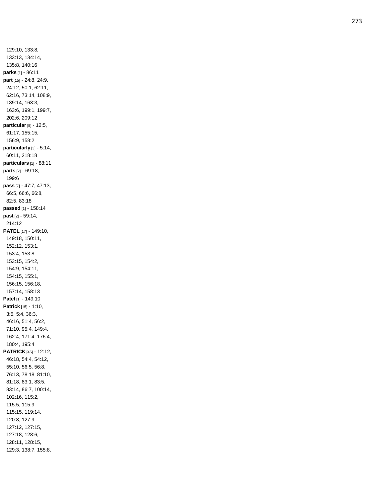129:10, 133:8, 133:13, 134:14, 135:8, 140:16 **parks** [1] - 86:11 **part** [15] - 24:8, 24:9, 24:12, 50:1, 62:11, 62:16, 73:14, 108:9, 139:14, 163:3, 163:6, 199:1, 199:7, 202:6, 209:12 **particular** [5] - 12:5, 61:17, 155:15, 156:9, 158:2 **particularly** [3] - 5:14, 60:11, 218:18 **particulars** [1] - 88:11 **parts** [2] - 69:18, 199:6 **pass** [7] - 47:7, 47:13, 66:5, 66:6, 66:8, 82:5, 83:18 **passed** [1] - 158:14 **past** [2] - 59:14, 214:12 **PATEL** [17] - 149:10, 149:18, 150:11, 152:12, 153:1, 153:4, 153:8, 153:15, 154:2, 154:9, 154:11, 154:15, 155:1, 156:15, 156:18, 157:14, 158:13 **Patel** [1] - 149:10 **Patrick** [15] - 1:10, 3:5, 5:4, 36:3, 46:16, 51:4, 56:2, 71:10, 95:4, 149:4, 162:4, 171:4, 176:4, 180:4, 195:4 **PATRICK** [46] - 12:12, 46:18, 54:4, 54:12, 55:10, 56:5, 56:8, 76:13, 78:18, 81:10, 81:18, 83:1, 83:5, 83:14, 86:7, 100:14, 102:16, 115:2, 115:5, 115:9, 115:15, 119:14, 120:8, 127:9, 127:12, 127:15, 127:18, 128:6, 128:11, 128:15, 129:3, 138:7, 155:8,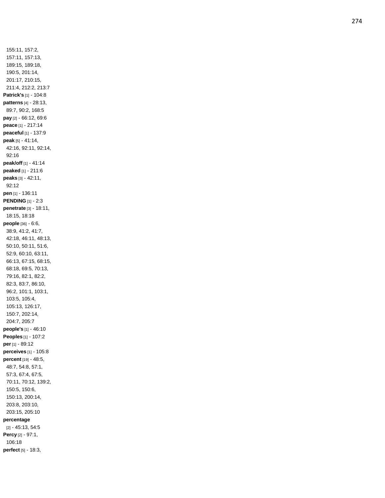155:11, 157:2, 157:11, 157:13, 189:15, 189:18, 190:5, 201:14, 201:17, 210:15, 211:4, 212:2, 213:7 **Patrick's** [1] - 104:8 **patterns** [4] - 28:13, 89:7, 90:2, 168:5 **pay** [2] - 66:12, 69:6 **peace** [1] - 217:14 **peaceful** [1] - 137:9 **peak** [5] - 41:14, 42:16, 92:11, 92:14, 92:16 **peak/off** [1] - 41:14 **peaked** [1] - 211:6 **peaks** [3] - 42:11, 92:12 **pen** [1] - 136:11 **PENDING** [1] - 2:3 **penetrate** [3] - 18:11, 18:15, 18:18 **people** [36] - 6:6, 38:9, 41:2, 41:7, 42:18, 46:11, 48:13, 50:10, 50:11, 51:6, 52:9, 60:10, 63:11, 66:13, 67:15, 68:15, 68:18, 69:5, 70:13, 79:16, 82:1, 82:2, 82:3, 83:7, 86:10, 96:2, 101:1, 103:1, 103:5, 105:4, 105:13, 126:17, 150:7, 202:14, 204:7, 205:7 **people's** [1] - 46:10 **Peoples** [1] - 107:2 **per** [1] - 89:12 **perceives** [1] - 105:8 **percent** [19] - 48:5, 48:7, 54:8, 57:1, 57:3, 67:4, 67:5, 70:11, 70:12, 139:2, 150:5, 150:6, 150:13, 200:14, 203:8, 203:10, 203:15, 205:10 **percentage** [2] - 45:13, 54:5 **Percy** [2] - 97:1, 106:18 **perfect** [5] - 18:3,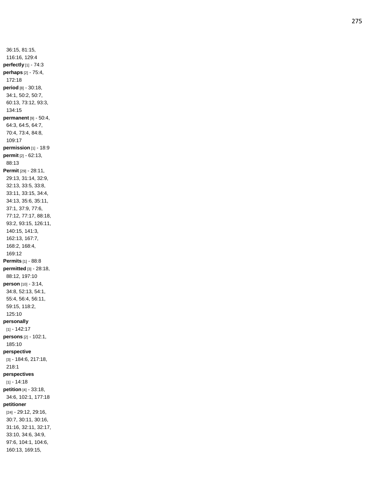36:15, 81:15, 116:16, 129:4 **perfectly** [1] - 74:3 **perhaps** [2] - 75:4, 172:18 **period** [8] - 30:18, 34:1, 50:2, 50:7, 60:13, 73:12, 93:3, 134:15 **permanent** [9] - 50:4, 64:3, 64:5, 64:7, 70:4, 73:4, 84:8, 109:17 **permission** [1] - 18:9 **permit** [2] - 62:13, 88:13 **Permit** [29] - 28:11, 29:13, 31:14, 32:9, 32:13, 33:5, 33:8, 33:11, 33:15, 34:4, 34:13, 35:6, 35:11, 37:1, 37:9, 77:6, 77:12, 77:17, 88:18, 93:2, 93:15, 126:11, 140:15, 141:3, 162:13, 167:7, 168:2, 168:4, 169:12 **Permits** [1] - 88:8 **permitted** [3] - 28:18, 88:12, 197:10 **person** [10] - 3:14, 34:8, 52:13, 54:1, 55:4, 56:4, 56:11, 59:15, 118:2, 125:10 **personally** [1] - 142:17 **persons** [2] - 102:1, 185:10 **perspective** [3] - 184:6, 217:18, 218:1 **perspectives** [1] - 14:18 **petition** [4] - 33:18, 34:6, 102:1, 177:18 **petitioner** [24] - 29:12, 29:16, 30:7, 30:11, 30:16, 31:16, 32:11, 32:17, 33:10, 34:6, 34:9, 97:6, 104:1, 104:6, 160:13, 169:15,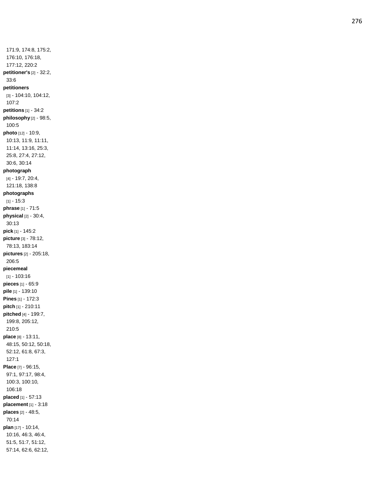171:9, 174:8, 175:2, 176:10, 176:18, 177:12, 220:2 **petitioner's** [2] - 32:2, 33:6 **petitioners** [3] - 104:10, 104:12, 107:2 **petitions** [1] - 34:2 **philosophy** [2] - 98:5, 100:5 **photo** [12] - 10:9, 10:13, 11:9, 11:11, 11:14, 13:16, 25:3, 25:8, 27:4, 27:12, 30:6, 30:14 **photograph** [4] - 19:7, 20:4, 121:18, 138:8 **photographs** [1] - 15:3 **phrase** [1] - 71:5 **physical** [2] - 30:4, 30:13 **pick** [1] - 145:2 **picture** [3] - 78:12, 78:13, 183:14 **pictures** [2] - 205:18, 206:5 **piecemeal** [1] - 103:16 **pieces** [1] - 65:9 **pile** [1] - 139:10 **Pines** [1] - 172:3 **pitch** [1] - 210:11 **pitched** [4] - 199:7, 199:8, 205:12, 210:5 **place** [8] - 13:11, 48:15, 50:12, 50:18, 52:12, 61:8, 67:3, 127:1 **Place** [7] - 96:15, 97:1, 97:17, 98:4, 100:3, 100:10, 106:18 **placed** [1] - 57:13 **placement** [1] - 3:18 **places** [2] - 48:5, 70:14 **plan** [17] - 10:14, 10:16, 46:3, 46:4, 51:5, 51:7, 51:12, 57:14, 62:6, 62:12,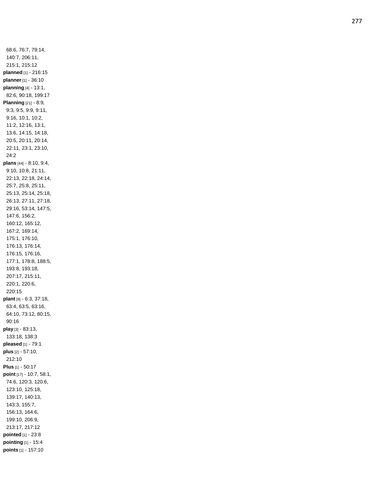68:6, 76:7, 79:14, 140:7, 206:11, 215:1, 215:12 **planned** [1] - 216:15 **planner** [1] - 36:10 **planning** [4] - 13:1, 82:6, 90:18, 199:17 **Planning** [21] - 8:9, 9:3, 9:5, 9:9, 9:11, 9:16, 10:1, 10:2, 11:2, 12:16, 13:1, 13:6, 14:15, 14:18, 20:5, 20:11, 20:14, 22:11, 23:1, 23:10, 24:2 **plans** [44] - 8:10, 9:4, 9:10, 10:8, 21:11, 22:13, 22:18, 24:14, 25:7, 25:8, 25:11, 25:13, 25:14, 25:18, 26:13, 27:11, 27:18, 29:16, 53:14, 147:5, 147:6, 156:2, 160:12, 165:12, 167:2, 169:14, 175:1, 176:10, 176:13, 176:14, 176:15, 176:16, 177:1, 178:8, 188:5, 193:8, 193:18, 207:17, 215:11, 220:1, 220:6, 220:15 **plant** [9] - 6:3, 37:18, 63:4, 63:5, 63:16, 64:10, 73:12, 80:15, 90:16 **play** [3] - 83:13, 133:18, 138:3 **pleased** [1] - 79:1 **plus** [2] - 57:10, 212:10 **Plus** [1] - 50:17 **point** [17] - 10:7, 58:1, 74:6, 120:3, 120:6, 123:10, 125:18, 139:17, 140:13, 143:3, 155:7, 156:13, 164:6, 199:10, 206:9, 213:17, 217:12 **pointed** [1] - 23:8 **pointing** [1] - 15:4 **points** [1] - 157:10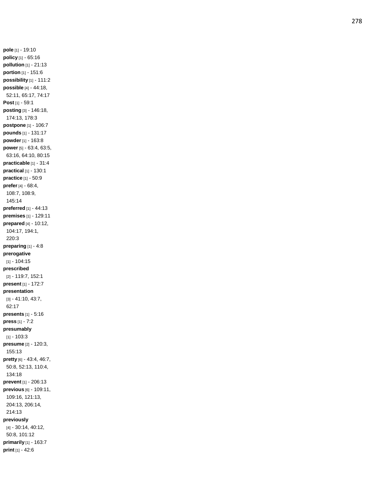**pole** [1] - 19:10 **policy** [1] - 65:16 **pollution** [1] - 21:13 **portion** [1] - 151:6 **possibility** [1] - 111:2 **possible** [4] - 44:18, 52:11, 65:17, 74:17 **Post** [1] - 59:1 **posting** [3] - 146:18, 174:13, 178:3 **postpone** [1] - 106:7 **pounds** [1] - 131:17 **powder** [1] - 163:8 **power** [5] - 63:4, 63:5, 63:16, 64:10, 80:15 **practicable** [1] - 31:4 **practical** [1] - 130:1 **practice** [1] - 50:9 **prefer** [4] - 68:4, 108:7, 108:9, 145:14 **preferred** [1] - 44:13 **premises** [1] - 129:11 **prepared** [4] - 10:12, 104:17, 194:1, 220:3 **preparing** [1] - 4:8 **prerogative** [1] - 104:15 **prescribed** [2] - 119:7, 152:1 **present** [1] - 172:7 **presentation** [3] - 41:10, 43:7, 62:17 **presents** [1] - 5:16 **press** [1] - 7:2 **presumably** [1] - 103:3 **presume** [2] - 120:3, 155:13 **pretty** [6] - 43:4, 46:7, 50:8, 52:13, 110:4, 134:18 **prevent** [1] - 206:13 **previous** [6] - 109:11, 109:16, 121:13, 204:13, 206:14, 214:13 **previously** [4] - 30:14, 40:12, 50:8, 101:12 **primarily** [1] - 163:7 **print** [1] - 42:6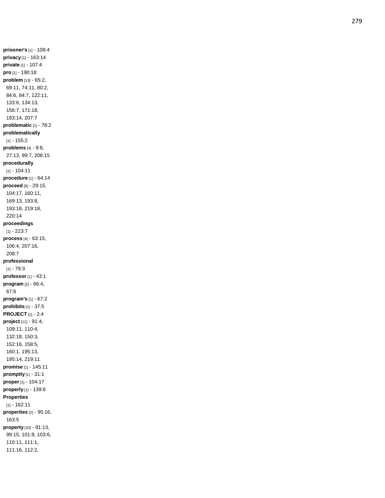**prisoner's** [1] - 108:4 **privacy** [1] - 163:14 **private** [1] - 107:4 **pro** [1] - 190:18 **problem** [13] - 65:2, 69:11, 74:11, 80:2, 84:6, 84:7, 122:11, 133:6, 134:13, 156:7, 171:18, 193:14, 207:7 **problematic** [1] - 78:2 **problematically** [1] - 155:2 **problems** [4] - 9:8, 27:13, 99:7, 206:15 **procedurally** [1] - 104:11 **procedure** [1] - 64:14 **proceed** [8] - 29:15, 104:17, 160:11, 169:13, 193:8, 193:18, 219:18, 220:14 **proceedings** [1] - 223:7 **process** [4] - 63:15, 106:4, 207:16, 208:7 **professional** [1] - 79:3 **professor** [1] - 43:1 **program** [2] - 66:4, 67:6 **program's** [1] - 67:2 **prohibits** [1] - 37:5 **PROJECT** [1] - 2:4 **project** [11] - 91:4, 109:11, 110:4, 132:18, 150:3, 152:16, 158:5, 160:1, 195:13, 195:14, 219:11 **promise** [1] - 145:11 **promptly** [1] - 31:1 **proper** [1] - 104:17 **properly** [1] - 139:6 **Properties** [1] - 162:11 **properties** [2] - 95:16, 163:5 **property** [33] - 91:13, 99:15, 101:8, 103:6, 110:11, 111:1, 111:16, 112:2,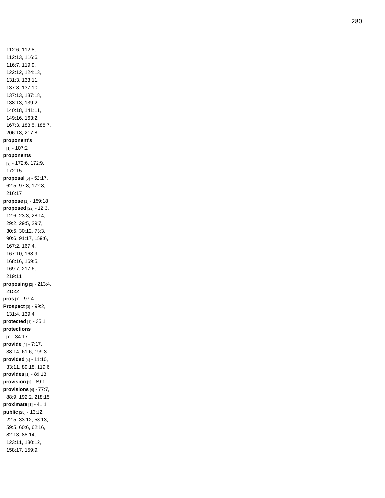112:6, 112:8, 112:13, 116:6, 116:7, 119:9, 122:12, 124:13, 131:3, 133:11, 137:8, 137:10, 137:13, 137:18, 138:13, 139:2, 140:18, 141:11, 149:16, 163:2, 167:3, 183:5, 188:7, 206:18, 217:8 **proponent's** [1] - 107:2 **proponents** [3] - 172:6, 172:9, 172:15 **proposal** [5] - 52:17, 62:5, 97:8, 172:8, 216:17 **propose** [1] - 159:18 **proposed** [22] - 12:3, 12:6, 23:3, 28:14, 29:2, 29:5, 29:7, 30:5, 30:12, 73:3, 90:6, 91:17, 159:6, 167:2, 167:4, 167:10, 168:9, 168:16, 169:5, 169:7, 217:6, 219:11 **proposing** [2] - 213:4, 215:2 **pros** [1] - 97:4 **Prospect** [3] - 99:2, 131:4, 139:4 **protected** [1] - 35:1 **protections** [1] - 34:17 **provide** [4] - 7:17, 38:14, 61:6, 199:3 **provided** [4] - 11:10, 33:11, 89:18, 119:6 **provides** [1] - 89:13 **provision** [1] - 89:1 **provisions** [4] - 77:7, 88:9, 192:2, 218:15 **proximate** [1] - 41:1 **public** [25] - 13:12, 22:5, 33:12, 58:13, 59:5, 60:6, 62:16, 82:13, 88:14, 123:11, 130:12, 158:17, 159:9,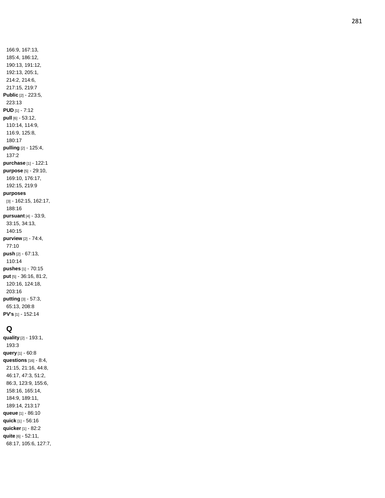166:9, 167:13, 185:4, 186:12, 190:13, 191:12, 192:13, 205:1, 214:2, 214:6, 217:15, 219:7 **Public** [2] - 223:5, 223:13 **PUD** [1] - 7:12 **pull** [6] - 53:12, 110:14, 114:9, 116:9, 125:8, 180:17 **pulling** [2] - 125:4, 137:2 **purchase** [1] - 122:1 **purpose** [5] - 29:10, 169:10, 176:17, 192:15, 219:9 **purposes** [3] - 162:15, 162:17, 188:16 **pursuant** [4] - 33:9, 33:15, 34:13, 140:15 **purview** [2] - 74:4, 77:10 **push** [2] - 67:13, 110:14 **pushe s** [1] - 70:15 **put** [5] - 36:16, 81:2, 120:16, 124:18, 203:16 **putting** [3] - 57:3, 65:13, 208:8 **PV's** [1] - 152:14

# **Q**

**quality** [2] - 193:1, 193:3 **query** [1] - 60:8 **questions** [16] - 8:4, 21:15, 21:16, 44:8, 46:17, 47:3, 51:2, 86:3, 123:9, 155:6, 158:16, 165:14, 184:9, 189:11, 189:14, 213:17 **queue** [1] - 86:10 **quick** [1] - 56:16 **quicker** [1] - 82:2 **quite** [6] - 52:11, 68:17, 105:6, 127:7,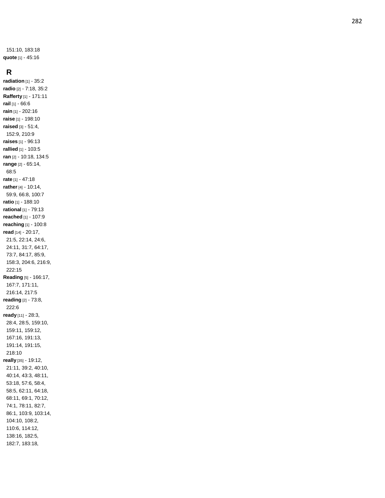151:10, 183:18 **quote** [1] - 45:16

#### **R**

**radiation** [1] - 35:2 **radio** [2] - 7:18, 35:2 **Rafferty** [1] - 171:11 **rail** [1] - 66:6 **rain** [1] - 202:16 **raise** [1] - 198:10 **raised** [3] - 51:4, 152:9, 210:9 **raises** [1] - 96:13 **rallied** [1] - 103:5 **ran** [2] - 10:18, 134:5 **range** [2] - 65:14, 68:5 **rate** [1] - 47:18 **rather** [4] - 10:14, 59:9, 66:8, 100:7 **ratio** [1] - 188:10 **rational** [1] - 79:13 **reached** [1] - 107:9 **reaching** [1] - 100:8 **read** [14] - 20:17, 21:5, 22:14, 24:6, 24:11, 31:7, 64:17, 73:7, 84:17, 85:9, 158:3, 204:6, 216:9, 222:15 **Reading** [5] - 166:17, 167:7, 171:11, 216:14, 217:5 **reading** [2] - 73:8, 222:6 **ready** [11] - 28:3, 28:4, 28:5, 159:10, 159:11, 159:12, 167:16, 191:13, 191:14, 191:15, 218:10 **really** [35] - 19:12, 21:11, 39:2, 40:10, 40:14, 43:3, 48:11, 53:18, 57:6, 58:4, 58:5, 62:11, 64:18, 68:11, 69:1, 70:12, 74:1, 78:11, 82:7, 86:1, 103:9, 103:14, 104:10, 108:2, 110:6, 114:12, 138:16, 182:5, 182:7, 183:18,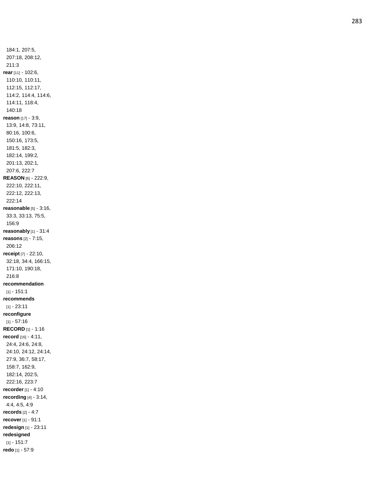184:1, 207:5, 207:18, 208:12, 211:3 **rear** [11] - 102:6, 110:10, 110:11, 112:15, 112:17, 114:2, 114:4, 114:6, 114:11, 118:4, 140:18 **reason** [17] - 3:9, 13:9, 14:8, 73:11, 80:16, 100:6, 150:16, 173:5, 181:5, 182:3, 182:14, 199:2, 201:13, 202:1, 207:6, 222:7 **REASON** [6] - 222:9, 222:10, 222:11, 222:12, 222:13, 222:14 **reasonable** [5] - 3:16, 33:3, 33:13, 75:5, 156:9 **reasonably** [1] - 31:4 **reasons** [2] - 7:15, 206:12 **receipt** [7] - 22:10, 32:18, 34:4, 166:15, 171:10, 190:18, 216:8 **recommendation** [1] - 151:1 **recommends** [1] - 23:11 **reconfigure** [1] - 57:16 **RECORD** [1] - 1:16 **record** [16] - 4:11, 24:4, 24:6, 24:8, 24:10, 24:12, 24:14, 27:9, 36:7, 58:17, 158:7, 162:9, 182:14, 202:5, 222:16, 223:7 **recorder** [1] - 4:10 **recording** [4] - 3:14, 4:4, 4:5, 4:9 **records** [2] - 4:7 **recover** [1] - 91:1 **redesign** [1] - 23:11 **redesigned** [1] - 151:7 **redo** [1] - 57:9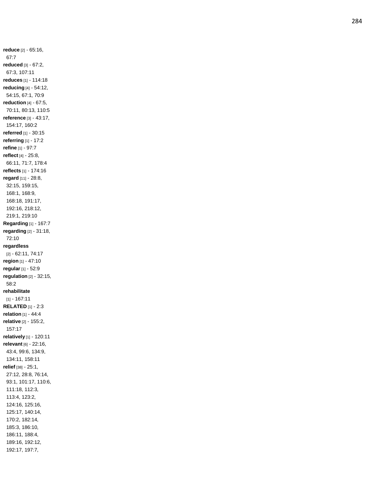**reduce** [2] - 65:16, 67:7 **reduced** [3] - 67:2, 67:3, 107:11 **reduces** [1] - 114:18 **reducing** [4] - 54:12, 54:15, 67:1, 70:9 **reduction** [4] - 67:5, 70:11, 80:13, 110:5 **reference** [3] - 43:17, 154:17, 160:2 **referred** [1] - 30:15 **referring** [1] - 17:2 **refine** [1] - 97:7 **reflect** [4] - 25:8, 66:11, 71:7, 178:4 **reflects** [1] - 174:16 **regard** [11] - 28:8, 32:15, 159:15, 168:1, 168:9, 168:18, 191:17, 192:16, 218:12, 219:1, 219:10 **Regarding** [1] - 167:7 **regarding** [2] - 31:18, 72:10 **regardless** [2] - 62:11, 74:17 **region** [1] - 47:10 **regular** [1] - 52:9 **regulation** [2] - 32:15, 58:2 **rehabilitate** [1] - 167:11 **RELATED** [1] - 2:3 **relation** [1] - 44:4 **relative** [2] - 155:2, 157:17 **relatively** [1] - 120:11 **relevant** [6] - 22:16, 43:4, 99:6, 134:9, 134:11, 158:11 **relief** [38] - 25:1, 27:12, 28:8, 76:14, 93:1, 101:17, 110:6, 111:18, 112:3, 113:4, 123:2, 124:16, 125:16, 125:17, 140:14, 170:2, 182:14, 185:3, 186:10, 186:11, 188:4, 189:16, 192:12, 192:17, 197:7,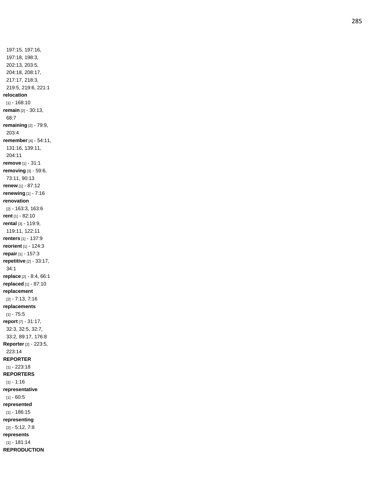197:15, 197:16, 197:18, 198:3, 202:13, 203:5, 204:18, 208:17, 217:17, 218:3, 219:5, 219:6, 221:1 **relocation** [1] - 168:10 **remain** [2] - 30:13, 68:7 **remaining** [2] - 79:9, 203:4 **remember** [4] - 54:11, 131:16, 139:11, 204:11 **remove** [1] - 31:1 **removing** [3] - 59:6, 73:11, 90:13 **renew** [1] - 87:12 **renewing** [1] - 7:16 **renovation** [2] - 163:3, 163:6 **rent** [1] - 82:10 **rental** [3] - 119:9, 119:11, 122:11 **renters** [1] - 137:9 **reorient** [1] - 124:3 **repair** [1] - 157:3 **repetitive** [2] - 33:17, 34:1 **replace** [2] - 8:4, 66:1 **replaced** [1] - 87:10 **replacement** [2] - 7:13, 7:16 **replacements** [1] - 75:5 **report** [7] - 31:17, 32:3, 32:5, 32:7, 33:2, 89:17, 176:8 **Reporter** [2] - 223:5, 223:14 **REPORTER** [1] - 223:18 **REPORTERS** [1] - 1:16 **representative** [1] - 60:5 **represented** [1] - 186:15 **representing** [2] - 5:12, 7:8 **represents** [1] - 181:14 **REPRODUCTION**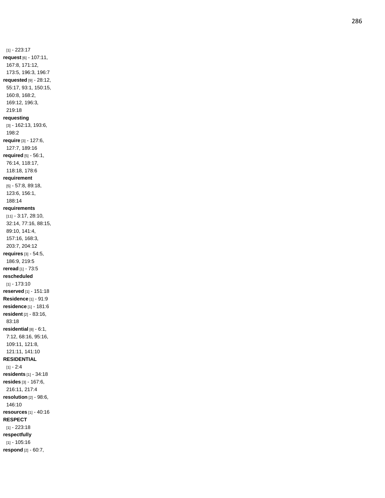[1] - 223:17 **request** [6] - 107:11, 167:8, 171:12, 173:5, 196:3, 196:7 **requested** [9] - 28:12, 55:17, 93:1, 150:15, 160:8, 168:2, 169:12, 196:3, 219:18 **requesting** [3] - 162:13, 193:6, 198:2 **require** [3] - 127:6, 127:7, 189:16 **required** [5] - 56:1, 76:14, 118:17, 118:18, 178:6 **requirement** [5] - 57:8, 89:18, 123:6, 156:1, 188:14 **requirements** [11] - 3:17, 28:10, 32:14, 77:16, 88:15, 89:10, 141:4, 157:16, 168:3, 203:7, 204:12 **requires** [3] - 54:5, 186:9, 219:5 **reread** [1] - 73:5 **rescheduled** [1] - 173:10 **reserved** [1] - 151:18 **Residence** [1] - 91:9 **residence** [1] - 181:6 **resident** [2] - 83:16, 83:18 **residential** [8] - 6:1, 7:12, 68:16, 95:16, 109:11, 121:8, 121:11, 141:10 **RESIDENTIAL** [1] - 2:4 **residents** [1] - 34:18 **resides** [3] - 167:6, 216:11, 217:4 **resolution** [2] - 98:6, 146:10 **resources** [1] - 40:16 **RESPECT** [1] - 223:18 **respectfully** [1] - 105:16

**respond** [2] - 60:7,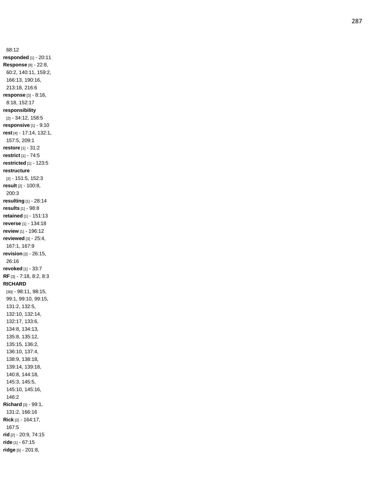68:12 **responded** [1] - 20:11 **Response** [8] - 22:8, 60:2, 140:11, 159:2, 166:13, 190:16, 213:18, 216:6 **response** [3] - 8:16, 8:18, 152:17 **responsibility** [2] - 34:12, 158:5 **responsive** [1] - 9:10 **rest** [4] - 17:14, 132:1, 157:5, 209:1 **restore** [1] - 31:2 **restrict** [1] - 74:5 **restricted** [1] - 123:5 **restructure** [2] - 151:5, 152:3 **result** [2] - 100:8, 200:3 **resulting** [1] - 28:14 **results** [1] - 98:8 **retained** [1] - 151:13 **reverse** [1] - 134:18 **review** [1] - 196:12 **reviewed** [3] - 25:4, 167:1, 167:9 **revision** [2] - 26:15, 26:16 **revoked** [1] - 33:7 **RF** [3] - 7:18, 8:2, 8:3 **RICHARD** [30] - 98:11, 98:15, 99:1, 99:10, 99:15, 131:2, 132:5, 132:10, 132:14, 132:17, 133:6, 134:8, 134:13, 135:8, 135:12, 135:15, 136:2, 136:10, 137:4, 138:9, 138:18, 139:14, 139:18, 140:8, 144:18, 145:3, 145:5, 145:10, 145:16, 146:2 **Richard** [3] - 99:1, 131:2, 166:16 **Rick** [2] - 164:17, 167:5 **rid** [2] - 20:9, 74:15 **ride** [1] - 67:15 **ridge** [5] - 201:8,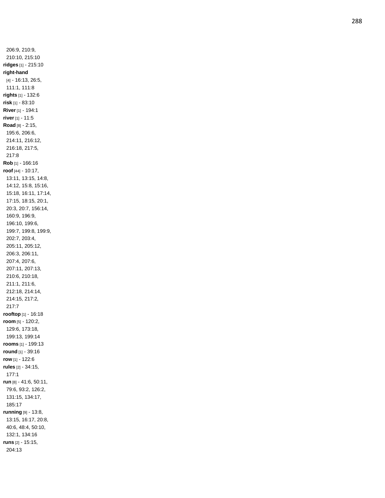206:9, 210:9, 210:10, 215:10 **ridges** [1] - 215:10 **right -hand** [4] - 16:13, 26:5, 111:1, 111:8 **rights** [1] - 132:6 **risk** [1] - 83:10 **River** [1] - 194:1 **river** [1] - 11:5 **Road** [8] - 2:15, 195:6, 206:6, 214:11, 216:12, 216:18, 217:5, 217:8 **Rob** [1] - 166:16 **roof** [44] - 10:17, 13:11, 13:15, 14:8, 14:12, 15:8, 15:16, 15:18, 16:11, 17:14, 17:15, 18:15, 20:1, 20:3, 20:7, 156:14, 160:9, 196:9, 196:10, 199:6, 199:7, 199:8, 199:9, 202:7, 203:4, 205:11, 205:12, 206:3, 206:11, 207:4, 207:6, 207:11, 207:13, 210:6, 210:18, 211:1, 211:6, 212:18, 214:14, 214:15, 217:2, 217:7 **rooftop** [1] - 16:18 **room** [5] - 120:2, 129:6, 173:18, 199:13, 199:14 **rooms** [1] - 199:13 **round** [1] - 39:16 **row** [1] - 122:6 **rules** [2] - 34:15, 177:1 **run** [8] - 41:6, 50:11, 79:6, 93:2, 126:2, 131:15, 134:17, 185:17 **running** [9] - 13:8, 13:15, 16:17, 20:8, 40:6, 48:4, 50:10, 132:1, 134:16 **runs** [2] - 15:15, 204:13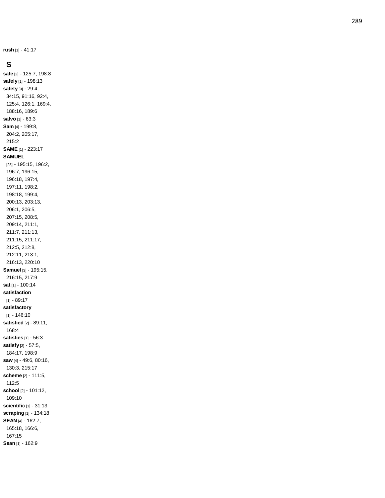**rush** [1] - 41:17

#### **S**

**safe** [2] - 125:7, 198:8 **safely** [1] - 198:13 **safety** [9] - 29:4, 34:15, 91:16, 92:4, 125:4, 126:1, 169:4, 188:16, 189:6 **salvo** [1] - 63:3 **Sam** [4] - 199:8, 204:2, 205:17, 215:2 **SAME** [1] - 223:17 **SAMUEL** [28] - 195:15, 196:2, 196:7, 196:15, 196:18, 197:4, 197:11, 198:2, 198:18, 199:4, 200:13, 203:13, 206:1, 206:5, 207:15, 208:5, 209:14, 211:1, 211:7, 211:13, 211:15, 211:17, 212:5, 212:8, 212:11, 213:1, 216:13, 220:10 **Samuel** [3] - 195:15, 216:15, 217:9 **sat** [1] - 100:14 **satisfaction** [1] - 89:17 **satisfactory** [1] - 146:10 **satisfied** [2] - 89:11, 168:4 **satisfies** [1] - 56:3 **satisfy** [3] - 57:5, 184:17, 198:9 **saw** [4] - 49:6, 80:16, 130:3, 215:17 **scheme** [2] - 111:5, 112:5 **school** [2] - 101:12, 109:10 **scientific** [1] - 31:13 **scraping** [1] - 134:18 **SEAN** [4] - 162:7, 165:18, 166:6, 167:15 **Sean** [1] - 162:9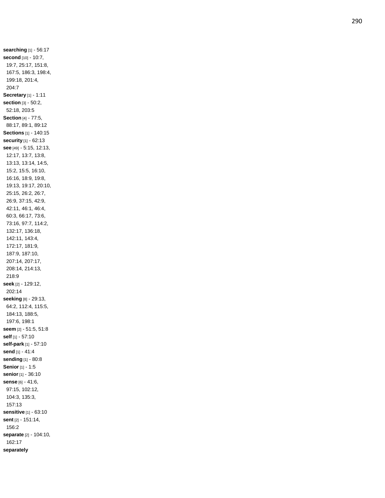**searching** [1] - 56:17 **second** [10] - 10:7, 19:7, 25:17, 151:8, 167:5, 186:3, 198:4, 199:18, 201:4, 204:7 **Secretary** [1] - 1:11 **section** [3] - 50:2, 52:18, 203:5 **Section** [4] - 77:5, 88:17, 89:1, 89:12 **Sections** [1] - 140:15 **security** [1] - 62:13 **see** [49] - 5:15, 12:13, 12:17, 13:7, 13:8, 13:13, 13:14, 14:5, 15:2, 15:5, 16:10, 16:16, 18:9, 19:8, 19:13, 19:17, 20:10, 25:15, 26:2, 26:7, 26:9, 37:15, 42:9, 42:11, 46:1, 46:4, 60:3, 66:17, 73:6, 73:16, 97:7, 114:2, 132:17, 136:18, 142:11, 143:4, 172:17, 181:9, 187:9, 187:10, 207:14, 207:17, 208:14, 214:13, 218:9 **seek** [2] - 129:12, 202:14 **seeking** [8] - 29:13, 64:2, 112:4, 115:5, 184:13, 188:5, 197:6, 198:1 **seem** [2] - 51:5, 51:8 **self** [1] - 57:10 **self -park** [1] - 57:10 **send** [1] - 41:4 **sending** [1] - 80:8 **Senior** [1] - 1:5 **senior** [1] - 36:10 **sense** [6] - 41:6, 97:15, 102:12, 104:3, 135:3, 157:13 **sensitive** [1] - 63:10 **sent** [2] - 151:14, 156:2 **separate** [2] - 104:10, 162:17 **separately**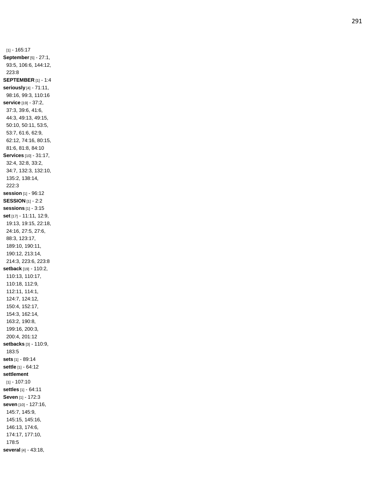[1] - 165:17 **September**[5] - 27:1, 93:5, 106:6, 144:12, 223:8 **SEPTEMBER** [1] - 1:4 **seriously** [4] - 71:11, 98:16, 99:3, 110:16 **service** [19] - 37:2, 37:3, 39:6, 41:6, 44:3, 49:13, 49:15, 50:10, 50:11, 53:5, 53:7, 61:6, 62:9, 62:12, 74:16, 80:15, 81:6, 81:8, 84:10 **Services** [10] - 31:17, 32:4, 32:8, 33:2, 34:7, 132:3, 132:10, 135:2, 138:14, 222:3 **session** [1] - 96:12 **SESSION** [1] - 2:2 **sessions** [1] - 3:15 **set** [17] - 11:11, 12:9, 19:13, 19:15, 22:18, 24:16, 27:5, 27:6, 88:3, 123:17, 189:10, 190:11, 190:12, 213:14, 214:3, 223:6, 223:8 **setback** [19] - 110:2, 110:13, 110:17, 110:18, 112:9, 112:11, 114:1, 124:7, 124:12, 150:4, 152:17, 154:3, 162:14, 163:2, 190:8, 199:16, 200:3, 200:4, 201:12 **setbacks** [3] - 110:9, 183:5 **sets** [1] - 89:14 **settle** [1] - 64:12 **settlement** [1] - 107:10 **settles** [1] - 64:11 **Seven** [1] - 172:3 **seven** [10] - 127:16, 145:7, 145:9, 145:15, 145:16, 146:13, 174:6, 174:17, 177:10, 178:5 **several** [4] - 43:18,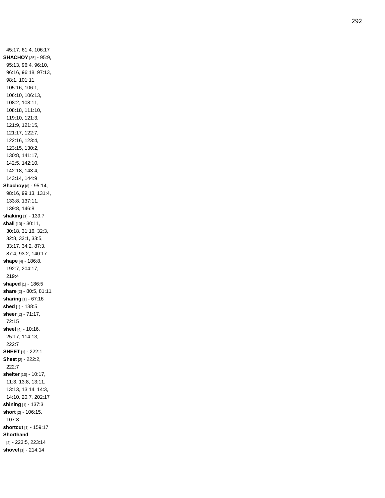45:17, 61:4, 106:17 **SHACHOY** [35] - 95:9, 95:13, 96:4, 96:10, 96:16, 96:18, 97:13, 98:1, 101:11, 105:16, 106:1, 106:10, 106:13, 108:2, 108:11, 108:18, 111:10, 119:10, 121:3, 121:9, 121:15, 121:17, 122:7, 122:16, 123:4, 123:15, 130:2, 130:8, 141:17, 142:5, 142:10, 142:18, 143:4, 143:14, 144:9 **Shachoy** [8] - 95:14, 98:16, 99:13, 131:4, 133:8, 137:11, 139:8, 146:8 **shaking** [1] - 139:7 **shall** [13 ] - 30:11, 30:18, 31:16, 32:3, 32:8, 33:1, 33:5, 33:17, 34:2, 87:3, 87:4, 93:2, 140:17 **shape** [4] - 186:8, 192:7, 204:17, 219:4 **shaped** [1] - 186:5 **share** [2] - 80:5, 81:11 **sharing** [1] - 67:16 **shed** [1] - 138:5 **sheer** [2] - 71:17, 72:15 **sheet** [4] - 10:16, 25:17, 114:13, 222:7 **SHEET** [1] - 222:1 **Sheet** [2] - 222:2, 222:7 **shelter** [10] - 10:17, 11:3, 13:8, 13:11, 13:13, 13:14, 14:3, 14:10, 20:7, 202:17 **shining** [1] - 137:3 **short** [2] - 106:15, 107:8 **shortcut** [1] - 159:17 **Shorthand** [2] - 223:5, 223:14 **shovel** [1] - 214:14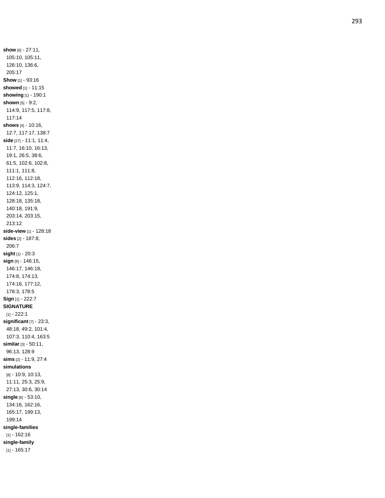**show** [6] - 27:11, 105:10, 105:11, 126:10, 136:6, 205:17 **Show** [1] - 93:16 **showed** [1] - 11:15 **showing** [1] - 190:1 **shown** [5] - 9:2, 114:9, 117:5, 117:8, 117:14 **shows** [4] - 10:16, 12:7, 117:17, 138:7 **side** [27] - 11:1, 11:4, 11:7, 16:10, 16:13, 19:1, 26:5, 38:6, 61:5, 102:6, 102:8, 111:1, 111:8, 112:16, 112:18, 113:9, 114:3, 124:7, 124:12, 125:1, 128:18, 135:18, 140:18, 191:9, 203:14, 203:15, 213:12 **side -view** [1] - 128:18 **sides** [2] - 187:8, 206:7 **sight** [1] - 20:3 **sign** [9] - 146:15, 146:17, 146:18, 174:8, 174:13, 174:16, 177:12, 178:3, 178:5 **Sign** [1] - 222:7 **SIGNATURE** [1] - 222:1 **significant** [7] - 23:3, 48:18, 49:2, 101:4, 107:3, 110:4, 163:5 **similar** [3] - 50:11, 96:13, 128:9 **sims** [2] - 11:9, 27:4 **simulations** [8] - 10:9, 10:13, 11:11, 25:3, 25:9, 27:13, 30:6, 30:14 **single** [6] - 53:10, 134:16, 162:16, 165:17, 199:13, 199:14 **single -families** [1] - 162:16 **single -family** [1] - 165:17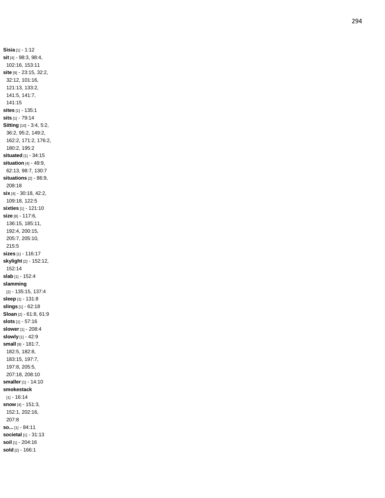**Sisia** [1] - 1:12 **sit** [4] - 98:3, 98:4, 102:16, 153:11 **site** [9] - 23:15, 32:2, 32:12, 101:16, 121:13, 133:2, 141:5, 141:7, 141:15 **sites** [1] - 135:1 **sits** [1] - 79:14 **Sitting** [10] - 3:4, 5:2, 36:2, 95:2, 149:2, 162:2, 171:2, 176:2, 180:2, 195:2 **situated** [1] - 34:15 **situation** [4] - 49:9, 62:13, 98:7, 130:7 **situations** [2] - 86:9, 208:18 **six** [4] - 30:18, 42:2, 109:18, 122:5 **sixties** [1] - 121:10 **size** [8] - 117:6, 136:15, 185:11, 192:4, 200:15, 205:7, 205:10, 215:5 **sizes** [1] - 116:17 **skylight** [2] - 152:12, 152:14 **slab** [1] - 152:4 **slamming** [2] - 135:15, 137:4 **sleep** [1] - 131:8 **slings** [1] - 62:18 **Sloan** [2] - 61:8, 61:9 **slots** [1] - 57:16 **slower** [1] - 208:4 **slowly** [1] - 42:9 **small** [9] - 181:7, 182:5, 182:8, 183:15, 197:7, 197:8, 205:5, 207:18, 208:10 **smaller** [1] - 14:10 **smokestack** [1] - 16:14 **snow** [4] - 151:3, 152:1, 202:16, 207:8 **so...** [1] - 84:11 **societal** [1] - 31:13 **soil** [1] - 204:16 **sold** [2] - 166:1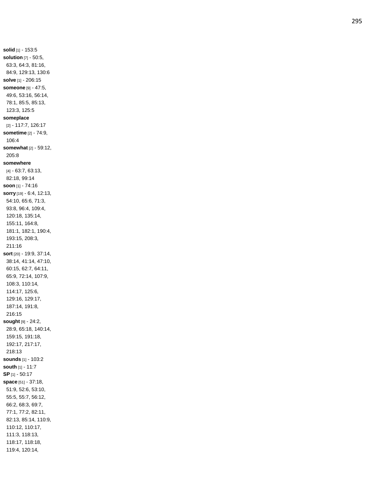**solid** [1] - 153:5 **solution** [7] - 50:5, 63:3, 64:3, 81:16, 84:9, 129:13, 130:6 **solve** [1] - 206:15 **someone** [9] - 47:5, 49:6, 53:16, 56:14, 78:1, 85:5, 85:13, 123:3, 125:5 **someplace** [2] - 117:7, 126:17 **sometime** [2] - 74:9, 106:4 **somewhat** [2] - 59:12, 205:8 **somewhere** [4] - 63:7, 63:13, 82:18, 99:14 **soon** [1] - 74:16 **sorry** [19] - 6:4, 12:13, 54:10, 65:6, 71:3, 93:8, 96:4, 109:4, 120:18, 135:14, 155:11, 164:8, 181:1, 182:1, 190:4, 193:15, 208:3, 211:16 **sort** [20] - 19:9, 37:14, 38:14, 41:14, 47:10, 60:15, 62:7, 64:11, 65:9, 72:14, 107:9, 108:3, 110:14, 114:17, 125:6, 129:16, 129:17, 187:14, 191:8, 216:15 **sought** [9] - 24:2, 28:9, 65:18, 140:14, 159:15, 191:18, 192:17, 217:17, 218:13 **sounds** [1] - 103:2 **south** [1] - 11:7 **SP** [1] - 50:17 **space** [51] - 37:18, 51:9, 52:6, 53:10, 55:5, 55:7, 56:12, 66:2, 68:3, 69:7, 77:1, 77:2, 82:11, 82:13, 85:14, 110:9, 110:12, 110:17, 111:3, 118:13, 118:17, 118:18, 119:4, 120:14,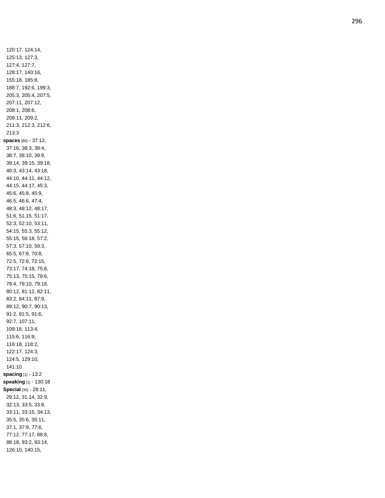120:17, 124:14, 125:13, 127:3, 127:4, 127:7, 128:17, 140:16, 155:18, 185:8, 188:7, 192:6, 199:3, 205:3, 205:4, 207:5, 207:11, 207:12, 208:1, 208:6, 208:11, 209:2, 211:3, 212:3, 212:6, 213:3 **spaces** [85] - 37:12, 37:16, 38:3, 38:4, 38:7, 38:10, 39:8, 39:14, 39:15, 39:18, 40:3, 43:14, 43:18, 44:10, 44:11, 44:12, 44:15, 44:17, 45:3, 45:6, 45:8, 45:9, 46:5, 46:6, 47:4, 48:3, 48:12, 48:17, 51:6, 51:15, 51:17, 52:3, 52:10, 53:11, 54:15, 55:3, 55:12, 55:15, 56:18, 57:2, 57:3, 57:10, 59:3, 65:5, 67:8, 70:8, 72:5, 72:8, 72:15, 73:17, 74:18, 75:8, 75:13, 75:15, 78:6, 79:4, 79:10, 79:18, 80:12, 81:12, 82:11, 83:2, 84:11, 87:9, 89:12, 90:7, 90:13, 91:2, 91:5, 91:6, 92:7, 107:11, 109:18, 113:4, 115:6, 116:9, 116:18, 118:2, 122:17, 124:3, 124:5, 129:10, 141:10 **spacing** [1] - 13:2 **speaking** [1] - 130:18 **Special** [30] - 28:11, 29:12, 31:14, 32:9, 32:13, 33:5, 33:8, 33:11, 33:15, 34:13, 35:5, 35:6, 35:11, 37:1, 37:9, 77:6, 77:12, 77:17, 88:8, 88:18, 93:2, 93:14, 126:10, 140:15,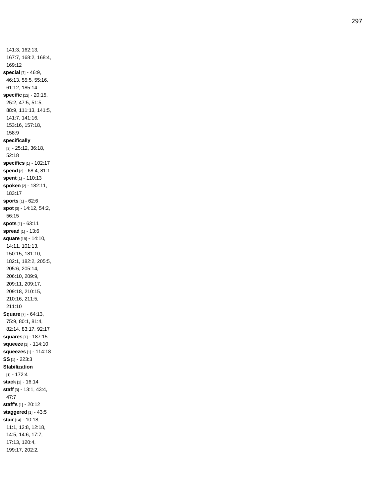141:3, 162:13, 167:7, 168:2, 168:4, 169:12 **special** [7] - 46:9, 46:13, 55:5, 55:16, 61:12, 185:14 **specific** [12] - 20:15, 25:2, 47:5, 51:5, 88:9, 111:13, 141:5, 141:7, 141:16, 153:16, 157:18, 158:9 **specifically** [3] - 25:12, 36:18, 52:18 **specifics** [1] - 102:17 **spend** [2] - 68:4, 81:1 **spent** [1] - 110:13 **spoken** [2] - 182:11, 183:17 **sports** [1] - 62:6 **spot** [3] - 14:12, 54:2, 56:15 **spots** [1] - 63:11 **spread** [1] - 13:6 **square** [19] - 14:10, 14:11, 101:13, 150:15, 181:10, 182:1, 182:2, 205:5, 205:6, 205:14, 206:10, 209:9, 209:11, 209:17, 209:18, 210:15, 210:16, 211:5, 211:10 **Square** [7] - 64:13, 75:9, 80:1, 81:4, 82:14, 83:17, 92:17 **squares** [1] - 187:15 **squeeze** [1] - 114:10 **squeezes** [1] - 114:18 **SS** [1] - 223:3 **Stabilization** [1] - 172:4 **stack** [1] - 16:14 **staff** [3] - 13:1, 43:4, 47:7 **staff's** [1] - 20:12 **staggered** [1] - 43:5 **stair** [14] - 10:18, 11:1, 12:8, 12:18, 14:5, 14:6, 17:7, 17:13, 120:4, 199:17, 202:2,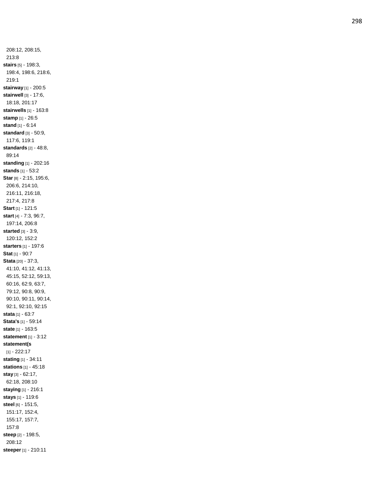208:12, 208:15, 213:8 **stairs** [5] - 198:3, 198:4, 198:6, 218:6, 219:1 **stairway** [1] - 200:5 **stairwell** [3] - 17:6, 18:18, 201:17 **stairwells** [1] - 163:8 **stamp** [1] - 26:5 **stand** [1] - 6:14 **standard** [3] - 50:9, 117:6, 119:1 **standards** [2] - 48:8, 89:14 **standing** [1] - 202:16 **stands** [1] - 53:2 **Star** [8] - 2:15, 195:6, 206:6, 214:10, 216:11, 216:18, 217:4, 217:8 **Start** [1] - 121:5 **start** [4] - 7:3, 96:7, 197:14, 206:8 **started** [3] - 3:9, 120:12, 152:2 **starters** [1] - 197:6 **Stat** [1] - 90:7 **Stata** [20] - 37:3, 41:10, 41:12, 41:13, 45:15, 52:12, 59:13, 60:16, 62:9, 63:7, 79:12, 90:8, 90:9, 90:10, 90:11, 90:14, 92:1, 92:10, 92:15 **stata** [1] - 63:7 **Stata's** [1] - 59:14 **state** [1] - 163:5 **statement** [1] - 3:12 **statement(s** [1] - 222:17 **stating** [1] - 34:11 **stations** [1] - 45:18 **stay** [3] - 62:17, 62:18, 208:10 **staying** [1] - 216:1 **stays** [1] - 119:6 **steel** [6] - 151:5, 151:17, 152:4, 155:17, 157:7, 157:8 **steep** [2] - 198:5, 208:12 **steeper** [1] - 210:11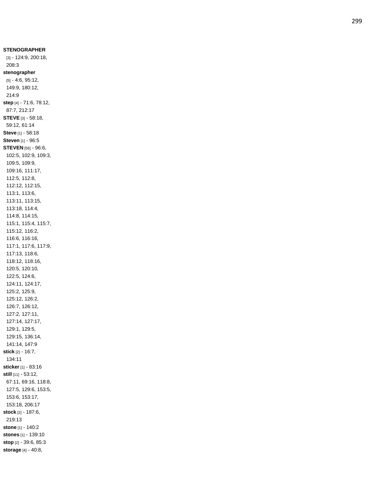**STENOGRAPHER** [3] - 124:9, 200:18, 208:3 **stenographer** [5] - 4:6, 95:12, 149:9, 180:12, 214:9 **step** [4] - 71:6, 78:12, 87:7, 212:17 **STEVE** [3] - 58:18, 59:12, 61:14 **Steve** [1] - 58:18 **Steven** [1] - 96:5 **STEVEN** [56] - 96:6, 102:5, 102:9, 109:3, 109:5, 109:9, 109:16, 111:17, 112:5, 112:8, 112:12, 112:15, 113:1, 113:6, 113:11, 113:15, 113:18, 114:4, 114:8, 114:15, 115:1, 115:4, 115:7, 115:12, 116:2, 116:6, 116:16, 117:1, 117:6, 117:9, 117:13, 118:6, 118:12, 118:16, 120:5, 120:10, 122:5, 124:6, 124:11, 124:17, 125:2, 125:9, 125:12, 126:2, 126:7, 126:12, 127:2, 127:11, 127:14, 127:17, 129:1, 129:5, 129:15, 136:14, 141:14, 147:9 **stick** [2] - 16:7, 134:11 **sticker** [1] - 83:16 **still** [11] - 53:12, 67:11, 69:16, 118:8, 127:5, 129:6, 153:5, 153:6, 153:17, 153:18, 206:17 **stock** [2] - 187:6, 219:1 3 **stone** [1] - 140:2 **stones** [1] - 139:10 **stop** [2] - 39:6, 85:3 **storage** [4] - 40:8,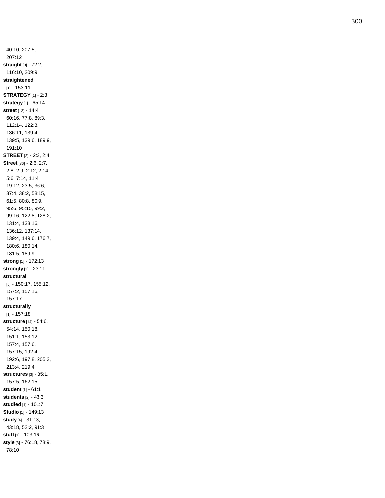40:10, 207:5, 207:12 **straight** [3] - 72:2, 116:10, 209:9 **straightened** [1] - 153:11 **STRATEGY** [1] - 2:3 **strategy** [1] - 65:14 **street** [12] - 14:4, 60:16, 77:8, 89:3, 112:14, 122:3, 136:11, 139:4, 139:5, 139:6, 189:9, 191:10 **STREET** [2] - 2:3, 2:4 **Street** [36] - 2:6, 2:7, 2:8, 2:9, 2:12, 2:14, 5:6, 7:14, 11:4, 19:12, 23:5, 36:6, 37:4, 38:2, 58:15, 61:5, 80:8, 80:9, 95:6, 95:15, 99:2, 99:16, 122:8, 128:2, 131:4, 133:16, 136:12, 137:14, 139:4, 149:6, 176:7, 180:6, 180:14, 181:5, 189:9 **strong** [1] - 172:13 **strongly** [1] - 23:11 **structural** [5] - 150:17, 155:12, 157:2, 157:16, 157:17 **structurally** [1] - 157:18 **structure** [14] - 54:6, 54:14, 150:18, 151:1, 153:12, 157:4, 157:6, 157:15, 192:4, 192:6, 197:8, 205:3, 213:4, 219:4 **structures** [3] - 35:1, 157:5, 162:15 **student** [1] - 61:1 **students** [2] - 43:3 **studied** [1] - 101:7 **Studio** [1] - 149:13 **study** [4] - 31:13, 43:18, 52:2, 91:3 **stuff** [1] - 103:16 **style** [3] - 76:18, 78:9, 78:10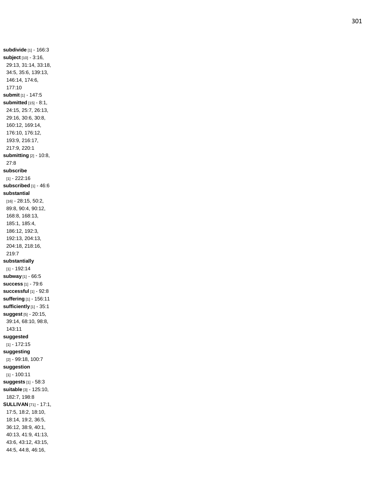**subdivide** [1] - 166:3 **subject** [10] - 3:16, 29:13, 31:14, 33:18, 34:5, 35:6, 139:13, 146:14, 174:6, 177:10 **submit** [1] - 147:5 **submitted** [15] - 8:1, 24:15, 25:7, 26:13, 29:16, 30:6, 30:8, 160:12, 169:14, 176:10, 176:12, 193:9, 216:17, 217:9, 220:1 **submitting** [2] - 10:8, 27:8 **subscribe** [1] - 222:16 **subscribed** [1] - 46:6 **substantial** [16] - 28:15, 50:2, 89:8, 90:4, 90:12, 168:8, 168:13, 185:1, 185:4, 186:12, 192:3, 192:13, 204:13, 204:18, 218:16, 219:7 **substantially** [1] - 192:14 **subway** [1] - 66:5 **success** [1] - 79:6 **successful** [1] - 92:8 **suffering** [1] - 156:11 **sufficiently** [1] - 35:1 **suggest** [5] - 20:15, 39:14, 68:10, 98:8, 143:11 **suggested** [1] - 172:15 **suggesting** [2] - 99:18, 100:7 **suggestion** [1] - 100:11 **suggests** [1] - 58:3 **suitable** [3] - 125:10, 182:7, 198:8 **SULLIVAN** [71] - 17:1, 17:5, 18:2, 18:10, 18:14, 19:2, 36:5, 36:12, 38:9, 40:1, 40:13, 41:9, 41:13, 43:6, 43:12, 43:15, 44:5, 44:8, 46:16,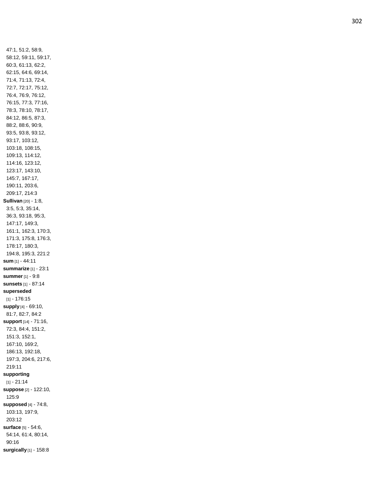47:1, 51:2, 58:9, 58:12, 59:11, 59:17, 60:3, 61:13, 62:2, 62:15, 64:6, 69:14, 71:4, 71:13, 72:4, 72:7, 72:17, 75:12, 76:4, 76:9, 76:12, 76:15, 77:3, 77:16, 78:3, 78:10, 78:17, 84:12, 86:5, 87:3, 88:2, 88:6, 90:9, 93:5, 93:8, 93:12, 93:17, 103:12, 103:18, 108:15, 109:13, 114:12, 114:16, 123:12, 123:17, 143:10, 145:7, 167:17, 190:11, 203:6, 209:17, 214:3 **Sullivan** [20] - 1:8, 3:5, 5:3, 35:14, 36:3, 93:18, 95:3, 147:17, 149:3, 161:1, 162:3, 170:3, 171:3, 175:8, 176:3, 178:17, 180:3, 194:8, 195:3, 221:2 **sum** [1] - 44:11 **summarize** [1] - 23:1 **summer** [1] - 9:8 **sunsets** [1] - 87:14 **superseded** [1] - 176:15 **supply** [4 ] - 69:10, 81:7, 82:7, 84:2 **support** [14] - 71:16, 72:3, 84:4, 151:2, 151:3, 152:1, 167:10, 169:2, 186:13, 192:18, 197:3, 204:6, 217:6, 219:11 **supporting** [1] - 21:14 **suppose** [2] - 122:10, 125:9 **supposed** [4] - 74:8, 103:13, 197:9, 203:12 **surface** [5] - 54:6, 54:14, 61:4, 80:14, 90:16 **surgically** [1] - 158:8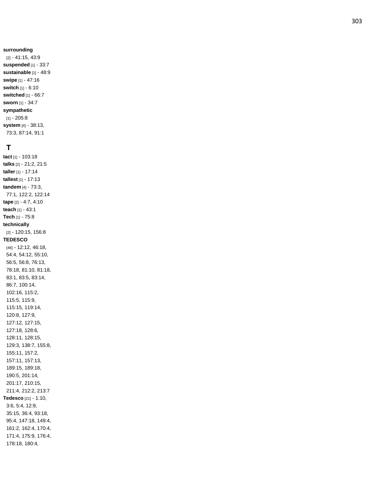[2] - 41:15, 43:9 **suspended** [1] - 33:7 **sustainable** [1] - 48:9 **swipe** [1] - 47:16 **switch** [1] - 6:10 **switched** [1] - 66:7 **sworn** [1] - 34:7 **sympathetic** [1] - 205:8 **system** [4] - 38:13, 73:3, 87:14, 91:1

#### **T**

**tact** [1] - 103:18 **talks** [2] - 21:2, 21:5 **taller** [1] - 17:14 **tallest** [1] - 17:13 **tandem** [4] - 73:3, 77:1, 122:2, 122:14 **tape** [2] - 4:7, 4:10 **teach** [1] - 43:1 **Tech** [1] - 75:8 **technically** [2] - 120:15, 156:8 **TEDESCO** [46] - 12:12, 46:18, 54:4, 54:12, 55:10, 56:5, 56:8, 76:13, 78:18, 81:10, 81:18, 83:1, 83:5, 83:14, 86:7, 100:14, 102:16, 115:2, 115:5, 115:9, 115:15, 119:14, 120:8, 127:9, 127:12, 127:15, 127:18, 128:6, 128:11, 128:15, 129:3, 138:7, 155:8, 155:11, 157:2, 157:11, 157:13, 189:15, 189:18, 190:5, 201:14, 201:17, 210:15, 211:4, 212:2, 213:7 **Tedesco** [21] - 1:10, 3:6, 5:4, 12:9, 35:15, 36:4, 93:18, 95:4, 147:18, 149:4, 161:2, 162:4, 170:4, 171:4, 175:9, 176:4, 178:18, 180:4,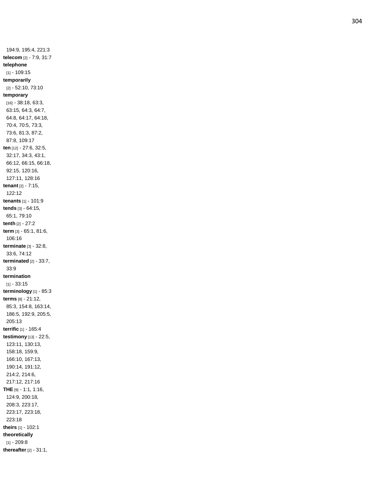194:9, 195:4, 221:3 **telecom** [2] - 7:9, 31:7 **telephone** [1] - 109:15 **temporarily** [2] - 52:10, 73:10 **temporary** [16] - 38:18, 63:3, 63:15, 64:3, 64:7, 64:8, 64:17, 64:18, 70:4, 70:5, 73:3, 73:6, 81:3, 87:2, 87:8, 109:17 **ten** [12] - 27:6, 32:5, 32:17, 34:3, 43:1, 66:12, 66:15, 66:18, 92:15, 120:16, 127:11, 128:16 **tenant** [2] - 7:15, 122:12 **tenants** [1] - 101:9 **tends** [3] - 64:15, 65:1, 79:10 **tenth** [2] - 27:2 **term** [3] - 65:1, 81:6, 106:16 **terminate** [3] - 32:8, 33:6, 74:12 **terminated** [2] - 33:7, 33:9 **termination** [1] - 33:15 **terminology** [1] - 85:3 **terms** [8] - 21:12, 85:3, 154:8, 163:14, 186:5, 192:9, 205:5, 205:13 **terrific** [1] - 165:4 **testimony** [13] - 22:5, 123:11, 130:13, 158:18, 159:9, 166:10, 167:13, 190:14, 191:12, 214:2, 214:6, 217:12, 217:16 **THE** [9] - 1:1, 1:16, 124:9, 200:18, 208:3, 223:17, 223:17, 223:18, 223:18 **theirs** [1] - 102:1 **theoretically** [1] - 209:8 **thereafter** [2] - 31:1,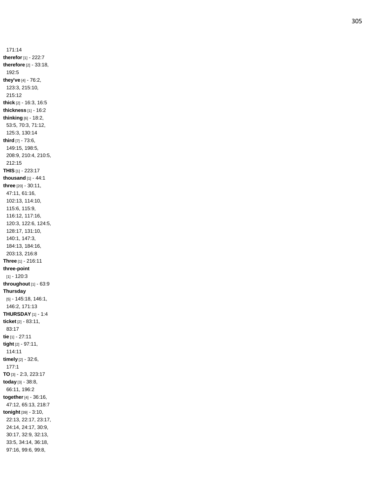171:14 **therefor** [1] - 222:7 **therefore** [2] - 33:18, 192:5 **they've** [4] - 76:2, 123:3, 215:10, 215:12 **thick** [2] - 16:3, 16:5 **thickness** [1] - 16:2 **thinking** [6] - 18:2, 53:5, 70:3, 71:12, 125:3, 130:14 **third** [7] - 73:6, 149:15, 198:5, 208:9, 210:4, 210:5, 212:15 **THIS** [1] - 223:17 **thousand** [1] - 44:1 **three** [20] - 30:11, 47:11, 61:16, 102:13, 114:10, 115:6, 115:9, 116:12, 117:16, 120:3, 122:6, 124:5, 128:17, 131:10, 140:1, 147:3, 184:13, 184:16, 203:13, 216:8 **Three** [1] - 216:11 **three -point** [1] - 120:3 **throughout** [1] - 63:9 **Thursday** [5] - 145:18, 146:1, 146:2, 171:13 **THURSDAY** [1] - 1:4 **ticket** [2] - 83:11, 83:17 **tie** [1] - 27:11 **tight** [2] - 97:11, 114:11 **timely** [2] - 32:6, 177:1 **TO** [3] - 2:3, 223:17 **today** [3] - 38:8, 66:11, 196:2 **together** [4] - 36:16, 47:12, 65:13, 218:7 **tonight** [39] - 3:10, 22:13, 22:17, 23:17, 24:14, 24:17, 30:9, 30:17, 32:9, 32:13, 33:5, 34:14, 36:18, 97:16, 99:6, 99:8,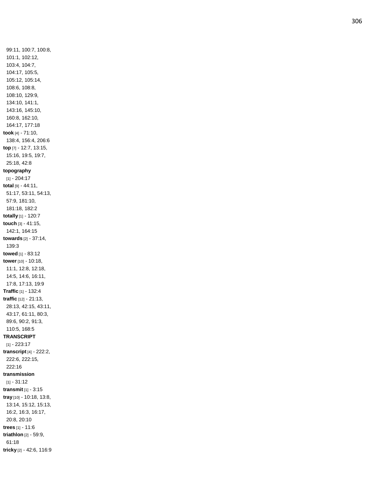99:11, 100:7, 100:8, 101:1, 102:12, 103:4, 104:7, 104:17, 105:5, 105:12, 105:14, 108:6, 108:8, 108:10, 129:9, 134:10, 141:1, 143:16, 145:10, 160:8, 162:10, 164:17, 177:18 **took** [4] - 71:10, 138:4, 156:4, 206:6 **top** [7] - 12:7, 13:15, 15:16, 19:5, 19:7, 25:18, 42:8 **topography** [1] - 204:17 **total** [9] - 44:11, 51:17, 53:11, 54:13, 57:9, 181:10, 181:18, 182:2 **totally** [1] - 120:7 **touch** [3] - 41:15, 142:1, 164:15 **towards** [2] - 37:14, 139:3 **towed** [1] - 83:12 **tower** [10] - 10:18, 11:1, 12:8, 12:18, 14:5, 14:6, 16:11, 17:8, 17:13, 19:9 **Traffic** [1] - 132:4 **traffic** [12] - 21:13, 28:13, 42:15, 43:11, 43:17, 61:11, 80:3, 89:6, 90:2, 91:3, 110:5, 168:5 **TRANSCRIPT** [1] - 223:17 **transcript** [4] - 222:2, 222:6, 222:15, 222:16 **transmission** [1] - 31:12 **transmit** [1] - 3:15 **tray** [10] - 10:18, 13:8, 13:14, 15:12, 15:13, 16:2, 16:3, 16:17, 20:8, 20:10 **trees** [1] - 11:6 **triathlon** [2] - 59:9, 61:18 **tricky** [2] - 42:6, 116:9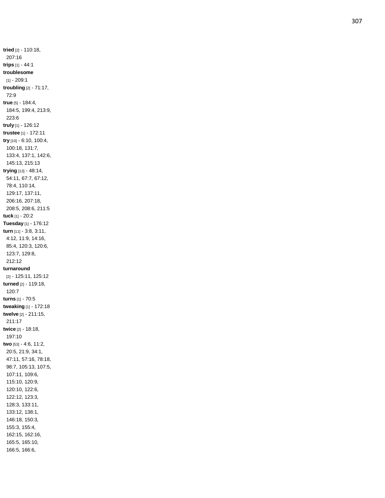**tried** [2] - 110:18, 207:16 **trips** [1] - 44:1 **troublesome** [1] - 209:1 **troubling** [2] - 71:17, 72:9 **true** [5] - 184:4, 184:5, 199:4, 213:9, 223:6 **truly** [1] - 126:12 **trustee** [1] - 172:11 **try** [10] - 6:10, 100:4, 100:18, 131:7, 133:4, 137:1, 142:6, 145:13, 215:13 **trying** [13] - 48:14, 54:11, 67:7, 67:12, 78:4, 110:14, 129:17, 137:11, 206:16, 207:18, 208:5, 208:6, 211:5 **tuck** [1] - 20:2 **Tuesday** [1] - 176:12 **turn** [11] - 3:8, 3:11, 4:12, 11:9, 14:16, 85:4, 120:3, 120:6, 123:7, 129:8, 212:12 **turnaround** [2] - 125:11, 125:12 **turned** [2] - 119:18, 120:7 **turns** [1] - 70:5 **tweaking** [1] - 172:18 **twelve** [2] - 211:15, 211:17 **twice** [2] - 18:18, 197:10 **two** [53] - 4:6, 11:2, 20:5, 21:9, 34:1, 47:11, 57:16, 78:18, 98:7, 105:13, 107:5, 107:11, 109:6, 115:10, 120:9, 120:10, 122:6, 122:12, 123:3, 128:3, 133:11, 133:12, 138:1, 146:18, 150:3, 155:3, 155:4, 162:15, 162:16, 165:5, 165:10, 166:5, 166:6,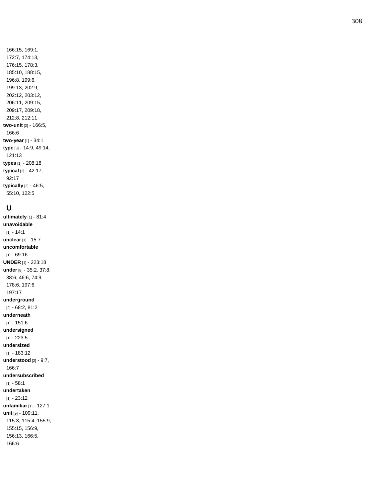166:15, 169:1, 172:7, 174:13, 176:15, 178:3, 185:10, 188:15, 196:8, 199:6, 199:13, 202:9, 202:12, 203:12, 206:11, 209:15, 209:17, 209:18, 212:8, 212:11 **two -unit** [2] - 166:5, 166:6 **two -year** [1] - 34:1 **type** [3] - 14:9, 49:14, 121:13 **types** [1] - 208:18 **typical** [2] - 42:17, 92:17 **typically** [3] - 46:5, 55:10, 122:5

### **U**

**ultimately** [1] - 81:4 **unavoidable** [1] - 14:1 **unclear** [1] - 15:7 **uncomfortable** [1] - 69:16 **UNDER** [1] - 223:18 **under** [8] - 35:2, 37:8, 38:6, 46:6, 74:9, 178:6, 197:6, 197:17 **underground** [2] - 68:2, 81:2 **underneath** [1] - 151:6 **undersigned** [1] - 223:5 **undersized** [1] - 183:12 **understood** [2] - 9:7, 166:7 **undersubscribed** [1] - 58:1 **undertaken** [1] - 23:12 **unfamiliar** [1] - 127:1 **unit** [9] - 109:11, 115:3, 115:4, 155:9, 155:15, 156:9, 156:13, 166:5, 166:6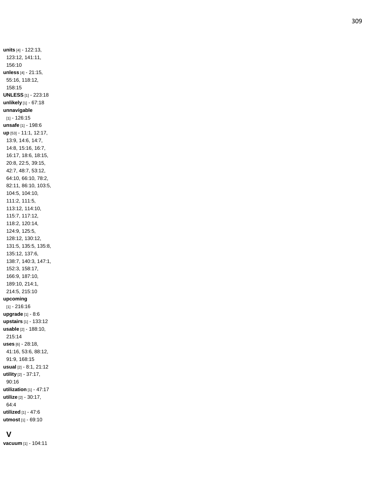**units** [4] - 122:13, 123:12, 141:11, 156:10 **unless** [4] - 21:15, 55:16, 118:12, 158:15 **UNLESS** [1] - 223:18 **unlikely** [1] - 67:18 **unnavigable** [1] - 126:15 **unsafe** [1] - 198:6 **up** [53] - 11:1, 12:17, 13:9, 14:6, 14:7, 14:8, 15:16, 16:7, 16:17, 18:6, 18:15, 20:8, 22:5, 39:15, 42:7, 48:7, 53:12, 64:10, 66:10, 78:2, 82:11, 86:10, 103:5, 104:5, 104:10, 111:2, 111:5, 113:12, 114:10, 115:7, 117:12, 118:2, 120:14, 124:9, 125:5, 128:12, 130:12, 131:5, 135:5, 135:8, 135:12, 137:6, 138:7, 140:3, 147:1, 152:3, 158:17, 166:9, 187:10, 189:10, 214:1, 214:5, 215:10 **upcoming** [1] - 216:16 **upgrade** [1] - 8:6 **upstairs** [1] - 133:12 **usable** [2] - 188:10, 215:14 **uses** [6] - 28:18, 41:16, 53:6, 88:12, 91:9, 168:15 **usual** [2] - 8:1, 21:12 **utility** [2] - 37:17, 90:16 **utilization** [1] - 47:17 **utilize** [2] - 30:17, 64:4 **utilized** [1] - 47:6

#### **V**

**vacuum** [1] - 104:11

**utmost** [1] - 69:10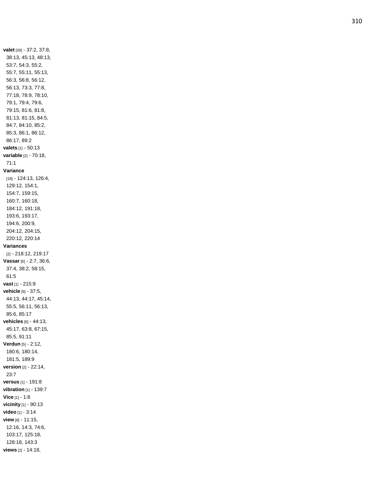**valet** [39] - 37:2, 37:8, 38:13, 45:13, 48:13, 53:7, 54:3, 55:2, 55:7, 55:11, 55:13, 56:3, 56:8, 56:12, 56:13, 73:3, 77:8, 77:18, 78:9, 78:10, 79:1, 79:4, 79:6, 79:15, 81:6, 81:8, 81:13, 81:15, 84:5, 84:7, 84:10, 85:2, 85:3, 86:1, 86:12, 86:17, 89:2 **valets** [1] - 50:13 **variable** [2] - 70:18, 71:1 **Variance** [18] - 124:13, 126:4, 129:12, 154:1, 154:7, 159:15, 160:7, 160:18, 184:12, 191:18, 193:6, 193:17, 194:6, 200:9, 204:12, 204:15, 220:12, 220:14 **Variances** [2] - 218:12, 219:17 **Vassar** [6] - 2:7, 36:6, 37:4, 38:2, 58:15, 61:5 **vast** [1] - 215:9 **vehicle** [9] - 37:5, 44:13, 44:17, 45:14, 55:5, 56:11, 56:13, 85:6, 85:17 **vehicles** [6] - 44:13, 45:17, 63:8, 67:15, 85:5, 91:11 **Verdun** [5] - 2:12, 180:6, 180:14, 181:5, 189:9 **version** [2] - 22:14, 23:7 **versus** [1] - 191:8 **vibration** [1] - 139:7 **Vice** [1] - 1:8 **vicinity** [1] - 90:13 **video** [1] - 3:14 **view** [8] - 11:15, 12:16, 14:3, 74:6, 103:17, 125:18, 128:18, 143:3

**views** [2] - 14:18,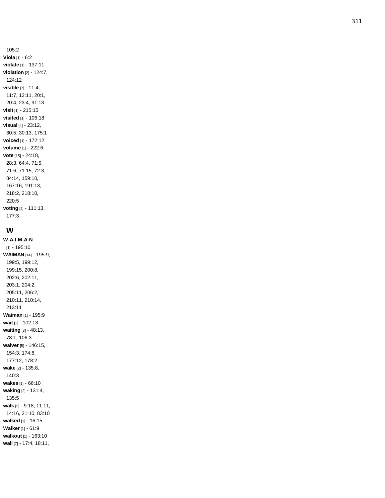105:2 **Viola** [1] - 6:2 **violate** [1] - 137:11 **violation** [2] - 124:7, 124:12 **visible** [7] - 11:4, 11:7, 13:11, 20:1, 20:4, 23:4, 91:13 **visit** [1] - 215:15 **visited** [1] - 106:18 **visual** [4] - 23:12, 30:5, 30:13, 175:1 **voiced** [1] - 172:12 **volume** [1] - 222:6 **vote** [15] - 24:18, 28:3, 64:4, 71:5, 71:6, 71:15, 72:3, 84:14, 159:10, 167:16, 191:13, 218:2, 218:10, 220:5 **voting** [2] - 111:13, 177:3

## **W**

**W-A-I-M - A - N** [1] - 195:10 **WAIMAN** [14] - 195:9, 199:5, 199:12, 199:15, 200:8, 202:6, 202:11, 203:1, 204:2, 205:11, 206:2, 210:11, 210:14, 213:11 **Waiman** [1] - 195:9 **wait** [1] - 102:13 **waiting** [3] - 48:13, 78:1, 106:3 **waiver** [5] - 146:15, 154:3, 174:8, 177:12, 178:2 **wake** [2] - 135:8, 140:3 **wakes** [1] - 66:10 **waking** [2] - 131:4, 135:5 **walk** [5] - 9:18, 11:11, 14:16, 21:10, 83:10 **walked** [1] - 16:15 **Walker** [1] - 61:9 **walkout** [1] - 163:10 **wall** [7] - 17:4, 18:11,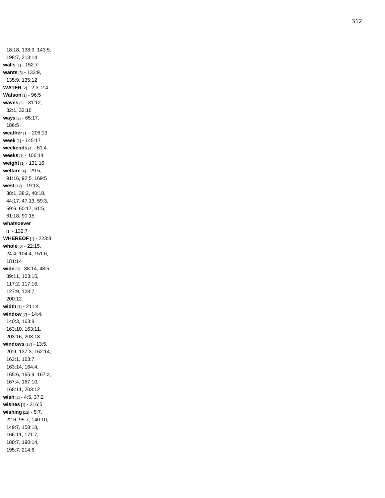18:18, 138:9, 143:5, 198:7, 213:14 **walls** [1] - 152:7 **wants** [3] - 133:9, 135:9, 135:12 **WATER** [2] - 2:3, 2:4 **Watson** [1] - 96:5 **waves** [3] - 31:12, 32:1, 32:16 **ways** [2] - 65:17, 186:5 **weather** [1] - 206:13 **week** [1] - 145:17 **weekends** [1] - 61:4 **weeks** [1] - 106:14 **weight** [1] - 131:16 **welfare** [4] - 29:5, 91:16, 92:5, 169:5 **west** [12] - 19:13, 38:1, 38:2, 40:18, 44:17, 47:13, 59:3, 59:6, 60:17, 61:5, 61:18, 90:15 **whatsoever** [1] - 132:7 **WHEREOF** [1] - 223:8 **whole** [6] - 22:15, 24:4, 104:4, 151:6, 181:14 **wide** [9] - 38:14, 48:5, 89:11, 103:15, 117:2, 117:16, 127:9, 128:7, 200:12 **width** [1] - 211:4 **window** [7] - 14:4, 140:3, 163:8, 163:10, 163:11, 203:16, 203:18 **windows** [17] - 13:5, 20:9, 137:3, 162:14, 163:1, 163:7, 163:14, 164:4, 165:6, 165:9, 167:2, 167:4, 167:10, 168:11, 203:12 **wish** [2] - 4:5, 37:2 **wishes** [1] - 216:5 **wishing** [12] - 5:7, 22:6, 95:7, 140:10, 149:7, 158:18, 166:11, 171:7, 180:7, 190:14, 195:7, 214:6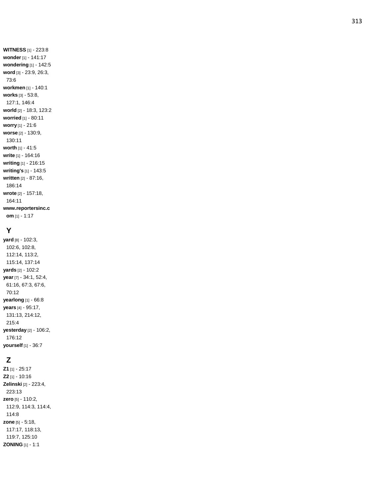**WITNESS** [1] - 223:8 **wonder** [1] - 141:17 **wondering** [1] - 142:5 **word** [3] - 23:9, 26:3, 73:6 **workmen** [1] - 140:1 **works** [3] - 53:8, 127:1, 146:4 **world** [2] - 18:3, 123:2 **worried** [1] - 80:11 **worry** [1] - 21:6 **worse** [2] - 130:9, 130:11 **worth** [1] - 41:5 **write** [1] - 164:16 **writing** [1] - 216:15 **writing's** [1] - 143:5 **written** [2] - 87:16, 186:14 **wrote** [2] - 157:18, 164:11 **www.reportersinc.c om** [1] - 1:17

### **Y**

**yard** [8] - 102:3, 102:6, 102:8, 112:14, 113:2, 115:14, 137:14 **yards** [2] - 102:2 **year** [7] - 34:1, 52:4, 61:16, 67:3, 67:6, 70:12 **yearlong** [1] - 66:8 **years** [4] - 95:17, 131:13, 214:12, 215:4 **yesterday** [2] - 106:2, 176:12 **yourself** [1] - 36:7

# **Z**

**Z1** [1] - 25:17 **Z2** [1] - 10:16 **Zelinski** [2] - 223:4, 223:13 **zero** [5] - 110:2, 112:9, 114:3, 114:4, 114:8 **zone** [5] - 5:18, 117:17, 118:13, 119:7, 125:10 **ZONING** [1] - 1:1